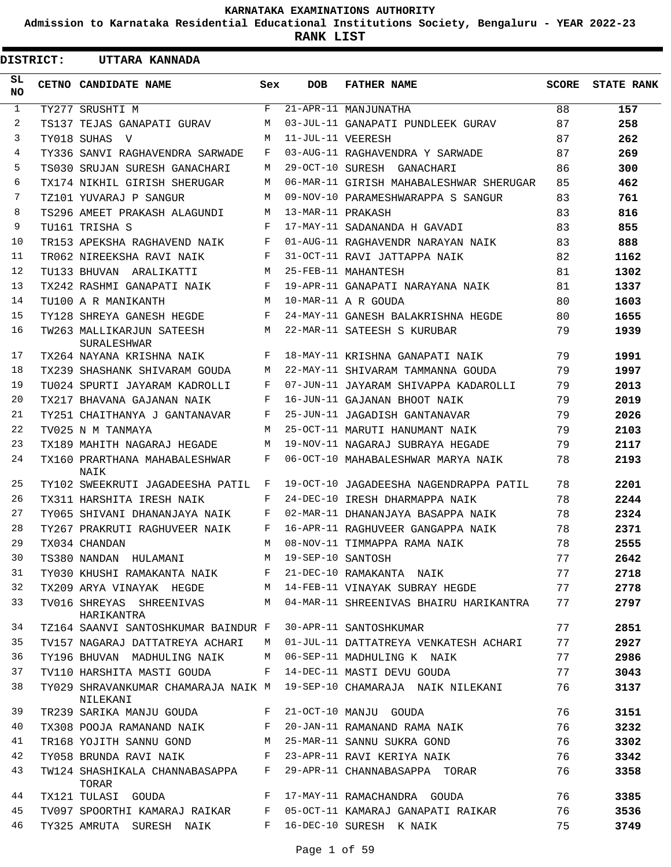**Admission to Karnataka Residential Educational Institutions Society, Bengaluru - YEAR 2022-23**

**RANK LIST**

| <b>DISTRICT:</b> | UTTARA KANNADA                                         |     |                   |                                         |       |                   |
|------------------|--------------------------------------------------------|-----|-------------------|-----------------------------------------|-------|-------------------|
| SL.<br><b>NO</b> | CETNO CANDIDATE NAME                                   | Sex | <b>DOB</b>        | <b>FATHER NAME</b>                      | SCORE | <b>STATE RANK</b> |
| $\mathbf{1}$     | TY277 SRUSHTI M                                        | F   |                   | 21-APR-11 MANJUNATHA                    | 88    | 157               |
| 2                | TS137 TEJAS GANAPATI GURAV                             | M   |                   | 03-JUL-11 GANAPATI PUNDLEEK GURAV       | 87    | 258               |
| 3                | TY018 SUHAS V                                          | M   | 11-JUL-11 VEERESH |                                         | 87    | 262               |
| 4                | TY336 SANVI RAGHAVENDRA SARWADE                        | F   |                   | 03-AUG-11 RAGHAVENDRA Y SARWADE         | 87    | 269               |
| 5                | TS030 SRUJAN SURESH GANACHARI                          | M   |                   | 29-OCT-10 SURESH GANACHARI              | 86    | 300               |
| 6                | TX174 NIKHIL GIRISH SHERUGAR                           | M   |                   | 06-MAR-11 GIRISH MAHABALESHWAR SHERUGAR | 85    | 462               |
| 7                | TZ101 YUVARAJ P SANGUR                                 | M   |                   | 09-NOV-10 PARAMESHWARAPPA S SANGUR      | 83    | 761               |
| 8                | TS296 AMEET PRAKASH ALAGUNDI                           | M   | 13-MAR-11 PRAKASH |                                         | 83    | 816               |
| 9                | TU161 TRISHA S                                         | F   |                   | 17-MAY-11 SADANANDA H GAVADI            | 83    | 855               |
| 10               | TR153 APEKSHA RAGHAVEND NAIK                           | F   |                   | 01-AUG-11 RAGHAVENDR NARAYAN NAIK       | 83    | 888               |
| 11               | TR062 NIREEKSHA RAVI NAIK                              | F   |                   | 31-OCT-11 RAVI JATTAPPA NAIK            | 82    | 1162              |
| 12               | TU133 BHUVAN ARALIKATTI                                | М   |                   | 25-FEB-11 MAHANTESH                     | 81    | 1302              |
| 13               | TX242 RASHMI GANAPATI NAIK                             | F   |                   | 19-APR-11 GANAPATI NARAYANA NAIK        | 81    | 1337              |
| 14               | TU100 A R MANIKANTH                                    | M   |                   | 10-MAR-11 A R GOUDA                     | 80    | 1603              |
| 15               | TY128 SHREYA GANESH HEGDE                              | F   |                   | 24-MAY-11 GANESH BALAKRISHNA HEGDE      | 80    | 1655              |
| 16               | TW263 MALLIKARJUN SATEESH<br>SURALESHWAR               | M   |                   | 22-MAR-11 SATEESH S KURUBAR             | 79    | 1939              |
| 17               | TX264 NAYANA KRISHNA NAIK                              | F   |                   | 18-MAY-11 KRISHNA GANAPATI NAIK         | 79    | 1991              |
| 18               | TX239 SHASHANK SHIVARAM GOUDA                          | М   |                   | 22-MAY-11 SHIVARAM TAMMANNA GOUDA       | 79    | 1997              |
| 19               | TU024 SPURTI JAYARAM KADROLLI                          | F   |                   | 07-JUN-11 JAYARAM SHIVAPPA KADAROLLI    | 79    | 2013              |
| 20               | TX217 BHAVANA GAJANAN NAIK                             | F   |                   | 16-JUN-11 GAJANAN BHOOT NAIK            | 79    | 2019              |
| 21               | TY251 CHAITHANYA J GANTANAVAR                          | F   |                   | 25-JUN-11 JAGADISH GANTANAVAR           | 79    | 2026              |
| 22               | TV025 N M TANMAYA                                      | M   |                   | 25-OCT-11 MARUTI HANUMANT NAIK          | 79    | 2103              |
| 23               | TX189 MAHITH NAGARAJ HEGADE                            | M   |                   | 19-NOV-11 NAGARAJ SUBRAYA HEGADE        | 79    | 2117              |
| 24               | TX160 PRARTHANA MAHABALESHWAR<br>NAIK                  | F   |                   | 06-OCT-10 MAHABALESHWAR MARYA NAIK      | 78    | 2193              |
| 25               | TY102 SWEEKRUTI JAGADEESHA PATIL                       | F   |                   | 19-OCT-10 JAGADEESHA NAGENDRAPPA PATIL  | 78    | 2201              |
| 26               | TX311 HARSHITA IRESH NAIK                              | F   |                   | 24-DEC-10 IRESH DHARMAPPA NAIK          | 78    | 2244              |
| 27               | TY065 SHIVANI DHANANJAYA NAIK                          | F   |                   | 02-MAR-11 DHANANJAYA BASAPPA NAIK       | 78    | 2324              |
| 28               | TY267 PRAKRUTI RAGHUVEER NAIK                          | F   |                   | 16-APR-11 RAGHUVEER GANGAPPA NAIK       | 78    | 2371              |
| 29               | TX034 CHANDAN                                          | М   |                   | 08-NOV-11 TIMMAPPA RAMA NAIK            | 78    | 2555              |
| 30               | TS380 NANDAN HULAMANI M 19-SEP-10 SANTOSH              |     |                   |                                         | 77    | 2642              |
| 31               | TY030 KHUSHI RAMAKANTA NAIK F 21-DEC-10 RAMAKANTA NAIK |     |                   |                                         | 77    | 2718              |
| 32               | TX209 ARYA VINAYAK HEGDE M                             |     |                   | 14-FEB-11 VINAYAK SUBRAY HEGDE          | 77    | 2778              |
| 33               | TV016 SHREYAS SHREENIVAS<br>HARIKANTRA                 | M   |                   | 04-MAR-11 SHREENIVAS BHAIRU HARIKANTRA  | 77    | 2797              |
| 34               | TZ164 SAANVI SANTOSHKUMAR BAINDUR F                    |     |                   | 30-APR-11 SANTOSHKUMAR                  | 77    | 2851              |
| 35               | TV157 NAGARAJ DATTATREYA ACHARI                        | M   |                   | 01-JUL-11 DATTATREYA VENKATESH ACHARI   | 77    | 2927              |
| 36               | TY196 BHUVAN MADHULING NAIK                            | M   |                   | 06-SEP-11 MADHULING K NAIK              | 77    | 2986              |
| 37               | TV110 HARSHITA MASTI GOUDA                             | F   |                   | 14-DEC-11 MASTI DEVU GOUDA              | 77    | 3043              |
| 38               | TY029 SHRAVANKUMAR CHAMARAJA NAIK M<br>NILEKANI        |     |                   | 19-SEP-10 CHAMARAJA NAIK NILEKANI       | 76    | 3137              |
| 39               | TR239 SARIKA MANJU GOUDA                               | F   |                   | 21-OCT-10 MANJU GOUDA                   | 76    | 3151              |
| 40               | TX308 POOJA RAMANAND NAIK                              | F   |                   | 20-JAN-11 RAMANAND RAMA NAIK            | 76    | 3232              |
| 41               | TR168 YOJITH SANNU GOND                                | M   |                   | 25-MAR-11 SANNU SUKRA GOND              | 76    | 3302              |
| 42               | TY058 BRUNDA RAVI NAIK F                               |     |                   | 23-APR-11 RAVI KERIYA NAIK              | 76    | 3342              |
| 43               | TW124 SHASHIKALA CHANNABASAPPA F<br>TORAR              |     |                   | 29-APR-11 CHANNABASAPPA TORAR           | 76    | 3358              |
| 44               | TX121 TULASI GOUDA                                     | F   |                   | 17-MAY-11 RAMACHANDRA GOUDA             | 76    | 3385              |
| 45               | TV097 SPOORTHI KAMARAJ RAIKAR F                        |     |                   | 05-OCT-11 KAMARAJ GANAPATI RAIKAR       | 76    | 3536              |
| 46               | TY325 AMRUTA SURESH NAIK                               | F   |                   | 16-DEC-10 SURESH K NAIK                 | 75    | 3749              |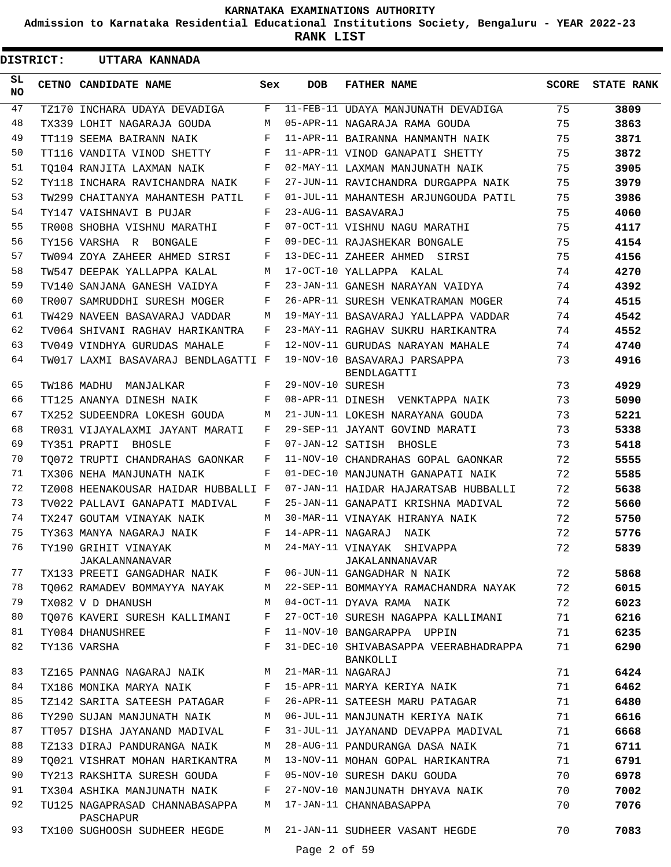**Admission to Karnataka Residential Educational Institutions Society, Bengaluru - YEAR 2022-23**

**RANK LIST**

| SL<br>CETNO CANDIDATE NAME<br><b>DOB</b><br><b>FATHER NAME</b><br>Sex<br><b>NO</b><br>47<br>TZ170 INCHARA UDAYA DEVADIGA<br>11-FEB-11 UDAYA MANJUNATH DEVADIGA<br>$\mathbf{F}$<br>48<br>05-APR-11 NAGARAJA RAMA GOUDA<br>TX339 LOHIT NAGARAJA GOUDA<br>M<br>49<br>F<br>11-APR-11 BAIRANNA HANMANTH NAIK<br>TT119 SEEMA BAIRANN NAIK<br>50<br>F<br>11-APR-11 VINOD GANAPATI SHETTY<br>TT116 VANDITA VINOD SHETTY<br>51<br>F<br>02-MAY-11 LAXMAN MANJUNATH NAIK<br>TO104 RANJITA LAXMAN NAIK<br>52<br>F<br>27-JUN-11 RAVICHANDRA DURGAPPA NAIK<br>TY118 INCHARA RAVICHANDRA NAIK<br>53<br>F<br>01-JUL-11 MAHANTESH ARJUNGOUDA PATIL<br>TW299 CHAITANYA MAHANTESH PATIL<br>54<br>23-AUG-11 BASAVARAJ<br>F<br>TY147 VAISHNAVI B PUJAR<br>55<br>07-OCT-11 VISHNU NAGU MARATHI<br>F<br>TR008 SHOBHA VISHNU MARATHI<br>56<br>F<br>09-DEC-11 RAJASHEKAR BONGALE<br>TY156 VARSHA R BONGALE<br>57<br>13-DEC-11 ZAHEER AHMED SIRSI<br>F<br>TW094 ZOYA ZAHEER AHMED SIRSI<br>58<br>17-OCT-10 YALLAPPA KALAL<br>TW547 DEEPAK YALLAPPA KALAL<br>M<br>59<br>F<br>23-JAN-11 GANESH NARAYAN VAIDYA<br>TV140 SANJANA GANESH VAIDYA<br>60<br>F<br>26-APR-11 SURESH VENKATRAMAN MOGER<br>TR007 SAMRUDDHI SURESH MOGER<br>61<br>19-MAY-11 BASAVARAJ YALLAPPA VADDAR<br>TW429 NAVEEN BASAVARAJ VADDAR<br>M<br>62<br>F<br>23-MAY-11 RAGHAV SUKRU HARIKANTRA<br>TV064 SHIVANI RAGHAV HARIKANTRA<br>63<br>F<br>12-NOV-11 GURUDAS NARAYAN MAHALE<br>TV049 VINDHYA GURUDAS MAHALE<br>64<br>19-NOV-10 BASAVARAJ PARSAPPA<br>TW017 LAXMI BASAVARAJ BENDLAGATTI F | SCORE | <b>STATE RANK</b> |
|-------------------------------------------------------------------------------------------------------------------------------------------------------------------------------------------------------------------------------------------------------------------------------------------------------------------------------------------------------------------------------------------------------------------------------------------------------------------------------------------------------------------------------------------------------------------------------------------------------------------------------------------------------------------------------------------------------------------------------------------------------------------------------------------------------------------------------------------------------------------------------------------------------------------------------------------------------------------------------------------------------------------------------------------------------------------------------------------------------------------------------------------------------------------------------------------------------------------------------------------------------------------------------------------------------------------------------------------------------------------------------------------------------------------------------------------------------------------------------------------------------------------------------------|-------|-------------------|
|                                                                                                                                                                                                                                                                                                                                                                                                                                                                                                                                                                                                                                                                                                                                                                                                                                                                                                                                                                                                                                                                                                                                                                                                                                                                                                                                                                                                                                                                                                                                     |       |                   |
|                                                                                                                                                                                                                                                                                                                                                                                                                                                                                                                                                                                                                                                                                                                                                                                                                                                                                                                                                                                                                                                                                                                                                                                                                                                                                                                                                                                                                                                                                                                                     | 75    | 3809              |
|                                                                                                                                                                                                                                                                                                                                                                                                                                                                                                                                                                                                                                                                                                                                                                                                                                                                                                                                                                                                                                                                                                                                                                                                                                                                                                                                                                                                                                                                                                                                     | 75    | 3863              |
|                                                                                                                                                                                                                                                                                                                                                                                                                                                                                                                                                                                                                                                                                                                                                                                                                                                                                                                                                                                                                                                                                                                                                                                                                                                                                                                                                                                                                                                                                                                                     | 75    | 3871              |
|                                                                                                                                                                                                                                                                                                                                                                                                                                                                                                                                                                                                                                                                                                                                                                                                                                                                                                                                                                                                                                                                                                                                                                                                                                                                                                                                                                                                                                                                                                                                     | 75    | 3872              |
|                                                                                                                                                                                                                                                                                                                                                                                                                                                                                                                                                                                                                                                                                                                                                                                                                                                                                                                                                                                                                                                                                                                                                                                                                                                                                                                                                                                                                                                                                                                                     | 75    | 3905              |
|                                                                                                                                                                                                                                                                                                                                                                                                                                                                                                                                                                                                                                                                                                                                                                                                                                                                                                                                                                                                                                                                                                                                                                                                                                                                                                                                                                                                                                                                                                                                     | 75    | 3979              |
|                                                                                                                                                                                                                                                                                                                                                                                                                                                                                                                                                                                                                                                                                                                                                                                                                                                                                                                                                                                                                                                                                                                                                                                                                                                                                                                                                                                                                                                                                                                                     | 75    | 3986              |
|                                                                                                                                                                                                                                                                                                                                                                                                                                                                                                                                                                                                                                                                                                                                                                                                                                                                                                                                                                                                                                                                                                                                                                                                                                                                                                                                                                                                                                                                                                                                     | 75    | 4060              |
|                                                                                                                                                                                                                                                                                                                                                                                                                                                                                                                                                                                                                                                                                                                                                                                                                                                                                                                                                                                                                                                                                                                                                                                                                                                                                                                                                                                                                                                                                                                                     | 75    | 4117              |
|                                                                                                                                                                                                                                                                                                                                                                                                                                                                                                                                                                                                                                                                                                                                                                                                                                                                                                                                                                                                                                                                                                                                                                                                                                                                                                                                                                                                                                                                                                                                     | 75    | 4154              |
|                                                                                                                                                                                                                                                                                                                                                                                                                                                                                                                                                                                                                                                                                                                                                                                                                                                                                                                                                                                                                                                                                                                                                                                                                                                                                                                                                                                                                                                                                                                                     | 75    | 4156              |
|                                                                                                                                                                                                                                                                                                                                                                                                                                                                                                                                                                                                                                                                                                                                                                                                                                                                                                                                                                                                                                                                                                                                                                                                                                                                                                                                                                                                                                                                                                                                     | 74    | 4270              |
|                                                                                                                                                                                                                                                                                                                                                                                                                                                                                                                                                                                                                                                                                                                                                                                                                                                                                                                                                                                                                                                                                                                                                                                                                                                                                                                                                                                                                                                                                                                                     | 74    | 4392              |
|                                                                                                                                                                                                                                                                                                                                                                                                                                                                                                                                                                                                                                                                                                                                                                                                                                                                                                                                                                                                                                                                                                                                                                                                                                                                                                                                                                                                                                                                                                                                     | 74    | 4515              |
|                                                                                                                                                                                                                                                                                                                                                                                                                                                                                                                                                                                                                                                                                                                                                                                                                                                                                                                                                                                                                                                                                                                                                                                                                                                                                                                                                                                                                                                                                                                                     | 74    | 4542              |
|                                                                                                                                                                                                                                                                                                                                                                                                                                                                                                                                                                                                                                                                                                                                                                                                                                                                                                                                                                                                                                                                                                                                                                                                                                                                                                                                                                                                                                                                                                                                     | 74    | 4552              |
|                                                                                                                                                                                                                                                                                                                                                                                                                                                                                                                                                                                                                                                                                                                                                                                                                                                                                                                                                                                                                                                                                                                                                                                                                                                                                                                                                                                                                                                                                                                                     | 74    | 4740              |
| BENDLAGATTI                                                                                                                                                                                                                                                                                                                                                                                                                                                                                                                                                                                                                                                                                                                                                                                                                                                                                                                                                                                                                                                                                                                                                                                                                                                                                                                                                                                                                                                                                                                         | 73    | 4916              |
| 65<br>29-NOV-10 SURESH<br>F<br>TW186 MADHU MANJALKAR                                                                                                                                                                                                                                                                                                                                                                                                                                                                                                                                                                                                                                                                                                                                                                                                                                                                                                                                                                                                                                                                                                                                                                                                                                                                                                                                                                                                                                                                                | 73    | 4929              |
| 66<br>08-APR-11 DINESH VENKTAPPA NAIK<br>TT125 ANANYA DINESH NAIK<br>F                                                                                                                                                                                                                                                                                                                                                                                                                                                                                                                                                                                                                                                                                                                                                                                                                                                                                                                                                                                                                                                                                                                                                                                                                                                                                                                                                                                                                                                              | 73    | 5090              |
| 67<br>TX252 SUDEENDRA LOKESH GOUDA<br>21-JUN-11 LOKESH NARAYANA GOUDA<br>M                                                                                                                                                                                                                                                                                                                                                                                                                                                                                                                                                                                                                                                                                                                                                                                                                                                                                                                                                                                                                                                                                                                                                                                                                                                                                                                                                                                                                                                          | 73    | 5221              |
| 68<br>29-SEP-11 JAYANT GOVIND MARATI<br>TR031 VIJAYALAXMI JAYANT MARATI<br>F                                                                                                                                                                                                                                                                                                                                                                                                                                                                                                                                                                                                                                                                                                                                                                                                                                                                                                                                                                                                                                                                                                                                                                                                                                                                                                                                                                                                                                                        | 73    | 5338              |
| 69<br>07-JAN-12 SATISH BHOSLE<br>F<br>TY351 PRAPTI BHOSLE                                                                                                                                                                                                                                                                                                                                                                                                                                                                                                                                                                                                                                                                                                                                                                                                                                                                                                                                                                                                                                                                                                                                                                                                                                                                                                                                                                                                                                                                           | 73    | 5418              |
| 70<br>F<br>11-NOV-10 CHANDRAHAS GOPAL GAONKAR<br>TO072 TRUPTI CHANDRAHAS GAONKAR                                                                                                                                                                                                                                                                                                                                                                                                                                                                                                                                                                                                                                                                                                                                                                                                                                                                                                                                                                                                                                                                                                                                                                                                                                                                                                                                                                                                                                                    | 72    | 5555              |
| 71<br>F<br>01-DEC-10 MANJUNATH GANAPATI NAIK<br>TX306 NEHA MANJUNATH NAIK                                                                                                                                                                                                                                                                                                                                                                                                                                                                                                                                                                                                                                                                                                                                                                                                                                                                                                                                                                                                                                                                                                                                                                                                                                                                                                                                                                                                                                                           | 72    | 5585              |
| 72<br>07-JAN-11 HAIDAR HAJARATSAB HUBBALLI<br>TZ008 HEENAKOUSAR HAIDAR HUBBALLI F                                                                                                                                                                                                                                                                                                                                                                                                                                                                                                                                                                                                                                                                                                                                                                                                                                                                                                                                                                                                                                                                                                                                                                                                                                                                                                                                                                                                                                                   | 72    | 5638              |
| 73<br>25-JAN-11 GANAPATI KRISHNA MADIVAL<br>TV022 PALLAVI GANAPATI MADIVAL<br>F                                                                                                                                                                                                                                                                                                                                                                                                                                                                                                                                                                                                                                                                                                                                                                                                                                                                                                                                                                                                                                                                                                                                                                                                                                                                                                                                                                                                                                                     | 72    | 5660              |
| 74<br>TX247 GOUTAM VINAYAK NAIK<br>30-MAR-11 VINAYAK HIRANYA NAIK<br>M                                                                                                                                                                                                                                                                                                                                                                                                                                                                                                                                                                                                                                                                                                                                                                                                                                                                                                                                                                                                                                                                                                                                                                                                                                                                                                                                                                                                                                                              | 72    | 5750              |
| 75<br>14-APR-11 NAGARAJ NAIK<br>TY363 MANYA NAGARAJ NAIK<br>F                                                                                                                                                                                                                                                                                                                                                                                                                                                                                                                                                                                                                                                                                                                                                                                                                                                                                                                                                                                                                                                                                                                                                                                                                                                                                                                                                                                                                                                                       | 72    | 5776              |
| M 24-MAY-11 VINAYAK SHIVAPPA<br>76<br>TY190 GRIHIT VINAYAK<br>JAKALANNANAVAR<br>JAKALANNANAVAR                                                                                                                                                                                                                                                                                                                                                                                                                                                                                                                                                                                                                                                                                                                                                                                                                                                                                                                                                                                                                                                                                                                                                                                                                                                                                                                                                                                                                                      | 72    | 5839              |
| TX133 PREETI GANGADHAR NAIK F 06-JUN-11 GANGADHAR N NAIK<br>77                                                                                                                                                                                                                                                                                                                                                                                                                                                                                                                                                                                                                                                                                                                                                                                                                                                                                                                                                                                                                                                                                                                                                                                                                                                                                                                                                                                                                                                                      | 72    | 5868              |
| TQ062 RAMADEV BOMMAYYA NAYAK M 22-SEP-11 BOMMAYYA RAMACHANDRA NAYAK<br>78                                                                                                                                                                                                                                                                                                                                                                                                                                                                                                                                                                                                                                                                                                                                                                                                                                                                                                                                                                                                                                                                                                                                                                                                                                                                                                                                                                                                                                                           | 72    | 6015              |
| 79<br>M 04-OCT-11 DYAVA RAMA NAIK<br>TX082 V D DHANUSH                                                                                                                                                                                                                                                                                                                                                                                                                                                                                                                                                                                                                                                                                                                                                                                                                                                                                                                                                                                                                                                                                                                                                                                                                                                                                                                                                                                                                                                                              | 72    | 6023              |
| 80<br>TQ076 KAVERI SURESH KALLIMANI F<br>27-OCT-10 SURESH NAGAPPA KALLIMANI                                                                                                                                                                                                                                                                                                                                                                                                                                                                                                                                                                                                                                                                                                                                                                                                                                                                                                                                                                                                                                                                                                                                                                                                                                                                                                                                                                                                                                                         | 71    | 6216              |
| 81<br>TY084 DHANUSHREE<br>11-NOV-10 BANGARAPPA UPPIN<br>F                                                                                                                                                                                                                                                                                                                                                                                                                                                                                                                                                                                                                                                                                                                                                                                                                                                                                                                                                                                                                                                                                                                                                                                                                                                                                                                                                                                                                                                                           | 71    | 6235              |
| 82<br>F<br>31-DEC-10 SHIVABASAPPA VEERABHADRAPPA<br>TY136 VARSHA<br>BANKOLLI                                                                                                                                                                                                                                                                                                                                                                                                                                                                                                                                                                                                                                                                                                                                                                                                                                                                                                                                                                                                                                                                                                                                                                                                                                                                                                                                                                                                                                                        | 71    | 6290              |
| TZ165 PANNAG NAGARAJ NAIK M 21-MAR-11 NAGARAJ<br>83                                                                                                                                                                                                                                                                                                                                                                                                                                                                                                                                                                                                                                                                                                                                                                                                                                                                                                                                                                                                                                                                                                                                                                                                                                                                                                                                                                                                                                                                                 | 71    | 6424              |
| 84<br>F 15-APR-11 MARYA KERIYA NAIK<br>TX186 MONIKA MARYA NAIK                                                                                                                                                                                                                                                                                                                                                                                                                                                                                                                                                                                                                                                                                                                                                                                                                                                                                                                                                                                                                                                                                                                                                                                                                                                                                                                                                                                                                                                                      | 71    | 6462              |
| 85<br>26-APR-11 SATEESH MARU PATAGAR<br>TZ142 SARITA SATEESH PATAGAR F                                                                                                                                                                                                                                                                                                                                                                                                                                                                                                                                                                                                                                                                                                                                                                                                                                                                                                                                                                                                                                                                                                                                                                                                                                                                                                                                                                                                                                                              | 71    | 6480              |
| 86<br>TY290 SUJAN MANJUNATH NAIK M<br>06-JUL-11 MANJUNATH KERIYA NAIK                                                                                                                                                                                                                                                                                                                                                                                                                                                                                                                                                                                                                                                                                                                                                                                                                                                                                                                                                                                                                                                                                                                                                                                                                                                                                                                                                                                                                                                               | 71    | 6616              |
| 87<br>31-JUL-11 JAYANAND DEVAPPA MADIVAL<br>TT057 DISHA JAYANAND MADIVAL F                                                                                                                                                                                                                                                                                                                                                                                                                                                                                                                                                                                                                                                                                                                                                                                                                                                                                                                                                                                                                                                                                                                                                                                                                                                                                                                                                                                                                                                          | 71    | 6668              |
| 88<br>28-AUG-11 PANDURANGA DASA NAIK<br>TZ133 DIRAJ PANDURANGA NAIK<br>M                                                                                                                                                                                                                                                                                                                                                                                                                                                                                                                                                                                                                                                                                                                                                                                                                                                                                                                                                                                                                                                                                                                                                                                                                                                                                                                                                                                                                                                            | 71    | 6711              |
| 89<br>TO021 VISHRAT MOHAN HARIKANTRA M<br>13-NOV-11 MOHAN GOPAL HARIKANTRA                                                                                                                                                                                                                                                                                                                                                                                                                                                                                                                                                                                                                                                                                                                                                                                                                                                                                                                                                                                                                                                                                                                                                                                                                                                                                                                                                                                                                                                          | 71    | 6791              |
| 90<br>05-NOV-10 SURESH DAKU GOUDA<br>TY213 RAKSHITA SURESH GOUDA<br>F                                                                                                                                                                                                                                                                                                                                                                                                                                                                                                                                                                                                                                                                                                                                                                                                                                                                                                                                                                                                                                                                                                                                                                                                                                                                                                                                                                                                                                                               | 70    | 6978              |
| 91<br>27-NOV-10 MANJUNATH DHYAVA NAIK<br>TX304 ASHIKA MANJUNATH NAIK F                                                                                                                                                                                                                                                                                                                                                                                                                                                                                                                                                                                                                                                                                                                                                                                                                                                                                                                                                                                                                                                                                                                                                                                                                                                                                                                                                                                                                                                              | 70    | 7002              |
| 92<br>TU125 NAGAPRASAD CHANNABASAPPA M 17-JAN-11 CHANNABASAPPA<br>PASCHAPUR                                                                                                                                                                                                                                                                                                                                                                                                                                                                                                                                                                                                                                                                                                                                                                                                                                                                                                                                                                                                                                                                                                                                                                                                                                                                                                                                                                                                                                                         | 70    | 7076              |
| 93<br>TX100 SUGHOOSH SUDHEER HEGDE M 21-JAN-11 SUDHEER VASANT HEGDE<br>Page 2 of 59                                                                                                                                                                                                                                                                                                                                                                                                                                                                                                                                                                                                                                                                                                                                                                                                                                                                                                                                                                                                                                                                                                                                                                                                                                                                                                                                                                                                                                                 | 70    | 7083              |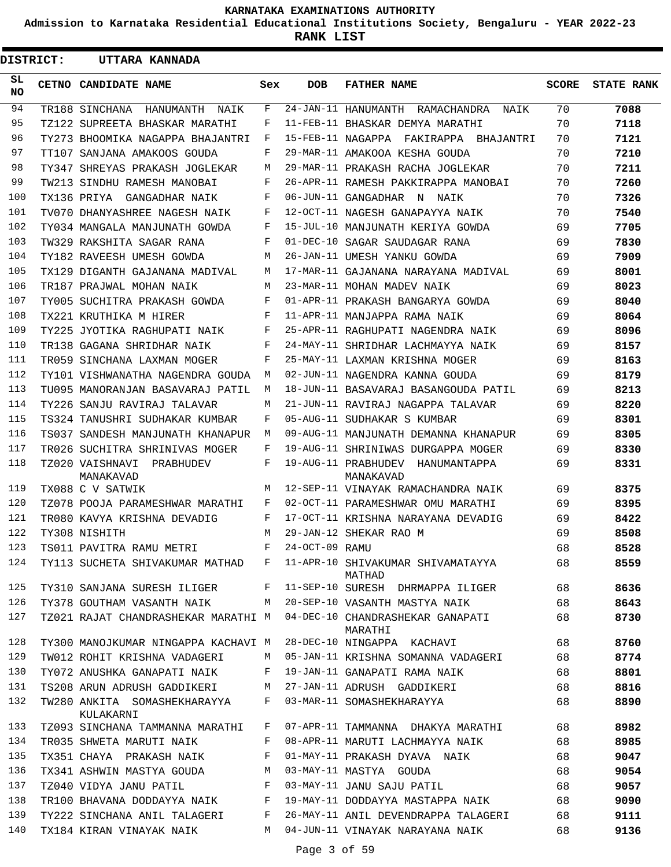**Admission to Karnataka Residential Educational Institutions Society, Bengaluru - YEAR 2022-23**

**RANK LIST**

ı

| <b>DISTRICT:</b> | UTTARA KANNADA                            |              |                |                                               |              |                   |
|------------------|-------------------------------------------|--------------|----------------|-----------------------------------------------|--------------|-------------------|
| SL.<br>NO.       | CETNO CANDIDATE NAME                      | Sex          | <b>DOB</b>     | <b>FATHER NAME</b>                            | <b>SCORE</b> | <b>STATE RANK</b> |
| 94               | TR188 SINCHANA<br>HANUMANTH<br>NAIK       | F            |                | 24-JAN-11 HANUMANTH RAMACHANDRA NAIK          | 70           | 7088              |
| 95               | TZ122 SUPREETA BHASKAR MARATHI            | F            |                | 11-FEB-11 BHASKAR DEMYA MARATHI               | 70           | 7118              |
| 96               | TY273 BHOOMIKA NAGAPPA BHAJANTRI          | F            |                | 15-FEB-11 NAGAPPA FAKIRAPPA BHAJANTRI         | 70           | 7121              |
| 97               | TT107 SANJANA AMAKOOS GOUDA               | F            |                | 29-MAR-11 AMAKOOA KESHA GOUDA                 | 70           | 7210              |
| 98               | TY347 SHREYAS PRAKASH JOGLEKAR            | M            |                | 29-MAR-11 PRAKASH RACHA JOGLEKAR              | 70           | 7211              |
| 99               | TW213 SINDHU RAMESH MANOBAI               | F            |                | 26-APR-11 RAMESH PAKKIRAPPA MANOBAI           | 70           | 7260              |
| 100              | TX136 PRIYA GANGADHAR NAIK                | F            |                | 06-JUN-11 GANGADHAR N NAIK                    | 70           | 7326              |
| 101              | TV070 DHANYASHREE NAGESH NAIK             | F            |                | 12-OCT-11 NAGESH GANAPAYYA NAIK               | 70           | 7540              |
| 102              | TY034 MANGALA MANJUNATH GOWDA             | F            |                | 15-JUL-10 MANJUNATH KERIYA GOWDA              | 69           | 7705              |
| 103              | TW329 RAKSHITA SAGAR RANA                 | F            |                | 01-DEC-10 SAGAR SAUDAGAR RANA                 | 69           | 7830              |
| 104              | TY182 RAVEESH UMESH GOWDA                 | M            |                | 26-JAN-11 UMESH YANKU GOWDA                   | 69           | 7909              |
| 105              | TX129 DIGANTH GAJANANA MADIVAL            | М            |                | 17-MAR-11 GAJANANA NARAYANA MADIVAL           | 69           | 8001              |
| 106              | TR187 PRAJWAL MOHAN NAIK                  | M            |                | 23-MAR-11 MOHAN MADEV NAIK                    | 69           | 8023              |
| 107              | TY005 SUCHITRA PRAKASH GOWDA              | F            |                | 01-APR-11 PRAKASH BANGARYA GOWDA              | 69           | 8040              |
| 108              | TX221 KRUTHIKA M HIRER                    | F            |                | 11-APR-11 MANJAPPA RAMA NAIK                  | 69           | 8064              |
| 109              | TY225 JYOTIKA RAGHUPATI NAIK              | F            |                | 25-APR-11 RAGHUPATI NAGENDRA NAIK             | 69           | 8096              |
| 110              | TR138 GAGANA SHRIDHAR NAIK                | F            |                | 24-MAY-11 SHRIDHAR LACHMAYYA NAIK             | 69           | 8157              |
| 111              | TR059 SINCHANA LAXMAN MOGER               | F            |                | 25-MAY-11 LAXMAN KRISHNA MOGER                | 69           | 8163              |
| 112              | TY101 VISHWANATHA NAGENDRA GOUDA          | М            |                | 02-JUN-11 NAGENDRA KANNA GOUDA                | 69           | 8179              |
| 113              | TU095 MANORANJAN BASAVARAJ PATIL          | M            |                | 18-JUN-11 BASAVARAJ BASANGOUDA PATIL          | 69           | 8213              |
| 114              | TY226 SANJU RAVIRAJ TALAVAR               | M            |                | 21-JUN-11 RAVIRAJ NAGAPPA TALAVAR             | 69           | 8220              |
| 115              | TS324 TANUSHRI SUDHAKAR KUMBAR            | F            |                | 05-AUG-11 SUDHAKAR S KUMBAR                   | 69           | 8301              |
| 116              | TS037 SANDESH MANJUNATH KHANAPUR          | M            |                | 09-AUG-11 MANJUNATH DEMANNA KHANAPUR          | 69           | 8305              |
| 117              | TR026 SUCHITRA SHRINIVAS MOGER            | F            |                | 19-AUG-11 SHRINIWAS DURGAPPA MOGER            | 69           | 8330              |
| 118              | TZ020 VAISHNAVI PRABHUDEV<br>MANAKAVAD    | F            |                | 19-AUG-11 PRABHUDEV HANUMANTAPPA<br>MANAKAVAD | 69           | 8331              |
| 119              | TX088 C V SATWIK                          | M            |                | 12-SEP-11 VINAYAK RAMACHANDRA NAIK            | 69           | 8375              |
| 120              | TZ078 POOJA PARAMESHWAR MARATHI           | F            |                | 02-OCT-11 PARAMESHWAR OMU MARATHI             | 69           | 8395              |
| 121              | TR080 KAVYA KRISHNA DEVADIG               | F            |                | 17-OCT-11 KRISHNA NARAYANA DEVADIG            | 69           | 8422              |
| 122              | TY308 NISHITH                             | М            |                | 29-JAN-12 SHEKAR RAO M                        | 69           | 8508              |
|                  | 123 TS011 PAVITRA RAMU METRI              | $\mathbf{F}$ | 24-OCT-09 RAMU |                                               | 68           | 8528              |
| 124              | TY113 SUCHETA SHIVAKUMAR MATHAD F         |              |                | 11-APR-10 SHIVAKUMAR SHIVAMATAYYA<br>MATHAD   | 68           | 8559              |
| 125              | TY310 SANJANA SURESH ILIGER               | F            |                | 11-SEP-10 SURESH DHRMAPPA ILIGER              | 68           | 8636              |
| 126              | TY378 GOUTHAM VASANTH NAIK                | M            |                | 20-SEP-10 VASANTH MASTYA NAIK                 | 68           | 8643              |
| 127              | TZ021 RAJAT CHANDRASHEKAR MARATHI M       |              |                | 04-DEC-10 CHANDRASHEKAR GANAPATI<br>MARATHI   | 68           | 8730              |
| 128              | TY300 MANOJKUMAR NINGAPPA KACHAVI M       |              |                | 28-DEC-10 NINGAPPA KACHAVI                    | 68           | 8760              |
| 129              | TW012 ROHIT KRISHNA VADAGERI              | M            |                | 05-JAN-11 KRISHNA SOMANNA VADAGERI            | 68           | 8774              |
| 130              | TY072 ANUSHKA GANAPATI NAIK               | F            |                | 19-JAN-11 GANAPATI RAMA NAIK                  | 68           | 8801              |
| 131              | TS208 ARUN ADRUSH GADDIKERI               | М            |                | 27-JAN-11 ADRUSH GADDIKERI                    | 68           | 8816              |
| 132              | TW280 ANKITA SOMASHEKHARAYYA<br>KULAKARNI | F            |                | 03-MAR-11 SOMASHEKHARAYYA                     | 68           | 8890              |
| 133              | TZ093 SINCHANA TAMMANNA MARATHI           | F            |                | 07-APR-11 TAMMANNA DHAKYA MARATHI             | 68           | 8982              |
| 134              | TR035 SHWETA MARUTI NAIK                  | F            |                | 08-APR-11 MARUTI LACHMAYYA NAIK               | 68           | 8985              |
| 135              | TX351 CHAYA PRAKASH NAIK                  | F            |                | 01-MAY-11 PRAKASH DYAVA NAIK                  | 68           | 9047              |
| 136              | TX341 ASHWIN MASTYA GOUDA                 | M            |                | 03-MAY-11 MASTYA GOUDA                        | 68           | 9054              |
| 137              | TZ040 VIDYA JANU PATIL                    | F            |                | 03-MAY-11 JANU SAJU PATIL                     | 68           | 9057              |
| 138              | TR100 BHAVANA DODDAYYA NAIK               | F            |                | 19-MAY-11 DODDAYYA MASTAPPA NAIK              | 68           | 9090              |
| 139              | TY222 SINCHANA ANIL TALAGERI              | F            |                | 26-MAY-11 ANIL DEVENDRAPPA TALAGERI           | 68           | 9111              |
| 140              | TX184 KIRAN VINAYAK NAIK                  | M            |                | 04-JUN-11 VINAYAK NARAYANA NAIK               | 68           | 9136              |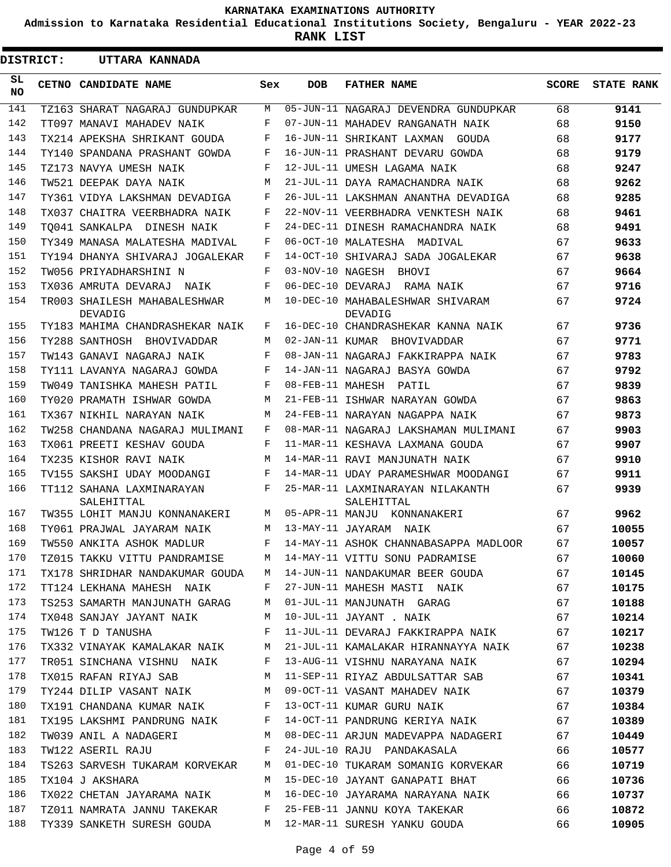**Admission to Karnataka Residential Educational Institutions Society, Bengaluru - YEAR 2022-23**

**RANK LIST**

| <b>DISTRICT:</b> | UTTARA KANNADA                                                                 |     |            |                                                                          |              |                   |
|------------------|--------------------------------------------------------------------------------|-----|------------|--------------------------------------------------------------------------|--------------|-------------------|
| SL<br><b>NO</b>  | <b>CETNO CANDIDATE NAME</b>                                                    | Sex | <b>DOB</b> | <b>FATHER NAME</b>                                                       | <b>SCORE</b> | <b>STATE RANK</b> |
| 141              | TZ163 SHARAT NAGARAJ GUNDUPKAR                                                 | M   |            | 05-JUN-11 NAGARAJ DEVENDRA GUNDUPKAR                                     | 68           | 9141              |
| 142              | TT097 MANAVI MAHADEV NAIK                                                      | F   |            | 07-JUN-11 MAHADEV RANGANATH NAIK                                         | 68           | 9150              |
| 143              | TX214 APEKSHA SHRIKANT GOUDA                                                   | F   |            | 16-JUN-11 SHRIKANT LAXMAN<br>GOUDA                                       | 68           | 9177              |
| 144              | TY140 SPANDANA PRASHANT GOWDA                                                  | F   |            | 16-JUN-11 PRASHANT DEVARU GOWDA                                          | 68           | 9179              |
| 145              | TZ173 NAVYA UMESH NAIK                                                         | F   |            | 12-JUL-11 UMESH LAGAMA NAIK                                              | 68           | 9247              |
| 146              | TW521 DEEPAK DAYA NAIK                                                         | M   |            | 21-JUL-11 DAYA RAMACHANDRA NAIK                                          | 68           | 9262              |
| 147              | TY361 VIDYA LAKSHMAN DEVADIGA                                                  | F   |            | 26-JUL-11 LAKSHMAN ANANTHA DEVADIGA                                      | 68           | 9285              |
| 148              | TX037 CHAITRA VEERBHADRA NAIK                                                  | F   |            | 22-NOV-11 VEERBHADRA VENKTESH NAIK                                       | 68           | 9461              |
| 149              | TO041 SANKALPA DINESH NAIK                                                     | F   |            | 24-DEC-11 DINESH RAMACHANDRA NAIK                                        | 68           | 9491              |
| 150              | TY349 MANASA MALATESHA MADIVAL                                                 | F   |            | 06-OCT-10 MALATESHA MADIVAL                                              | 67           | 9633              |
| 151              | TY194 DHANYA SHIVARAJ JOGALEKAR                                                | F   |            | 14-OCT-10 SHIVARAJ SADA JOGALEKAR                                        | 67           | 9638              |
| 152              | TW056 PRIYADHARSHINI N                                                         | F   |            | 03-NOV-10 NAGESH BHOVI                                                   | 67           | 9664              |
| 153              | TX036 AMRUTA DEVARAJ NAIK                                                      | F   |            | 06-DEC-10 DEVARAJ RAMA NAIK                                              | 67           | 9716              |
| 154              | TR003 SHAILESH MAHABALESHWAR<br>DEVADIG                                        | M   |            | 10-DEC-10 MAHABALESHWAR SHIVARAM<br>DEVADIG                              | 67           | 9724              |
| 155              | TY183 MAHIMA CHANDRASHEKAR NAIK                                                | F   |            | 16-DEC-10 CHANDRASHEKAR KANNA NAIK                                       | 67           | 9736              |
| 156              | TY288 SANTHOSH BHOVIVADDAR                                                     | M   |            | 02-JAN-11 KUMAR BHOVIVADDAR                                              | 67           | 9771              |
| 157              | TW143 GANAVI NAGARAJ NAIK                                                      | F   |            | 08-JAN-11 NAGARAJ FAKKIRAPPA NAIK                                        | 67           | 9783              |
| 158              | TY111 LAVANYA NAGARAJ GOWDA                                                    | F   |            | 14-JAN-11 NAGARAJ BASYA GOWDA                                            | 67           | 9792              |
| 159              | TW049 TANISHKA MAHESH PATIL                                                    | F   |            | 08-FEB-11 MAHESH PATIL                                                   | 67           | 9839              |
| 160              | TY020 PRAMATH ISHWAR GOWDA                                                     | M   |            | 21-FEB-11 ISHWAR NARAYAN GOWDA                                           | 67           | 9863              |
| 161              | TX367 NIKHIL NARAYAN NAIK                                                      | М   |            | 24-FEB-11 NARAYAN NAGAPPA NAIK                                           | 67           | 9873              |
| 162              | TW258 CHANDANA NAGARAJ MULIMANI                                                | F   |            | 08-MAR-11 NAGARAJ LAKSHAMAN MULIMANI                                     | 67           | 9903              |
| 163              | TX061 PREETI KESHAV GOUDA                                                      | F   |            | 11-MAR-11 KESHAVA LAXMANA GOUDA                                          | 67           | 9907              |
| 164              | TX235 KISHOR RAVI NAIK                                                         | M   |            | 14-MAR-11 RAVI MANJUNATH NAIK                                            | 67           | 9910              |
| 165              | TV155 SAKSHI UDAY MOODANGI                                                     | F   |            | 14-MAR-11 UDAY PARAMESHWAR MOODANGI                                      | 67           | 9911              |
| 166              | TT112 SAHANA LAXMINARAYAN<br>SALEHITTAL                                        | F   |            | 25-MAR-11 LAXMINARAYAN NILAKANTH<br>SALEHITTAL                           | 67           | 9939              |
| 167              | TW355 LOHIT MANJU KONNANAKERI                                                  | M   |            | 05-APR-11 MANJU KONNANAKERI                                              | 67           | 9962              |
| 168              | TY061 PRAJWAL JAYARAM NAIK                                                     | M   |            | 13-MAY-11 JAYARAM NAIK                                                   | 67           | 10055             |
|                  |                                                                                |     |            | 169 TW550 ANKITA ASHOK MADLUR F 14-MAY-11 ASHOK CHANNABASAPPA MADLOOR 67 |              | 10057             |
| 170              |                                                                                |     |            | TZ015 TAKKU VITTU PANDRAMISE M 14-MAY-11 VITTU SONU PADRAMISE 67         |              | 10060             |
| 171              | TX178 SHRIDHAR NANDAKUMAR GOUDA M                                              |     |            | 14-JUN-11 NANDAKUMAR BEER GOUDA 67                                       |              | 10145             |
| 172              | TT124 LEKHANA MAHESH NAIK F                                                    |     |            | 27-JUN-11 MAHESH MASTI NAIK                                              | 67           | 10175             |
| 173              | TS253 SAMARTH MANJUNATH GARAG M                                                |     |            | 01-JUL-11 MANJUNATH GARAG 67                                             |              | 10188             |
| 174              | TX048 SANJAY JAYANT NAIK M                                                     |     |            | 10-JUL-11 JAYANT . NAIK 67                                               |              | 10214             |
| 175              | $\mathbf{F}$ and $\mathbf{F}$ and $\mathbf{F}$<br>TW126 T D TANUSHA            |     |            | 11-JUL-11 DEVARAJ FAKKIRAPPA NAIK 67                                     |              | 10217             |
| 176              |                                                                                |     |            | TX332 VINAYAK KAMALAKAR NAIK M 21-JUL-11 KAMALAKAR HIRANNAYYA NAIK 67    |              | 10238             |
| 177              |                                                                                |     |            | TR051 SINCHANA VISHNU NAIK F 13-AUG-11 VISHNU NARAYANA NAIK 67           |              | 10294             |
| 178              |                                                                                |     |            | TX015 RAFAN RIYAJ SAB M 11-SEP-11 RIYAZ ABDULSATTAR SAB 67               |              | 10341             |
| 179              | TY244 DILIP VASANT NAIK M                                                      |     |            | 09-OCT-11 VASANT MAHADEV NAIK 67                                         |              | 10379             |
| 180              | TX191 CHANDANA KUMAR NAIK<br>F                                                 |     |            | $09 - 001 - 11$ VASANT PEREMBER SIDES<br>13-OCT-11 KUMAR GURU NAIK 67    |              | 10384             |
| 181              | TX195 LAKSHMI PANDRUNG NAIK F                                                  |     |            | 14-OCT-11 PANDRUNG KERIYA NAIK 67                                        |              | 10389             |
| 182              | TW039 ANIL A NADAGERI M                                                        |     |            | 08-DEC-11 ARJUN MADEVAPPA NADAGERI 67                                    |              | 10449             |
| 183              | $\mathbf{F}$ and $\mathbf{F}$ are the set of $\mathbf{F}$<br>TW122 ASERIL RAJU |     |            | 24-JUL-10 RAJU PANDAKASALA 66                                            |              | 10577             |
| 184              |                                                                                |     |            | TS263 SARVESH TUKARAM KORVEKAR M 01-DEC-10 TUKARAM SOMANIG KORVEKAR 66   |              | 10719             |
| 185              | TX104 J AKSHARA M                                                              |     |            | 15-DEC-10 JAYANT GANAPATI BHAT 66                                        |              | 10736             |
| 186              |                                                                                |     |            | TX022 CHETAN JAYARAMA NAIK M 16-DEC-10 JAYARAMA NARAYANA NAIK 66         |              | 10737             |
| 187              | TZ011 NAMRATA JANNU TAKEKAR F                                                  |     |            | 25-FEB-11 JANNU KOYA TAKEKAR 66                                          |              | 10872             |
| 188              |                                                                                |     |            | TY339 SANKETH SURESH GOUDA M 12-MAR-11 SURESH YANKU GOUDA                | 66           | 10905             |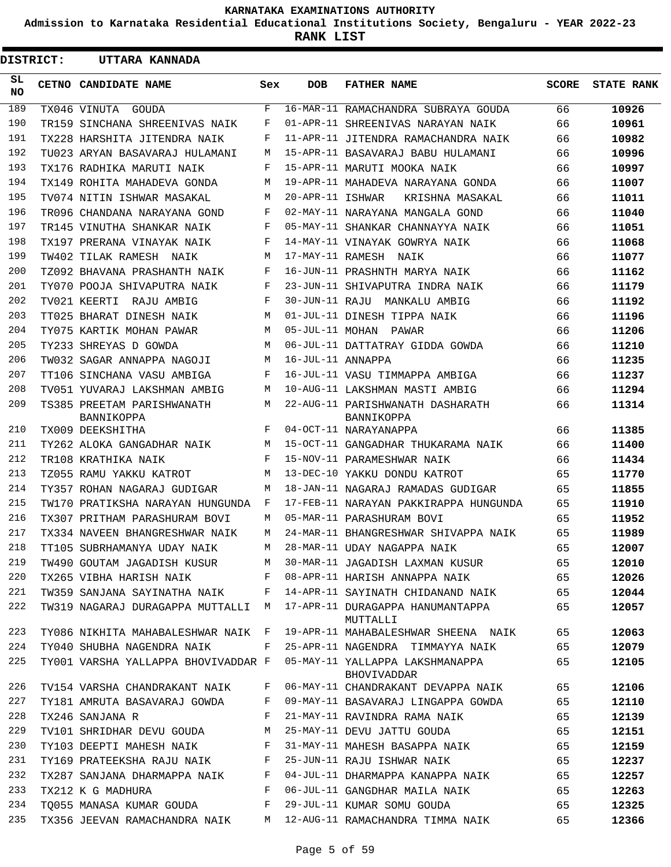**Admission to Karnataka Residential Educational Institutions Society, Bengaluru - YEAR 2022-23**

**RANK LIST**

| DISTRICT:  | UTTARA KANNADA                           |     |                   |                                                |              |                   |
|------------|------------------------------------------|-----|-------------------|------------------------------------------------|--------------|-------------------|
| SL.<br>NO. | CETNO CANDIDATE NAME                     | Sex | <b>DOB</b>        | <b>FATHER NAME</b>                             | <b>SCORE</b> | <b>STATE RANK</b> |
| 189        | TX046 VINUTA GOUDA                       | F   |                   | 16-MAR-11 RAMACHANDRA SUBRAYA GOUDA            | 66           | 10926             |
| 190        | TR159 SINCHANA SHREENIVAS NAIK           | F   |                   | 01-APR-11 SHREENIVAS NARAYAN NAIK              | 66           | 10961             |
| 191        | TX228 HARSHITA JITENDRA NAIK             | F   |                   | 11-APR-11 JITENDRA RAMACHANDRA NAIK            | 66           | 10982             |
| 192        | TU023 ARYAN BASAVARAJ HULAMANI           | М   |                   | 15-APR-11 BASAVARAJ BABU HULAMANI              | 66           | 10996             |
| 193        | TX176 RADHIKA MARUTI NAIK                | F   |                   | 15-APR-11 MARUTI MOOKA NAIK                    | 66           | 10997             |
| 194        | TX149 ROHITA MAHADEVA GONDA              | М   |                   | 19-APR-11 MAHADEVA NARAYANA GONDA              | 66           | 11007             |
| 195        | TV074 NITIN ISHWAR MASAKAL               | M   | 20-APR-11 ISHWAR  | KRISHNA MASAKAL                                | 66           | 11011             |
| 196        | TR096 CHANDANA NARAYANA GOND             | F   |                   | 02-MAY-11 NARAYANA MANGALA GOND                | 66           | 11040             |
| 197        | TR145 VINUTHA SHANKAR NAIK               | F   |                   | 05-MAY-11 SHANKAR CHANNAYYA NAIK               | 66           | 11051             |
| 198        | TX197 PRERANA VINAYAK NAIK               | F   |                   | 14-MAY-11 VINAYAK GOWRYA NAIK                  | 66           | 11068             |
| 199        | TW402 TILAK RAMESH NAIK                  | M   |                   | 17-MAY-11 RAMESH NAIK                          | 66           | 11077             |
| 200        | TZ092 BHAVANA PRASHANTH NAIK             | F   |                   | 16-JUN-11 PRASHNTH MARYA NAIK                  | 66           | 11162             |
| 201        | TY070 POOJA SHIVAPUTRA NAIK              | F   |                   | 23-JUN-11 SHIVAPUTRA INDRA NAIK                | 66           | 11179             |
| 202        | TV021 KEERTI<br>RAJU AMBIG               | F   |                   | 30-JUN-11 RAJU MANKALU AMBIG                   | 66           | 11192             |
| 203        | TT025 BHARAT DINESH NAIK                 | М   |                   | 01-JUL-11 DINESH TIPPA NAIK                    | 66           | 11196             |
| 204        | TY075 KARTIK MOHAN PAWAR                 | M   |                   | 05-JUL-11 MOHAN PAWAR                          | 66           | 11206             |
| 205        | TY233 SHREYAS D GOWDA                    | M   |                   | 06-JUL-11 DATTATRAY GIDDA GOWDA                | 66           | 11210             |
| 206        | TW032 SAGAR ANNAPPA NAGOJI               | М   | 16-JUL-11 ANNAPPA |                                                | 66           | 11235             |
| 207        | TT106 SINCHANA VASU AMBIGA               | F   |                   | 16-JUL-11 VASU TIMMAPPA AMBIGA                 | 66           | 11237             |
| 208        | TV051 YUVARAJ LAKSHMAN AMBIG             | M   |                   | 10-AUG-11 LAKSHMAN MASTI AMBIG                 | 66           | 11294             |
| 209        | TS385 PREETAM PARISHWANATH<br>BANNIKOPPA | M   |                   | 22-AUG-11 PARISHWANATH DASHARATH<br>BANNIKOPPA | 66           | 11314             |
| 210        | TX009 DEEKSHITHA                         | F   |                   | 04-OCT-11 NARAYANAPPA                          | 66           | 11385             |
| 211        | TY262 ALOKA GANGADHAR NAIK               | M   |                   | 15-OCT-11 GANGADHAR THUKARAMA NAIK             | 66           | 11400             |
| 212        | TR108 KRATHIKA NAIK                      | F   |                   | 15-NOV-11 PARAMESHWAR NAIK                     | 66           | 11434             |
| 213        | TZ055 RAMU YAKKU KATROT                  | М   |                   | 13-DEC-10 YAKKU DONDU KATROT                   | 65           | 11770             |
| 214        | TY357 ROHAN NAGARAJ GUDIGAR              | М   |                   | 18-JAN-11 NAGARAJ RAMADAS GUDIGAR              | 65           | 11855             |
| 215        | TW170 PRATIKSHA NARAYAN HUNGUNDA         | F   |                   | 17-FEB-11 NARAYAN PAKKIRAPPA HUNGUNDA          | 65           | 11910             |
| 216        | TX307 PRITHAM PARASHURAM BOVI            | М   |                   | 05-MAR-11 PARASHURAM BOVI                      | 65           | 11952             |
| 217        | TX334 NAVEEN BHANGRESHWAR NAIK           | М   |                   | 24-MAR-11 BHANGRESHWAR SHIVAPPA NAIK           | 65           | 11989             |
| 218        | TT105 SUBRHAMANYA UDAY NAIK              | М   |                   | 28-MAR-11 UDAY NAGAPPA NAIK                    | 65           | 12007             |
| 219        | TW490 GOUTAM JAGADISH KUSUR              | M   |                   | 30-MAR-11 JAGADISH LAXMAN KUSUR                | 65           | 12010             |
| 220        | TX265 VIBHA HARISH NAIK                  | F   |                   | 08-APR-11 HARISH ANNAPPA NAIK                  | 65           | 12026             |
| 221        | TW359 SANJANA SAYINATHA NAIK             | F   |                   | 14-APR-11 SAYINATH CHIDANAND NAIK              | 65           | 12044             |
| 222        | TW319 NAGARAJ DURAGAPPA MUTTALLI M       |     |                   | 17-APR-11 DURAGAPPA HANUMANTAPPA<br>MUTTALLI   | 65           | 12057             |
| 223        | TY086 NIKHITA MAHABALESHWAR NAIK F       |     |                   | 19-APR-11 MAHABALESHWAR SHEENA NAIK            | 65           | 12063             |
| 224        | TY040 SHUBHA NAGENDRA NAIK               | F   |                   | 25-APR-11 NAGENDRA TIMMAYYA NAIK               | 65           | 12079             |
| 225        | TY001 VARSHA YALLAPPA BHOVIVADDAR F      |     |                   | 05-MAY-11 YALLAPPA LAKSHMANAPPA<br>BHOVIVADDAR | 65           | 12105             |
| 226        | TV154 VARSHA CHANDRAKANT NAIK            | F   |                   | 06-MAY-11 CHANDRAKANT DEVAPPA NAIK             | 65           | 12106             |
| 227        | TY181 AMRUTA BASAVARAJ GOWDA             | F   |                   | 09-MAY-11 BASAVARAJ LINGAPPA GOWDA             | 65           | 12110             |
| 228        | TX246 SANJANA R                          | F   |                   | 21-MAY-11 RAVINDRA RAMA NAIK                   | 65           | 12139             |
| 229        | TV101 SHRIDHAR DEVU GOUDA                | М   |                   | 25-MAY-11 DEVU JATTU GOUDA                     | 65           | 12151             |
| 230        | TY103 DEEPTI MAHESH NAIK                 | F   |                   | 31-MAY-11 MAHESH BASAPPA NAIK                  | 65           | 12159             |
| 231        | TY169 PRATEEKSHA RAJU NAIK               | F   |                   | 25-JUN-11 RAJU ISHWAR NAIK                     | 65           | 12237             |
| 232        | TX287 SANJANA DHARMAPPA NAIK             | F   |                   | 04-JUL-11 DHARMAPPA KANAPPA NAIK               | 65           | 12257             |
| 233        | TX212 K G MADHURA                        | F   |                   | 06-JUL-11 GANGDHAR MAILA NAIK                  | 65           | 12263             |
| 234        | TO055 MANASA KUMAR GOUDA                 | F   |                   | 29-JUL-11 KUMAR SOMU GOUDA                     | 65           | 12325             |
| 235        | TX356 JEEVAN RAMACHANDRA NAIK            | М   |                   | 12-AUG-11 RAMACHANDRA TIMMA NAIK               | 65           | 12366             |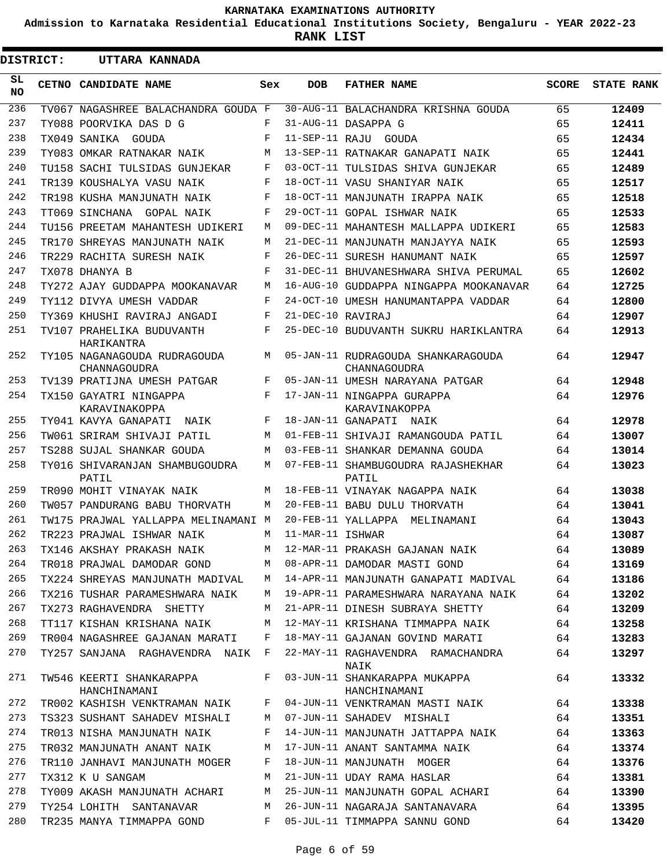**Admission to Karnataka Residential Educational Institutions Society, Bengaluru - YEAR 2022-23**

**RANK LIST**

 $\blacksquare$ 

 $\overline{\phantom{a}}$ 

| <b>DISTRICT:</b> | UTTARA KANNADA                               |     |                   |                                                    |              |                   |
|------------------|----------------------------------------------|-----|-------------------|----------------------------------------------------|--------------|-------------------|
| SL<br>NO.        | CETNO CANDIDATE NAME                         | Sex | <b>DOB</b>        | <b>FATHER NAME</b>                                 | <b>SCORE</b> | <b>STATE RANK</b> |
| 236              | TV067 NAGASHREE BALACHANDRA GOUDA F          |     |                   | 30-AUG-11 BALACHANDRA KRISHNA GOUDA                | 65           | 12409             |
| 237              | TY088 POORVIKA DAS D G                       | F   |                   | 31-AUG-11 DASAPPA G                                | 65           | 12411             |
| 238              | TX049 SANIKA GOUDA                           | F   |                   | 11-SEP-11 RAJU GOUDA                               | 65           | 12434             |
| 239              | TY083 OMKAR RATNAKAR NAIK                    | M   |                   | 13-SEP-11 RATNAKAR GANAPATI NAIK                   | 65           | 12441             |
| 240              | TU158 SACHI TULSIDAS GUNJEKAR                | F   |                   | 03-OCT-11 TULSIDAS SHIVA GUNJEKAR                  | 65           | 12489             |
| 241              | TR139 KOUSHALYA VASU NAIK                    | F   |                   | 18-OCT-11 VASU SHANIYAR NAIK                       | 65           | 12517             |
| 242              | TR198 KUSHA MANJUNATH NAIK                   | F   |                   | 18-OCT-11 MANJUNATH IRAPPA NAIK                    | 65           | 12518             |
| 243              | TT069 SINCHANA GOPAL NAIK                    | F   |                   | 29-OCT-11 GOPAL ISHWAR NAIK                        | 65           | 12533             |
| 244              | TU156 PREETAM MAHANTESH UDIKERI              | M   |                   | 09-DEC-11 MAHANTESH MALLAPPA UDIKERI               | 65           | 12583             |
| 245              | TR170 SHREYAS MANJUNATH NAIK                 | M   |                   | 21-DEC-11 MANJUNATH MANJAYYA NAIK                  | 65           | 12593             |
| 246              | TR229 RACHITA SURESH NAIK                    | F   |                   | 26-DEC-11 SURESH HANUMANT NAIK                     | 65           | 12597             |
| 247              | TX078 DHANYA B                               | F   |                   | 31-DEC-11 BHUVANESHWARA SHIVA PERUMAL              | 65           | 12602             |
| 248              | TY272 AJAY GUDDAPPA MOOKANAVAR               | M   |                   | 16-AUG-10 GUDDAPPA NINGAPPA MOOKANAVAR             | 64           | 12725             |
| 249              | TY112 DIVYA UMESH VADDAR                     | F   |                   | 24-OCT-10 UMESH HANUMANTAPPA VADDAR                | 64           | 12800             |
| 250              | TY369 KHUSHI RAVIRAJ ANGADI                  | F   | 21-DEC-10 RAVIRAJ |                                                    | 64           | 12907             |
| 251              | TV107 PRAHELIKA BUDUVANTH<br>HARIKANTRA      | F   |                   | 25-DEC-10 BUDUVANTH SUKRU HARIKLANTRA              | 64           | 12913             |
| 252              | TY105 NAGANAGOUDA RUDRAGOUDA<br>CHANNAGOUDRA | М   |                   | 05-JAN-11 RUDRAGOUDA SHANKARAGOUDA<br>CHANNAGOUDRA | 64           | 12947             |
| 253              | TV139 PRATIJNA UMESH PATGAR                  | F   |                   | 05-JAN-11 UMESH NARAYANA PATGAR                    | 64           | 12948             |
| 254              | TX150 GAYATRI NINGAPPA<br>KARAVINAKOPPA      | F   |                   | 17-JAN-11 NINGAPPA GURAPPA<br>KARAVINAKOPPA        | 64           | 12976             |
| 255              | TY041 KAVYA GANAPATI NAIK                    | F   |                   | 18-JAN-11 GANAPATI NAIK                            | 64           | 12978             |
| 256              | TW061 SRIRAM SHIVAJI PATIL                   | М   |                   | 01-FEB-11 SHIVAJI RAMANGOUDA PATIL                 | 64           | 13007             |
| 257              | TS288 SUJAL SHANKAR GOUDA                    | М   |                   | 03-FEB-11 SHANKAR DEMANNA GOUDA                    | 64           | 13014             |
| 258              | TY016 SHIVARANJAN SHAMBUGOUDRA<br>PATIL      | M   |                   | 07-FEB-11 SHAMBUGOUDRA RAJASHEKHAR<br>PATIL        | 64           | 13023             |
| 259              | TR090 MOHIT VINAYAK NAIK                     | M   |                   | 18-FEB-11 VINAYAK NAGAPPA NAIK                     | 64           | 13038             |
| 260              | TW057 PANDURANG BABU THORVATH                | М   |                   | 20-FEB-11 BABU DULU THORVATH                       | 64           | 13041             |
| 261              | TW175 PRAJWAL YALLAPPA MELINAMANI M          |     |                   | 20-FEB-11 YALLAPPA<br>MELINAMANI                   | 64           | 13043             |
| 262              | TR223 PRAJWAL ISHWAR NAIK                    | М   | 11-MAR-11 ISHWAR  |                                                    | 64           | 13087             |
| 263              | TX146 AKSHAY PRAKASH NAIK                    | М   |                   | 12-MAR-11 PRAKASH GAJANAN NAIK                     | 64           | 13089             |
| 264              | TR018 PRAJWAL DAMODAR GOND                   | M   |                   | 08-APR-11 DAMODAR MASTI GOND                       | 64           | 13169             |
| 265              | TX224 SHREYAS MANJUNATH MADIVAL              | M   |                   | 14-APR-11 MANJUNATH GANAPATI MADIVAL               | 64           | 13186             |
| 266              | TX216 TUSHAR PARAMESHWARA NAIK               | M   |                   | 19-APR-11 PARAMESHWARA NARAYANA NAIK               | 64           | 13202             |
| 267              | TX273 RAGHAVENDRA SHETTY                     | M   |                   | 21-APR-11 DINESH SUBRAYA SHETTY                    | 64           | 13209             |
| 268              | TT117 KISHAN KRISHANA NAIK                   | M   |                   | 12-MAY-11 KRISHANA TIMMAPPA NAIK                   | 64           | 13258             |
| 269              | TR004 NAGASHREE GAJANAN MARATI               | F   |                   | 18-MAY-11 GAJANAN GOVIND MARATI                    | 64           | 13283             |
| 270              | TY257 SANJANA RAGHAVENDRA NAIK F             |     |                   | 22-MAY-11 RAGHAVENDRA RAMACHANDRA<br>NAIK          | 64           | 13297             |
| 271              | TW546 KEERTI SHANKARAPPA<br>HANCHINAMANI     | F   |                   | 03-JUN-11 SHANKARAPPA MUKAPPA<br>HANCHINAMANI      | 64           | 13332             |
| 272              | TROO2 KASHISH VENKTRAMAN NAIK                | F   |                   | 04-JUN-11 VENKTRAMAN MASTI NAIK                    | 64           | 13338             |
| 273              | TS323 SUSHANT SAHADEV MISHALI                | М   |                   | 07-JUN-11 SAHADEV MISHALI                          | 64           | 13351             |
| 274              | TR013 NISHA MANJUNATH NAIK                   | F   |                   | 14-JUN-11 MANJUNATH JATTAPPA NAIK                  | 64           | 13363             |
| 275              | TR032 MANJUNATH ANANT NAIK                   | М   |                   | 17-JUN-11 ANANT SANTAMMA NAIK                      | 64           | 13374             |
| 276              | TR110 JANHAVI MANJUNATH MOGER                | F   |                   | 18-JUN-11 MANJUNATH MOGER                          | 64           | 13376             |
| 277              | TX312 K U SANGAM                             | M   |                   | 21-JUN-11 UDAY RAMA HASLAR                         | 64           | 13381             |
| 278              | TY009 AKASH MANJUNATH ACHARI                 | М   |                   | 25-JUN-11 MANJUNATH GOPAL ACHARI                   | 64           | 13390             |
| 279              | TY254 LOHITH SANTANAVAR                      | М   |                   | 26-JUN-11 NAGARAJA SANTANAVARA                     | 64           | 13395             |
| 280              | TR235 MANYA TIMMAPPA GOND                    | F   |                   | 05-JUL-11 TIMMAPPA SANNU GOND                      | 64           | 13420             |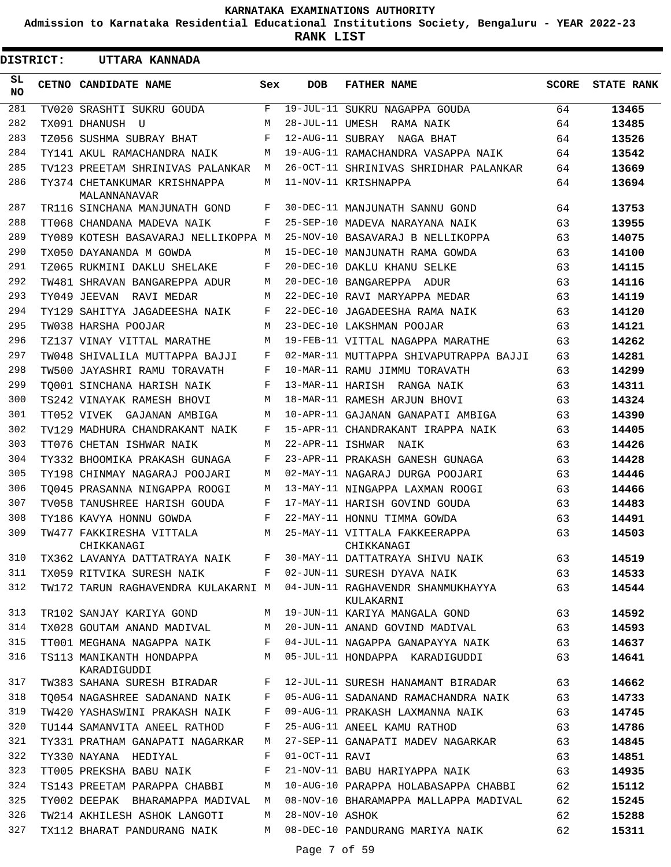**Admission to Karnataka Residential Educational Institutions Society, Bengaluru - YEAR 2022-23**

**RANK LIST**

Е

.

| <b>DISTRICT:</b> | UTTARA KANNADA                               |     |                  |                                                |              |                   |
|------------------|----------------------------------------------|-----|------------------|------------------------------------------------|--------------|-------------------|
| SL.<br>NO.       | CETNO CANDIDATE NAME                         | Sex | <b>DOB</b>       | <b>FATHER NAME</b>                             | <b>SCORE</b> | <b>STATE RANK</b> |
| 281              | TV020 SRASHTI SUKRU GOUDA                    | F   |                  | 19-JUL-11 SUKRU NAGAPPA GOUDA                  | 64           | 13465             |
| 282              | TX091 DHANUSH U                              | M   |                  | 28-JUL-11 UMESH RAMA NAIK                      | 64           | 13485             |
| 283              | TZ056 SUSHMA SUBRAY BHAT                     | F   |                  | 12-AUG-11 SUBRAY NAGA BHAT                     | 64           | 13526             |
| 284              | TY141 AKUL RAMACHANDRA NAIK                  | М   |                  | 19-AUG-11 RAMACHANDRA VASAPPA NAIK             | 64           | 13542             |
| 285              | TV123 PREETAM SHRINIVAS PALANKAR             | M   |                  | 26-OCT-11 SHRINIVAS SHRIDHAR PALANKAR          | 64           | 13669             |
| 286              | TY374 CHETANKUMAR KRISHNAPPA<br>MALANNANAVAR | М   |                  | 11-NOV-11 KRISHNAPPA                           | 64           | 13694             |
| 287              | TR116 SINCHANA MANJUNATH GOND                | F   |                  | 30-DEC-11 MANJUNATH SANNU GOND                 | 64           | 13753             |
| 288              | TT068 CHANDANA MADEVA NAIK                   | F   |                  | 25-SEP-10 MADEVA NARAYANA NAIK                 | 63           | 13955             |
| 289              | TY089 KOTESH BASAVARAJ NELLIKOPPA M          |     |                  | 25-NOV-10 BASAVARAJ B NELLIKOPPA               | 63           | 14075             |
| 290              | TX050 DAYANANDA M GOWDA                      | M   |                  | 15-DEC-10 MANJUNATH RAMA GOWDA                 | 63           | 14100             |
| 291              | TZ065 RUKMINI DAKLU SHELAKE                  | F   |                  | 20-DEC-10 DAKLU KHANU SELKE                    | 63           | 14115             |
| 292              | TW481 SHRAVAN BANGAREPPA ADUR                | M   |                  | 20-DEC-10 BANGAREPPA ADUR                      | 63           | 14116             |
| 293              | TY049 JEEVAN RAVI MEDAR                      | M   |                  | 22-DEC-10 RAVI MARYAPPA MEDAR                  | 63           | 14119             |
| 294              | TY129 SAHITYA JAGADEESHA NAIK                | F   |                  | 22-DEC-10 JAGADEESHA RAMA NAIK                 | 63           | 14120             |
| 295              | TW038 HARSHA POOJAR                          | M   |                  | 23-DEC-10 LAKSHMAN POOJAR                      | 63           | 14121             |
| 296              | TZ137 VINAY VITTAL MARATHE                   | M   |                  | 19-FEB-11 VITTAL NAGAPPA MARATHE               | 63           | 14262             |
| 297              | TW048 SHIVALILA MUTTAPPA BAJJI               | F   |                  | 02-MAR-11 MUTTAPPA SHIVAPUTRAPPA BAJJI         | 63           | 14281             |
| 298              | TW500 JAYASHRI RAMU TORAVATH                 | F   |                  | 10-MAR-11 RAMU JIMMU TORAVATH                  | 63           | 14299             |
| 299              | TO001 SINCHANA HARISH NAIK                   | F   |                  | 13-MAR-11 HARISH RANGA NAIK                    | 63           | 14311             |
| 300              | TS242 VINAYAK RAMESH BHOVI                   | M   |                  | 18-MAR-11 RAMESH ARJUN BHOVI                   | 63           | 14324             |
| 301              | TT052 VIVEK GAJANAN AMBIGA                   | M   |                  | 10-APR-11 GAJANAN GANAPATI AMBIGA              | 63           | 14390             |
| 302              | TV129 MADHURA CHANDRAKANT NAIK               | F   |                  | 15-APR-11 CHANDRAKANT IRAPPA NAIK              | 63           | 14405             |
| 303              | TT076 CHETAN ISHWAR NAIK                     | M   |                  | 22-APR-11 ISHWAR NAIK                          | 63           | 14426             |
| 304              | TY332 BHOOMIKA PRAKASH GUNAGA                | F   |                  | 23-APR-11 PRAKASH GANESH GUNAGA                | 63           | 14428             |
| 305              |                                              | M   |                  | 02-MAY-11 NAGARAJ DURGA POOJARI                | 63           |                   |
| 306              | TY198 CHINMAY NAGARAJ POOJARI                | M   |                  |                                                |              | 14446             |
| 307              | TO045 PRASANNA NINGAPPA ROOGI                | F   |                  | 13-MAY-11 NINGAPPA LAXMAN ROOGI                | 63           | 14466             |
| 308              | TV058 TANUSHREE HARISH GOUDA                 |     |                  | 17-MAY-11 HARISH GOVIND GOUDA                  | 63           | 14483             |
|                  | TY186 KAVYA HONNU GOWDA                      | F   |                  | 22-MAY-11 HONNU TIMMA GOWDA                    | 63           | 14491             |
| 309              | TW477 FAKKIRESHA VITTALA<br>CHIKKANAGI       | M   |                  | 25-MAY-11 VITTALA FAKKEERAPPA<br>CHIKKANAGI    | 63           | 14503             |
| 310              | TX362 LAVANYA DATTATRAYA NAIK                | F   |                  | 30-MAY-11 DATTATRAYA SHIVU NAIK                | 63           | 14519             |
| 311              | TX059 RITVIKA SURESH NAIK                    | F   |                  | 02-JUN-11 SURESH DYAVA NAIK                    | 63           | 14533             |
| 312              | TW172 TARUN RAGHAVENDRA KULAKARNI M          |     |                  | 04-JUN-11 RAGHAVENDR SHANMUKHAYYA<br>KULAKARNI | 63           | 14544             |
| 313              | TR102 SANJAY KARIYA GOND                     | М   |                  | 19-JUN-11 KARIYA MANGALA GOND                  | 63           | 14592             |
| 314              | TX028 GOUTAM ANAND MADIVAL                   | M   |                  | 20-JUN-11 ANAND GOVIND MADIVAL                 | 63           | 14593             |
| 315              | TT001 MEGHANA NAGAPPA NAIK                   | F   |                  | 04-JUL-11 NAGAPPA GANAPAYYA NAIK               | 63           | 14637             |
| 316              | TS113 MANIKANTH HONDAPPA<br>KARADIGUDDI      | M   |                  | 05-JUL-11 HONDAPPA KARADIGUDDI                 | 63           | 14641             |
| 317              | TW383 SAHANA SURESH BIRADAR                  | F   |                  | 12-JUL-11 SURESH HANAMANT BIRADAR              | 63           | 14662             |
| 318              | TO054 NAGASHREE SADANAND NAIK                | F   |                  | 05-AUG-11 SADANAND RAMACHANDRA NAIK            | 63           | 14733             |
| 319              | TW420 YASHASWINI PRAKASH NAIK                | F   |                  | 09-AUG-11 PRAKASH LAXMANNA NAIK                | 63           | 14745             |
| 320              | TU144 SAMANVITA ANEEL RATHOD                 | F   |                  | 25-AUG-11 ANEEL KAMU RATHOD                    | 63           | 14786             |
| 321              | TY331 PRATHAM GANAPATI NAGARKAR              | M   |                  | 27-SEP-11 GANAPATI MADEV NAGARKAR              | 63           | 14845             |
| 322              | TY330 NAYANA HEDIYAL                         | F   | $01-0CT-11$ RAVI |                                                | 63           | 14851             |
| 323              | TT005 PREKSHA BABU NAIK                      | F   |                  | 21-NOV-11 BABU HARIYAPPA NAIK                  | 63           | 14935             |
| 324              | TS143 PREETAM PARAPPA CHABBI                 | M   |                  | 10-AUG-10 PARAPPA HOLABASAPPA CHABBI           | 62           | 15112             |
| 325              | TY002 DEEPAK BHARAMAPPA MADIVAL              | M   |                  | 08-NOV-10 BHARAMAPPA MALLAPPA MADIVAL          | 62           | 15245             |
| 326              | TW214 AKHILESH ASHOK LANGOTI                 | M   | 28-NOV-10 ASHOK  |                                                | 62           | 15288             |
| 327              | TX112 BHARAT PANDURANG NAIK                  | M   |                  | 08-DEC-10 PANDURANG MARIYA NAIK                | 62           | 15311             |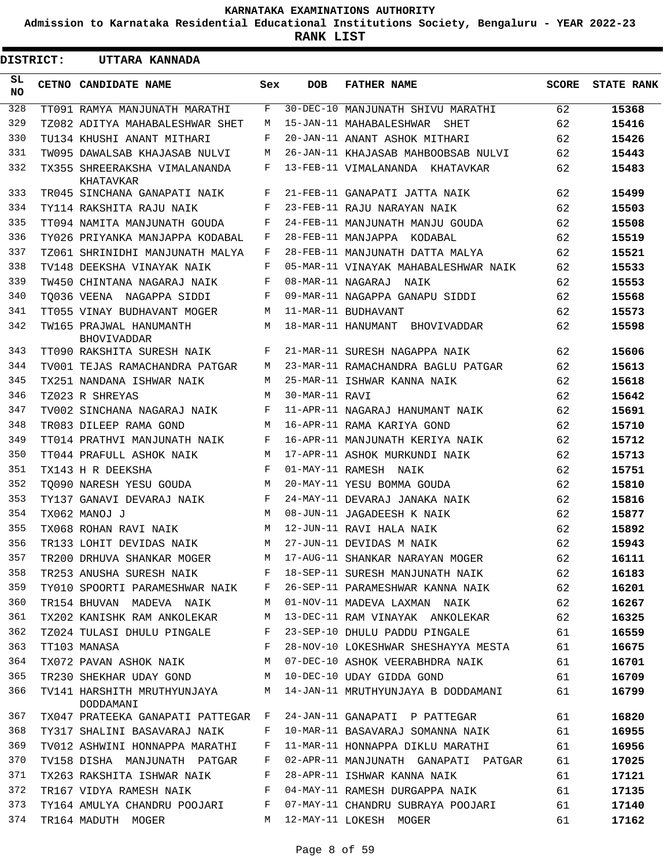**Admission to Karnataka Residential Educational Institutions Society, Bengaluru - YEAR 2022-23**

**RANK LIST**

 $\blacksquare$ 

| <b>DISTRICT:</b> | UTTARA KANNADA                                  |            |                |                                                              |       |                   |
|------------------|-------------------------------------------------|------------|----------------|--------------------------------------------------------------|-------|-------------------|
| SL.<br>NO.       | CETNO CANDIDATE NAME                            | Sex        | <b>DOB</b>     | <b>FATHER NAME</b>                                           | SCORE | <b>STATE RANK</b> |
| 328              | TT091 RAMYA MANJUNATH MARATHI                   | F          |                | 30-DEC-10 MANJUNATH SHIVU MARATHI                            | 62    | 15368             |
| 329              | TZ082 ADITYA MAHABALESHWAR SHET                 | M          |                | 15-JAN-11 MAHABALESHWAR SHET                                 | 62    | 15416             |
| 330              | TU134 KHUSHI ANANT MITHARI                      | F          |                | 20-JAN-11 ANANT ASHOK MITHARI                                | 62    | 15426             |
| 331              | TW095 DAWALSAB KHAJASAB NULVI                   | М          |                | 26-JAN-11 KHAJASAB MAHBOOBSAB NULVI                          | 62    | 15443             |
| 332              | TX355 SHREERAKSHA VIMALANANDA<br>KHATAVKAR      | F          |                | 13-FEB-11 VIMALANANDA KHATAVKAR                              | 62    | 15483             |
| 333              | TR045 SINCHANA GANAPATI NAIK                    | F          |                | 21-FEB-11 GANAPATI JATTA NAIK                                | 62    | 15499             |
| 334              | TY114 RAKSHITA RAJU NAIK                        | F          |                | 23-FEB-11 RAJU NARAYAN NAIK                                  | 62    | 15503             |
| 335              | TT094 NAMITA MANJUNATH GOUDA                    | F          |                | 24-FEB-11 MANJUNATH MANJU GOUDA                              | 62    | 15508             |
| 336              | TY026 PRIYANKA MANJAPPA KODABAL                 | F          |                | 28-FEB-11 MANJAPPA KODABAL                                   | 62    | 15519             |
| 337              | TZ061 SHRINIDHI MANJUNATH MALYA                 | F          |                | 28-FEB-11 MANJUNATH DATTA MALYA                              | 62    | 15521             |
| 338              | TV148 DEEKSHA VINAYAK NAIK                      | F          |                | 05-MAR-11 VINAYAK MAHABALESHWAR NAIK                         | 62    | 15533             |
| 339              | TW450 CHINTANA NAGARAJ NAIK                     | F          |                | 08-MAR-11 NAGARAJ NAIK                                       | 62    | 15553             |
| 340              | TO036 VEENA NAGAPPA SIDDI                       | F          |                | 09-MAR-11 NAGAPPA GANAPU SIDDI                               | 62    | 15568             |
| 341              | TT055 VINAY BUDHAVANT MOGER                     | M          |                | 11-MAR-11 BUDHAVANT                                          | 62    | 15573             |
| 342              | TW165 PRAJWAL HANUMANTH<br><b>BHOVIVADDAR</b>   | M          |                | 18-MAR-11 HANUMANT BHOVIVADDAR                               | 62    | 15598             |
| 343              | TT090 RAKSHITA SURESH NAIK                      | F          |                | 21-MAR-11 SURESH NAGAPPA NAIK                                | 62    | 15606             |
| 344              | TV001 TEJAS RAMACHANDRA PATGAR                  | M          |                | 23-MAR-11 RAMACHANDRA BAGLU PATGAR                           | 62    | 15613             |
| 345              | TX251 NANDANA ISHWAR NAIK                       | M          |                | 25-MAR-11 ISHWAR KANNA NAIK                                  | 62    | 15618             |
| 346              | TZ023 R SHREYAS                                 | М          | 30-MAR-11 RAVI |                                                              | 62    | 15642             |
| 347              | TV002 SINCHANA NAGARAJ NAIK                     | F          |                | 11-APR-11 NAGARAJ HANUMANT NAIK                              | 62    | 15691             |
| 348              | TR083 DILEEP RAMA GOND                          | M          |                | 16-APR-11 RAMA KARIYA GOND                                   | 62    | 15710             |
| 349              | TT014 PRATHVI MANJUNATH NAIK                    | F          |                | 16-APR-11 MANJUNATH KERIYA NAIK                              | 62    | 15712             |
| 350              | TT044 PRAFULL ASHOK NAIK                        | M          |                | 17-APR-11 ASHOK MURKUNDI NAIK                                | 62    | 15713             |
| 351              | TX143 H R DEEKSHA                               | $_{\rm F}$ |                | 01-MAY-11 RAMESH NAIK                                        | 62    | 15751             |
| 352              | TO090 NARESH YESU GOUDA                         | M          |                | 20-MAY-11 YESU BOMMA GOUDA                                   | 62    | 15810             |
| 353              | TY137 GANAVI DEVARAJ NAIK                       | F          |                | 24-MAY-11 DEVARAJ JANAKA NAIK                                | 62    | 15816             |
| 354              | TX062 MANOJ J                                   | M          |                | 08-JUN-11 JAGADEESH K NAIK                                   | 62    | 15877             |
| 355              | TX068 ROHAN RAVI NAIK                           | M          |                | 12-JUN-11 RAVI HALA NAIK                                     | 62    | 15892             |
| 356              | TR133 LOHIT DEVIDAS NAIK                        | M          |                | 27-JUN-11 DEVIDAS M NAIK                                     | 62    | 15943             |
| 357              |                                                 |            |                | TR200 DRHUVA SHANKAR MOGER M 17-AUG-11 SHANKAR NARAYAN MOGER | 62    | 16111             |
| 358              | TR253 ANUSHA SURESH NAIK                        |            |                | 18-SEP-11 SURESH MANJUNATH NAIK                              | 62    | 16183             |
| 359              | TY010 SPOORTI PARAMESHWAR NAIK                  | F          |                | 26-SEP-11 PARAMESHWAR KANNA NAIK                             | 62    | 16201             |
| 360              | TR154 BHUVAN MADEVA NAIK                        | М          |                | 01-NOV-11 MADEVA LAXMAN NAIK                                 | 62    | 16267             |
| 361              | TX202 KANISHK RAM ANKOLEKAR                     | М          |                | 13-DEC-11 RAM VINAYAK ANKOLEKAR                              | 62    | 16325             |
| 362              | TZ024 TULASI DHULU PINGALE                      | F          |                | 23-SEP-10 DHULU PADDU PINGALE                                | 61    | 16559             |
| 363              | TT103 MANASA                                    | F          |                | 28-NOV-10 LOKESHWAR SHESHAYYA MESTA                          | 61    | 16675             |
| 364              | TX072 PAVAN ASHOK NAIK                          | M          |                | 07-DEC-10 ASHOK VEERABHDRA NAIK                              | 61    | 16701             |
| 365              | TR230 SHEKHAR UDAY GOND                         | M          |                | 10-DEC-10 UDAY GIDDA GOND                                    | 61    | 16709             |
| 366              | TV141 HARSHITH MRUTHYUNJAYA                     | M          |                | 14-JAN-11 MRUTHYUNJAYA B DODDAMANI                           | 61    | 16799             |
| 367              | DODDAMANI<br>TX047 PRATEEKA GANAPATI PATTEGAR F |            |                | 24-JAN-11 GANAPATI P PATTEGAR                                | 61    | 16820             |
| 368              | TY317 SHALINI BASAVARAJ NAIK                    | F          |                | 10-MAR-11 BASAVARAJ SOMANNA NAIK                             | 61    | 16955             |
| 369              | TV012 ASHWINI HONNAPPA MARATHI                  | F          |                | 11-MAR-11 HONNAPPA DIKLU MARATHI                             | 61    | 16956             |
| 370              | TV158 DISHA MANJUNATH PATGAR                    | F          |                | 02-APR-11 MANJUNATH GANAPATI PATGAR                          | 61    | 17025             |
| 371              | TX263 RAKSHITA ISHWAR NAIK                      | F          |                | 28-APR-11 ISHWAR KANNA NAIK                                  | 61    | 17121             |
| 372              | TR167 VIDYA RAMESH NAIK                         | F          |                | 04-MAY-11 RAMESH DURGAPPA NAIK                               | 61    | 17135             |
| 373              | TY164 AMULYA CHANDRU POOJARI                    | F          |                | 07-MAY-11 CHANDRU SUBRAYA POOJARI                            | 61    | 17140             |
| 374              | TR164 MADUTH MOGER                              | M          |                | 12-MAY-11 LOKESH MOGER                                       | 61    | 17162             |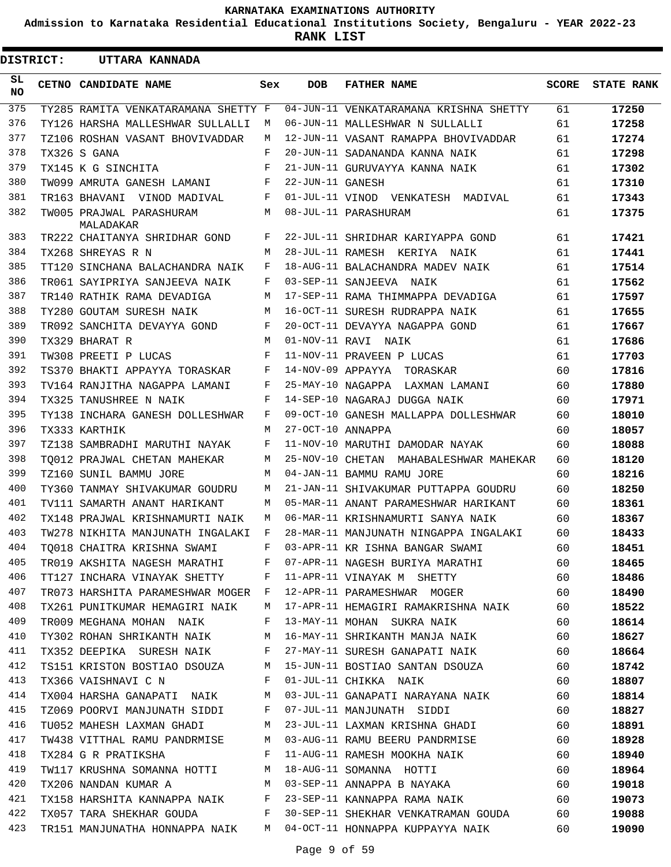**Admission to Karnataka Residential Educational Institutions Society, Bengaluru - YEAR 2022-23**

**RANK LIST**

ı

| <b>DISTRICT:</b> |  | UTTARA KANNADA                                                                                                                                                                                                                                           |     |                   |                                                                      |       |                   |
|------------------|--|----------------------------------------------------------------------------------------------------------------------------------------------------------------------------------------------------------------------------------------------------------|-----|-------------------|----------------------------------------------------------------------|-------|-------------------|
| SL<br><b>NO</b>  |  | CETNO CANDIDATE NAME                                                                                                                                                                                                                                     | Sex | <b>DOB</b>        | <b>FATHER NAME</b>                                                   | SCORE | <b>STATE RANK</b> |
| 375              |  | TY285 RAMITA VENKATARAMANA SHETTY F                                                                                                                                                                                                                      |     |                   | 04-JUN-11 VENKATARAMANA KRISHNA SHETTY                               | 61    | 17250             |
| 376              |  | TY126 HARSHA MALLESHWAR SULLALLI                                                                                                                                                                                                                         | M   |                   | 06-JUN-11 MALLESHWAR N SULLALLI                                      | 61    | 17258             |
| 377              |  | TZ106 ROSHAN VASANT BHOVIVADDAR                                                                                                                                                                                                                          | M   |                   | 12-JUN-11 VASANT RAMAPPA BHOVIVADDAR                                 | 61    | 17274             |
| 378              |  | TX326 S GANA                                                                                                                                                                                                                                             | F   |                   | 20-JUN-11 SADANANDA KANNA NAIK                                       | 61    | 17298             |
| 379              |  | TX145 K G SINCHITA                                                                                                                                                                                                                                       | F   |                   | 21-JUN-11 GURUVAYYA KANNA NAIK                                       | 61    | 17302             |
| 380              |  | TW099 AMRUTA GANESH LAMANI                                                                                                                                                                                                                               | F   | 22-JUN-11 GANESH  |                                                                      | 61    | 17310             |
| 381              |  | TR163 BHAVANI VINOD MADIVAL                                                                                                                                                                                                                              | F   |                   | 01-JUL-11 VINOD VENKATESH MADIVAL                                    | 61    | 17343             |
| 382              |  | TW005 PRAJWAL PARASHURAM<br>MALADAKAR                                                                                                                                                                                                                    | M   |                   | 08-JUL-11 PARASHURAM                                                 | 61    | 17375             |
| 383              |  | TR222 CHAITANYA SHRIDHAR GOND                                                                                                                                                                                                                            | F   |                   | 22-JUL-11 SHRIDHAR KARIYAPPA GOND                                    | 61    | 17421             |
| 384              |  | TX268 SHREYAS R N                                                                                                                                                                                                                                        | M   |                   | 28-JUL-11 RAMESH KERIYA NAIK                                         | 61    | 17441             |
| 385              |  | TT120 SINCHANA BALACHANDRA NAIK                                                                                                                                                                                                                          | F   |                   | 18-AUG-11 BALACHANDRA MADEV NAIK                                     | 61    | 17514             |
| 386              |  | TR061 SAYIPRIYA SANJEEVA NAIK                                                                                                                                                                                                                            | F   |                   | 03-SEP-11 SANJEEVA NAIK                                              | 61    | 17562             |
| 387              |  | TR140 RATHIK RAMA DEVADIGA                                                                                                                                                                                                                               | М   |                   | 17-SEP-11 RAMA THIMMAPPA DEVADIGA                                    | 61    | 17597             |
| 388              |  | TY280 GOUTAM SURESH NAIK                                                                                                                                                                                                                                 | M   |                   | 16-OCT-11 SURESH RUDRAPPA NAIK                                       | 61    | 17655             |
| 389              |  | TR092 SANCHITA DEVAYYA GOND                                                                                                                                                                                                                              | F   |                   | 20-OCT-11 DEVAYYA NAGAPPA GOND                                       | 61    | 17667             |
| 390              |  | TX329 BHARAT R                                                                                                                                                                                                                                           | M   |                   | 01-NOV-11 RAVI NAIK                                                  | 61    | 17686             |
| 391              |  | TW308 PREETI P LUCAS                                                                                                                                                                                                                                     | F   |                   | 11-NOV-11 PRAVEEN P LUCAS                                            | 61    | 17703             |
| 392              |  | TS370 BHAKTI APPAYYA TORASKAR                                                                                                                                                                                                                            | F   |                   | 14-NOV-09 APPAYYA TORASKAR                                           | 60    | 17816             |
| 393              |  | TV164 RANJITHA NAGAPPA LAMANI                                                                                                                                                                                                                            | F   |                   | 25-MAY-10 NAGAPPA LAXMAN LAMANI                                      | 60    | 17880             |
| 394              |  | TX325 TANUSHREE N NAIK                                                                                                                                                                                                                                   | F   |                   | 14-SEP-10 NAGARAJ DUGGA NAIK                                         | 60    | 17971             |
| 395              |  | TY138 INCHARA GANESH DOLLESHWAR                                                                                                                                                                                                                          | F   |                   | 09-OCT-10 GANESH MALLAPPA DOLLESHWAR                                 | 60    | 18010             |
| 396              |  | TX333 KARTHIK                                                                                                                                                                                                                                            | M   | 27-OCT-10 ANNAPPA |                                                                      | 60    | 18057             |
| 397              |  | TZ138 SAMBRADHI MARUTHI NAYAK                                                                                                                                                                                                                            | F   |                   | 11-NOV-10 MARUTHI DAMODAR NAYAK                                      | 60    | 18088             |
| 398              |  | TO012 PRAJWAL CHETAN MAHEKAR                                                                                                                                                                                                                             | M   |                   | 25-NOV-10 CHETAN MAHABALESHWAR MAHEKAR                               | 60    | 18120             |
| 399              |  | TZ160 SUNIL BAMMU JORE                                                                                                                                                                                                                                   | M   |                   | 04-JAN-11 BAMMU RAMU JORE                                            | 60    | 18216             |
| 400              |  | TY360 TANMAY SHIVAKUMAR GOUDRU                                                                                                                                                                                                                           | M   |                   | 21-JAN-11 SHIVAKUMAR PUTTAPPA GOUDRU                                 | 60    | 18250             |
| 401              |  | TV111 SAMARTH ANANT HARIKANT                                                                                                                                                                                                                             | M   |                   | 05-MAR-11 ANANT PARAMESHWAR HARIKANT                                 | 60    | 18361             |
| 402              |  | TX148 PRAJWAL KRISHNAMURTI NAIK                                                                                                                                                                                                                          | M   |                   | 06-MAR-11 KRISHNAMURTI SANYA NAIK                                    | 60    | 18367             |
| 403              |  | TW278 NIKHITA MANJUNATH INGALAKI                                                                                                                                                                                                                         | F   |                   | 28-MAR-11 MANJUNATH NINGAPPA INGALAKI                                | 60    | 18433             |
| 404              |  |                                                                                                                                                                                                                                                          |     |                   | TQ018 CHAITRA KRISHNA SWAMI F 03-APR-11 KR ISHNA BANGAR SWAMI        | 60    | 18451             |
| 405              |  |                                                                                                                                                                                                                                                          |     |                   | TR019 AKSHITA NAGESH MARATHI F 07-APR-11 NAGESH BURIYA MARATHI 60    |       | 18465             |
| 406              |  | TT127 INCHARA VINAYAK SHETTY F                                                                                                                                                                                                                           |     |                   | 11-APR-11 VINAYAK M SHETTY 60                                        |       | 18486             |
| 407              |  | TR073 HARSHITA PARAMESHWAR MOGER F                                                                                                                                                                                                                       |     |                   | 12-APR-11 PARAMESHWAR MOGER 60                                       |       | 18490             |
| 408              |  | TX261 PUNITKUMAR HEMAGIRI NAIK M                                                                                                                                                                                                                         |     |                   | 17-APR-11 HEMAGIRI RAMAKRISHNA NAIK 60                               |       | 18522             |
| 409              |  | TR009 MEGHANA MOHAN NAIK F                                                                                                                                                                                                                               |     |                   | 13-MAY-11 MOHAN SUKRA NAIK 60                                        |       | 18614             |
| 410              |  | TY302 ROHAN SHRIKANTH NAIK M                                                                                                                                                                                                                             |     |                   | 16-MAY-11 SHRIKANTH MANJA NAIK 60                                    |       | 18627             |
| 411              |  |                                                                                                                                                                                                                                                          |     |                   | TX352 DEEPIKA SURESH NAIK F 27-MAY-11 SURESH GANAPATI NAIK 60        |       | 18664             |
| 412              |  |                                                                                                                                                                                                                                                          |     |                   | TS151 KRISTON BOSTIAO DSOUZA M 15-JUN-11 BOSTIAO SANTAN DSOUZA 60    |       | 18742             |
| 413              |  | TX366 VAISHNAVI C N                                                                                                                                                                                                                                      | F   |                   | 01-JUL-11 CHIKKA NAIK 60                                             |       | 18807             |
| 414              |  | TX004 HARSHA GANAPATI NAIK M                                                                                                                                                                                                                             |     |                   |                                                                      |       | 18814             |
| 415              |  | TZ069 POORVI MANJUNATH SIDDI F                                                                                                                                                                                                                           |     |                   | 03-JUL-11 GANAPATI NARAYANA NAIK 60<br>07-JUL-11 MANJUNATH SIDDI 60  |       | 18827             |
| 416              |  |                                                                                                                                                                                                                                                          |     |                   | TU052 MAHESH LAXMAN GHADI MASA 23-JUL-11 LAXMAN KRISHNA GHADI 60     |       | 18891             |
| 417              |  | TW438 VITTHAL RAMU PANDRMISE M                                                                                                                                                                                                                           |     |                   | 03-AUG-11 RAMU BEERU PANDRMISE 60                                    |       | 18928             |
| 418              |  | TX284 G R PRATIKSHA<br>$\mathbf{F}$ and the set of the set of the set of the set of the set of the set of the set of the set of the set of the set of the set of the set of the set of the set of the set of the set of the set of the set of the set of |     |                   | 11-AUG-11 RAMESH MOOKHA NAIK 60                                      |       | 18940             |
| 419              |  |                                                                                                                                                                                                                                                          |     |                   | TW117 KRUSHNA SOMANNA HOTTI M 18-AUG-11 SOMANNA HOTTI 60             |       | 18964             |
| 420              |  |                                                                                                                                                                                                                                                          |     |                   | TX206 NANDAN KUMAR A M 03-SEP-11 ANNAPPA B NAYAKA 60                 |       | 19018             |
| 421              |  | TX158 HARSHITA KANNAPPA NAIK F                                                                                                                                                                                                                           |     |                   | 23-SEP-11 KANNAPPA RAMA NAIK 60                                      |       | 19073             |
| 422              |  | TX057 TARA SHEKHAR GOUDA F                                                                                                                                                                                                                               |     |                   | 30-SEP-11 SHEKHAR VENKATRAMAN GOUDA 60                               |       | 19088             |
| 423              |  |                                                                                                                                                                                                                                                          |     |                   | TR151 MANJUNATHA HONNAPPA NAIK M 04-OCT-11 HONNAPPA KUPPAYYA NAIK 60 |       | 19090             |
|                  |  |                                                                                                                                                                                                                                                          |     |                   |                                                                      |       |                   |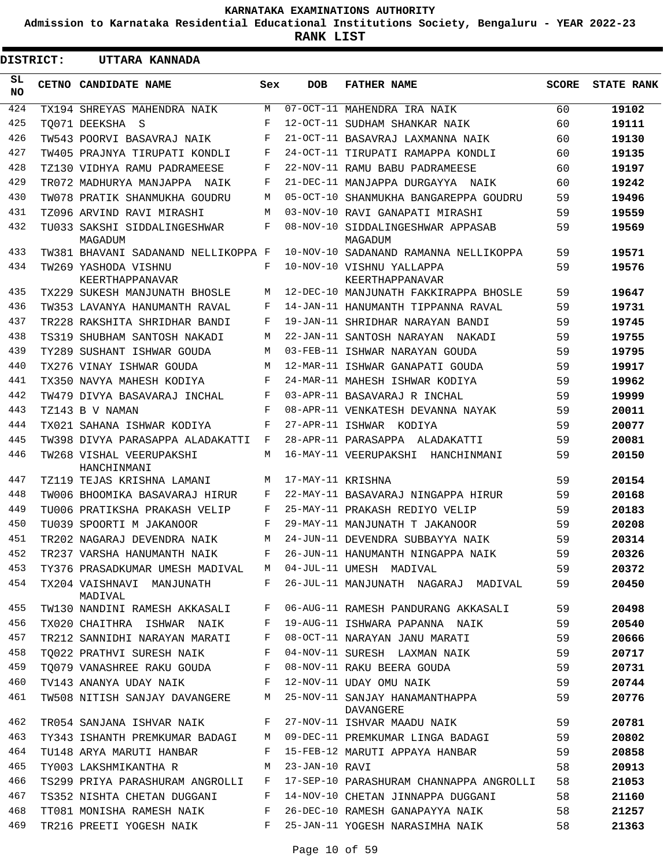**Admission to Karnataka Residential Educational Institutions Society, Bengaluru - YEAR 2022-23**

**RANK LIST**

 $\blacksquare$ 

| <b>DISTRICT:</b> | UTTARA KANNADA                                            |     |                   |                                                              |              |                   |
|------------------|-----------------------------------------------------------|-----|-------------------|--------------------------------------------------------------|--------------|-------------------|
| SL.<br><b>NO</b> | CETNO CANDIDATE NAME                                      | Sex | DOB               | <b>FATHER NAME</b>                                           | <b>SCORE</b> | <b>STATE RANK</b> |
| 424              | TX194 SHREYAS MAHENDRA NAIK                               | M   |                   | 07-OCT-11 MAHENDRA IRA NAIK                                  | 60           | 19102             |
| 425              | TO071 DEEKSHA S                                           | F   |                   | 12-OCT-11 SUDHAM SHANKAR NAIK                                | 60           | 19111             |
| 426              | TW543 POORVI BASAVRAJ NAIK                                | F   |                   | 21-OCT-11 BASAVRAJ LAXMANNA NAIK                             | 60           | 19130             |
| 427              | TW405 PRAJNYA TIRUPATI KONDLI                             | F   |                   | 24-OCT-11 TIRUPATI RAMAPPA KONDLI                            | 60           | 19135             |
| 428              | TZ130 VIDHYA RAMU PADRAMEESE                              | F   |                   | 22-NOV-11 RAMU BABU PADRAMEESE                               | 60           | 19197             |
| 429              | TR072 MADHURYA MANJAPPA NAIK                              | F   |                   | 21-DEC-11 MANJAPPA DURGAYYA NAIK                             | 60           | 19242             |
| 430              | TW078 PRATIK SHANMUKHA GOUDRU                             | M   |                   | 05-OCT-10 SHANMUKHA BANGAREPPA GOUDRU                        | 59           | 19496             |
| 431              | TZ096 ARVIND RAVI MIRASHI                                 | М   |                   | 03-NOV-10 RAVI GANAPATI MIRASHI                              | 59           | 19559             |
| 432              | TU033 SAKSHI SIDDALINGESHWAR<br>MAGADUM                   | F   |                   | 08-NOV-10 SIDDALINGESHWAR APPASAB<br>MAGADUM                 | 59           | 19569             |
| 433              | TW381 BHAVANI SADANAND NELLIKOPPA F                       |     |                   | 10-NOV-10 SADANAND RAMANNA NELLIKOPPA                        | 59           | 19571             |
| 434              | TW269 YASHODA VISHNU<br>KEERTHAPPANAVAR                   | F   |                   | 10-NOV-10 VISHNU YALLAPPA<br>KEERTHAPPANAVAR                 | 59           | 19576             |
| 435              | TX229 SUKESH MANJUNATH BHOSLE                             | M   |                   | 12-DEC-10 MANJUNATH FAKKIRAPPA BHOSLE                        | 59           | 19647             |
| 436              | TW353 LAVANYA HANUMANTH RAVAL                             | F   |                   | 14-JAN-11 HANUMANTH TIPPANNA RAVAL                           | 59           | 19731             |
| 437              | TR228 RAKSHITA SHRIDHAR BANDI                             | F   |                   | 19-JAN-11 SHRIDHAR NARAYAN BANDI                             | 59           | 19745             |
| 438              | TS319 SHUBHAM SANTOSH NAKADI                              | M   |                   | 22-JAN-11 SANTOSH NARAYAN<br>NAKADI                          | 59           | 19755             |
| 439              | TY289 SUSHANT ISHWAR GOUDA                                | М   |                   | 03-FEB-11 ISHWAR NARAYAN GOUDA                               | 59           | 19795             |
| 440              | TX276 VINAY ISHWAR GOUDA                                  | М   |                   | 12-MAR-11 ISHWAR GANAPATI GOUDA                              | 59           | 19917             |
| 441              | TX350 NAVYA MAHESH KODIYA                                 | F   |                   | 24-MAR-11 MAHESH ISHWAR KODIYA                               | 59           | 19962             |
| 442              | TW479 DIVYA BASAVARAJ INCHAL                              | F   |                   | 03-APR-11 BASAVARAJ R INCHAL                                 | 59           | 19999             |
| 443              | TZ143 B V NAMAN                                           | F   |                   | 08-APR-11 VENKATESH DEVANNA NAYAK                            | 59           | 20011             |
| 444              | TX021 SAHANA ISHWAR KODIYA                                | F   |                   | 27-APR-11 ISHWAR KODIYA                                      | 59           | 20077             |
| 445              | TW398 DIVYA PARASAPPA ALADAKATTI                          | F   |                   | 28-APR-11 PARASAPPA ALADAKATTI                               | 59           | 20081             |
| 446              | TW268 VISHAL VEERUPAKSHI<br>HANCHINMANI                   | M   |                   | 16-MAY-11 VEERUPAKSHI HANCHINMANI                            | 59           | 20150             |
| 447              | TZ119 TEJAS KRISHNA LAMANI                                | М   | 17-MAY-11 KRISHNA |                                                              | 59           | 20154             |
| 448              | TW006 BHOOMIKA BASAVARAJ HIRUR                            | F   |                   | 22-MAY-11 BASAVARAJ NINGAPPA HIRUR                           | 59           | 20168             |
| 449              | TU006 PRATIKSHA PRAKASH VELIP                             | F   |                   | 25-MAY-11 PRAKASH REDIYO VELIP                               | 59           | 20183             |
| 450              | TU039 SPOORTI M JAKANOOR                                  | F   |                   | 29-MAY-11 MANJUNATH T JAKANOOR                               | 59           | 20208             |
| 451              | TR202 NAGARAJ DEVENDRA NAIK                               | М   |                   | 24-JUN-11 DEVENDRA SUBBAYYA NAIK                             | 59           | 20314             |
| 452              | TR237 VARSHA HANUMANTH NAIK F                             |     |                   | 26-JUN-11 HANUMANTH NINGAPPA NAIK 59                         |              | 20326             |
| 453              | TY376 PRASADKUMAR UMESH MADIVAL M 04-JUL-11 UMESH MADIVAL |     |                   |                                                              | 59           | 20372             |
| 454              | TX204 VAISHNAVI MANJUNATH F<br>MADIVAL                    |     |                   | 26-JUL-11 MANJUNATH NAGARAJ MADIVAL                          | 59           | 20450             |
| 455              | TW130 NANDINI RAMESH AKKASALI                             | F   |                   | 06-AUG-11 RAMESH PANDURANG AKKASALI 59                       |              | 20498             |
| 456              | TX020 CHAITHRA ISHWAR NAIK F                              |     |                   | 19-AUG-11 ISHWARA PAPANNA NAIK 59                            |              | 20540             |
| 457              | TR212 SANNIDHI NARAYAN MARATI F                           |     |                   | 08-OCT-11 NARAYAN JANU MARATI                                | 59           | 20666             |
| 458              | TQ022 PRATHVI SURESH NAIK F                               |     |                   | 04-NOV-11 SURESH LAXMAN NAIK                                 | 59           | 20717             |
| 459              |                                                           |     |                   | TQ079 VANASHREE RAKU GOUDA F 08-NOV-11 RAKU BEERA GOUDA      | 59           | 20731             |
| 460              | TV143 ANANYA UDAY NAIK                                    |     |                   | F 12-NOV-11 UDAY OMU NAIK                                    | 59           | 20744             |
| 461              | TW508 NITISH SANJAY DAVANGERE M                           |     |                   | 25-NOV-11 SANJAY HANAMANTHAPPA 59<br>DAVANGERE               |              | 20776             |
| 462              | TR054 SANJANA ISHVAR NAIK F                               |     |                   | 27-NOV-11 ISHVAR MAADU NAIK 59                               |              | 20781             |
| 463              | TY343 ISHANTH PREMKUMAR BADAGI M                          |     |                   | 09-DEC-11 PREMKUMAR LINGA BADAGI 59                          |              | 20802             |
| 464              |                                                           |     |                   | TU148 ARYA MARUTI HANBAR F 15-FEB-12 MARUTI APPAYA HANBAR 59 |              | 20858             |
| 465              | TY003 LAKSHMIKANTHA R M 23-JAN-10 RAVI                    |     |                   |                                                              | 58           | 20913             |
| 466              | TS299 PRIYA PARASHURAM ANGROLLI F                         |     |                   | 17-SEP-10 PARASHURAM CHANNAPPA ANGROLLI 58                   |              | 21053             |
| 467              | TS352 NISHTA CHETAN DUGGANI F                             |     |                   | 14-NOV-10 CHETAN JINNAPPA DUGGANI                            | 58           | 21160             |
| 468              | TT081 MONISHA RAMESH NAIK F                               |     |                   | 26-DEC-10 RAMESH GANAPAYYA NAIK                              | 58           | 21257             |
| 469              |                                                           |     |                   | TR216 PREETI YOGESH NAIK F 25-JAN-11 YOGESH NARASIMHA NAIK   | 58           | 21363             |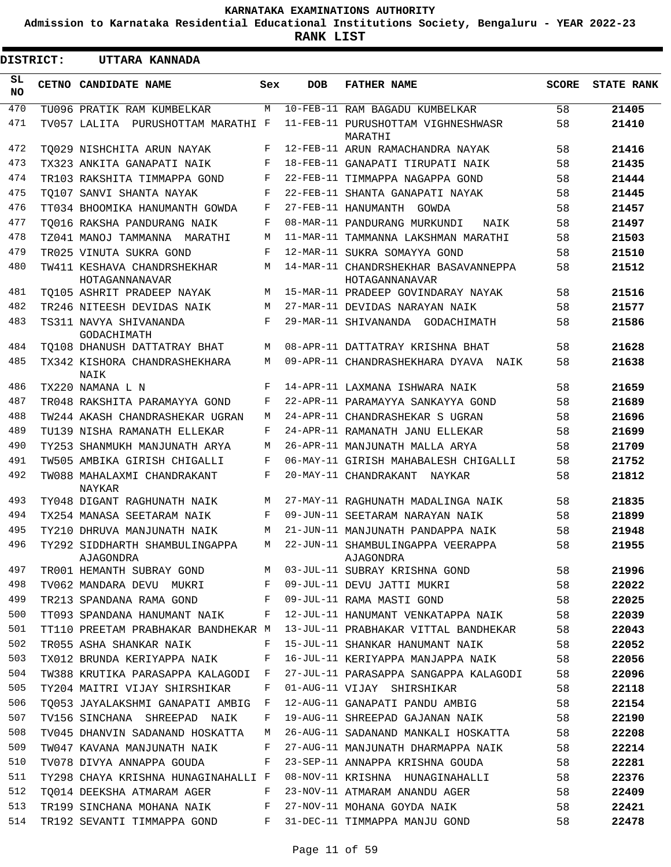**Admission to Karnataka Residential Educational Institutions Society, Bengaluru - YEAR 2022-23**

**RANK LIST**

 $\blacksquare$ 

 $\overline{\phantom{a}}$ 

| <b>DISTRICT:</b> | UTTARA KANNADA                                |                           |            |                                                        |              |                   |
|------------------|-----------------------------------------------|---------------------------|------------|--------------------------------------------------------|--------------|-------------------|
| SL<br>NO.        | CETNO CANDIDATE NAME                          | Sex                       | <b>DOB</b> | <b>FATHER NAME</b>                                     | <b>SCORE</b> | <b>STATE RANK</b> |
| 470              | TU096 PRATIK RAM KUMBELKAR                    | M                         |            | 10-FEB-11 RAM BAGADU KUMBELKAR                         | 58           | 21405             |
| 471              | TV057 LALITA PURUSHOTTAM MARATHI F            |                           |            | 11-FEB-11 PURUSHOTTAM VIGHNESHWASR<br>MARATHI          | 58           | 21410             |
| 472              | TO029 NISHCHITA ARUN NAYAK                    | F                         |            | 12-FEB-11 ARUN RAMACHANDRA NAYAK                       | 58           | 21416             |
| 473              | TX323 ANKITA GANAPATI NAIK                    | F                         |            | 18-FEB-11 GANAPATI TIRUPATI NAIK                       | 58           | 21435             |
| 474              | TR103 RAKSHITA TIMMAPPA GOND                  | F                         |            | 22-FEB-11 TIMMAPPA NAGAPPA GOND                        | 58           | 21444             |
| 475              | TO107 SANVI SHANTA NAYAK                      | F                         |            | 22-FEB-11 SHANTA GANAPATI NAYAK                        | 58           | 21445             |
| 476              | TT034 BHOOMIKA HANUMANTH GOWDA                | F                         |            | 27-FEB-11 HANUMANTH GOWDA                              | 58           | 21457             |
| 477              | TO016 RAKSHA PANDURANG NAIK                   | F                         |            | 08-MAR-11 PANDURANG MURKUNDI<br>NAIK                   | 58           | 21497             |
| 478              | TZ041 MANOJ TAMMANNA MARATHI                  | М                         |            | 11-MAR-11 TAMMANNA LAKSHMAN MARATHI                    | 58           | 21503             |
| 479              | TR025 VINUTA SUKRA GOND                       | F                         |            | 12-MAR-11 SUKRA SOMAYYA GOND                           | 58           | 21510             |
| 480              | TW411 KESHAVA CHANDRSHEKHAR<br>HOTAGANNANAVAR | M                         |            | 14-MAR-11 CHANDRSHEKHAR BASAVANNEPPA<br>HOTAGANNANAVAR | 58           | 21512             |
| 481              | TO105 ASHRIT PRADEEP NAYAK                    | М                         |            | 15-MAR-11 PRADEEP GOVINDARAY NAYAK                     | 58           | 21516             |
| 482              | TR246 NITEESH DEVIDAS NAIK                    | M                         |            | 27-MAR-11 DEVIDAS NARAYAN NAIK                         | 58           | 21577             |
| 483              | TS311 NAVYA SHIVANANDA<br>GODACHIMATH         | F                         |            | 29-MAR-11 SHIVANANDA GODACHIMATH                       | 58           | 21586             |
| 484              | TO108 DHANUSH DATTATRAY BHAT                  | M                         |            | 08-APR-11 DATTATRAY KRISHNA BHAT                       | 58           | 21628             |
| 485              | TX342 KISHORA CHANDRASHEKHARA<br>NAIK         | M                         |            | 09-APR-11 CHANDRASHEKHARA DYAVA NAIK                   | 58           | 21638             |
| 486              | TX220 NAMANA L N                              | F                         |            | 14-APR-11 LAXMANA ISHWARA NAIK                         | 58           | 21659             |
| 487              | TR048 RAKSHITA PARAMAYYA GOND                 | F                         |            | 22-APR-11 PARAMAYYA SANKAYYA GOND                      | 58           | 21689             |
| 488              | TW244 AKASH CHANDRASHEKAR UGRAN               | М                         |            | 24-APR-11 CHANDRASHEKAR S UGRAN                        | 58           | 21696             |
| 489              | TU139 NISHA RAMANATH ELLEKAR                  | F                         |            | 24-APR-11 RAMANATH JANU ELLEKAR                        | 58           | 21699             |
| 490              | TY253 SHANMUKH MANJUNATH ARYA                 | M                         |            | 26-APR-11 MANJUNATH MALLA ARYA                         | 58           | 21709             |
| 491              | TW505 AMBIKA GIRISH CHIGALLI                  | F                         |            | 06-MAY-11 GIRISH MAHABALESH CHIGALLI                   | 58           | 21752             |
| 492              | TW088 MAHALAXMI CHANDRAKANT<br>NAYKAR         | F                         |            | 20-MAY-11 CHANDRAKANT NAYKAR                           | 58           | 21812             |
| 493              | TY048 DIGANT RAGHUNATH NAIK                   | M                         |            | 27-MAY-11 RAGHUNATH MADALINGA NAIK                     | 58           | 21835             |
| 494              | TX254 MANASA SEETARAM NAIK                    | F                         |            | 09-JUN-11 SEETARAM NARAYAN NAIK                        | 58           | 21899             |
| 495              | TY210 DHRUVA MANJUNATH NAIK                   | М                         |            | 21-JUN-11 MANJUNATH PANDAPPA NAIK                      | 58           | 21948             |
| 496              | TY292 SIDDHARTH SHAMBULINGAPPA<br>AJAGONDRA   | $\mathop{\rm M}\nolimits$ |            | 22-JUN-11 SHAMBULINGAPPA VEERAPPA<br>AJAGONDRA         | 58           | 21955             |
| 497              | TR001 HEMANTH SUBRAY GOND                     | М                         |            | 03-JUL-11 SUBRAY KRISHNA GOND                          | 58           | 21996             |
| 498              | TV062 MANDARA DEVU MUKRI                      | F                         |            | 09-JUL-11 DEVU JATTI MUKRI                             | 58           | 22022             |
| 499              | TR213 SPANDANA RAMA GOND                      | F                         |            | 09-JUL-11 RAMA MASTI GOND                              | 58           | 22025             |
| 500              | TT093 SPANDANA HANUMANT NAIK                  | F                         |            | 12-JUL-11 HANUMANT VENKATAPPA NAIK                     | 58           | 22039             |
| 501              | TT110 PREETAM PRABHAKAR BANDHEKAR M           |                           |            | 13-JUL-11 PRABHAKAR VITTAL BANDHEKAR                   | 58           | 22043             |
| 502              | TR055 ASHA SHANKAR NAIK                       | F                         |            | 15-JUL-11 SHANKAR HANUMANT NAIK                        | 58           | 22052             |
| 503              | TX012 BRUNDA KERIYAPPA NAIK                   | F                         |            | 16-JUL-11 KERIYAPPA MANJAPPA NAIK                      | 58           | 22056             |
| 504              | TW388 KRUTIKA PARASAPPA KALAGODI              | F                         |            | 27-JUL-11 PARASAPPA SANGAPPA KALAGODI                  | 58           | 22096             |
| 505              | TY204 MAITRI VIJAY SHIRSHIKAR                 | F                         |            | 01-AUG-11 VIJAY SHIRSHIKAR                             | 58           | 22118             |
| 506              | TO053 JAYALAKSHMI GANAPATI AMBIG              | F                         |            | 12-AUG-11 GANAPATI PANDU AMBIG                         | 58           | 22154             |
| 507              | TV156 SINCHANA SHREEPAD NAIK                  | F                         |            | 19-AUG-11 SHREEPAD GAJANAN NAIK                        | 58           | 22190             |
| 508              | TV045 DHANVIN SADANAND HOSKATTA               | М                         |            | 26-AUG-11 SADANAND MANKALI HOSKATTA                    | 58           | 22208             |
| 509              | TW047 KAVANA MANJUNATH NAIK                   | F                         |            | 27-AUG-11 MANJUNATH DHARMAPPA NAIK                     | 58           | 22214             |
| 510              | TV078 DIVYA ANNAPPA GOUDA                     | F                         |            | 23-SEP-11 ANNAPPA KRISHNA GOUDA                        | 58           | 22281             |
| 511              | TY298 CHAYA KRISHNA HUNAGINAHALLI F           |                           |            | 08-NOV-11 KRISHNA HUNAGINAHALLI                        | 58           | 22376             |
| 512              | TO014 DEEKSHA ATMARAM AGER                    | F                         |            | 23-NOV-11 ATMARAM ANANDU AGER                          | 58           | 22409             |
| 513              | TR199 SINCHANA MOHANA NAIK                    | F                         |            | 27-NOV-11 MOHANA GOYDA NAIK                            | 58           | 22421             |
| 514              | TR192 SEVANTI TIMMAPPA GOND                   | F                         |            | 31-DEC-11 TIMMAPPA MANJU GOND                          | 58           | 22478             |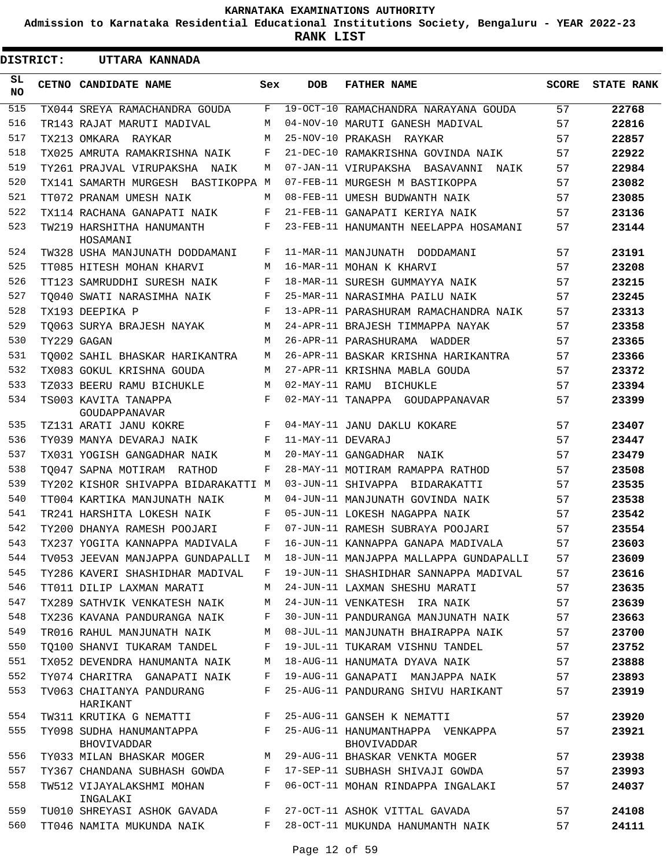**Admission to Karnataka Residential Educational Institutions Society, Bengaluru - YEAR 2022-23**

**RANK LIST**

| <b>DISTRICT:</b> | UTTARA KANNADA                                 |     |                   |                                                                           |       |                   |
|------------------|------------------------------------------------|-----|-------------------|---------------------------------------------------------------------------|-------|-------------------|
| SL.<br><b>NO</b> | CETNO CANDIDATE NAME                           | Sex | <b>DOB</b>        | <b>FATHER NAME</b>                                                        | SCORE | <b>STATE RANK</b> |
| 515              | TX044 SREYA RAMACHANDRA GOUDA                  | F   |                   | 19-OCT-10 RAMACHANDRA NARAYANA GOUDA                                      | 57    | 22768             |
| 516              | TR143 RAJAT MARUTI MADIVAL                     | M   |                   | 04-NOV-10 MARUTI GANESH MADIVAL                                           | 57    | 22816             |
| 517              | TX213 OMKARA RAYKAR                            | M   |                   | 25-NOV-10 PRAKASH RAYKAR                                                  | 57    | 22857             |
| 518              | TX025 AMRUTA RAMAKRISHNA NAIK                  | F   |                   | 21-DEC-10 RAMAKRISHNA GOVINDA NAIK                                        | 57    | 22922             |
| 519              | TY261 PRAJVAL VIRUPAKSHA NAIK                  | М   |                   | 07-JAN-11 VIRUPAKSHA BASAVANNI NAIK                                       | 57    | 22984             |
| 520              | TX141 SAMARTH MURGESH BASTIKOPPA M             |     |                   | 07-FEB-11 MURGESH M BASTIKOPPA                                            | 57    | 23082             |
| 521              | TT072 PRANAM UMESH NAIK                        | M   |                   | 08-FEB-11 UMESH BUDWANTH NAIK                                             | 57    | 23085             |
| 522              | TX114 RACHANA GANAPATI NAIK                    | F   |                   | 21-FEB-11 GANAPATI KERIYA NAIK                                            | 57    | 23136             |
| 523              | TW219 HARSHITHA HANUMANTH<br>HOSAMANI          | F   |                   | 23-FEB-11 HANUMANTH NEELAPPA HOSAMANI                                     | 57    | 23144             |
| 524              | TW328 USHA MANJUNATH DODDAMANI                 | F   |                   | 11-MAR-11 MANJUNATH DODDAMANI                                             | 57    | 23191             |
| 525              | TT085 HITESH MOHAN KHARVI                      | M   |                   | 16-MAR-11 MOHAN K KHARVI                                                  | 57    | 23208             |
| 526              | TT123 SAMRUDDHI SURESH NAIK                    | F   |                   | 18-MAR-11 SURESH GUMMAYYA NAIK                                            | 57    | 23215             |
| 527              | TO040 SWATI NARASIMHA NAIK                     | F   |                   | 25-MAR-11 NARASIMHA PAILU NAIK                                            | 57    | 23245             |
| 528              | TX193 DEEPIKA P                                | F   |                   | 13-APR-11 PARASHURAM RAMACHANDRA NAIK                                     | 57    | 23313             |
| 529              | TO063 SURYA BRAJESH NAYAK                      | M   |                   | 24-APR-11 BRAJESH TIMMAPPA NAYAK                                          | 57    | 23358             |
| 530              | TY229 GAGAN                                    | M   |                   | 26-APR-11 PARASHURAMA WADDER                                              | 57    | 23365             |
| 531              | TO002 SAHIL BHASKAR HARIKANTRA                 | M   |                   | 26-APR-11 BASKAR KRISHNA HARIKANTRA                                       | 57    | 23366             |
| 532              | TX083 GOKUL KRISHNA GOUDA                      | М   |                   | 27-APR-11 KRISHNA MABLA GOUDA                                             | 57    | 23372             |
| 533              | TZ033 BEERU RAMU BICHUKLE                      | M   |                   | 02-MAY-11 RAMU BICHUKLE                                                   | 57    | 23394             |
| 534              | TS003 KAVITA TANAPPA<br>GOUDAPPANAVAR          | F   |                   | 02-MAY-11 TANAPPA GOUDAPPANAVAR                                           | 57    | 23399             |
| 535              | TZ131 ARATI JANU KOKRE                         | F   |                   | 04-MAY-11 JANU DAKLU KOKARE                                               | 57    | 23407             |
| 536              | TY039 MANYA DEVARAJ NAIK                       | F   | 11-MAY-11 DEVARAJ |                                                                           | 57    | 23447             |
| 537              | TX031 YOGISH GANGADHAR NAIK                    | M   |                   | 20-MAY-11 GANGADHAR NAIK                                                  | 57    | 23479             |
| 538              | TO047 SAPNA MOTIRAM RATHOD                     | F   |                   | 28-MAY-11 MOTIRAM RAMAPPA RATHOD                                          | 57    | 23508             |
| 539              | TY202 KISHOR SHIVAPPA BIDARAKATTI M            |     |                   | 03-JUN-11 SHIVAPPA BIDARAKATTI                                            | 57    | 23535             |
| 540              | TT004 KARTIKA MANJUNATH NAIK                   | M   |                   | 04-JUN-11 MANJUNATH GOVINDA NAIK                                          | 57    | 23538             |
| 541              | TR241 HARSHITA LOKESH NAIK                     | F   |                   | 05-JUN-11 LOKESH NAGAPPA NAIK                                             | 57    | 23542             |
| 542              | TY200 DHANYA RAMESH POOJARI                    | F   |                   | 07-JUN-11 RAMESH SUBRAYA POOJARI                                          | 57    | 23554             |
| 543              |                                                |     |                   | TX237 YOGITA KANNAPPA MADIVALA     F   16-JUN-11 KANNAPPA GANAPA MADIVALA | 57    | 23603             |
| 544              | TV053 JEEVAN MANJAPPA GUNDAPALLI M             |     |                   | 18-JUN-11 MANJAPPA MALLAPPA GUNDAPALLI                                    | 57    | 23609             |
| 545              | TY286 KAVERI SHASHIDHAR MADIVAL                | F   |                   | 19-JUN-11 SHASHIDHAR SANNAPPA MADIVAL                                     | 57    | 23616             |
| 546              | TT011 DILIP LAXMAN MARATI                      | M   |                   | 24-JUN-11 LAXMAN SHESHU MARATI                                            | 57    | 23635             |
| 547              | TX289 SATHVIK VENKATESH NAIK                   | M   |                   | 24-JUN-11 VENKATESH IRA NAIK                                              | 57    | 23639             |
| 548              | TX236 KAVANA PANDURANGA NAIK                   | F   |                   | 30-JUN-11 PANDURANGA MANJUNATH NAIK                                       | 57    | 23663             |
| 549              | TR016 RAHUL MANJUNATH NAIK                     | М   |                   | 08-JUL-11 MANJUNATH BHAIRAPPA NAIK                                        | 57    | 23700             |
| 550              | TO100 SHANVI TUKARAM TANDEL                    | F   |                   | 19-JUL-11 TUKARAM VISHNU TANDEL                                           | 57    | 23752             |
| 551              | TX052 DEVENDRA HANUMANTA NAIK                  | М   |                   | 18-AUG-11 HANUMATA DYAVA NAIK                                             | 57    | 23888             |
| 552              | TY074 CHARITRA GANAPATI NAIK                   | F   |                   | 19-AUG-11 GANAPATI  MANJAPPA NAIK                                         | 57    | 23893             |
| 553              | TV063 CHAITANYA PANDURANG<br>HARIKANT          | F   |                   | 25-AUG-11 PANDURANG SHIVU HARIKANT                                        | 57    | 23919             |
| 554              | TW311 KRUTIKA G NEMATTI                        | F   |                   | 25-AUG-11 GANSEH K NEMATTI                                                | 57    | 23920             |
| 555              | TY098 SUDHA HANUMANTAPPA<br><b>BHOVIVADDAR</b> | F   |                   | 25-AUG-11 HANUMANTHAPPA VENKAPPA<br>BHOVIVADDAR                           | 57    | 23921             |
| 556              | TY033 MILAN BHASKAR MOGER                      | M   |                   | 29-AUG-11 BHASKAR VENKTA MOGER                                            | 57    | 23938             |
| 557              | TY367 CHANDANA SUBHASH GOWDA                   | F   |                   | 17-SEP-11 SUBHASH SHIVAJI GOWDA                                           | 57    | 23993             |
| 558              | TW512 VIJAYALAKSHMI MOHAN<br>INGALAKI          | F   |                   | 06-OCT-11 MOHAN RINDAPPA INGALAKI                                         | 57    | 24037             |
| 559              | TU010 SHREYASI ASHOK GAVADA                    | F   |                   | 27-OCT-11 ASHOK VITTAL GAVADA                                             | 57    | 24108             |
| 560              | TT046 NAMITA MUKUNDA NAIK                      | F   |                   | 28-OCT-11 MUKUNDA HANUMANTH NAIK                                          | 57    | 24111             |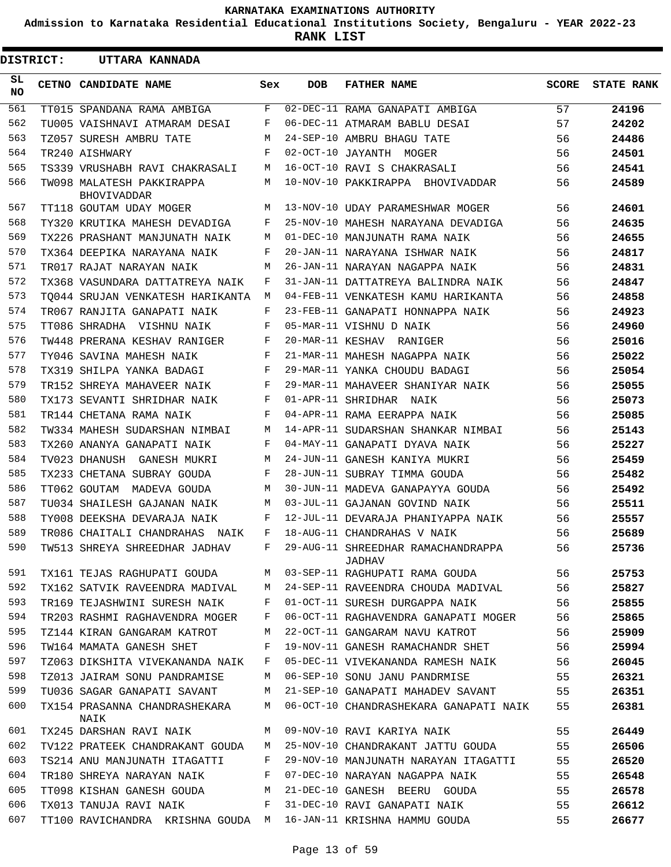**Admission to Karnataka Residential Educational Institutions Society, Bengaluru - YEAR 2022-23**

**RANK LIST**

ı

| <b>DISTRICT:</b> |  | UTTARA KANNADA                           |              |            |                                              |       |                   |
|------------------|--|------------------------------------------|--------------|------------|----------------------------------------------|-------|-------------------|
| SL.<br><b>NO</b> |  | CETNO CANDIDATE NAME                     | Sex          | <b>DOB</b> | <b>FATHER NAME</b>                           | SCORE | <b>STATE RANK</b> |
| 561              |  | TT015 SPANDANA RAMA AMBIGA               | F            |            | 02-DEC-11 RAMA GANAPATI AMBIGA               | 57    | 24196             |
| 562              |  | TU005 VAISHNAVI ATMARAM DESAI            | F            |            | 06-DEC-11 ATMARAM BABLU DESAI                | 57    | 24202             |
| 563              |  | TZ057 SURESH AMBRU TATE                  | M            |            | 24-SEP-10 AMBRU BHAGU TATE                   | 56    | 24486             |
| 564              |  | TR240 AISHWARY                           | F            |            | 02-OCT-10 JAYANTH MOGER                      | 56    | 24501             |
| 565              |  | TS339 VRUSHABH RAVI CHAKRASALI           | M            |            | 16-OCT-10 RAVI S CHAKRASALI                  | 56    | 24541             |
| 566              |  | TW098 MALATESH PAKKIRAPPA<br>BHOVIVADDAR | M            |            | 10-NOV-10 PAKKIRAPPA BHOVIVADDAR             | 56    | 24589             |
| 567              |  | TT118 GOUTAM UDAY MOGER                  | M            |            | 13-NOV-10 UDAY PARAMESHWAR MOGER             | 56    | 24601             |
| 568              |  | TY320 KRUTIKA MAHESH DEVADIGA            | F            |            | 25-NOV-10 MAHESH NARAYANA DEVADIGA           | 56    | 24635             |
| 569              |  | TX226 PRASHANT MANJUNATH NAIK            | М            |            | 01-DEC-10 MANJUNATH RAMA NAIK                | 56    | 24655             |
| 570              |  | TX364 DEEPIKA NARAYANA NAIK              | F            |            | 20-JAN-11 NARAYANA ISHWAR NAIK               | 56    | 24817             |
| 571              |  | TR017 RAJAT NARAYAN NAIK                 | М            |            | 26-JAN-11 NARAYAN NAGAPPA NAIK               | 56    | 24831             |
| 572              |  | TX368 VASUNDARA DATTATREYA NAIK          | F            |            | 31-JAN-11 DATTATREYA BALINDRA NAIK           | 56    | 24847             |
| 573              |  | TO044 SRUJAN VENKATESH HARIKANTA         | M            |            | 04-FEB-11 VENKATESH KAMU HARIKANTA           | 56    | 24858             |
| 574              |  | TR067 RANJITA GANAPATI NAIK              | F            |            | 23-FEB-11 GANAPATI HONNAPPA NAIK             | 56    | 24923             |
| 575              |  | TT086 SHRADHA VISHNU NAIK                | F            |            | 05-MAR-11 VISHNU D NAIK                      | 56    | 24960             |
| 576              |  | TW448 PRERANA KESHAV RANIGER             | F            |            | 20-MAR-11 KESHAV RANIGER                     | 56    | 25016             |
| 577              |  | TY046 SAVINA MAHESH NAIK                 | F            |            | 21-MAR-11 MAHESH NAGAPPA NAIK                | 56    | 25022             |
| 578              |  | TX319 SHILPA YANKA BADAGI                | F            |            | 29-MAR-11 YANKA CHOUDU BADAGI                | 56    | 25054             |
| 579              |  | TR152 SHREYA MAHAVEER NAIK               | F            |            | 29-MAR-11 MAHAVEER SHANIYAR NAIK             | 56    | 25055             |
| 580              |  | TX173 SEVANTI SHRIDHAR NAIK              | F            |            | 01-APR-11 SHRIDHAR NAIK                      | 56    | 25073             |
| 581              |  | TR144 CHETANA RAMA NAIK                  | F            |            | 04-APR-11 RAMA EERAPPA NAIK                  | 56    | 25085             |
| 582              |  | TW334 MAHESH SUDARSHAN NIMBAI            | M            |            | 14-APR-11 SUDARSHAN SHANKAR NIMBAI           | 56    | 25143             |
| 583              |  | TX260 ANANYA GANAPATI NAIK               | F            |            | 04-MAY-11 GANAPATI DYAVA NAIK                | 56    | 25227             |
| 584              |  | TV023 DHANUSH GANESH MUKRI               | M            |            | 24-JUN-11 GANESH KANIYA MUKRI                | 56    | 25459             |
| 585              |  | TX233 CHETANA SUBRAY GOUDA               | F            |            | 28-JUN-11 SUBRAY TIMMA GOUDA                 | 56    | 25482             |
| 586              |  | TT062 GOUTAM MADEVA GOUDA                | M            |            | 30-JUN-11 MADEVA GANAPAYYA GOUDA             | 56    | 25492             |
| 587              |  | TU034 SHAILESH GAJANAN NAIK              | М            |            | 03-JUL-11 GAJANAN GOVIND NAIK                | 56    | 25511             |
| 588              |  | TY008 DEEKSHA DEVARAJA NAIK              | F            |            | 12-JUL-11 DEVARAJA PHANIYAPPA NAIK           | 56    | 25557             |
| 589              |  | TR086 CHAITALI CHANDRAHAS NAIK           | F            |            | 18-AUG-11 CHANDRAHAS V NAIK                  | 56    | 25689             |
|                  |  | 590 TW513 SHREYA SHREEDHAR JADHAV        | $\mathbf{F}$ |            | 29-AUG-11 SHREEDHAR RAMACHANDRAPPA<br>JADHAV | 56    | 25736             |
| 591              |  | TX161 TEJAS RAGHUPATI GOUDA              | M            |            | 03-SEP-11 RAGHUPATI RAMA GOUDA               | 56    | 25753             |
| 592              |  | TX162 SATVIK RAVEENDRA MADIVAL           | М            |            | 24-SEP-11 RAVEENDRA CHOUDA MADIVAL           | 56    | 25827             |
| 593              |  | TR169 TEJASHWINI SURESH NAIK             | F            |            | 01-OCT-11 SURESH DURGAPPA NAIK               | 56    | 25855             |
| 594              |  | TR203 RASHMI RAGHAVENDRA MOGER           | F            |            | 06-OCT-11 RAGHAVENDRA GANAPATI MOGER         | 56    | 25865             |
| 595              |  | TZ144 KIRAN GANGARAM KATROT              | М            |            | 22-OCT-11 GANGARAM NAVU KATROT               | 56    | 25909             |
| 596              |  | TW164 MAMATA GANESH SHET                 | F            |            | 19-NOV-11 GANESH RAMACHANDR SHET             | 56    | 25994             |
| 597              |  | TZ063 DIKSHITA VIVEKANANDA NAIK          | F            |            | 05-DEC-11 VIVEKANANDA RAMESH NAIK            | 56    | 26045             |
| 598              |  | TZ013 JAIRAM SONU PANDRAMISE             | М            |            | 06-SEP-10 SONU JANU PANDRMISE                | 55    | 26321             |
| 599              |  | TU036 SAGAR GANAPATI SAVANT              | M            |            | 21-SEP-10 GANAPATI MAHADEV SAVANT            | 55    | 26351             |
| 600              |  | TX154 PRASANNA CHANDRASHEKARA<br>NAIK    | М            |            | 06-OCT-10 CHANDRASHEKARA GANAPATI NAIK       | 55    | 26381             |
| 601              |  | TX245 DARSHAN RAVI NAIK                  | M            |            | 09-NOV-10 RAVI KARIYA NAIK                   | 55    | 26449             |
| 602              |  | TV122 PRATEEK CHANDRAKANT GOUDA          | М            |            | 25-NOV-10 CHANDRAKANT JATTU GOUDA            | 55    | 26506             |
| 603              |  | TS214 ANU MANJUNATH ITAGATTI             | F            |            | 29-NOV-10 MANJUNATH NARAYAN ITAGATTI         | 55    | 26520             |
| 604              |  | TR180 SHREYA NARAYAN NAIK                | F            |            | 07-DEC-10 NARAYAN NAGAPPA NAIK               | 55    | 26548             |
| 605              |  | TT098 KISHAN GANESH GOUDA                | M            |            | 21-DEC-10 GANESH BEERU GOUDA                 | 55    | 26578             |
| 606              |  | TX013 TANUJA RAVI NAIK                   | F            |            | 31-DEC-10 RAVI GANAPATI NAIK                 | 55    | 26612             |
| 607              |  | TT100 RAVICHANDRA KRISHNA GOUDA M        |              |            | 16-JAN-11 KRISHNA HAMMU GOUDA                | 55    | 26677             |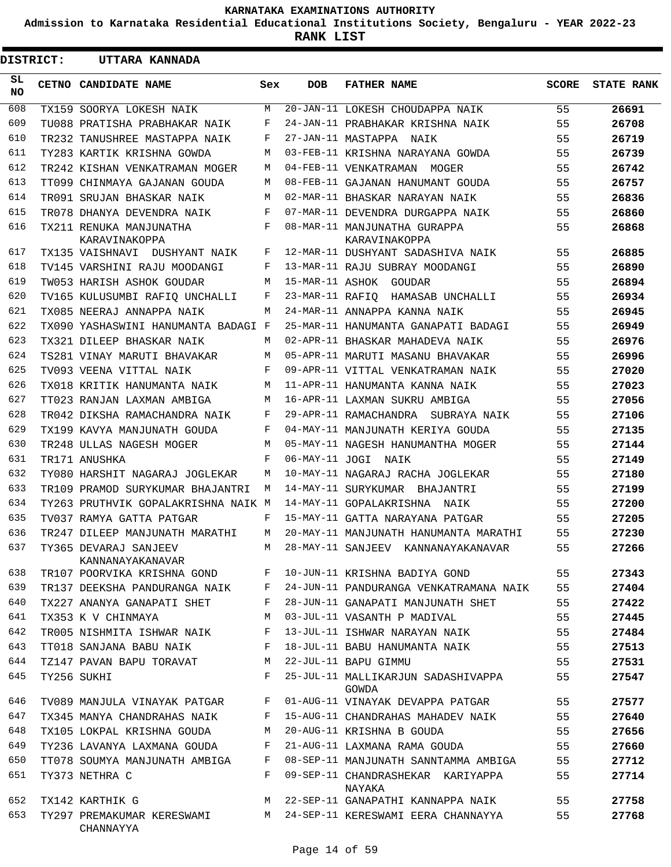**Admission to Karnataka Residential Educational Institutions Society, Bengaluru - YEAR 2022-23**

**RANK LIST**

Е

.

| DISTRICT:  | UTTARA KANNADA                            |              |                 |                                               |              |                   |
|------------|-------------------------------------------|--------------|-----------------|-----------------------------------------------|--------------|-------------------|
| SL.<br>NO. | CETNO CANDIDATE NAME                      | Sex          | <b>DOB</b>      | <b>FATHER NAME</b>                            | <b>SCORE</b> | <b>STATE RANK</b> |
| 608        | TX159 SOORYA LOKESH NAIK                  | M            |                 | 20-JAN-11 LOKESH CHOUDAPPA NAIK               | 55           | 26691             |
| 609        | TU088 PRATISHA PRABHAKAR NAIK             | F            |                 | 24-JAN-11 PRABHAKAR KRISHNA NAIK              | 55           | 26708             |
| 610        | TR232 TANUSHREE MASTAPPA NAIK             | F            |                 | 27-JAN-11 MASTAPPA NAIK                       | 55           | 26719             |
| 611        | TY283 KARTIK KRISHNA GOWDA                | М            |                 | 03-FEB-11 KRISHNA NARAYANA GOWDA              | 55           | 26739             |
| 612        | TR242 KISHAN VENKATRAMAN MOGER            | М            |                 | 04-FEB-11 VENKATRAMAN MOGER                   | 55           | 26742             |
| 613        | TT099 CHINMAYA GAJANAN GOUDA              | М            |                 | 08-FEB-11 GAJANAN HANUMANT GOUDA              | 55           | 26757             |
| 614        | TR091 SRUJAN BHASKAR NAIK                 | М            |                 | 02-MAR-11 BHASKAR NARAYAN NAIK                | 55           | 26836             |
| 615        | TR078 DHANYA DEVENDRA NAIK                | F            |                 | 07-MAR-11 DEVENDRA DURGAPPA NAIK              | 55           | 26860             |
| 616        | TX211 RENUKA MANJUNATHA<br>KARAVINAKOPPA  | F            |                 | 08-MAR-11 MANJUNATHA GURAPPA<br>KARAVINAKOPPA | 55           | 26868             |
| 617        | TX135 VAISHNAVI DUSHYANT NAIK             | F            |                 | 12-MAR-11 DUSHYANT SADASHIVA NAIK             | 55           | 26885             |
| 618        | TV145 VARSHINI RAJU MOODANGI              | F            |                 | 13-MAR-11 RAJU SUBRAY MOODANGI                | 55           | 26890             |
| 619        | TW053 HARISH ASHOK GOUDAR                 | М            |                 | 15-MAR-11 ASHOK GOUDAR                        | 55           | 26894             |
| 620        | TV165 KULUSUMBI RAFIO UNCHALLI            | F            | 23-MAR-11 RAFIQ | HAMASAB UNCHALLI                              | 55           | 26934             |
| 621        | TX085 NEERAJ ANNAPPA NAIK                 | М            |                 | 24-MAR-11 ANNAPPA KANNA NAIK                  | 55           | 26945             |
| 622        | TX090 YASHASWINI HANUMANTA BADAGI F       |              |                 | 25-MAR-11 HANUMANTA GANAPATI BADAGI           | 55           | 26949             |
| 623        | TX321 DILEEP BHASKAR NAIK                 | М            |                 | 02-APR-11 BHASKAR MAHADEVA NAIK               | 55           | 26976             |
| 624        | TS281 VINAY MARUTI BHAVAKAR               | М            |                 | 05-APR-11 MARUTI MASANU BHAVAKAR              | 55           | 26996             |
| 625        | TV093 VEENA VITTAL NAIK                   | F            |                 | 09-APR-11 VITTAL VENKATRAMAN NAIK             | 55           | 27020             |
| 626        | TX018 KRITIK HANUMANTA NAIK               | М            |                 | 11-APR-11 HANUMANTA KANNA NAIK                | 55           | 27023             |
| 627        | TT023 RANJAN LAXMAN AMBIGA                | M            |                 | 16-APR-11 LAXMAN SUKRU AMBIGA                 | 55           | 27056             |
| 628        | TR042 DIKSHA RAMACHANDRA NAIK             | F            |                 | 29-APR-11 RAMACHANDRA SUBRAYA NAIK            | 55           | 27106             |
| 629        | TX199 KAVYA MANJUNATH GOUDA               | F            |                 | 04-MAY-11 MANJUNATH KERIYA GOUDA              | 55           | 27135             |
| 630        | TR248 ULLAS NAGESH MOGER                  | M            |                 | 05-MAY-11 NAGESH HANUMANTHA MOGER             | 55           | 27144             |
| 631        | TR171 ANUSHKA                             | F            |                 | 06-MAY-11 JOGI NAIK                           | 55           | 27149             |
| 632        | TY080 HARSHIT NAGARAJ JOGLEKAR            | М            |                 | 10-MAY-11 NAGARAJ RACHA JOGLEKAR              | 55           | 27180             |
| 633        | TR109 PRAMOD SURYKUMAR BHAJANTRI          | М            |                 | 14-MAY-11 SURYKUMAR BHAJANTRI                 | 55           | 27199             |
| 634        | TY263 PRUTHVIK GOPALAKRISHNA NAIK M       |              |                 | 14-MAY-11 GOPALAKRISHNA<br>NAIK               | 55           | 27200             |
| 635        | TV037 RAMYA GATTA PATGAR                  | F            |                 | 15-MAY-11 GATTA NARAYANA PATGAR               | 55           | 27205             |
| 636        | TR247 DILEEP MANJUNATH MARATHI            | М            |                 | 20-MAY-11 MANJUNATH HANUMANTA MARATHI         | 55           | 27230             |
| 637        | TY365 DEVARAJ SANJEEV<br>KANNANAYAKANAVAR | M            |                 | 28-MAY-11 SANJEEV KANNANAYAKANAVAR            | 55           | 27266             |
| 638        | TR107 POORVIKA KRISHNA GOND F             |              |                 | 10-JUN-11 KRISHNA BADIYA GOND                 | 55           | 27343             |
| 639        | TR137 DEEKSHA PANDURANGA NAIK             | $\mathbf{F}$ |                 | 24-JUN-11 PANDURANGA VENKATRAMANA NAIK        | 55           | 27404             |
| 640        | TX227 ANANYA GANAPATI SHET                | F            |                 | 28-JUN-11 GANAPATI MANJUNATH SHET             | 55           | 27422             |
| 641        | TX353 K V CHINMAYA                        | М            |                 | 03-JUL-11 VASANTH P MADIVAL                   | 55           | 27445             |
| 642        | TR005 NISHMITA ISHWAR NAIK                | F            |                 | 13-JUL-11 ISHWAR NARAYAN NAIK                 | 55           | 27484             |
| 643        | TT018 SANJANA BABU NAIK                   | F            |                 | 18-JUL-11 BABU HANUMANTA NAIK                 | 55           | 27513             |
| 644        | TZ147 PAVAN BAPU TORAVAT                  | M            |                 | 22-JUL-11 BAPU GIMMU                          | 55           | 27531             |
| 645        | TY256 SUKHI                               | F            |                 | 25-JUL-11 MALLIKARJUN SADASHIVAPPA<br>GOWDA   | 55           | 27547             |
| 646        | TV089 MANJULA VINAYAK PATGAR              | F            |                 | 01-AUG-11 VINAYAK DEVAPPA PATGAR              | 55           | 27577             |
| 647        | TX345 MANYA CHANDRAHAS NAIK               | F            |                 | 15-AUG-11 CHANDRAHAS MAHADEV NAIK             | 55           | 27640             |
| 648        | TX105 LOKPAL KRISHNA GOUDA                | М            |                 | 20-AUG-11 KRISHNA B GOUDA                     | 55           | 27656             |
| 649        | TY236 LAVANYA LAXMANA GOUDA               | F            |                 | 21-AUG-11 LAXMANA RAMA GOUDA                  | 55           | 27660             |
| 650        | TT078 SOUMYA MANJUNATH AMBIGA             | F            |                 | 08-SEP-11 MANJUNATH SANNTAMMA AMBIGA          | 55           | 27712             |
| 651        | TY373 NETHRA C                            | F            |                 | 09-SEP-11 CHANDRASHEKAR KARIYAPPA<br>NAYAKA   | 55           | 27714             |
| 652        | TX142 KARTHIK G                           | М            |                 | 22-SEP-11 GANAPATHI KANNAPPA NAIK             | 55           | 27758             |
| 653        | TY297 PREMAKUMAR KERESWAMI<br>CHANNAYYA   | M            |                 | 24-SEP-11 KERESWAMI EERA CHANNAYYA            | 55           | 27768             |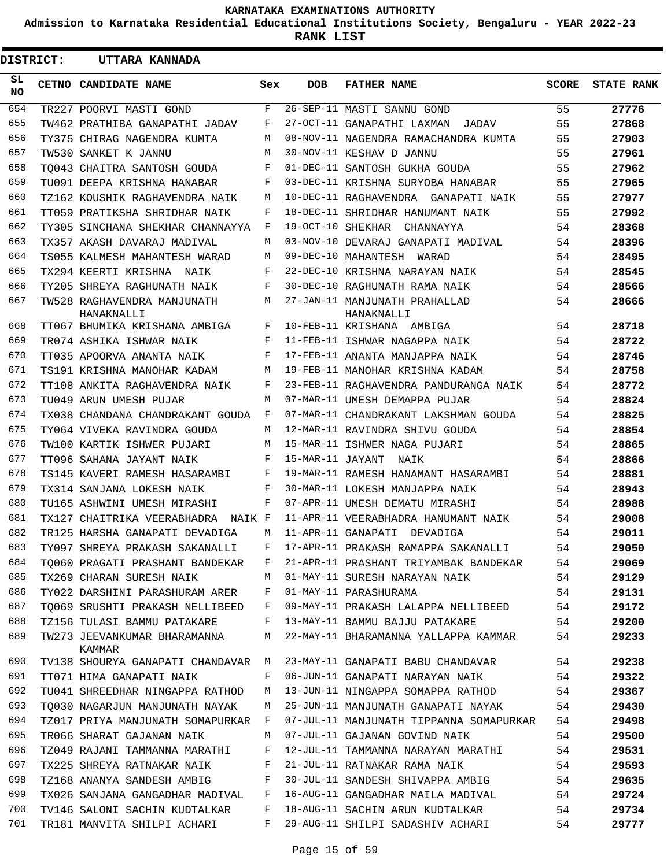**Admission to Karnataka Residential Educational Institutions Society, Bengaluru - YEAR 2022-23**

**RANK LIST**

 $\blacksquare$ 

| <b>DISTRICT:</b> | UTTARA KANNADA                            |              |                  |                                             |              |                   |
|------------------|-------------------------------------------|--------------|------------------|---------------------------------------------|--------------|-------------------|
| SL.<br>NO.       | CETNO CANDIDATE NAME                      | Sex          | DOB              | <b>FATHER NAME</b>                          | <b>SCORE</b> | <b>STATE RANK</b> |
| 654              | TR227 POORVI MASTI GOND                   | F            |                  | 26-SEP-11 MASTI SANNU GOND                  | 55           | 27776             |
| 655              | TW462 PRATHIBA GANAPATHI JADAV            | F            |                  | 27-OCT-11 GANAPATHI LAXMAN<br>JADAV         | 55           | 27868             |
| 656              | TY375 CHIRAG NAGENDRA KUMTA               | M            |                  | 08-NOV-11 NAGENDRA RAMACHANDRA KUMTA        | 55           | 27903             |
| 657              | TW530 SANKET K JANNU                      | M            |                  | 30-NOV-11 KESHAV D JANNU                    | 55           | 27961             |
| 658              | TO043 CHAITRA SANTOSH GOUDA               | F            |                  | 01-DEC-11 SANTOSH GUKHA GOUDA               | 55           | 27962             |
| 659              | TU091 DEEPA KRISHNA HANABAR               | F            |                  | 03-DEC-11 KRISHNA SURYOBA HANABAR           | 55           | 27965             |
| 660              | TZ162 KOUSHIK RAGHAVENDRA NAIK            | M            |                  | 10-DEC-11 RAGHAVENDRA GANAPATI NAIK         | 55           | 27977             |
| 661              | TT059 PRATIKSHA SHRIDHAR NAIK             | F            |                  | 18-DEC-11 SHRIDHAR HANUMANT NAIK            | 55           | 27992             |
| 662              | TY305 SINCHANA SHEKHAR CHANNAYYA          | F            |                  | 19-OCT-10 SHEKHAR<br>CHANNAYYA              | 54           | 28368             |
| 663              | TX357 AKASH DAVARAJ MADIVAL               | M            |                  | 03-NOV-10 DEVARAJ GANAPATI MADIVAL          | 54           | 28396             |
| 664              | TS055 KALMESH MAHANTESH WARAD             | M            |                  | 09-DEC-10 MAHANTESH WARAD                   | 54           | 28495             |
| 665              | TX294 KEERTI KRISHNA NAIK                 | F            |                  | 22-DEC-10 KRISHNA NARAYAN NAIK              | 54           | 28545             |
| 666              | TY205 SHREYA RAGHUNATH NAIK               | F            |                  | 30-DEC-10 RAGHUNATH RAMA NAIK               | 54           | 28566             |
| 667              | TW528 RAGHAVENDRA MANJUNATH<br>HANAKNALLI | M            |                  | 27-JAN-11 MANJUNATH PRAHALLAD<br>HANAKNALLI | 54           | 28666             |
| 668              | TT067 BHUMIKA KRISHANA AMBIGA             | F            |                  | 10-FEB-11 KRISHANA AMBIGA                   | 54           | 28718             |
| 669              | TR074 ASHIKA ISHWAR NAIK                  | F            |                  | 11-FEB-11 ISHWAR NAGAPPA NAIK               | 54           | 28722             |
| 670              | TT035 APOORVA ANANTA NAIK                 | F            |                  | 17-FEB-11 ANANTA MANJAPPA NAIK              | 54           | 28746             |
| 671              | TS191 KRISHNA MANOHAR KADAM               | M            |                  | 19-FEB-11 MANOHAR KRISHNA KADAM             | 54           | 28758             |
| 672              | TT108 ANKITA RAGHAVENDRA NAIK             | F            |                  | 23-FEB-11 RAGHAVENDRA PANDURANGA NAIK       | 54           | 28772             |
| 673              | TU049 ARUN UMESH PUJAR                    | M            |                  | 07-MAR-11 UMESH DEMAPPA PUJAR               | 54           | 28824             |
| 674              | TX038 CHANDANA CHANDRAKANT GOUDA          | F            |                  | 07-MAR-11 CHANDRAKANT LAKSHMAN GOUDA        | 54           | 28825             |
| 675              | TY064 VIVEKA RAVINDRA GOUDA               | M            |                  | 12-MAR-11 RAVINDRA SHIVU GOUDA              | 54           | 28854             |
| 676              | TW100 KARTIK ISHWER PUJARI                | M            |                  | 15-MAR-11 ISHWER NAGA PUJARI                | 54           | 28865             |
| 677              | TT096 SAHANA JAYANT NAIK                  | F            | 15-MAR-11 JAYANT | NAIK                                        | 54           | 28866             |
| 678              | TS145 KAVERI RAMESH HASARAMBI             | F            |                  | 19-MAR-11 RAMESH HANAMANT HASARAMBI         | 54           | 28881             |
| 679              | TX314 SANJANA LOKESH NAIK                 | F            |                  | 30-MAR-11 LOKESH MANJAPPA NAIK              | 54           | 28943             |
| 680              | TU165 ASHWINI UMESH MIRASHI               | F            |                  | 07-APR-11 UMESH DEMATU MIRASHI              | 54           | 28988             |
| 681              | TX127 CHAITRIKA VEERABHADRA<br>NAIK F     |              |                  | 11-APR-11 VEERABHADRA HANUMANT NAIK         | 54           | 29008             |
| 682              | TR125 HARSHA GANAPATI DEVADIGA            | M            |                  | 11-APR-11 GANAPATI DEVADIGA                 | 54           | 29011             |
| 683              | TY097 SHREYA PRAKASH SAKANALLI            | F            |                  | 17-APR-11 PRAKASH RAMAPPA SAKANALLI         | 54           | 29050             |
| 684              | TO060 PRAGATI PRASHANT BANDEKAR           | F            |                  | 21-APR-11 PRASHANT TRIYAMBAK BANDEKAR       | 54           | 29069             |
| 685              | TX269 CHARAN SURESH NAIK                  | М            |                  | 01-MAY-11 SURESH NARAYAN NAIK               | 54           | 29129             |
| 686              | TY022 DARSHINI PARASHURAM ARER            | F            |                  | 01-MAY-11 PARASHURAMA                       | 54           | 29131             |
| 687              | TO069 SRUSHTI PRAKASH NELLIBEED           | F            |                  | 09-MAY-11 PRAKASH LALAPPA NELLIBEED         | 54           | 29172             |
| 688              | TZ156 TULASI BAMMU PATAKARE               | F            |                  | 13-MAY-11 BAMMU BAJJU PATAKARE              | 54           | 29200             |
| 689              | TW273 JEEVANKUMAR BHARAMANNA              | М            |                  | 22-MAY-11 BHARAMANNA YALLAPPA KAMMAR        | 54           | 29233             |
|                  | KAMMAR                                    |              |                  |                                             |              |                   |
| 690              | TV138 SHOURYA GANAPATI CHANDAVAR          | M            |                  | 23-MAY-11 GANAPATI BABU CHANDAVAR           | 54           | 29238             |
| 691              | TT071 HIMA GANAPATI NAIK                  | F            |                  | 06-JUN-11 GANAPATI NARAYAN NAIK             | 54           | 29322             |
| 692              | TU041 SHREEDHAR NINGAPPA RATHOD           | М            |                  | 13-JUN-11 NINGAPPA SOMAPPA RATHOD           | 54           | 29367             |
| 693              | TO030 NAGARJUN MANJUNATH NAYAK            | M            |                  | 25-JUN-11 MANJUNATH GANAPATI NAYAK          | 54           | 29430             |
| 694              | TZ017 PRIYA MANJUNATH SOMAPURKAR          | $\mathbf{F}$ |                  | 07-JUL-11 MANJUNATH TIPPANNA SOMAPURKAR     | 54           | 29498             |
| 695              | TR066 SHARAT GAJANAN NAIK                 | M            |                  | 07-JUL-11 GAJANAN GOVIND NAIK               | 54           | 29500             |
| 696              | TZ049 RAJANI TAMMANNA MARATHI             | F            |                  | 12-JUL-11 TAMMANNA NARAYAN MARATHI          | 54           | 29531             |
| 697              | TX225 SHREYA RATNAKAR NAIK                | F            |                  | 21-JUL-11 RATNAKAR RAMA NAIK                | 54           | 29593             |
| 698              | TZ168 ANANYA SANDESH AMBIG                | F            |                  | 30-JUL-11 SANDESH SHIVAPPA AMBIG            | 54           | 29635             |
| 699              | TX026 SANJANA GANGADHAR MADIVAL           | F            |                  | 16-AUG-11 GANGADHAR MAILA MADIVAL           | 54           | 29724             |
| 700              | TV146 SALONI SACHIN KUDTALKAR             | F            |                  | 18-AUG-11 SACHIN ARUN KUDTALKAR             | 54           | 29734             |
| 701              | TR181 MANVITA SHILPI ACHARI               | F            |                  | 29-AUG-11 SHILPI SADASHIV ACHARI            | 54           | 29777             |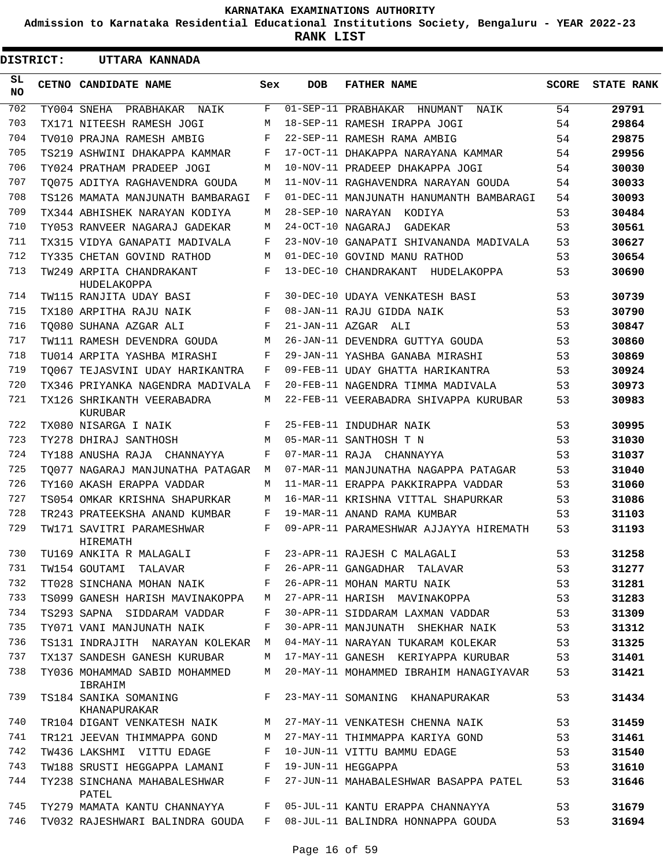**Admission to Karnataka Residential Educational Institutions Society, Bengaluru - YEAR 2022-23**

**RANK LIST**

 $\blacksquare$ 

| <b>DISTRICT:</b> | UTTARA KANNADA                           |     |                   |                                         |       |                   |
|------------------|------------------------------------------|-----|-------------------|-----------------------------------------|-------|-------------------|
| SL<br>NO         | CETNO CANDIDATE NAME                     | Sex | <b>DOB</b>        | <b>FATHER NAME</b>                      | SCORE | <b>STATE RANK</b> |
| 702              | TY004 SNEHA<br>PRABHAKAR<br>NAIK         | F   |                   | 01-SEP-11 PRABHAKAR HNUMANT<br>NAIK     | 54    | 29791             |
| 703              | TX171 NITEESH RAMESH JOGI                | М   |                   | 18-SEP-11 RAMESH IRAPPA JOGI            | 54    | 29864             |
| 704              | TV010 PRAJNA RAMESH AMBIG                | F   |                   | 22-SEP-11 RAMESH RAMA AMBIG             | 54    | 29875             |
| 705              | TS219 ASHWINI DHAKAPPA KAMMAR            | F   |                   | 17-OCT-11 DHAKAPPA NARAYANA KAMMAR      | 54    | 29956             |
| 706              | TY024 PRATHAM PRADEEP JOGI               | M   |                   | 10-NOV-11 PRADEEP DHAKAPPA JOGI         | 54    | 30030             |
| 707              | TO075 ADITYA RAGHAVENDRA GOUDA           | М   |                   | 11-NOV-11 RAGHAVENDRA NARAYAN GOUDA     | 54    | 30033             |
| 708              | TS126 MAMATA MANJUNATH BAMBARAGI         | F   |                   | 01-DEC-11 MANJUNATH HANUMANTH BAMBARAGI | 54    | 30093             |
| 709              | TX344 ABHISHEK NARAYAN KODIYA            | М   | 28-SEP-10 NARAYAN | KODIYA                                  | 53    | 30484             |
| 710              | TY053 RANVEER NAGARAJ GADEKAR            | М   | 24-OCT-10 NAGARAJ | GADEKAR                                 | 53    | 30561             |
| 711              | TX315 VIDYA GANAPATI MADIVALA            | F   |                   | 23-NOV-10 GANAPATI SHIVANANDA MADIVALA  | 53    | 30627             |
| 712              | TY335 CHETAN GOVIND RATHOD               | М   |                   | 01-DEC-10 GOVIND MANU RATHOD            | 53    | 30654             |
| 713              | TW249 ARPITA CHANDRAKANT<br>HUDELAKOPPA  | F   |                   | 13-DEC-10 CHANDRAKANT<br>HUDELAKOPPA    | 53    | 30690             |
| 714              | TW115 RANJITA UDAY BASI                  | F   |                   | 30-DEC-10 UDAYA VENKATESH BASI          | 53    | 30739             |
| 715              | TX180 ARPITHA RAJU NAIK                  | F   |                   | 08-JAN-11 RAJU GIDDA NAIK               | 53    | 30790             |
| 716              | TO080 SUHANA AZGAR ALI                   | F   |                   | 21-JAN-11 AZGAR ALI                     | 53    | 30847             |
| 717              | TW111 RAMESH DEVENDRA GOUDA              | М   |                   | 26-JAN-11 DEVENDRA GUTTYA GOUDA         | 53    | 30860             |
| 718              | TU014 ARPITA YASHBA MIRASHI              | F   |                   | 29-JAN-11 YASHBA GANABA MIRASHI         | 53    | 30869             |
| 719              | TO067 TEJASVINI UDAY HARIKANTRA          | F   |                   | 09-FEB-11 UDAY GHATTA HARIKANTRA        | 53    | 30924             |
| 720              | TX346 PRIYANKA NAGENDRA MADIVALA         | F   |                   | 20-FEB-11 NAGENDRA TIMMA MADIVALA       | 53    | 30973             |
| 721              | TX126 SHRIKANTH VEERABADRA<br>KURUBAR    | M   |                   | 22-FEB-11 VEERABADRA SHIVAPPA KURUBAR   | 53    | 30983             |
| 722              | TX080 NISARGA I NAIK                     | F   |                   | 25-FEB-11 INDUDHAR NAIK                 | 53    | 30995             |
| 723              | TY278 DHIRAJ SANTHOSH                    | M   |                   | 05-MAR-11 SANTHOSH T N                  | 53    | 31030             |
| 724              | TY188 ANUSHA RAJA CHANNAYYA              | F   |                   | 07-MAR-11 RAJA CHANNAYYA                | 53    | 31037             |
| 725              | TO077 NAGARAJ MANJUNATHA PATAGAR         | M   |                   | 07-MAR-11 MANJUNATHA NAGAPPA PATAGAR    | 53    | 31040             |
| 726              | TY160 AKASH ERAPPA VADDAR                | М   |                   | 11-MAR-11 ERAPPA PAKKIRAPPA VADDAR      | 53    | 31060             |
| 727              | TS054 OMKAR KRISHNA SHAPURKAR            | М   |                   | 16-MAR-11 KRISHNA VITTAL SHAPURKAR      | 53    | 31086             |
| 728              | TR243 PRATEEKSHA ANAND KUMBAR            | F   |                   | 19-MAR-11 ANAND RAMA KUMBAR             | 53    | 31103             |
| 729              | TW171 SAVITRI PARAMESHWAR<br>HIREMATH    | F   |                   | 09-APR-11 PARAMESHWAR AJJAYYA HIREMATH  | 53    | 31193             |
| 730              | TU169 ANKITA R MALAGALI                  | F   |                   | 23-APR-11 RAJESH C MALAGALI             | 53    | 31258             |
| 731              | TW154 GOUTAMI TALAVAR                    | F   |                   | 26-APR-11 GANGADHAR TALAVAR             | 53    | 31277             |
| 732              | TT028 SINCHANA MOHAN NAIK                | F   |                   | 26-APR-11 MOHAN MARTU NAIK              | 53    | 31281             |
| 733              | TS099 GANESH HARISH MAVINAKOPPA          | M   |                   | 27-APR-11 HARISH MAVINAKOPPA            | 53    | 31283             |
| 734              | TS293 SAPNA SIDDARAM VADDAR              | F   |                   | 30-APR-11 SIDDARAM LAXMAN VADDAR        | 53    | 31309             |
| 735              | TY071 VANI MANJUNATH NAIK                | F   |                   | 30-APR-11 MANJUNATH SHEKHAR NAIK        | 53    | 31312             |
| 736              | TS131 INDRAJITH NARAYAN KOLEKAR M        |     |                   | 04-MAY-11 NARAYAN TUKARAM KOLEKAR       | 53    | 31325             |
| 737              | TX137 SANDESH GANESH KURUBAR             | M   |                   | 17-MAY-11 GANESH KERIYAPPA KURUBAR      | 53    | 31401             |
| 738              | TY036 MOHAMMAD SABID MOHAMMED<br>IBRAHIM | М   |                   | 20-MAY-11 MOHAMMED IBRAHIM HANAGIYAVAR  | 53    | 31421             |
| 739              | TS184 SANIKA SOMANING<br>KHANAPURAKAR    | F   |                   | 23-MAY-11 SOMANING KHANAPURAKAR         | 53    | 31434             |
| 740              | TR104 DIGANT VENKATESH NAIK              | M   |                   | 27-MAY-11 VENKATESH CHENNA NAIK         | 53    | 31459             |
| 741              | TR121 JEEVAN THIMMAPPA GOND              | M   |                   | 27-MAY-11 THIMMAPPA KARIYA GOND         | 53    | 31461             |
| 742              | TW436 LAKSHMI VITTU EDAGE                | F   |                   | 10-JUN-11 VITTU BAMMU EDAGE             | 53    | 31540             |
| 743              | TW188 SRUSTI HEGGAPPA LAMANI             | F   |                   | 19-JUN-11 HEGGAPPA                      | 53    | 31610             |
| 744              | TY238 SINCHANA MAHABALESHWAR<br>PATEL    | F   |                   | 27-JUN-11 MAHABALESHWAR BASAPPA PATEL   | 53    | 31646             |
| 745              | TY279 MAMATA KANTU CHANNAYYA             | F   |                   | 05-JUL-11 KANTU ERAPPA CHANNAYYA        | 53    | 31679             |
| 746              | TV032 RAJESHWARI BALINDRA GOUDA          | F   |                   | 08-JUL-11 BALINDRA HONNAPPA GOUDA       | 53    | 31694             |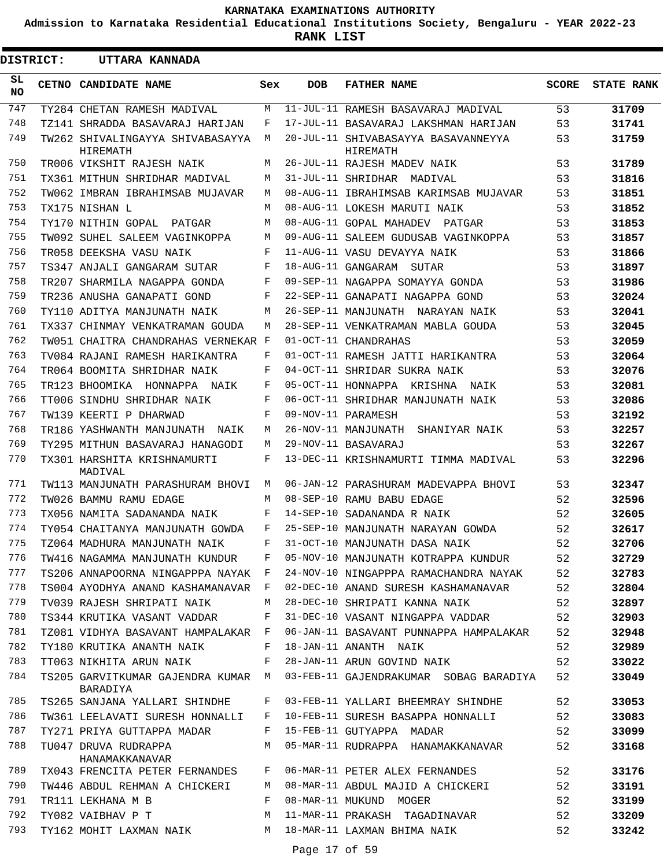**Admission to Karnataka Residential Educational Institutions Society, Bengaluru - YEAR 2022-23**

**RANK LIST**

| <b>DISTRICT:</b> |  | UTTARA KANNADA                                 |     |            |                                                 |              |                   |
|------------------|--|------------------------------------------------|-----|------------|-------------------------------------------------|--------------|-------------------|
| SL.<br>NO.       |  | CETNO CANDIDATE NAME                           | Sex | <b>DOB</b> | <b>FATHER NAME</b>                              | <b>SCORE</b> | <b>STATE RANK</b> |
| 747              |  | TY284 CHETAN RAMESH MADIVAL                    | М   |            | 11-JUL-11 RAMESH BASAVARAJ MADIVAL              | 53           | 31709             |
| 748              |  | TZ141 SHRADDA BASAVARAJ HARIJAN                | F   |            | 17-JUL-11 BASAVARAJ LAKSHMAN HARIJAN            | 53           | 31741             |
| 749              |  | TW262 SHIVALINGAYYA SHIVABASAYYA<br>HIREMATH   | М   |            | 20-JUL-11 SHIVABASAYYA BASAVANNEYYA<br>HIREMATH | 53           | 31759             |
| 750              |  | TR006 VIKSHIT RAJESH NAIK                      | М   |            | 26-JUL-11 RAJESH MADEV NAIK                     | 53           | 31789             |
| 751              |  | TX361 MITHUN SHRIDHAR MADIVAL                  | M   |            | 31-JUL-11 SHRIDHAR MADIVAL                      | 53           | 31816             |
| 752              |  | TW062 IMBRAN IBRAHIMSAB MUJAVAR                | М   |            | 08-AUG-11 IBRAHIMSAB KARIMSAB MUJAVAR           | 53           | 31851             |
| 753              |  | TX175 NISHAN L                                 | M   |            | 08-AUG-11 LOKESH MARUTI NAIK                    | 53           | 31852             |
| 754              |  | TY170 NITHIN GOPAL PATGAR                      | М   |            | 08-AUG-11 GOPAL MAHADEV PATGAR                  | 53           | 31853             |
| 755              |  | TW092 SUHEL SALEEM VAGINKOPPA                  | М   |            | 09-AUG-11 SALEEM GUDUSAB VAGINKOPPA             | 53           | 31857             |
| 756              |  | TR058 DEEKSHA VASU NAIK                        | F   |            | 11-AUG-11 VASU DEVAYYA NAIK                     | 53           | 31866             |
| 757              |  | TS347 ANJALI GANGARAM SUTAR                    | F   |            | 18-AUG-11 GANGARAM SUTAR                        | 53           | 31897             |
| 758              |  | TR207 SHARMILA NAGAPPA GONDA                   | F   |            | 09-SEP-11 NAGAPPA SOMAYYA GONDA                 | 53           | 31986             |
| 759              |  | TR236 ANUSHA GANAPATI GOND                     | F   |            | 22-SEP-11 GANAPATI NAGAPPA GOND                 | 53           | 32024             |
| 760              |  | TY110 ADITYA MANJUNATH NAIK                    | М   |            | 26-SEP-11 MANJUNATH NARAYAN NAIK                | 53           | 32041             |
| 761              |  | TX337 CHINMAY VENKATRAMAN GOUDA                | М   |            | 28-SEP-11 VENKATRAMAN MABLA GOUDA               | 53           | 32045             |
| 762              |  | TW051 CHAITRA CHANDRAHAS VERNEKAR F            |     |            | 01-OCT-11 CHANDRAHAS                            | 53           | 32059             |
| 763              |  | TV084 RAJANI RAMESH HARIKANTRA                 | F   |            | 01-OCT-11 RAMESH JATTI HARIKANTRA               | 53           | 32064             |
| 764              |  | TR064 BOOMITA SHRIDHAR NAIK                    | F   |            | 04-OCT-11 SHRIDAR SUKRA NAIK                    | 53           | 32076             |
| 765              |  | TR123 BHOOMIKA HONNAPPA NAIK                   | F   |            | 05-OCT-11 HONNAPPA KRISHNA NAIK                 | 53           | 32081             |
| 766              |  | TT006 SINDHU SHRIDHAR NAIK                     | F   |            | 06-OCT-11 SHRIDHAR MANJUNATH NAIK               | 53           | 32086             |
| 767              |  | TW139 KEERTI P DHARWAD                         | F   |            | 09-NOV-11 PARAMESH                              | 53           | 32192             |
| 768              |  | TR186 YASHWANTH MANJUNATH NAIK                 | М   |            | 26-NOV-11 MANJUNATH<br>SHANIYAR NAIK            | 53           | 32257             |
| 769              |  | TY295 MITHUN BASAVARAJ HANAGODI                | М   |            | 29-NOV-11 BASAVARAJ                             | 53           | 32267             |
| 770              |  | TX301 HARSHITA KRISHNAMURTI<br>MADIVAL         | F   |            | 13-DEC-11 KRISHNAMURTI TIMMA MADIVAL            | 53           | 32296             |
| 771              |  | TW113 MANJUNATH PARASHURAM BHOVI               | M   |            | 06-JAN-12 PARASHURAM MADEVAPPA BHOVI            | 53           | 32347             |
| 772              |  | TW026 BAMMU RAMU EDAGE                         | M   |            | 08-SEP-10 RAMU BABU EDAGE                       | 52           | 32596             |
| 773              |  | TX056 NAMITA SADANANDA NAIK                    | F   |            | 14-SEP-10 SADANANDA R NAIK                      | 52           | 32605             |
| 774              |  | TY054 CHAITANYA MANJUNATH GOWDA                | F   |            | 25-SEP-10 MANJUNATH NARAYAN GOWDA               | 52           | 32617             |
| 775              |  | TZ064 MADHURA MANJUNATH NAIK                   | F.  |            | 31-OCT-10 MANJUNATH DASA NAIK                   | 52           | 32706             |
| 776              |  | TW416 NAGAMMA MANJUNATH KUNDUR                 | F   |            | 05-NOV-10 MANJUNATH KOTRAPPA KUNDUR             | 52           | 32729             |
| 777              |  | TS206 ANNAPOORNA NINGAPPPA NAYAK F             |     |            | 24-NOV-10 NINGAPPPA RAMACHANDRA NAYAK           | 52           | 32783             |
| 778              |  | TS004 AYODHYA ANAND KASHAMANAVAR F             |     |            | 02-DEC-10 ANAND SURESH KASHAMANAVAR             | 52           | 32804             |
| 779              |  | TV039 RAJESH SHRIPATI NAIK                     | М   |            | 28-DEC-10 SHRIPATI KANNA NAIK                   | 52           | 32897             |
| 780              |  | TS344 KRUTIKA VASANT VADDAR                    | F   |            | 31-DEC-10 VASANT NINGAPPA VADDAR                | 52           | 32903             |
| 781              |  | TZ081 VIDHYA BASAVANT HAMPALAKAR               | F   |            | 06-JAN-11 BASAVANT PUNNAPPA HAMPALAKAR          | 52           | 32948             |
| 782              |  | TY180 KRUTIKA ANANTH NAIK                      | F   |            | 18-JAN-11 ANANTH NAIK                           | 52           | 32989             |
| 783              |  | TT063 NIKHITA ARUN NAIK                        | F   |            | 28-JAN-11 ARUN GOVIND NAIK                      | 52           | 33022             |
| 784              |  | TS205 GARVITKUMAR GAJENDRA KUMAR M<br>BARADIYA |     |            | 03-FEB-11 GAJENDRAKUMAR SOBAG BARADIYA          | 52           | 33049             |
| 785              |  | TS265 SANJANA YALLARI SHINDHE                  | F   |            | 03-FEB-11 YALLARI BHEEMRAY SHINDHE              | 52           | 33053             |
| 786              |  | TW361 LEELAVATI SURESH HONNALLI                | F   |            | 10-FEB-11 SURESH BASAPPA HONNALLI               | 52           | 33083             |
| 787              |  | TY271 PRIYA GUTTAPPA MADAR                     | F   |            | 15-FEB-11 GUTYAPPA MADAR                        | 52           | 33099             |
| 788              |  | TU047 DRUVA RUDRAPPA<br>HANAMAKKANAVAR         | M   |            | 05-MAR-11 RUDRAPPA HANAMAKKANAVAR               | 52           | 33168             |
| 789              |  | TX043 FRENCITA PETER FERNANDES                 | F   |            | 06-MAR-11 PETER ALEX FERNANDES                  | 52           | 33176             |
| 790              |  | TW446 ABDUL REHMAN A CHICKERI                  | M   |            | 08-MAR-11 ABDUL MAJID A CHICKERI                | 52           | 33191             |
| 791              |  | TR111 LEKHANA M B                              | F   |            | 08-MAR-11 MUKUND MOGER                          | 52           | 33199             |
| 792              |  | TY082 VAIBHAV P T                              | М   |            | 11-MAR-11 PRAKASH TAGADINAVAR                   | 52           | 33209             |
| 793              |  | TY162 MOHIT LAXMAN NAIK                        | М   |            | 18-MAR-11 LAXMAN BHIMA NAIK                     | 52           | 33242             |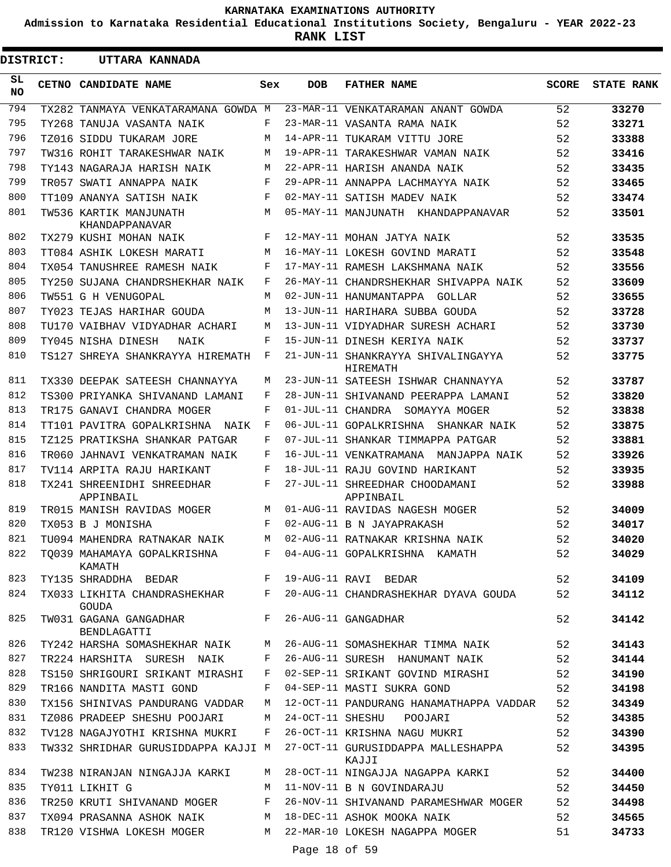**Admission to Karnataka Residential Educational Institutions Society, Bengaluru - YEAR 2022-23**

**RANK LIST**

|                 | <b>DISTRICT:</b> | UTTARA KANNADA                               |     |               |                                                |              |                   |
|-----------------|------------------|----------------------------------------------|-----|---------------|------------------------------------------------|--------------|-------------------|
| SL<br><b>NO</b> |                  | CETNO CANDIDATE NAME                         | Sex | <b>DOB</b>    | <b>FATHER NAME</b>                             | <b>SCORE</b> | <b>STATE RANK</b> |
| 794             |                  | TX282 TANMAYA VENKATARAMANA GOWDA M          |     |               | 23-MAR-11 VENKATARAMAN ANANT GOWDA             | 52           | 33270             |
| 795             |                  | TY268 TANUJA VASANTA NAIK                    | F   |               | 23-MAR-11 VASANTA RAMA NAIK                    | 52           | 33271             |
| 796             |                  | TZ016 SIDDU TUKARAM JORE                     | М   |               | 14-APR-11 TUKARAM VITTU JORE                   | 52           | 33388             |
| 797             |                  | TW316 ROHIT TARAKESHWAR NAIK                 | М   |               | 19-APR-11 TARAKESHWAR VAMAN NAIK               | 52           | 33416             |
| 798             |                  | TY143 NAGARAJA HARISH NAIK                   | М   |               | 22-APR-11 HARISH ANANDA NAIK                   | 52           | 33435             |
| 799             |                  | TR057 SWATI ANNAPPA NAIK                     | F   |               | 29-APR-11 ANNAPPA LACHMAYYA NAIK               | 52           | 33465             |
| 800             |                  | TT109 ANANYA SATISH NAIK                     | F   |               | 02-MAY-11 SATISH MADEV NAIK                    | 52           | 33474             |
| 801             |                  | TW536 KARTIK MANJUNATH<br>KHANDAPPANAVAR     | М   |               | 05-MAY-11 MANJUNATH KHANDAPPANAVAR             | 52           | 33501             |
| 802             |                  | TX279 KUSHI MOHAN NAIK                       | F   |               | 12-MAY-11 MOHAN JATYA NAIK                     | 52           | 33535             |
| 803             |                  | TT084 ASHIK LOKESH MARATI                    | М   |               | 16-MAY-11 LOKESH GOVIND MARATI                 | 52           | 33548             |
| 804             |                  | TX054 TANUSHREE RAMESH NAIK                  | F   |               | 17-MAY-11 RAMESH LAKSHMANA NAIK                | 52           | 33556             |
| 805             |                  | TY250 SUJANA CHANDRSHEKHAR NAIK              | F   |               | 26-MAY-11 CHANDRSHEKHAR SHIVAPPA NAIK          | 52           | 33609             |
| 806             |                  | TW551 G H VENUGOPAL                          | М   |               | 02-JUN-11 HANUMANTAPPA GOLLAR                  | 52           | 33655             |
| 807             |                  | TY023 TEJAS HARIHAR GOUDA                    | M   |               | 13-JUN-11 HARIHARA SUBBA GOUDA                 | 52           | 33728             |
| 808             |                  | TU170 VAIBHAV VIDYADHAR ACHARI               | М   |               | 13-JUN-11 VIDYADHAR SURESH ACHARI              | 52           | 33730             |
| 809             |                  | TY045 NISHA DINESH<br>NAIK                   | F   |               | 15-JUN-11 DINESH KERIYA NAIK                   | 52           | 33737             |
| 810             |                  | TS127 SHREYA SHANKRAYYA HIREMATH             | F   |               | 21-JUN-11 SHANKRAYYA SHIVALINGAYYA<br>HIREMATH | 52           | 33775             |
| 811             |                  | TX330 DEEPAK SATEESH CHANNAYYA               | М   |               | 23-JUN-11 SATEESH ISHWAR CHANNAYYA             | 52           | 33787             |
| 812             |                  | TS300 PRIYANKA SHIVANAND LAMANI              | F   |               | 28-JUN-11 SHIVANAND PEERAPPA LAMANI            | 52           | 33820             |
| 813             |                  | TR175 GANAVI CHANDRA MOGER                   | F   |               | 01-JUL-11 CHANDRA SOMAYYA MOGER                | 52           | 33838             |
| 814             |                  | TT101 PAVITRA GOPALKRISHNA<br>NAIK           | F   |               | 06-JUL-11 GOPALKRISHNA SHANKAR NAIK            | 52           | 33875             |
| 815             |                  | TZ125 PRATIKSHA SHANKAR PATGAR               | F   |               | 07-JUL-11 SHANKAR TIMMAPPA PATGAR              | 52           | 33881             |
| 816             |                  | TR060 JAHNAVI VENKATRAMAN NAIK               | F   |               | 16-JUL-11 VENKATRAMANA MANJAPPA NAIK           | 52           | 33926             |
| 817             |                  | TV114 ARPITA RAJU HARIKANT                   | F   |               | 18-JUL-11 RAJU GOVIND HARIKANT                 | 52           | 33935             |
| 818             |                  | TX241 SHREENIDHI SHREEDHAR<br>APPINBAIL      | F   |               | 27-JUL-11 SHREEDHAR CHOODAMANI<br>APPINBAIL    | 52           | 33988             |
| 819             |                  | TR015 MANISH RAVIDAS MOGER                   | М   |               | 01-AUG-11 RAVIDAS NAGESH MOGER                 | 52           | 34009             |
| 820             |                  | TX053 B J MONISHA                            | F   |               | 02-AUG-11 B N JAYAPRAKASH                      | 52           | 34017             |
| 821             |                  | TU094 MAHENDRA RATNAKAR NAIK                 | M   |               | 02-AUG-11 RATNAKAR KRISHNA NAIK                | 52           | 34020             |
| 822             |                  | TO039 MAHAMAYA GOPALKRISHNA<br>KAMATH        | F   |               | 04-AUG-11 GOPALKRISHNA KAMATH                  | 52           | 34029             |
| 823             |                  | TY135 SHRADDHA BEDAR                         | F   |               | 19-AUG-11 RAVI BEDAR                           | 52           | 34109             |
| 824             |                  | TX033 LIKHITA CHANDRASHEKHAR<br><b>GOUDA</b> | F   |               | 20-AUG-11 CHANDRASHEKHAR DYAVA GOUDA           | 52           | 34112             |
| 825             |                  | TW031 GAGANA GANGADHAR<br>BENDLAGATTI        | F   |               | 26-AUG-11 GANGADHAR                            | 52           | 34142             |
| 826             |                  | TY242 HARSHA SOMASHEKHAR NAIK                | М   |               | 26-AUG-11 SOMASHEKHAR TIMMA NAIK               | 52           | 34143             |
| 827             |                  | TR224 HARSHITA SURESH NAIK                   | F   |               | 26-AUG-11 SURESH HANUMANT NAIK                 | 52           | 34144             |
| 828             |                  | TS150 SHRIGOURI SRIKANT MIRASHI              | F   |               | 02-SEP-11 SRIKANT GOVIND MIRASHI               | 52           | 34190             |
| 829             |                  | TR166 NANDITA MASTI GOND                     | F   |               | 04-SEP-11 MASTI SUKRA GOND                     | 52           | 34198             |
| 830             |                  | TX156 SHINIVAS PANDURANG VADDAR              | M   |               | 12-OCT-11 PANDURANG HANAMATHAPPA VADDAR        | 52           | 34349             |
| 831             |                  | TZ086 PRADEEP SHESHU POOJARI                 | М   |               | 24-OCT-11 SHESHU POOJARI                       | 52           | 34385             |
| 832             |                  | TV128 NAGAJYOTHI KRISHNA MUKRI               | F   |               | 26-OCT-11 KRISHNA NAGU MUKRI                   | 52           | 34390             |
| 833             |                  | TW332 SHRIDHAR GURUSIDDAPPA KAJJI M          |     |               | 27-OCT-11 GURUSIDDAPPA MALLESHAPPA<br>KAJJI    | 52           | 34395             |
| 834             |                  | TW238 NIRANJAN NINGAJJA KARKI                | M   |               | 28-OCT-11 NINGAJJA NAGAPPA KARKI               | 52           | 34400             |
| 835             |                  | TY011 LIKHIT G                               | М   |               | 11-NOV-11 B N GOVINDARAJU                      | 52           | 34450             |
| 836             |                  | TR250 KRUTI SHIVANAND MOGER                  | F   |               | 26-NOV-11 SHIVANAND PARAMESHWAR MOGER          | 52           | 34498             |
| 837             |                  | TX094 PRASANNA ASHOK NAIK                    | M   |               | 18-DEC-11 ASHOK MOOKA NAIK                     | 52           | 34565             |
| 838             |                  | TR120 VISHWA LOKESH MOGER                    | M   |               | 22-MAR-10 LOKESH NAGAPPA MOGER                 | 51           | 34733             |
|                 |                  |                                              |     | Page 18 of 59 |                                                |              |                   |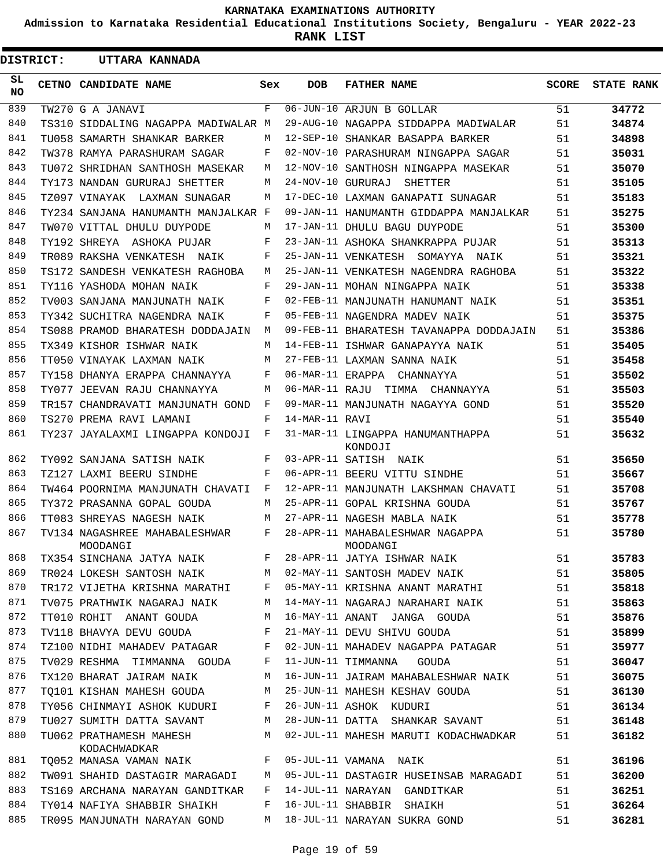**Admission to Karnataka Residential Educational Institutions Society, Bengaluru - YEAR 2022-23**

**RANK LIST**

| <b>DISTRICT:</b> | UTTARA KANNADA                                                                       |              |                |                                                         |       |                   |
|------------------|--------------------------------------------------------------------------------------|--------------|----------------|---------------------------------------------------------|-------|-------------------|
| SL.<br>NO.       | CETNO CANDIDATE NAME                                                                 | Sex          | DOB            | <b>FATHER NAME</b>                                      | SCORE | <b>STATE RANK</b> |
| 839              | TW270 G A JANAVI                                                                     | F            |                | 06-JUN-10 ARJUN B GOLLAR                                | 51    | 34772             |
| 840              | TS310 SIDDALING NAGAPPA MADIWALAR M                                                  |              |                | 29-AUG-10 NAGAPPA SIDDAPPA MADIWALAR                    | 51    | 34874             |
| 841              | TU058 SAMARTH SHANKAR BARKER                                                         | M            |                | 12-SEP-10 SHANKAR BASAPPA BARKER                        | 51    | 34898             |
| 842              | TW378 RAMYA PARASHURAM SAGAR                                                         | F            |                | 02-NOV-10 PARASHURAM NINGAPPA SAGAR                     | 51    | 35031             |
| 843              | TU072 SHRIDHAN SANTHOSH MASEKAR                                                      | M            |                | 12-NOV-10 SANTHOSH NINGAPPA MASEKAR                     | 51    | 35070             |
| 844              | TY173 NANDAN GURURAJ SHETTER                                                         | M            |                | 24-NOV-10 GURURAJ SHETTER                               | 51    | 35105             |
| 845              | TZ097 VINAYAK LAXMAN SUNAGAR                                                         | M            |                | 17-DEC-10 LAXMAN GANAPATI SUNAGAR                       | 51    | 35183             |
| 846              | TY234 SANJANA HANUMANTH MANJALKAR F                                                  |              |                | 09-JAN-11 HANUMANTH GIDDAPPA MANJALKAR                  | 51    | 35275             |
| 847              | TW070 VITTAL DHULU DUYPODE                                                           | M            |                | 17-JAN-11 DHULU BAGU DUYPODE                            | 51    | 35300             |
| 848              | TY192 SHREYA ASHOKA PUJAR                                                            | F            |                | 23-JAN-11 ASHOKA SHANKRAPPA PUJAR                       | 51    | 35313             |
| 849              | TR089 RAKSHA VENKATESH NAIK                                                          | F            |                | 25-JAN-11 VENKATESH SOMAYYA NAIK                        | 51    | 35321             |
| 850              | TS172 SANDESH VENKATESH RAGHOBA                                                      | М            |                | 25-JAN-11 VENKATESH NAGENDRA RAGHOBA                    | 51    | 35322             |
| 851              | TY116 YASHODA MOHAN NAIK                                                             | F            |                | 29-JAN-11 MOHAN NINGAPPA NAIK                           | 51    | 35338             |
| 852              | TV003 SANJANA MANJUNATH NAIK                                                         | F            |                | 02-FEB-11 MANJUNATH HANUMANT NAIK                       | 51    | 35351             |
| 853              | TY342 SUCHITRA NAGENDRA NAIK                                                         | F            |                | 05-FEB-11 NAGENDRA MADEV NAIK                           | 51    | 35375             |
| 854              | TS088 PRAMOD BHARATESH DODDAJAIN                                                     | М            |                | 09-FEB-11 BHARATESH TAVANAPPA DODDAJAIN                 | 51    | 35386             |
| 855              | TX349 KISHOR ISHWAR NAIK                                                             | M            |                | 14-FEB-11 ISHWAR GANAPAYYA NAIK                         | 51    | 35405             |
| 856              | TT050 VINAYAK LAXMAN NAIK                                                            | M            |                | 27-FEB-11 LAXMAN SANNA NAIK                             | 51    | 35458             |
| 857              | TY158 DHANYA ERAPPA CHANNAYYA                                                        | F            |                | 06-MAR-11 ERAPPA CHANNAYYA                              | 51    | 35502             |
| 858              | TY077 JEEVAN RAJU CHANNAYYA                                                          | М            |                | 06-MAR-11 RAJU TIMMA CHANNAYYA                          | 51    | 35503             |
| 859              | TR157 CHANDRAVATI MANJUNATH GOND                                                     | F            |                | 09-MAR-11 MANJUNATH NAGAYYA GOND                        | 51    | 35520             |
| 860              | TS270 PREMA RAVI LAMANI                                                              | F            | 14-MAR-11 RAVI |                                                         | 51    | 35540             |
| 861              | TY237 JAYALAXMI LINGAPPA KONDOJI                                                     | $\mathbf{F}$ |                | 31-MAR-11 LINGAPPA HANUMANTHAPPA<br>KONDOJI             | 51    | 35632             |
| 862              | TY092 SANJANA SATISH NAIK                                                            | F            |                | 03-APR-11 SATISH NAIK                                   | 51    | 35650             |
| 863              | TZ127 LAXMI BEERU SINDHE                                                             | F            |                | 06-APR-11 BEERU VITTU SINDHE                            | 51    | 35667             |
| 864              | TW464 POORNIMA MANJUNATH CHAVATI                                                     | $\mathbf{F}$ |                | 12-APR-11 MANJUNATH LAKSHMAN CHAVATI                    | 51    | 35708             |
| 865              | TY372 PRASANNA GOPAL GOUDA                                                           | M            |                | 25-APR-11 GOPAL KRISHNA GOUDA                           | 51    | 35767             |
| 866              | TT083 SHREYAS NAGESH NAIK                                                            | M            |                | 27-APR-11 NAGESH MABLA NAIK                             | 51    | 35778             |
| 867              | TV134 NAGASHREE MAHABALESHWAR<br>MOODANGI                                            | F            |                | 28-APR-11 MAHABALESHWAR NAGAPPA<br>MOODANGI             | 51    | 35780             |
| 868              |                                                                                      |              |                | TX354 SINCHANA JATYA NAIK F 28-APR-11 JATYA ISHWAR NAIK | 51    | 35783             |
| 869              | TR024 LOKESH SANTOSH NAIK M                                                          |              |                | 02-MAY-11 SANTOSH MADEV NAIK                            | 51    | 35805             |
| 870              | TR172 VIJETHA KRISHNA MARATHI F                                                      |              |                | 05-MAY-11 KRISHNA ANANT MARATHI                         | 51    | 35818             |
| 871              | TV075 PRATHWIK NAGARAJ NAIK                                                          | M            |                | 14-MAY-11 NAGARAJ NARAHARI NAIK                         | 51    | 35863             |
| 872              | TT010 ROHIT ANANT GOUDA                                                              | M            |                | 16-MAY-11 ANANT JANGA GOUDA                             | 51    | 35876             |
| 873              | TV118 BHAVYA DEVU GOUDA                                                              | F            |                | 21-MAY-11 DEVU SHIVU GOUDA                              | 51    | 35899             |
| 874              | TZ100 NIDHI MAHADEV PATAGAR                                                          | F            |                | 02-JUN-11 MAHADEV NAGAPPA PATAGAR                       | 51    | 35977             |
| 875              | TV029 RESHMA TIMMANNA GOUDA                                                          | F            |                | 11-JUN-11 TIMMANNA GOUDA                                | 51    | 36047             |
| 876              | TX120 BHARAT JAIRAM NAIK                                                             | M            |                | 16-JUN-11 JAIRAM MAHABALESHWAR NAIK 51                  |       | 36075             |
| 877              | TQ101 KISHAN MAHESH GOUDA M                                                          |              |                | 25-JUN-11 MAHESH KESHAV GOUDA                           | 51    | 36130             |
| 878              | TY056 CHINMAYI ASHOK KUDURI F                                                        |              |                | 26-JUN-11 ASHOK KUDURI                                  | 51    | 36134             |
| 879              | TU027 SUMITH DATTA SAVANT M                                                          |              |                | 28-JUN-11 DATTA SHANKAR SAVANT                          | 51    | 36148             |
| 880              | TU062 PRATHAMESH MAHESH<br>KODACHWADKAR                                              | M            |                | 02-JUL-11 MAHESH MARUTI KODACHWADKAR                    | 51    | 36182             |
| 881              | $\mathbf{F}$ and the set of $\mathbf{F}$ and $\mathbf{F}$<br>TO052 MANASA VAMAN NAIK |              |                | 05-JUL-11 VAMANA NAIK                                   | 51    | 36196             |
| 882              | TW091 SHAHID DASTAGIR MARAGADI                                                       | M            |                | 05-JUL-11 DASTAGIR HUSEINSAB MARAGADI                   | 51    | 36200             |
| 883              | TS169 ARCHANA NARAYAN GANDITKAR                                                      | F            |                | 14-JUL-11 NARAYAN GANDITKAR                             | 51    | 36251             |
| 884              | TY014 NAFIYA SHABBIR SHAIKH                                                          | F            |                | 16-JUL-11 SHABBIR SHAIKH                                | 51    | 36264             |
| 885              | TR095 MANJUNATH NARAYAN GOND                                                         | M            |                | 18-JUL-11 NARAYAN SUKRA GOND                            | 51    | 36281             |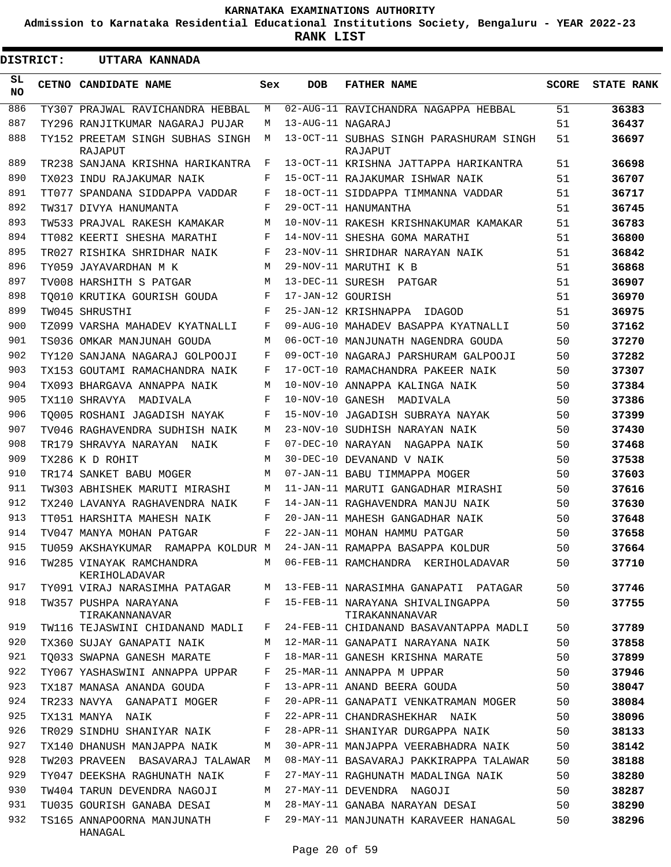**Admission to Karnataka Residential Educational Institutions Society, Bengaluru - YEAR 2022-23**

**RANK LIST**

| <b>DISTRICT:</b> |  | UTTARA KANNADA                                                      |     |                   |                                                    |              |                   |
|------------------|--|---------------------------------------------------------------------|-----|-------------------|----------------------------------------------------|--------------|-------------------|
| SL<br>NO.        |  | CETNO CANDIDATE NAME                                                | Sex | <b>DOB</b>        | <b>FATHER NAME</b>                                 | <b>SCORE</b> | <b>STATE RANK</b> |
| 886              |  | TY307 PRAJWAL RAVICHANDRA HEBBAL                                    | М   |                   | 02-AUG-11 RAVICHANDRA NAGAPPA HEBBAL               | 51           | 36383             |
| 887              |  | TY296 RANJITKUMAR NAGARAJ PUJAR                                     | М   | 13-AUG-11 NAGARAJ |                                                    | 51           | 36437             |
| 888              |  | TY152 PREETAM SINGH SUBHAS SINGH<br>RAJAPUT                         | M   |                   | 13-OCT-11 SUBHAS SINGH PARASHURAM SINGH<br>RAJAPUT | 51           | 36697             |
| 889              |  | TR238 SANJANA KRISHNA HARIKANTRA                                    | F   |                   | 13-OCT-11 KRISHNA JATTAPPA HARIKANTRA              | 51           | 36698             |
| 890              |  | TX023 INDU RAJAKUMAR NAIK                                           | F   |                   | 15-OCT-11 RAJAKUMAR ISHWAR NAIK                    | 51           | 36707             |
| 891              |  | TT077 SPANDANA SIDDAPPA VADDAR                                      | F   |                   | 18-OCT-11 SIDDAPPA TIMMANNA VADDAR                 | 51           | 36717             |
| 892              |  | TW317 DIVYA HANUMANTA                                               | F   |                   | 29-OCT-11 HANUMANTHA                               | 51           | 36745             |
| 893              |  | TW533 PRAJVAL RAKESH KAMAKAR                                        | М   |                   | 10-NOV-11 RAKESH KRISHNAKUMAR KAMAKAR              | 51           | 36783             |
| 894              |  | TT082 KEERTI SHESHA MARATHI                                         | F   |                   | 14-NOV-11 SHESHA GOMA MARATHI                      | 51           | 36800             |
| 895              |  | TR027 RISHIKA SHRIDHAR NAIK                                         | F   |                   | 23-NOV-11 SHRIDHAR NARAYAN NAIK                    | 51           | 36842             |
| 896              |  | TY059 JAYAVARDHAN M K                                               | М   |                   | 29-NOV-11 MARUTHI K B                              | 51           | 36868             |
| 897              |  | TV008 HARSHITH S PATGAR                                             | М   |                   | 13-DEC-11 SURESH PATGAR                            | 51           | 36907             |
| 898              |  | TO010 KRUTIKA GOURISH GOUDA                                         | F   | 17-JAN-12 GOURISH |                                                    | 51           | 36970             |
| 899              |  | TW045 SHRUSTHI                                                      | F   |                   | 25-JAN-12 KRISHNAPPA<br>IDAGOD                     | 51           | 36975             |
| 900              |  | TZ099 VARSHA MAHADEV KYATNALLI                                      | F   |                   | 09-AUG-10 MAHADEV BASAPPA KYATNALLI                | 50           | 37162             |
| 901              |  | TS036 OMKAR MANJUNAH GOUDA                                          | М   |                   | 06-OCT-10 MANJUNATH NAGENDRA GOUDA                 | 50           | 37270             |
| 902              |  | TY120 SANJANA NAGARAJ GOLPOOJI                                      | F   |                   | 09-OCT-10 NAGARAJ PARSHURAM GALPOOJI               | 50           | 37282             |
| 903              |  | TX153 GOUTAMI RAMACHANDRA NAIK                                      | F   |                   | 17-OCT-10 RAMACHANDRA PAKEER NAIK                  | 50           | 37307             |
| 904              |  | TX093 BHARGAVA ANNAPPA NAIK                                         | М   |                   | 10-NOV-10 ANNAPPA KALINGA NAIK                     | 50           | 37384             |
| 905              |  | TX110 SHRAVYA MADIVALA                                              | F   |                   | 10-NOV-10 GANESH MADIVALA                          | 50           | 37386             |
| 906              |  | TO005 ROSHANI JAGADISH NAYAK                                        | F   |                   | 15-NOV-10 JAGADISH SUBRAYA NAYAK                   | 50           | 37399             |
| 907              |  | TV046 RAGHAVENDRA SUDHISH NAIK                                      | М   |                   | 23-NOV-10 SUDHISH NARAYAN NAIK                     | 50           | 37430             |
| 908              |  | TR179 SHRAVYA NARAYAN<br>NAIK                                       | F   |                   | 07-DEC-10 NARAYAN NAGAPPA NAIK                     | 50           | 37468             |
| 909              |  | TX286 K D ROHIT                                                     | М   |                   | 30-DEC-10 DEVANAND V NAIK                          | 50           | 37538             |
| 910              |  | TR174 SANKET BABU MOGER                                             | М   |                   | 07-JAN-11 BABU TIMMAPPA MOGER                      | 50           | 37603             |
| 911              |  | TW303 ABHISHEK MARUTI MIRASHI                                       | М   |                   | 11-JAN-11 MARUTI GANGADHAR MIRASHI                 | 50           | 37616             |
| 912              |  | TX240 LAVANYA RAGHAVENDRA NAIK                                      | F   |                   | 14-JAN-11 RAGHAVENDRA MANJU NAIK                   | 50           | 37630             |
| 913              |  | TT051 HARSHITA MAHESH NAIK                                          | F   |                   | 20-JAN-11 MAHESH GANGADHAR NAIK                    | 50           | 37648             |
| 914              |  | TV047 MANYA MOHAN PATGAR                                            | F   |                   | 22-JAN-11 MOHAN HAMMU PATGAR                       | 50           | 37658             |
| 915              |  | TU059 AKSHAYKUMAR RAMAPPA KOLDUR M 24-JAN-11 RAMAPPA BASAPPA KOLDUR |     |                   |                                                    | 50           | 37664             |
| 916              |  | TW285 VINAYAK RAMCHANDRA<br>KERIHOLADAVAR                           | M   |                   | 06-FEB-11 RAMCHANDRA KERIHOLADAVAR                 | 50           | 37710             |
| 917              |  | TY091 VIRAJ NARASIMHA PATAGAR                                       | М   |                   | 13-FEB-11 NARASIMHA GANAPATI PATAGAR               | 50           | 37746             |
| 918              |  | TW357 PUSHPA NARAYANA<br>TIRAKANNANAVAR                             | F   |                   | 15-FEB-11 NARAYANA SHIVALINGAPPA<br>TIRAKANNANAVAR | 50           | 37755             |
| 919              |  | TW116 TEJASWINI CHIDANAND MADLI                                     | F   |                   | 24-FEB-11 CHIDANAND BASAVANTAPPA MADLI             | 50           | 37789             |
| 920              |  | TX360 SUJAY GANAPATI NAIK                                           | M   |                   | 12-MAR-11 GANAPATI NARAYANA NAIK                   | 50           | 37858             |
| 921              |  | TO033 SWAPNA GANESH MARATE                                          | F   |                   | 18-MAR-11 GANESH KRISHNA MARATE                    | 50           | 37899             |
| 922              |  | TY067 YASHASWINI ANNAPPA UPPAR                                      | F   |                   | 25-MAR-11 ANNAPPA M UPPAR                          | 50           | 37946             |
| 923              |  | TX187 MANASA ANANDA GOUDA                                           | F   |                   | 13-APR-11 ANAND BEERA GOUDA                        | 50           | 38047             |
| 924              |  | TR233 NAVYA GANAPATI MOGER                                          | F   |                   | 20-APR-11 GANAPATI VENKATRAMAN MOGER               | 50           | 38084             |
| 925              |  | TX131 MANYA NAIK                                                    | F   |                   | 22-APR-11 CHANDRASHEKHAR NAIK                      | 50           | 38096             |
| 926              |  | TR029 SINDHU SHANIYAR NAIK                                          | F   |                   | 28-APR-11 SHANIYAR DURGAPPA NAIK                   | 50           | 38133             |
| 927              |  | TX140 DHANUSH MANJAPPA NAIK                                         | М   |                   | 30-APR-11 MANJAPPA VEERABHADRA NAIK                | 50           | 38142             |
| 928              |  | TW203 PRAVEEN BASAVARAJ TALAWAR                                     | M   |                   | 08-MAY-11 BASAVARAJ PAKKIRAPPA TALAWAR             | 50           | 38188             |
| 929              |  | TY047 DEEKSHA RAGHUNATH NAIK                                        | F   |                   | 27-MAY-11 RAGHUNATH MADALINGA NAIK                 | 50           | 38280             |
| 930              |  | TW404 TARUN DEVENDRA NAGOJI                                         | М   |                   | 27-MAY-11 DEVENDRA NAGOJI                          | 50           | 38287             |
| 931              |  | TU035 GOURISH GANABA DESAI                                          | М   |                   | 28-MAY-11 GANABA NARAYAN DESAI                     | 50           | 38290             |
| 932              |  | TS165 ANNAPOORNA MANJUNATH<br>HANAGAL                               | F   |                   | 29-MAY-11 MANJUNATH KARAVEER HANAGAL               | 50           | 38296             |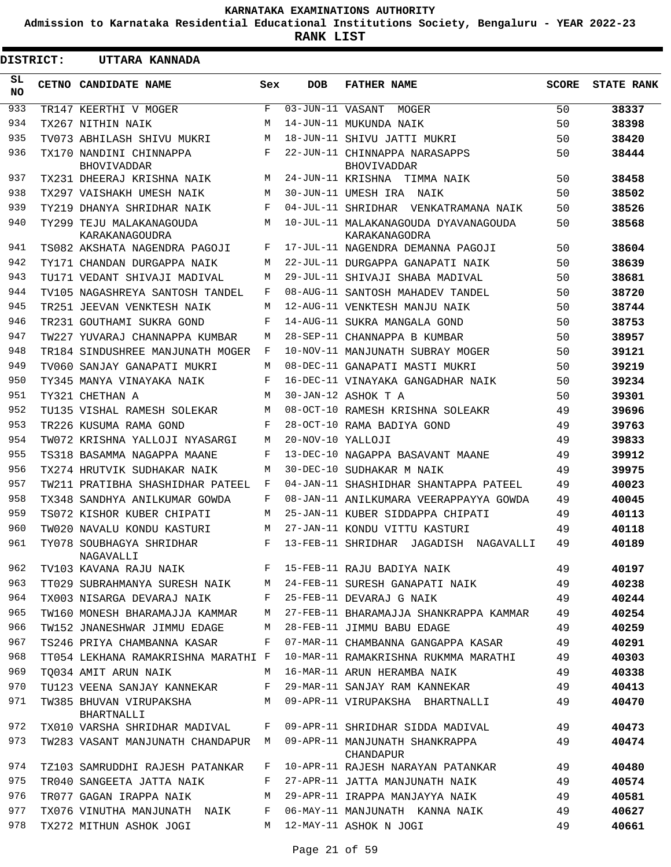**Admission to Karnataka Residential Educational Institutions Society, Bengaluru - YEAR 2022-23**

**RANK LIST**

ı

| <b>DISTRICT:</b> |  | UTTARA KANNADA                                |     |                   |                                                       |              |                   |
|------------------|--|-----------------------------------------------|-----|-------------------|-------------------------------------------------------|--------------|-------------------|
| SL.<br><b>NO</b> |  | CETNO CANDIDATE NAME                          | Sex | <b>DOB</b>        | <b>FATHER NAME</b>                                    | <b>SCORE</b> | <b>STATE RANK</b> |
| 933              |  | TR147 KEERTHI V MOGER                         | F   |                   | 03-JUN-11 VASANT MOGER                                | 50           | 38337             |
| 934              |  | TX267 NITHIN NAIK                             | M   |                   | 14-JUN-11 MUKUNDA NAIK                                | 50           | 38398             |
| 935              |  | TV073 ABHILASH SHIVU MUKRI                    | М   |                   | 18-JUN-11 SHIVU JATTI MUKRI                           | 50           | 38420             |
| 936              |  | TX170 NANDINI CHINNAPPA<br><b>BHOVIVADDAR</b> | F   |                   | 22-JUN-11 CHINNAPPA NARASAPPS<br><b>BHOVIVADDAR</b>   | 50           | 38444             |
| 937              |  | TX231 DHEERAJ KRISHNA NAIK                    | M   |                   | 24-JUN-11 KRISHNA TIMMA NAIK                          | 50           | 38458             |
| 938              |  | TX297 VAISHAKH UMESH NAIK                     | M   |                   | 30-JUN-11 UMESH IRA NAIK                              | 50           | 38502             |
| 939              |  | TY219 DHANYA SHRIDHAR NAIK                    | F   |                   | 04-JUL-11 SHRIDHAR VENKATRAMANA NAIK                  | 50           | 38526             |
| 940              |  | TY299 TEJU MALAKANAGOUDA<br>KARAKANAGOUDRA    | М   |                   | 10-JUL-11 MALAKANAGOUDA DYAVANAGOUDA<br>KARAKANAGODRA | 50           | 38568             |
| 941              |  | TS082 AKSHATA NAGENDRA PAGOJI                 | F   |                   | 17-JUL-11 NAGENDRA DEMANNA PAGOJI                     | 50           | 38604             |
| 942              |  | TY171 CHANDAN DURGAPPA NAIK                   | М   |                   | 22-JUL-11 DURGAPPA GANAPATI NAIK                      | 50           | 38639             |
| 943              |  | TU171 VEDANT SHIVAJI MADIVAL                  | М   |                   | 29-JUL-11 SHIVAJI SHABA MADIVAL                       | 50           | 38681             |
| 944              |  | TV105 NAGASHREYA SANTOSH TANDEL               | F   |                   | 08-AUG-11 SANTOSH MAHADEV TANDEL                      | 50           | 38720             |
| 945              |  | TR251 JEEVAN VENKTESH NAIK                    | М   |                   | 12-AUG-11 VENKTESH MANJU NAIK                         | 50           | 38744             |
| 946              |  | TR231 GOUTHAMI SUKRA GOND                     | F   |                   | 14-AUG-11 SUKRA MANGALA GOND                          | 50           | 38753             |
| 947              |  | TW227 YUVARAJ CHANNAPPA KUMBAR                | М   |                   | 28-SEP-11 CHANNAPPA B KUMBAR                          | 50           | 38957             |
| 948              |  | TR184 SINDUSHREE MANJUNATH MOGER              | F   |                   | 10-NOV-11 MANJUNATH SUBRAY MOGER                      | 50           | 39121             |
| 949              |  | TV060 SANJAY GANAPATI MUKRI                   | М   |                   | 08-DEC-11 GANAPATI MASTI MUKRI                        | 50           | 39219             |
| 950              |  | TY345 MANYA VINAYAKA NAIK                     | F   |                   | 16-DEC-11 VINAYAKA GANGADHAR NAIK                     | 50           | 39234             |
| 951              |  | TY321 CHETHAN A                               | M   |                   | 30-JAN-12 ASHOK T A                                   | 50           | 39301             |
| 952              |  | TU135 VISHAL RAMESH SOLEKAR                   | М   |                   | 08-OCT-10 RAMESH KRISHNA SOLEAKR                      | 49           | 39696             |
| 953              |  | TR226 KUSUMA RAMA GOND                        | F   |                   | 28-OCT-10 RAMA BADIYA GOND                            | 49           | 39763             |
| 954              |  | TW072 KRISHNA YALLOJI NYASARGI                | M   | 20-NOV-10 YALLOJI |                                                       | 49           | 39833             |
| 955              |  | TS318 BASAMMA NAGAPPA MAANE                   | F   |                   | 13-DEC-10 NAGAPPA BASAVANT MAANE                      | 49           | 39912             |
| 956              |  | TX274 HRUTVIK SUDHAKAR NAIK                   | М   |                   | 30-DEC-10 SUDHAKAR M NAIK                             | 49           | 39975             |
| 957              |  | TW211 PRATIBHA SHASHIDHAR PATEEL              | F   |                   | 04-JAN-11 SHASHIDHAR SHANTAPPA PATEEL                 | 49           | 40023             |
| 958              |  | TX348 SANDHYA ANILKUMAR GOWDA                 | F   |                   | 08-JAN-11 ANILKUMARA VEERAPPAYYA GOWDA                | 49           | 40045             |
| 959              |  | TS072 KISHOR KUBER CHIPATI                    | М   |                   | 25-JAN-11 KUBER SIDDAPPA CHIPATI                      | 49           | 40113             |
| 960              |  | TW020 NAVALU KONDU KASTURI                    | M   |                   | 27-JAN-11 KONDU VITTU KASTURI                         | 49           | 40118             |
| 961              |  | TY078 SOUBHAGYA SHRIDHAR<br>NAGAVALLI         |     |                   | F 13-FEB-11 SHRIDHAR JAGADISH NAGAVALLI               | 49           | 40189             |
| 962              |  | TV103 KAVANA RAJU NAIK                        | F   |                   | 15-FEB-11 RAJU BADIYA NAIK                            | 49           | 40197             |
| 963              |  | TT029 SUBRAHMANYA SURESH NAIK                 | М   |                   | 24-FEB-11 SURESH GANAPATI NAIK                        | 49           | 40238             |
| 964              |  | TX003 NISARGA DEVARAJ NAIK                    | F   |                   | 25-FEB-11 DEVARAJ G NAIK                              | 49           | 40244             |
| 965              |  | TW160 MONESH BHARAMAJJA KAMMAR                | М   |                   | 27-FEB-11 BHARAMAJJA SHANKRAPPA KAMMAR                | 49           | 40254             |
| 966              |  | TW152 JNANESHWAR JIMMU EDAGE                  | М   |                   | 28-FEB-11 JIMMU BABU EDAGE                            | 49           | 40259             |
| 967              |  | TS246 PRIYA CHAMBANNA KASAR                   | F   |                   | 07-MAR-11 CHAMBANNA GANGAPPA KASAR                    | 49           | 40291             |
| 968              |  | TT054 LEKHANA RAMAKRISHNA MARATHI F           |     |                   | 10-MAR-11 RAMAKRISHNA RUKMMA MARATHI                  | 49           | 40303             |
| 969              |  | TO034 AMIT ARUN NAIK                          | М   |                   | 16-MAR-11 ARUN HERAMBA NAIK                           | 49           | 40338             |
| 970              |  | TU123 VEENA SANJAY KANNEKAR                   | F   |                   | 29-MAR-11 SANJAY RAM KANNEKAR                         | 49           | 40413             |
| 971              |  | TW385 BHUVAN VIRUPAKSHA<br>BHARTNALLI         | М   |                   | 09-APR-11 VIRUPAKSHA BHARTNALLI                       | 49           | 40470             |
| 972              |  | TX010 VARSHA SHRIDHAR MADIVAL                 | F   |                   | 09-APR-11 SHRIDHAR SIDDA MADIVAL                      | 49           | 40473             |
| 973              |  | TW283 VASANT MANJUNATH CHANDAPUR              | М   |                   | 09-APR-11 MANJUNATH SHANKRAPPA<br>CHANDAPUR           | 49           | 40474             |
| 974              |  | TZ103 SAMRUDDHI RAJESH PATANKAR               | F   |                   | 10-APR-11 RAJESH NARAYAN PATANKAR                     | 49           | 40480             |
| 975              |  | TR040 SANGEETA JATTA NAIK                     | F   |                   | 27-APR-11 JATTA MANJUNATH NAIK                        | 49           | 40574             |
| 976              |  | TR077 GAGAN IRAPPA NAIK                       | М   |                   | 29-APR-11 IRAPPA MANJAYYA NAIK                        | 49           | 40581             |
| 977              |  | TX076 VINUTHA MANJUNATH NAIK                  | F   |                   | 06-MAY-11 MANJUNATH KANNA NAIK                        | 49           | 40627             |
| 978              |  | TX272 MITHUN ASHOK JOGI                       | М   |                   | 12-MAY-11 ASHOK N JOGI                                | 49           | 40661             |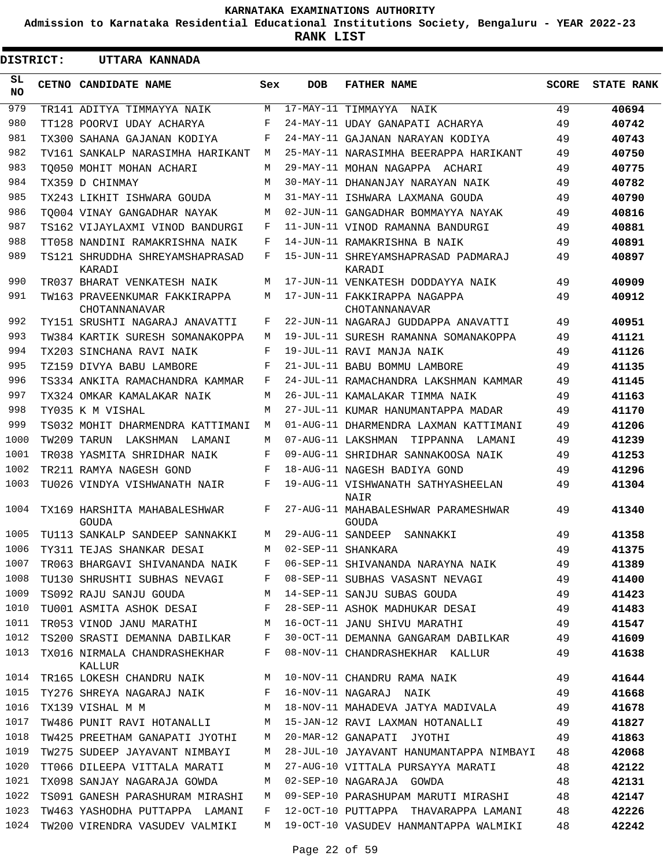**Admission to Karnataka Residential Educational Institutions Society, Bengaluru - YEAR 2022-23**

**RANK LIST**

| <b>DISTRICT:</b> | UTTARA KANNADA                                       |            |                   |                                                                             |              |                   |
|------------------|------------------------------------------------------|------------|-------------------|-----------------------------------------------------------------------------|--------------|-------------------|
| SL.<br><b>NO</b> | CETNO CANDIDATE NAME                                 | Sex        | <b>DOB</b>        | <b>FATHER NAME</b>                                                          | <b>SCORE</b> | <b>STATE RANK</b> |
| 979              | TR141 ADITYA TIMMAYYA NAIK                           | M          |                   | 17-MAY-11 TIMMAYYA<br>NAIK                                                  | 49           | 40694             |
| 980              | TT128 POORVI UDAY ACHARYA                            | F          |                   | 24-MAY-11 UDAY GANAPATI ACHARYA                                             | 49           | 40742             |
| 981              | TX300 SAHANA GAJANAN KODIYA                          | F          |                   | 24-MAY-11 GAJANAN NARAYAN KODIYA                                            | 49           | 40743             |
| 982              | TV161 SANKALP NARASIMHA HARIKANT                     | М          |                   | 25-MAY-11 NARASIMHA BEERAPPA HARIKANT                                       | 49           | 40750             |
| 983              | TO050 MOHIT MOHAN ACHARI                             | М          |                   | 29-MAY-11 MOHAN NAGAPPA ACHARI                                              | 49           | 40775             |
| 984              | TX359 D CHINMAY                                      | М          |                   | 30-MAY-11 DHANANJAY NARAYAN NAIK                                            | 49           | 40782             |
| 985              | TX243 LIKHIT ISHWARA GOUDA                           | M          |                   | 31-MAY-11 ISHWARA LAXMANA GOUDA                                             | 49           | 40790             |
| 986              | TO004 VINAY GANGADHAR NAYAK                          | М          |                   | 02-JUN-11 GANGADHAR BOMMAYYA NAYAK                                          | 49           | 40816             |
| 987              | TS162 VIJAYLAXMI VINOD BANDURGI                      | F          |                   | 11-JUN-11 VINOD RAMANNA BANDURGI                                            | 49           | 40881             |
| 988              | TT058 NANDINI RAMAKRISHNA NAIK                       | F          |                   | 14-JUN-11 RAMAKRISHNA B NAIK                                                | 49           | 40891             |
| 989              | TS121 SHRUDDHA SHREYAMSHAPRASAD<br>KARADI            | F          |                   | 15-JUN-11 SHREYAMSHAPRASAD PADMARAJ<br>KARADI                               | 49           | 40897             |
| 990              | TR037 BHARAT VENKATESH NAIK                          | М          |                   | 17-JUN-11 VENKATESH DODDAYYA NAIK                                           | 49           | 40909             |
| 991              | TW163 PRAVEENKUMAR FAKKIRAPPA<br>CHOTANNANAVAR       | M          |                   | 17-JUN-11 FAKKIRAPPA NAGAPPA<br>CHOTANNANAVAR                               | 49           | 40912             |
| 992              | TY151 SRUSHTI NAGARAJ ANAVATTI                       | F          |                   | 22-JUN-11 NAGARAJ GUDDAPPA ANAVATTI                                         | 49           | 40951             |
| 993              | TW384 KARTIK SURESH SOMANAKOPPA                      | М          |                   | 19-JUL-11 SURESH RAMANNA SOMANAKOPPA                                        | 49           | 41121             |
| 994<br>995       | TX203 SINCHANA RAVI NAIK                             | $_{\rm F}$ |                   | 19-JUL-11 RAVI MANJA NAIK                                                   | 49           | 41126             |
| 996              | TZ159 DIVYA BABU LAMBORE                             | $_{\rm F}$ |                   | 21-JUL-11 BABU BOMMU LAMBORE                                                | 49           | 41135             |
| 997              | TS334 ANKITA RAMACHANDRA KAMMAR                      | F<br>M     |                   | 24-JUL-11 RAMACHANDRA LAKSHMAN KAMMAR                                       | 49           | 41145             |
| 998              | TX324 OMKAR KAMALAKAR NAIK                           | М          |                   | 26-JUL-11 KAMALAKAR TIMMA NAIK                                              | 49<br>49     | 41163             |
| 999              | TY035 K M VISHAL<br>TS032 MOHIT DHARMENDRA KATTIMANI | M          |                   | 27-JUL-11 KUMAR HANUMANTAPPA MADAR<br>01-AUG-11 DHARMENDRA LAXMAN KATTIMANI | 49           | 41170<br>41206    |
| 1000             | TW209 TARUN<br>LAKSHMAN<br>LAMANI                    | М          |                   | 07-AUG-11 LAKSHMAN<br>TIPPANNA<br>LAMANI                                    | 49           | 41239             |
| 1001             | TR038 YASMITA SHRIDHAR NAIK                          | $_{\rm F}$ |                   | 09-AUG-11 SHRIDHAR SANNAKOOSA NAIK                                          | 49           | 41253             |
| 1002             | TR211 RAMYA NAGESH GOND                              | F          |                   | 18-AUG-11 NAGESH BADIYA GOND                                                | 49           | 41296             |
| 1003             | TU026 VINDYA VISHWANATH NAIR                         | $_{\rm F}$ |                   | 19-AUG-11 VISHWANATH SATHYASHEELAN                                          | 49           | 41304             |
| 1004             | TX169 HARSHITA MAHABALESHWAR                         | F          |                   | NAIR<br>27-AUG-11 MAHABALESHWAR PARAMESHWAR                                 | 49           | 41340             |
|                  | GOUDA                                                |            |                   | GOUDA                                                                       |              |                   |
| 1005             | TU113 SANKALP SANDEEP SANNAKKI                       | М          | 29-AUG-11 SANDEEP | SANNAKKI                                                                    | 49           | 41358             |
| 1006             | TY311 TEJAS SHANKAR DESAI                            | М          |                   | 02-SEP-11 SHANKARA                                                          | 49           | 41375             |
| 1007             | TR063 BHARGAVI SHIVANANDA NAIK                       | F          |                   | 06-SEP-11 SHIVANANDA NARAYNA NAIK                                           | 49           | 41389             |
| 1008             | TU130 SHRUSHTI SUBHAS NEVAGI                         | F          |                   | 08-SEP-11 SUBHAS VASASNT NEVAGI                                             | 49           | 41400             |
| 1009             | TS092 RAJU SANJU GOUDA                               | М          |                   | 14-SEP-11 SANJU SUBAS GOUDA                                                 | 49           | 41423             |
| 1010             | TU001 ASMITA ASHOK DESAI                             | F          |                   | 28-SEP-11 ASHOK MADHUKAR DESAI                                              | 49           | 41483             |
| 1011             | TR053 VINOD JANU MARATHI                             | М          |                   | 16-OCT-11 JANU SHIVU MARATHI                                                | 49           | 41547             |
| 1012             | TS200 SRASTI DEMANNA DABILKAR                        | F          |                   | 30-OCT-11 DEMANNA GANGARAM DABILKAR                                         | 49           | 41609             |
| 1013             | TX016 NIRMALA CHANDRASHEKHAR<br>KALLUR               | F          |                   | 08-NOV-11 CHANDRASHEKHAR KALLUR                                             | 49           | 41638             |
| 1014             | TR165 LOKESH CHANDRU NAIK                            | М          |                   | 10-NOV-11 CHANDRU RAMA NAIK                                                 | 49           | 41644             |
| 1015             | TY276 SHREYA NAGARAJ NAIK                            | F          |                   | 16-NOV-11 NAGARAJ NAIK                                                      | 49           | 41668             |
| 1016             | TX139 VISHAL M M                                     | М          |                   | 18-NOV-11 MAHADEVA JATYA MADIVALA                                           | 49           | 41678             |
| 1017             | TW486 PUNIT RAVI HOTANALLI                           | М          |                   | 15-JAN-12 RAVI LAXMAN HOTANALLI                                             | 49           | 41827             |
| 1018             | TW425 PREETHAM GANAPATI JYOTHI                       | М          |                   | 20-MAR-12 GANAPATI JYOTHI                                                   | 49           | 41863             |
| 1019             | TW275 SUDEEP JAYAVANT NIMBAYI                        | М          |                   | 28-JUL-10 JAYAVANT HANUMANTAPPA NIMBAYI                                     | 48           | 42068             |
| 1020             | TT066 DILEEPA VITTALA MARATI                         | М          |                   | 27-AUG-10 VITTALA PURSAYYA MARATI                                           | 48           | 42122             |
| 1021             | TX098 SANJAY NAGARAJA GOWDA                          | М          |                   | 02-SEP-10 NAGARAJA GOWDA                                                    | 48           | 42131             |
| 1022             | TS091 GANESH PARASHURAM MIRASHI                      | М          |                   | 09-SEP-10 PARASHUPAM MARUTI MIRASHI                                         | 48           | 42147             |
| 1023             | TW463 YASHODHA PUTTAPPA LAMANI                       | F          |                   | 12-OCT-10 PUTTAPPA THAVARAPPA LAMANI                                        | 48           | 42226             |
| 1024             | TW200 VIRENDRA VASUDEV VALMIKI                       | М          |                   | 19-OCT-10 VASUDEV HANMANTAPPA WALMIKI                                       | 48           | 42242             |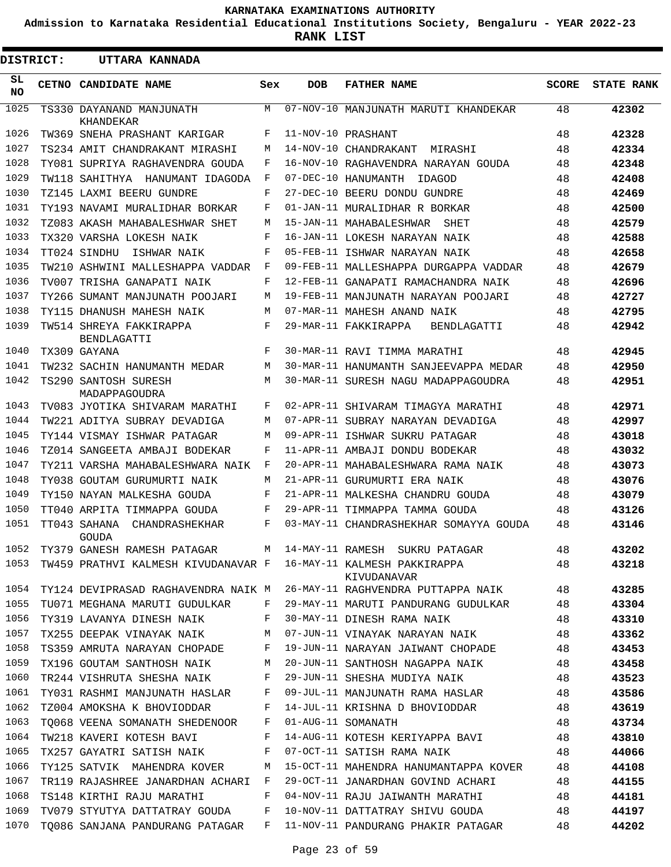**Admission to Karnataka Residential Educational Institutions Society, Bengaluru - YEAR 2022-23**

**RANK LIST**

| <b>DISTRICT:</b> | UTTARA KANNADA                          |              |            |                                                                                 |              |                   |
|------------------|-----------------------------------------|--------------|------------|---------------------------------------------------------------------------------|--------------|-------------------|
| SL<br>NO.        | CETNO CANDIDATE NAME                    | Sex          | <b>DOB</b> | <b>FATHER NAME</b>                                                              | <b>SCORE</b> | <b>STATE RANK</b> |
| 1025             | TS330 DAYANAND MANJUNATH<br>KHANDEKAR   | М            |            | 07-NOV-10 MANJUNATH MARUTI KHANDEKAR                                            | 48           | 42302             |
| 1026             | TW369 SNEHA PRASHANT KARIGAR            | F            |            | 11-NOV-10 PRASHANT                                                              | 48           | 42328             |
| 1027             | TS234 AMIT CHANDRAKANT MIRASHI          | M            |            | 14-NOV-10 CHANDRAKANT<br>MIRASHI                                                | 48           | 42334             |
| 1028             | TY081 SUPRIYA RAGHAVENDRA GOUDA         | F            |            | 16-NOV-10 RAGHAVENDRA NARAYAN GOUDA                                             | 48           | 42348             |
| 1029             | TW118 SAHITHYA HANUMANT IDAGODA         | F            |            | 07-DEC-10 HANUMANTH<br>IDAGOD                                                   | 48           | 42408             |
| 1030             | TZ145 LAXMI BEERU GUNDRE                | F            |            | 27-DEC-10 BEERU DONDU GUNDRE                                                    | 48           | 42469             |
| 1031             | TY193 NAVAMI MURALIDHAR BORKAR          | F            |            | 01-JAN-11 MURALIDHAR R BORKAR                                                   | 48           | 42500             |
| 1032             | TZ083 AKASH MAHABALESHWAR SHET          | M            |            | 15-JAN-11 MAHABALESHWAR<br>SHET                                                 | 48           | 42579             |
| 1033             | TX320 VARSHA LOKESH NAIK                | F            |            | 16-JAN-11 LOKESH NARAYAN NAIK                                                   | 48           | 42588             |
| 1034             | TT024 SINDHU<br>ISHWAR NAIK             | F            |            | 05-FEB-11 ISHWAR NARAYAN NAIK                                                   | 48           | 42658             |
| 1035             | TW210 ASHWINI MALLESHAPPA VADDAR        | F            |            | 09-FEB-11 MALLESHAPPA DURGAPPA VADDAR                                           | 48           | 42679             |
| 1036             | TV007 TRISHA GANAPATI NAIK              | F            |            | 12-FEB-11 GANAPATI RAMACHANDRA NAIK                                             | 48           | 42696             |
| 1037             | TY266 SUMANT MANJUNATH POOJARI          | M            |            | 19-FEB-11 MANJUNATH NARAYAN POOJARI                                             | 48           | 42727             |
| 1038             | TY115 DHANUSH MAHESH NAIK               | M            |            | 07-MAR-11 MAHESH ANAND NAIK                                                     | 48           | 42795             |
| 1039             | TW514 SHREYA FAKKIRAPPA<br>BENDLAGATTI  | F            |            | 29-MAR-11 FAKKIRAPPA<br>BENDLAGATTI                                             | 48           | 42942             |
| 1040             | TX309 GAYANA                            | F            |            | 30-MAR-11 RAVI TIMMA MARATHI                                                    | 48           | 42945             |
| 1041             | TW232 SACHIN HANUMANTH MEDAR            | M            |            | 30-MAR-11 HANUMANTH SANJEEVAPPA MEDAR                                           | 48           | 42950             |
| 1042             | TS290 SANTOSH SURESH<br>MADAPPAGOUDRA   | M            |            | 30-MAR-11 SURESH NAGU MADAPPAGOUDRA                                             | 48           | 42951             |
| 1043             | TV083 JYOTIKA SHIVARAM MARATHI          | F            |            | 02-APR-11 SHIVARAM TIMAGYA MARATHI                                              | 48           | 42971             |
| 1044             | TW221 ADITYA SUBRAY DEVADIGA            | M            |            | 07-APR-11 SUBRAY NARAYAN DEVADIGA                                               | 48           | 42997             |
| 1045             | TY144 VISMAY ISHWAR PATAGAR             | М            |            | 09-APR-11 ISHWAR SUKRU PATAGAR                                                  | 48           | 43018             |
| 1046             | TZ014 SANGEETA AMBAJI BODEKAR           | F            |            | 11-APR-11 AMBAJI DONDU BODEKAR                                                  | 48           | 43032             |
| 1047             | TY211 VARSHA MAHABALESHWARA NAIK        | F            |            | 20-APR-11 MAHABALESHWARA RAMA NAIK                                              | 48           | 43073             |
| 1048             | TY038 GOUTAM GURUMURTI NAIK             | M            |            | 21-APR-11 GURUMURTI ERA NAIK                                                    | 48           | 43076             |
| 1049             | TY150 NAYAN MALKESHA GOUDA              | F            |            | 21-APR-11 MALKESHA CHANDRU GOUDA                                                | 48           | 43079             |
| 1050             | TT040 ARPITA TIMMAPPA GOUDA             | F            |            | 29-APR-11 TIMMAPPA TAMMA GOUDA                                                  | 48           | 43126             |
| 1051             | TT043 SAHANA<br>CHANDRASHEKHAR<br>GOUDA | F            |            | 03-MAY-11 CHANDRASHEKHAR SOMAYYA GOUDA                                          | 48           | 43146             |
| 1052             | TY379 GANESH RAMESH PATAGAR             | M            |            | 14-MAY-11 RAMESH SUKRU PATAGAR                                                  | 48           | 43202             |
| 1053             |                                         |              |            | TW459 PRATHVI KALMESH KIVUDANAVAR F 16-MAY-11 KALMESH PAKKIRAPPA<br>KIVUDANAVAR | 48           | 43218             |
| 1054             |                                         |              |            | TY124 DEVIPRASAD RAGHAVENDRA NAIK M 26-MAY-11 RAGHVENDRA PUTTAPPA NAIK 48       |              | 43285             |
| 1055             | TU071 MEGHANA MARUTI GUDULKAR           | F            |            | 29-MAY-11 MARUTI PANDURANG GUDULKAR 48                                          |              | 43304             |
| 1056             | TY319 LAVANYA DINESH NAIK               | $\mathbf{F}$ |            | 30-MAY-11 DINESH RAMA NAIK                                                      | 48           | 43310             |
| 1057             | TX255 DEEPAK VINAYAK NAIK M             |              |            | 07-JUN-11 VINAYAK NARAYAN NAIK                                                  | 48           | 43362             |
| 1058             | TS359 AMRUTA NARAYAN CHOPADE F          |              |            | 19-JUN-11 NARAYAN JAIWANT CHOPADE 48                                            |              | 43453             |
| 1059             | TX196 GOUTAM SANTHOSH NAIK              | M            |            | 20-JUN-11 SANTHOSH NAGAPPA NAIK                                                 | 48           | 43458             |
| 1060             | TR244 VISHRUTA SHESHA NAIK              | F            |            | 29-JUN-11 SHESHA MUDIYA NAIK                                                    | 48           | 43523             |
| 1061             | TY031 RASHMI MANJUNATH HASLAR F         |              |            | 09-JUL-11 MANJUNATH RAMA HASLAR                                                 | 48           | 43586             |
| 1062             | TZ004 AMOKSHA K BHOVIODDAR F            |              |            | 14-JUL-11 KRISHNA D BHOVIODDAR                                                  | 48           | 43619             |
| 1063             | TO068 VEENA SOMANATH SHEDENOOR F        |              |            | 01-AUG-11 SOMANATH                                                              | 48           | 43734             |
| 1064             | TW218 KAVERI KOTESH BAVI F              |              |            | 14-AUG-11 KOTESH KERIYAPPA BAVI 48                                              |              | 43810             |
| 1065             | TX257 GAYATRI SATISH NAIK               | F            |            | 07-OCT-11 SATISH RAMA NAIK                                                      | 48           | 44066             |
| 1066             | TY125 SATVIK MAHENDRA KOVER             | M            |            | 15-OCT-11 MAHENDRA HANUMANTAPPA KOVER 48                                        |              | 44108             |
| 1067             | TR119 RAJASHREE JANARDHAN ACHARI F      |              |            | 29-OCT-11 JANARDHAN GOVIND ACHARI                                               | 48           | 44155             |
| 1068             | TS148 KIRTHI RAJU MARATHI               | F            |            | 04-NOV-11 RAJU JAIWANTH MARATHI                                                 | 48           | 44181             |
| 1069             | TV079 STYUTYA DATTATRAY GOUDA F         |              |            | 10-NOV-11 DATTATRAY SHIVU GOUDA                                                 | 48           | 44197             |
| 1070             |                                         |              |            | TO086 SANJANA PANDURANG PATAGAR   F   11-NOV-11 PANDURANG PHAKIR PATAGAR        | 48           | 44202             |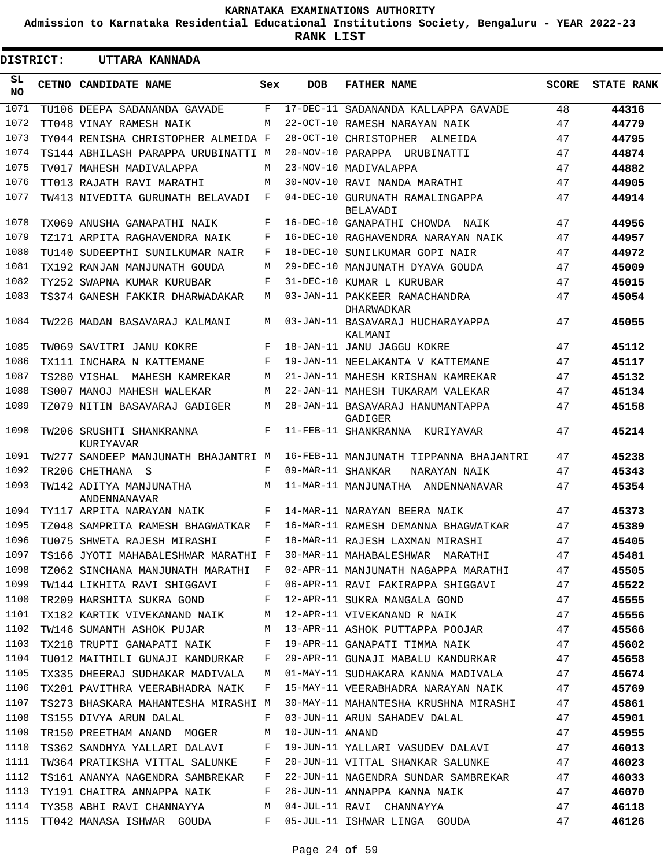**Admission to Karnataka Residential Educational Institutions Society, Bengaluru - YEAR 2022-23**

**RANK LIST**

 $\blacksquare$ 

| DISTRICT: | UTTARA KANNADA                          |     |                   |                                             |              |                   |
|-----------|-----------------------------------------|-----|-------------------|---------------------------------------------|--------------|-------------------|
| SL<br>NO. | CETNO CANDIDATE NAME                    | Sex | <b>DOB</b>        | <b>FATHER NAME</b>                          | <b>SCORE</b> | <b>STATE RANK</b> |
| 1071      | TU106 DEEPA SADANANDA GAVADE            | F   | $17 - DEC - 11$   | SADANANDA KALLAPPA GAVADE                   | 48           | 44316             |
| 1072      | TT048 VINAY RAMESH NAIK                 | М   |                   | 22-OCT-10 RAMESH NARAYAN NAIK               | 47           | 44779             |
| 1073      | TY044 RENISHA CHRISTOPHER ALMEIDA F     |     |                   | 28-OCT-10 CHRISTOPHER ALMEIDA               | 47           | 44795             |
| 1074      | TS144 ABHILASH PARAPPA URUBINATTI M     |     |                   | 20-NOV-10 PARAPPA URUBINATTI                | 47           | 44874             |
| 1075      | TV017 MAHESH MADIVALAPPA                | M   |                   | 23-NOV-10 MADIVALAPPA                       | 47           | 44882             |
| 1076      | TT013 RAJATH RAVI MARATHI               | M   |                   | 30-NOV-10 RAVI NANDA MARATHI                | 47           | 44905             |
| 1077      | TW413 NIVEDITA GURUNATH BELAVADI        | F   |                   | 04-DEC-10 GURUNATH RAMALINGAPPA<br>BELAVADI | 47           | 44914             |
| 1078      | TX069 ANUSHA GANAPATHI NAIK             | F   |                   | 16-DEC-10 GANAPATHI CHOWDA NAIK             | 47           | 44956             |
| 1079      | TZ171 ARPITA RAGHAVENDRA NAIK           | F   |                   | 16-DEC-10 RAGHAVENDRA NARAYAN NAIK          | 47           | 44957             |
| 1080      | TU140 SUDEEPTHI SUNILKUMAR NAIR         | F   |                   | 18-DEC-10 SUNILKUMAR GOPI NAIR              | 47           | 44972             |
| 1081      | TX192 RANJAN MANJUNATH GOUDA            | М   |                   | 29-DEC-10 MANJUNATH DYAVA GOUDA             | 47           | 45009             |
| 1082      | TY252 SWAPNA KUMAR KURUBAR              | F   |                   | 31-DEC-10 KUMAR L KURUBAR                   | 47           | 45015             |
| 1083      | TS374 GANESH FAKKIR DHARWADAKAR         | М   |                   | 03-JAN-11 PAKKEER RAMACHANDRA<br>DHARWADKAR | 47           | 45054             |
| 1084      | TW226 MADAN BASAVARAJ KALMANI           | M   |                   | 03-JAN-11 BASAVARAJ HUCHARAYAPPA<br>KALMANI | 47           | 45055             |
| 1085      | TW069 SAVITRI JANU KOKRE                | F   |                   | 18-JAN-11 JANU JAGGU KOKRE                  | 47           | 45112             |
| 1086      | TX111 INCHARA N KATTEMANE               | F   |                   | 19-JAN-11 NEELAKANTA V KATTEMANE            | 47           | 45117             |
| 1087      | TS280 VISHAL<br>MAHESH KAMREKAR         | М   |                   | 21-JAN-11 MAHESH KRISHAN KAMREKAR           | 47           | 45132             |
| 1088      | TS007 MANOJ MAHESH WALEKAR              | M   |                   | 22-JAN-11 MAHESH TUKARAM VALEKAR            | 47           | 45134             |
| 1089      | TZ079 NITIN BASAVARAJ GADIGER           | M   |                   | 28-JAN-11 BASAVARAJ HANUMANTAPPA<br>GADIGER | 47           | 45158             |
| 1090      | TW206 SRUSHTI SHANKRANNA<br>KURIYAVAR   | F   |                   | 11-FEB-11 SHANKRANNA KURIYAVAR              | 47           | 45214             |
| 1091      | TW277 SANDEEP MANJUNATH BHAJANTRI M     |     |                   | 16-FEB-11 MANJUNATH TIPPANNA BHAJANTRI      | 47           | 45238             |
| 1092      | TR206 CHETHANA S                        | F   | 09-MAR-11 SHANKAR | NARAYAN NAIK                                | 47           | 45343             |
| 1093      | TW142 ADITYA MANJUNATHA<br>ANDENNANAVAR | M   |                   | 11-MAR-11 MANJUNATHA ANDENNANAVAR           | 47           | 45354             |
| 1094      | TY117 ARPITA NARAYAN NAIK               | F   |                   | 14-MAR-11 NARAYAN BEERA NAIK                | 47           | 45373             |
| 1095      | TZ048 SAMPRITA RAMESH BHAGWATKAR        | F   |                   | 16-MAR-11 RAMESH DEMANNA BHAGWATKAR         | 47           | 45389             |
| 1096      | TU075 SHWETA RAJESH MIRASHI             | F   |                   | 18-MAR-11 RAJESH LAXMAN MIRASHI             | 47           | 45405             |
| 1097      | TS166 JYOTI MAHABALESHWAR MARATHI F     |     |                   | 30-MAR-11 MAHABALESHWAR MARATHI 47          |              | 45481             |
| 1098      | TZ062 SINCHANA MANJUNATH MARATHI F      |     |                   | 02-APR-11 MANJUNATH NAGAPPA MARATHI 47      |              | 45505             |
| 1099      | TW144 LIKHITA RAVI SHIGGAVI F           |     |                   | 06-APR-11 RAVI FAKIRAPPA SHIGGAVI 47        |              | 45522             |
| 1100      | TR209 HARSHITA SUKRA GOND               | F   |                   | 12-APR-11 SUKRA MANGALA GOND 47             |              | 45555             |
| 1101      | TX182 KARTIK VIVEKANAND NAIK M          |     |                   | 12-APR-11 VIVEKANAND R NAIK 47              |              | 45556             |
| 1102      | TW146 SUMANTH ASHOK PUJAR M             |     |                   | 13-APR-11 ASHOK PUTTAPPA POOJAR 47          |              | 45566             |
| 1103      | TX218 TRUPTI GANAPATI NAIK F            |     |                   | 19-APR-11 GANAPATI TIMMA NAIK 47            |              | 45602             |
| 1104      | TU012 MAITHILI GUNAJI KANDURKAR         | F   |                   | 29-APR-11 GUNAJI MABALU KANDURKAR 47        |              | 45658             |
| 1105      | TX335 DHEERAJ SUDHAKAR MADIVALA M       |     |                   | 01-MAY-11 SUDHAKARA KANNA MADIVALA 47       |              | 45674             |
| 1106      | TX201 PAVITHRA VEERABHADRA NAIK         | F   |                   | 15-MAY-11 VEERABHADRA NARAYAN NAIK 47       |              | 45769             |
| 1107      | TS273 BHASKARA MAHANTESHA MIRASHI M     |     |                   | 30-MAY-11 MAHANTESHA KRUSHNA MIRASHI 47     |              | 45861             |
| 1108      | TS155 DIVYA ARUN DALAL                  | F   |                   | 03-JUN-11 ARUN SAHADEV DALAL 47             |              | 45901             |
| 1109      | TR150 PREETHAM ANAND MOGER              | M   | 10-JUN-11 ANAND   |                                             | 47           | 45955             |
| 1110      | TS362 SANDHYA YALLARI DALAVI F          |     |                   | 19-JUN-11 YALLARI VASUDEV DALAVI 47         |              | 46013             |
| 1111      | TW364 PRATIKSHA VITTAL SALUNKE          | F   |                   | 20-JUN-11 VITTAL SHANKAR SALUNKE 47         |              | 46023             |
| 1112      | TS161 ANANYA NAGENDRA SAMBREKAR         | F   |                   | 22-JUN-11 NAGENDRA SUNDAR SAMBREKAR 47      |              | 46033             |
| 1113      | TY191 CHAITRA ANNAPPA NAIK F            |     |                   | 47<br>26-JUN-11 ANNAPPA KANNA NAIK          |              | 46070             |
| 1114      | TY358 ABHI RAVI CHANNAYYA<br>M          |     |                   | 04-JUL-11 RAVI CHANNAYYA                    | 47           | 46118             |
| 1115      | TT042 MANASA ISHWAR GOUDA               | F   |                   | 05-JUL-11 ISHWAR LINGA GOUDA                | 47           | 46126             |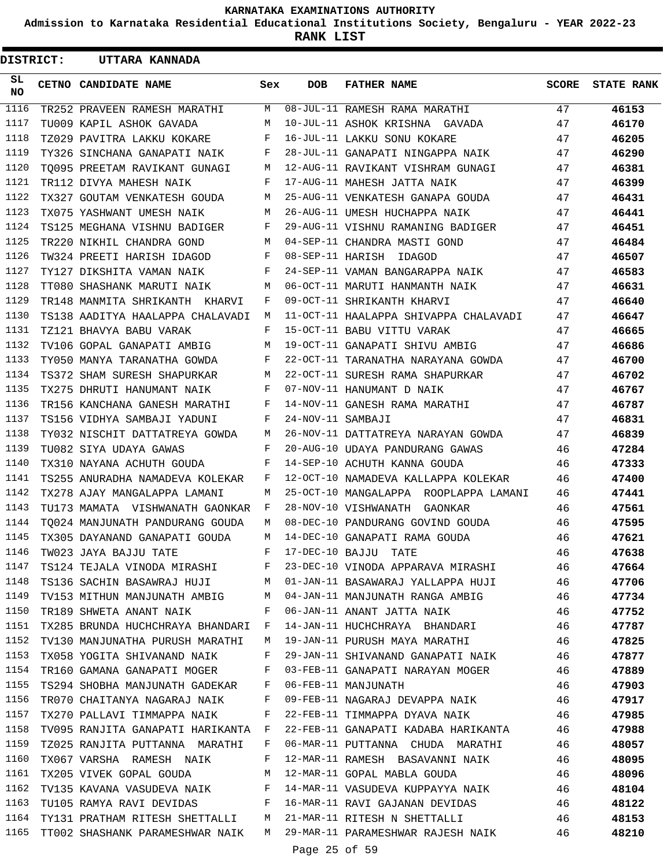**Admission to Karnataka Residential Educational Institutions Society, Bengaluru - YEAR 2022-23**

**RANK LIST**

| <b>DISTRICT:</b> |  | UTTARA KANNADA                                            |     |                   |                                                                             |      |                         |
|------------------|--|-----------------------------------------------------------|-----|-------------------|-----------------------------------------------------------------------------|------|-------------------------|
| SL.<br><b>NO</b> |  | CETNO CANDIDATE NAME                                      | Sex | DOB               | <b>FATHER NAME</b>                                                          |      | <b>SCORE</b> STATE RANK |
| 1116             |  | TR252 PRAVEEN RAMESH MARATHI                              | M   |                   | 08-JUL-11 RAMESH RAMA MARATHI                                               | 47   | 46153                   |
| 1117             |  | TU009 KAPIL ASHOK GAVADA                                  | M   |                   | 10-JUL-11 ASHOK KRISHNA GAVADA                                              | 47   | 46170                   |
| 1118             |  | TZ029 PAVITRA LAKKU KOKARE                                | F   |                   | 16-JUL-11 LAKKU SONU KOKARE                                                 | 47   | 46205                   |
| 1119             |  | TY326 SINCHANA GANAPATI NAIK F                            |     |                   | 28-JUL-11 GANAPATI NINGAPPA NAIK                                            | 47   | 46290                   |
| 1120             |  | TO095 PREETAM RAVIKANT GUNAGI M                           |     |                   | 12-AUG-11 RAVIKANT VISHRAM GUNAGI                                           | 47   | 46381                   |
| 1121             |  | TR112 DIVYA MAHESH NAIK                                   | F   |                   | 17-AUG-11 MAHESH JATTA NAIK                                                 | 47   | 46399                   |
| 1122             |  | TX327 GOUTAM VENKATESH GOUDA                              | M   |                   | 25-AUG-11 VENKATESH GANAPA GOUDA                                            | 47   | 46431                   |
| 1123             |  | TX075 YASHWANT UMESH NAIK                                 | M   |                   | 26-AUG-11 UMESH HUCHAPPA NAIK                                               | 47   | 46441                   |
| 1124             |  | TS125 MEGHANA VISHNU BADIGER                              | F   |                   | 29-AUG-11 VISHNU RAMANING BADIGER                                           | 47   | 46451                   |
| 1125             |  | TR220 NIKHIL CHANDRA GOND                                 | M   |                   | 04-SEP-11 CHANDRA MASTI GOND                                                | 47   | 46484                   |
| 1126             |  | TW324 PREETI HARISH IDAGOD                                | F   |                   | 08-SEP-11 HARISH IDAGOD                                                     | 47   | 46507                   |
| 1127             |  | TY127 DIKSHITA VAMAN NAIK                                 | F   |                   | 24-SEP-11 VAMAN BANGARAPPA NAIK                                             | 47   | 46583                   |
| 1128             |  | TT080 SHASHANK MARUTI NAIK                                | M   |                   | 06-OCT-11 MARUTI HANMANTH NAIK                                              | 47   | 46631                   |
| 1129             |  | TR148 MANMITA SHRIKANTH KHARVI                            | F   |                   | 09-OCT-11 SHRIKANTH KHARVI                                                  | 47   | 46640                   |
| 1130             |  | TS138 AADITYA HAALAPPA CHALAVADI M                        |     |                   | 11-OCT-11 HAALAPPA SHIVAPPA CHALAVADI                                       | 47   | 46647                   |
| 1131             |  | TZ121 BHAVYA BABU VARAK                                   | F   |                   | 15-OCT-11 BABU VITTU VARAK                                                  | 47   | 46665                   |
| 1132             |  | TV106 GOPAL GANAPATI AMBIG                                | M   |                   | 19-OCT-11 GANAPATI SHIVU AMBIG                                              | 47   | 46686                   |
| 1133             |  | TY050 MANYA TARANATHA GOWDA                               | F   |                   | 22-OCT-11 TARANATHA NARAYANA GOWDA                                          | 47   | 46700                   |
| 1134             |  | TS372 SHAM SURESH SHAPURKAR                               | M   |                   | 22-OCT-11 SURESH RAMA SHAPURKAR                                             | 47   | 46702                   |
| 1135             |  | TX275 DHRUTI HANUMANT NAIK F                              |     |                   | 07-NOV-11 HANUMANT D NAIK                                                   | 47   | 46767                   |
| 1136             |  | TR156 KANCHANA GANESH MARATHI                             | F   |                   | 14-NOV-11 GANESH RAMA MARATHI                                               | 47   | 46787                   |
| 1137             |  | TS156 VIDHYA SAMBAJI YADUNI                               | F   | 24-NOV-11 SAMBAJI |                                                                             | 47   | 46831                   |
| 1138             |  | TY032 NISCHIT DATTATREYA GOWDA                            | M   |                   | 26-NOV-11 DATTATREYA NARAYAN GOWDA                                          | 47   | 46839                   |
| 1139             |  | TU082 SIYA UDAYA GAWAS                                    | F   |                   | 20-AUG-10 UDAYA PANDURANG GAWAS                                             | 46   | 47284                   |
| 1140             |  | TX310 NAYANA ACHUTH GOUDA                                 | F   |                   | 14-SEP-10 ACHUTH KANNA GOUDA                                                | 46   | 47333                   |
| 1141             |  | TS255 ANURADHA NAMADEVA KOLEKAR                           | F   |                   | 12-OCT-10 NAMADEVA KALLAPPA KOLEKAR                                         | 46 — | 47400                   |
| 1142             |  | TX278 AJAY MANGALAPPA LAMANI                              | M   |                   | 25-OCT-10 MANGALAPPA ROOPLAPPA LAMANI                                       | 46   | 47441                   |
| 1143             |  | TU173 MAMATA VISHWANATH GAONKAR                           | F   |                   | 28-NOV-10 VISHWANATH GAONKAR                                                | 46   | 47561                   |
| 1144             |  | TO024 MANJUNATH PANDURANG GOUDA                           | M   |                   | 08-DEC-10 PANDURANG GOVIND GOUDA                                            | 46   | 47595                   |
| 1145             |  | TX305 DAYANAND GANAPATI GOUDA                             | M   |                   | 14-DEC-10 GANAPATI RAMA GOUDA                                               | 46   | 47621                   |
|                  |  | 1146 TW023 JAYA BAJJU TATE $F$ 17-DEC-10 BAJJU TATE       |     |                   | 46                                                                          |      | 47638                   |
|                  |  |                                                           |     |                   | 1147 TS124 TEJALA VINODA MIRASHI KWA 23-DEC-10 VINODA APPARAVA MIRASHI 46   |      | 47664                   |
|                  |  |                                                           |     |                   | 1148 TS136 SACHIN BASAWRAJ HUJI MO1-JAN-11 BASAWARAJ YALLAPPA HUJI 46       |      | 47706                   |
| 1149             |  |                                                           |     |                   | TV153 MITHUN MANJUNATH AMBIG M 04-JAN-11 MANJUNATH RANGA AMBIG 46           |      | 47734                   |
| 1150             |  |                                                           |     |                   | TR189 SHWETA ANANT NAIK F 06-JAN-11 ANANT JATTA NAIK 46                     |      | 47752                   |
| 1151             |  |                                                           |     |                   | TX285 BRUNDA HUCHCHRAYA BHANDARI F 14-JAN-11 HUCHCHRAYA BHANDARI 46         |      | 47787                   |
| 1152             |  |                                                           |     |                   | TV130 MANJUNATHA PURUSH MARATHI M 19-JAN-11 PURUSH MAYA MARATHI 46          |      | 47825                   |
| 1153             |  |                                                           |     |                   | TX058 YOGITA SHIVANAND NAIK F 29-JAN-11 SHIVANAND GANAPATI NAIK 46          |      | 47877                   |
|                  |  |                                                           |     |                   | 1154 TR160 GAMANA GANAPATI MOGER F 03-FEB-11 GANAPATI NARAYAN MOGER 46      |      | 47889                   |
|                  |  | 1155 TS294 SHOBHA MANJUNATH GADEKAR F 06-FEB-11 MANJUNATH |     |                   |                                                                             | 46   | 47903                   |
|                  |  |                                                           |     |                   | 1156 TR070 CHAITANYA NAGARAJ NAIK $F$ 09-FEB-11 NAGARAJ DEVAPPA NAIK $46$   |      | 47917                   |
| 1157             |  | TX270 PALLAVI TIMMAPPA NAIK F                             |     |                   | 22-FEB-11 TIMMAPPA DYAVA NAIK 46                                            |      | 47985                   |
| 1158             |  |                                                           |     |                   | TV095 RANJITA GANAPATI HARIKANTA F 22-FEB-11 GANAPATI KADABA HARIKANTA $46$ |      | 47988                   |
| 1159             |  |                                                           |     |                   | TZ025 RANJITA PUTTANNA MARATHI F 06-MAR-11 PUTTANNA CHUDA MARATHI 46        |      | 48057                   |
| 1160             |  |                                                           |     |                   | TX067 VARSHA RAMESH NAIK F 12-MAR-11 RAMESH BASAVANNI NAIK 46               |      | 48095                   |
| 1161             |  |                                                           |     |                   | TX205 VIVEK GOPAL GOUDA M 12-MAR-11 GOPAL MABLA GOUDA 46                    |      | 48096                   |
| 1162             |  |                                                           |     |                   | TV135 KAVANA VASUDEVA NAIK F 14-MAR-11 VASUDEVA KUPPAYYA NAIK 46            |      | 48104                   |
|                  |  |                                                           |     |                   | 1163 TU105 RAMYA RAVI DEVIDAS F 16-MAR-11 RAVI GAJANAN DEVIDAS              | 46   | 48122                   |
|                  |  |                                                           |     |                   | 1164 TY131 PRATHAM RITESH SHETTALLI M 21-MAR-11 RITESH N SHETTALLI 46       |      | 48153                   |
| 1165             |  |                                                           |     |                   | TT002 SHASHANK PARAMESHWAR NAIK M 29-MAR-11 PARAMESHWAR RAJESH NAIK 46      |      | 48210                   |
|                  |  |                                                           |     | Page 25 of 59     |                                                                             |      |                         |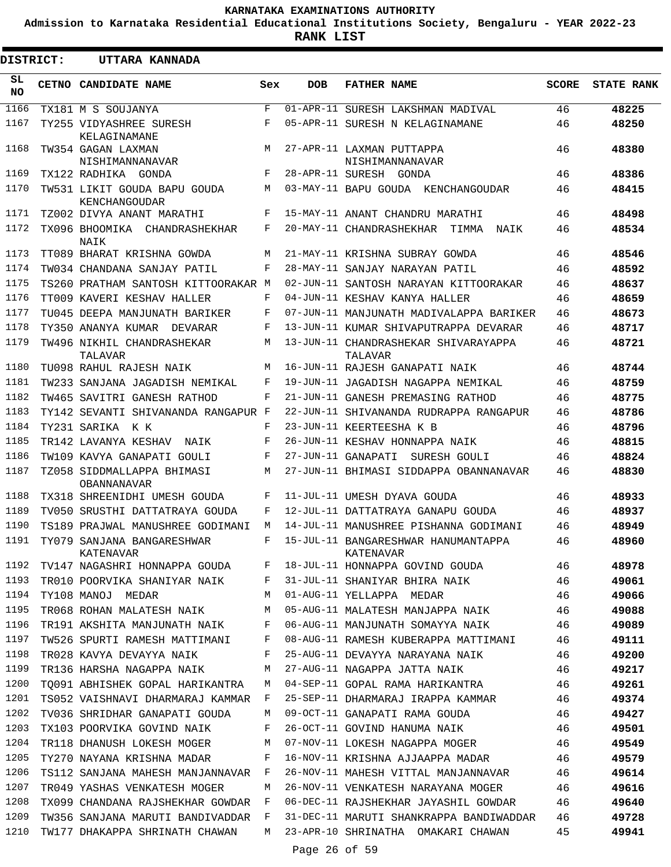**Admission to Karnataka Residential Educational Institutions Society, Bengaluru - YEAR 2022-23**

**RANK LIST**

| <b>DISTRICT:</b> | UTTARA KANNADA                                |     |               |                                                  |              |                   |
|------------------|-----------------------------------------------|-----|---------------|--------------------------------------------------|--------------|-------------------|
| SL<br>NO.        | CETNO CANDIDATE NAME                          | Sex | <b>DOB</b>    | <b>FATHER NAME</b>                               | <b>SCORE</b> | <b>STATE RANK</b> |
| 1166             | TX181 M S SOUJANYA                            | F   |               | 01-APR-11 SURESH LAKSHMAN MADIVAL                | 46           | 48225             |
| 1167             | TY255 VIDYASHREE SURESH<br>KELAGINAMANE       | F   |               | 05-APR-11 SURESH N KELAGINAMANE                  | 46           | 48250             |
| 1168             | TW354 GAGAN LAXMAN<br>NISHIMANNANAVAR         | M   |               | 27-APR-11 LAXMAN PUTTAPPA<br>NISHIMANNANAVAR     | 46           | 48380             |
| 1169             | TX122 RADHIKA GONDA                           | F   |               | 28-APR-11 SURESH GONDA                           | 46           | 48386             |
| 1170             | TW531 LIKIT GOUDA BAPU GOUDA<br>KENCHANGOUDAR | M   |               | 03-MAY-11 BAPU GOUDA KENCHANGOUDAR               | 46           | 48415             |
| 1171             | TZ002 DIVYA ANANT MARATHI                     | F   |               | 15-MAY-11 ANANT CHANDRU MARATHI                  | 46           | 48498             |
| 1172             | TX096 BHOOMIKA CHANDRASHEKHAR<br>NAIK         | F   |               | 20-MAY-11 CHANDRASHEKHAR TIMMA<br>NAIK           | 46           | 48534             |
| 1173             | TT089 BHARAT KRISHNA GOWDA                    | M   |               | 21-MAY-11 KRISHNA SUBRAY GOWDA                   | 46           | 48546             |
| 1174             | TW034 CHANDANA SANJAY PATIL                   | F   |               | 28-MAY-11 SANJAY NARAYAN PATIL                   | 46           | 48592             |
| 1175             | TS260 PRATHAM SANTOSH KITTOORAKAR M           |     |               | 02-JUN-11 SANTOSH NARAYAN KITTOORAKAR            | 46           | 48637             |
| 1176             | TT009 KAVERI KESHAV HALLER                    | F   |               | 04-JUN-11 KESHAV KANYA HALLER                    | 46           | 48659             |
| 1177             | TU045 DEEPA MANJUNATH BARIKER                 | F   |               | 07-JUN-11 MANJUNATH MADIVALAPPA BARIKER          | 46           | 48673             |
| 1178             | TY350 ANANYA KUMAR DEVARAR                    | F   |               | 13-JUN-11 KUMAR SHIVAPUTRAPPA DEVARAR            | 46           | 48717             |
| 1179             | TW496 NIKHIL CHANDRASHEKAR<br>TALAVAR         | M   |               | 13-JUN-11 CHANDRASHEKAR SHIVARAYAPPA<br>TALAVAR  | 46           | 48721             |
| 1180             | TU098 RAHUL RAJESH NAIK                       | M   |               | 16-JUN-11 RAJESH GANAPATI NAIK                   | 46           | 48744             |
| 1181             | TW233 SANJANA JAGADISH NEMIKAL                | F   |               | 19-JUN-11 JAGADISH NAGAPPA NEMIKAL               | 46           | 48759             |
| 1182             | TW465 SAVITRI GANESH RATHOD                   | F   |               | 21-JUN-11 GANESH PREMASING RATHOD                | 46           | 48775             |
| 1183             | TY142 SEVANTI SHIVANANDA RANGAPUR F           |     |               | 22-JUN-11 SHIVANANDA RUDRAPPA RANGAPUR           | 46           | 48786             |
| 1184             | TY231 SARIKA K K                              | F   |               | 23-JUN-11 KEERTEESHA K B                         | 46           | 48796             |
| 1185             | TR142 LAVANYA KESHAV<br>NAIK                  | F   |               | 26-JUN-11 KESHAV HONNAPPA NAIK                   | 46           | 48815             |
| 1186             | TW109 KAVYA GANAPATI GOULI                    | F   |               | 27-JUN-11 GANAPATI SURESH GOULI                  | 46           | 48824             |
| 1187             | TZ058 SIDDMALLAPPA BHIMASI<br>OBANNANAVAR     | M   |               | 27-JUN-11 BHIMASI SIDDAPPA OBANNANAVAR           | 46           | 48830             |
| 1188             | TX318 SHREENIDHI UMESH GOUDA                  | F   |               | 11-JUL-11 UMESH DYAVA GOUDA                      | 46           | 48933             |
| 1189             | TV050 SRUSTHI DATTATRAYA GOUDA                | F   |               | 12-JUL-11 DATTATRAYA GANAPU GOUDA                | 46           | 48937             |
| 1190             | TS189 PRAJWAL MANUSHREE GODIMANI              | M   |               | 14-JUL-11 MANUSHREE PISHANNA GODIMANI            | 46           | 48949             |
| 1191             | TY079 SANJANA BANGARESHWAR<br>KATENAVAR       | F   |               | 15-JUL-11 BANGARESHWAR HANUMANTAPPA<br>KATENAVAR | 46           | 48960             |
| 1192             | TV147 NAGASHRI HONNAPPA GOUDA                 | F   |               | 18-JUL-11 HONNAPPA GOVIND GOUDA                  | 46           | 48978             |
| 1193             | TR010 POORVIKA SHANIYAR NAIK                  | F   |               | 31-JUL-11 SHANIYAR BHIRA NAIK                    | 46           | 49061             |
| 1194             | TY108 MANOJ MEDAR                             | М   |               | 01-AUG-11 YELLAPPA MEDAR                         | 46           | 49066             |
| 1195             | TR068 ROHAN MALATESH NAIK                     | M   |               | 05-AUG-11 MALATESH MANJAPPA NAIK                 | 46           | 49088             |
| 1196             | TR191 AKSHITA MANJUNATH NAIK                  | F   |               | 06-AUG-11 MANJUNATH SOMAYYA NAIK                 | 46           | 49089             |
| 1197             | TW526 SPURTI RAMESH MATTIMANI                 | F   |               | 08-AUG-11 RAMESH KUBERAPPA MATTIMANI             | 46           | 49111             |
| 1198             | TR028 KAVYA DEVAYYA NAIK                      | F   |               | 25-AUG-11 DEVAYYA NARAYANA NAIK                  | 46           | 49200             |
| 1199             | TR136 HARSHA NAGAPPA NAIK                     | М   |               | 27-AUG-11 NAGAPPA JATTA NAIK                     | 46           | 49217             |
| 1200             | TO091 ABHISHEK GOPAL HARIKANTRA               | M   |               | 04-SEP-11 GOPAL RAMA HARIKANTRA                  | 46           | 49261             |
| 1201             | TS052 VAISHNAVI DHARMARAJ KAMMAR              | F   |               | 25-SEP-11 DHARMARAJ IRAPPA KAMMAR                | 46           | 49374             |
| 1202             | TV036 SHRIDHAR GANAPATI GOUDA                 | M   |               | 09-OCT-11 GANAPATI RAMA GOUDA                    | 46           | 49427             |
| 1203             | TX103 POORVIKA GOVIND NAIK                    | F   |               | 26-OCT-11 GOVIND HANUMA NAIK                     | 46           | 49501             |
| 1204             | TR118 DHANUSH LOKESH MOGER                    | M   |               | 07-NOV-11 LOKESH NAGAPPA MOGER                   | 46           | 49549             |
| 1205             | TY270 NAYANA KRISHNA MADAR                    | F   |               | 16-NOV-11 KRISHNA AJJAAPPA MADAR                 | 46           | 49579             |
| 1206             | TS112 SANJANA MAHESH MANJANNAVAR F            |     |               | 26-NOV-11 MAHESH VITTAL MANJANNAVAR              | 46           | 49614             |
| 1207             | TR049 YASHAS VENKATESH MOGER                  | М   |               | 26-NOV-11 VENKATESH NARAYANA MOGER               | 46           | 49616             |
| 1208             | TX099 CHANDANA RAJSHEKHAR GOWDAR              | F   |               | 06-DEC-11 RAJSHEKHAR JAYASHIL GOWDAR             | 46           | 49640             |
| 1209             | TW356 SANJANA MARUTI BANDIVADDAR              | F   |               | 31-DEC-11 MARUTI SHANKRAPPA BANDIWADDAR          | 46           | 49728             |
| 1210             | TW177 DHAKAPPA SHRINATH CHAWAN                | M   | Page 26 of 59 | 23-APR-10 SHRINATHA OMAKARI CHAWAN               | 45           | 49941             |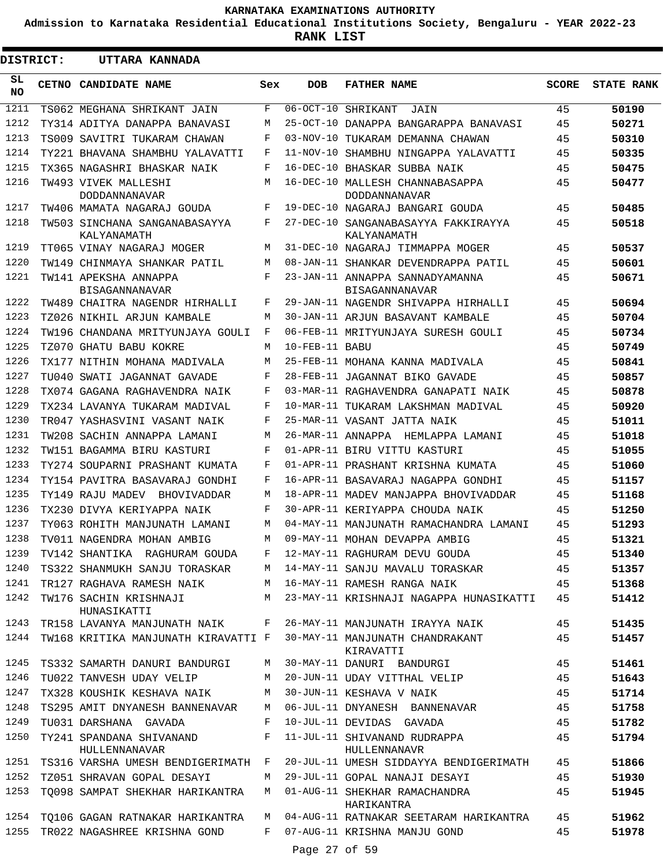**Admission to Karnataka Residential Educational Institutions Society, Bengaluru - YEAR 2022-23**

**RANK LIST**

| <b>DISTRICT:</b> |       | UTTARA KANNADA                                               |       |                |                                                                                  |              |                   |
|------------------|-------|--------------------------------------------------------------|-------|----------------|----------------------------------------------------------------------------------|--------------|-------------------|
| SL<br>NO.        | CETNO | CANDIDATE NAME                                               | Sex   | <b>DOB</b>     | <b>FATHER NAME</b>                                                               | <b>SCORE</b> | <b>STATE RANK</b> |
| 1211             |       | TS062 MEGHANA SHRIKANT JAIN                                  | F     |                | 06-OCT-10 SHRIKANT<br>JAIN                                                       | 45           | 50190             |
| 1212             |       | TY314 ADITYA DANAPPA BANAVASI                                | М     |                | 25-OCT-10 DANAPPA BANGARAPPA BANAVASI                                            | 45           | 50271             |
| 1213             |       | TS009 SAVITRI TUKARAM CHAWAN                                 | F     |                | 03-NOV-10 TUKARAM DEMANNA CHAWAN                                                 | 45           | 50310             |
| 1214             |       | TY221 BHAVANA SHAMBHU YALAVATTI                              | F     |                | 11-NOV-10 SHAMBHU NINGAPPA YALAVATTI                                             | 45           | 50335             |
| 1215             |       | TX365 NAGASHRI BHASKAR NAIK                                  | F     |                | 16-DEC-10 BHASKAR SUBBA NAIK                                                     | 45           | 50475             |
| 1216             |       | TW493 VIVEK MALLESHI<br>DODDANNANAVAR                        | М     |                | 16-DEC-10 MALLESH CHANNABASAPPA<br>DODDANNANAVAR                                 | 45           | 50477             |
| 1217             |       | TW406 MAMATA NAGARAJ GOUDA                                   | F     |                | 19-DEC-10 NAGARAJ BANGARI GOUDA                                                  | 45           | 50485             |
| 1218             |       | TW503 SINCHANA SANGANABASAYYA<br>KALYANAMATH                 | F     |                | 27-DEC-10 SANGANABASAYYA FAKKIRAYYA<br>KALYANAMATH                               | 45           | 50518             |
| 1219             |       | TT065 VINAY NAGARAJ MOGER                                    | M     |                | 31-DEC-10 NAGARAJ TIMMAPPA MOGER                                                 | 45           | 50537             |
| 1220             |       | TW149 CHINMAYA SHANKAR PATIL                                 | M     |                | 08-JAN-11 SHANKAR DEVENDRAPPA PATIL                                              | 45           | 50601             |
| 1221             |       | TW141 APEKSHA ANNAPPA<br><b>BISAGANNANAVAR</b>               | F     |                | 23-JAN-11 ANNAPPA SANNADYAMANNA<br><b>BISAGANNANAVAR</b>                         | 45           | 50671             |
| 1222             |       | TW489 CHAITRA NAGENDR HIRHALLI                               | F     |                | 29-JAN-11 NAGENDR SHIVAPPA HIRHALLI                                              | 45           | 50694             |
| 1223             |       | TZ026 NIKHIL ARJUN KAMBALE                                   | М     |                | 30-JAN-11 ARJUN BASAVANT KAMBALE                                                 | 45           | 50704             |
| 1224             |       | TW196 CHANDANA MRITYUNJAYA GOULI                             | F     |                | 06-FEB-11 MRITYUNJAYA SURESH GOULI                                               | 45           | 50734             |
| 1225             |       | TZ070 GHATU BABU KOKRE                                       | М     | 10-FEB-11 BABU |                                                                                  | 45           | 50749             |
| 1226             |       | TX177 NITHIN MOHANA MADIVALA                                 | М     |                | 25-FEB-11 MOHANA KANNA MADIVALA                                                  | 45           | 50841             |
| 1227             |       | TU040 SWATI JAGANNAT GAVADE                                  | F     |                | 28-FEB-11 JAGANNAT BIKO GAVADE                                                   | 45           | 50857             |
| 1228             |       | TX074 GAGANA RAGHAVENDRA NAIK                                | F     |                | 03-MAR-11 RAGHAVENDRA GANAPATI NAIK                                              | 45           | 50878             |
| 1229             |       | TX234 LAVANYA TUKARAM MADIVAL                                | F     |                | 10-MAR-11 TUKARAM LAKSHMAN MADIVAL                                               | 45           | 50920             |
| 1230             |       | TR047 YASHASVINI VASANT NAIK                                 | F     |                | 25-MAR-11 VASANT JATTA NAIK                                                      | 45           | 51011             |
| 1231             |       | TW208 SACHIN ANNAPPA LAMANI                                  | М     |                | 26-MAR-11 ANNAPPA HEMLAPPA LAMANI                                                | 45           | 51018             |
| 1232             |       | TW151 BAGAMMA BIRU KASTURI                                   | F     |                | 01-APR-11 BIRU VITTU KASTURI                                                     | 45           | 51055             |
| 1233             |       | TY274 SOUPARNI PRASHANT KUMATA                               | F     |                | 01-APR-11 PRASHANT KRISHNA KUMATA                                                | 45           | 51060             |
| 1234             |       | TY154 PAVITRA BASAVARAJ GONDHI                               | F     |                | 16-APR-11 BASAVARAJ NAGAPPA GONDHI                                               | 45           | 51157             |
| 1235             |       | TY149 RAJU MADEV<br><b>BHOVIVADDAR</b>                       | М     |                | 18-APR-11 MADEV MANJAPPA BHOVIVADDAR                                             | 45           | 51168             |
| 1236             |       | TX230 DIVYA KERIYAPPA NAIK                                   | F     |                | 30-APR-11 KERIYAPPA CHOUDA NAIK                                                  | 45           | 51250             |
| 1237             |       | TY063 ROHITH MANJUNATH LAMANI                                | М     |                | 04-MAY-11 MANJUNATH RAMACHANDRA LAMANI                                           | 45           | 51293             |
| 1238             |       | TV011 NAGENDRA MOHAN AMBIG                                   | M     |                | 09-MAY-11 MOHAN DEVAPPA AMBIG                                                    | 45           | 51321             |
| 1239             |       | TV142 SHANTIKA RAGHURAM GOUDA                                | F     |                | 12-MAY-11 RAGHURAM DEVU GOUDA                                                    | 45           | 51340             |
| 1240             |       |                                                              |       |                | TS322 SHANMUKH SANJU TORASKAR M 14-MAY-11 SANJU MAVALU TORASKAR                  | 45           | 51357             |
|                  |       | 1241 TR127 RAGHAVA RAMESH NAIK M 16-MAY-11 RAMESH RANGA NAIK |       |                |                                                                                  | 45           | 51368             |
| 1242             |       | TW176 SACHIN KRISHNAJI<br>HUNASIKATTI                        | M     |                | 23-MAY-11 KRISHNAJI NAGAPPA HUNASIKATTI                                          | 45           | 51412             |
|                  |       | 1243 TR158 LAVANYA MANJUNATH NAIK F                          |       |                | 26-MAY-11 MANJUNATH IRAYYA NAIK                                                  | 45           | 51435             |
| 1244             |       |                                                              |       |                | TW168 KRITIKA MANJUNATH KIRAVATTI F 30-MAY-11 MANJUNATH CHANDRAKANT<br>KIRAVATTI | 45           | 51457             |
| 1245             |       | TS332 SAMARTH DANURI BANDURGI                                |       |                | M 30-MAY-11 DANURI BANDURGI                                                      | 45           | 51461             |
| 1246             |       | TU022 TANVESH UDAY VELIP                                     |       |                | M 20-JUN-11 UDAY VITTHAL VELIP                                                   | 45           | 51643             |
| 1247             |       | TX328 KOUSHIK KESHAVA NAIK                                   | M     |                | 30-JUN-11 KESHAVA V NAIK                                                         | 45           | 51714             |
| 1248             |       | TS295 AMIT DNYANESH BANNENAVAR M                             |       |                | 06-JUL-11 DNYANESH BANNENAVAR                                                    | 45           | 51758             |
| 1249             |       | TU031 DARSHANA GAVADA                                        | F     |                | 10-JUL-11 DEVIDAS GAVADA                                                         | 45           | 51782             |
| 1250             |       | TY241 SPANDANA SHIVANAND<br>HULLENNANAVAR                    | $F$ – |                | 11-JUL-11 SHIVANAND RUDRAPPA<br>HULLENNANAVR                                     | 45           | 51794             |
|                  |       | 1251 TS316 VARSHA UMESH BENDIGERIMATH F                      |       |                | 20-JUL-11 UMESH SIDDAYYA BENDIGERIMATH                                           | 45           | 51866             |
| 1252             |       | TZ051 SHRAVAN GOPAL DESAYI                                   | M     |                | 29-JUL-11 GOPAL NANAJI DESAYI                                                    | 45           | 51930             |
| 1253             |       | TQ098 SAMPAT SHEKHAR HARIKANTRA                              | M     |                | 01-AUG-11 SHEKHAR RAMACHANDRA<br>HARIKANTRA                                      | 45           | 51945             |
|                  |       | 1254 TQ106 GAGAN RATNAKAR HARIKANTRA                         | M     |                | 04-AUG-11 RATNAKAR SEETARAM HARIKANTRA                                           | 45           | 51962             |
|                  |       | 1255 TR022 NAGASHREE KRISHNA GOND                            | F     |                | 07-AUG-11 KRISHNA MANJU GOND                                                     | 45           | 51978             |
|                  |       |                                                              |       | Page 27 of 59  |                                                                                  |              |                   |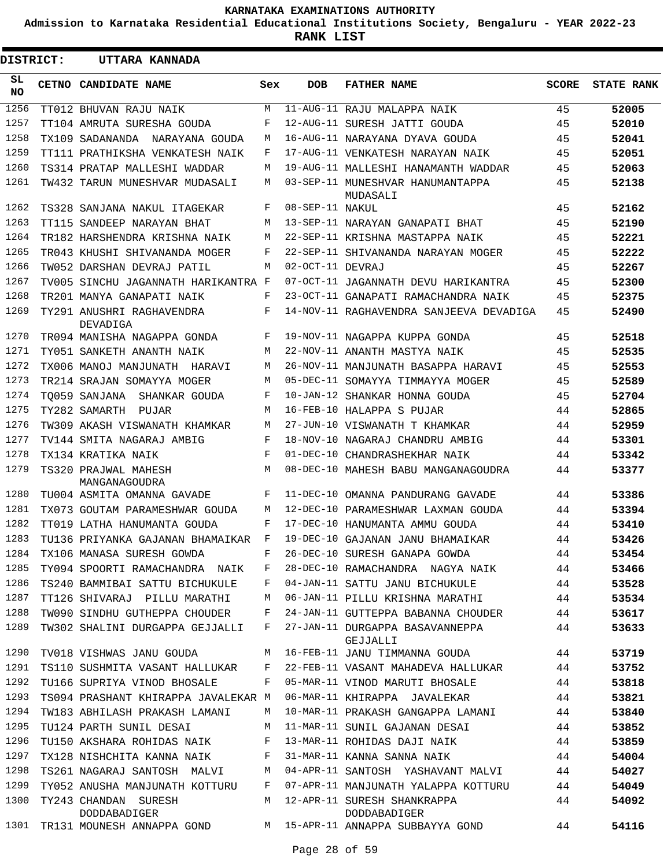**Admission to Karnataka Residential Educational Institutions Society, Bengaluru - YEAR 2022-23**

**RANK LIST**

Е

| DISTRICT:        |  | UTTARA KANNADA                        |     |                  |                                                                                  |              |                   |
|------------------|--|---------------------------------------|-----|------------------|----------------------------------------------------------------------------------|--------------|-------------------|
| SL.<br><b>NO</b> |  | CETNO CANDIDATE NAME                  | Sex | <b>DOB</b>       | <b>FATHER NAME</b>                                                               | <b>SCORE</b> | <b>STATE RANK</b> |
| 1256             |  | TT012 BHUVAN RAJU NAIK                | М   |                  | 11-AUG-11 RAJU MALAPPA NAIK                                                      | 45           | 52005             |
| 1257             |  | TT104 AMRUTA SURESHA GOUDA            | F   |                  | 12-AUG-11 SURESH JATTI GOUDA                                                     | 45           | 52010             |
| 1258             |  | TX109 SADANANDA   NARAYANA GOUDA      | M   |                  | 16-AUG-11 NARAYANA DYAVA GOUDA                                                   | 45           | 52041             |
| 1259             |  | TT111 PRATHIKSHA VENKATESH NAIK       | F   |                  | 17-AUG-11 VENKATESH NARAYAN NAIK                                                 | 45           | 52051             |
| 1260             |  | TS314 PRATAP MALLESHI WADDAR          | M   |                  | 19-AUG-11 MALLESHI HANAMANTH WADDAR                                              | 45           | 52063             |
| 1261             |  | TW432 TARUN MUNESHVAR MUDASALI        | M   |                  | 03-SEP-11 MUNESHVAR HANUMANTAPPA<br>MUDASALI                                     | 45           | 52138             |
| 1262             |  | TS328 SANJANA NAKUL ITAGEKAR          | F   | 08-SEP-11 NAKUL  |                                                                                  | 45           | 52162             |
| 1263             |  | TT115 SANDEEP NARAYAN BHAT            | M   |                  | 13-SEP-11 NARAYAN GANAPATI BHAT                                                  | 45           | 52190             |
| 1264             |  | TR182 HARSHENDRA KRISHNA NAIK         | M   |                  | 22-SEP-11 KRISHNA MASTAPPA NAIK                                                  | 45           | 52221             |
| 1265             |  | TR043 KHUSHI SHIVANANDA MOGER         | F   |                  | 22-SEP-11 SHIVANANDA NARAYAN MOGER                                               | 45           | 52222             |
| 1266             |  | TW052 DARSHAN DEVRAJ PATIL            | M   | 02-OCT-11 DEVRAJ |                                                                                  | 45           | 52267             |
| 1267             |  | TV005 SINCHU JAGANNATH HARIKANTRA F   |     |                  | 07-OCT-11 JAGANNATH DEVU HARIKANTRA                                              | 45           | 52300             |
| 1268             |  | TR201 MANYA GANAPATI NAIK             | F   |                  | 23-OCT-11 GANAPATI RAMACHANDRA NAIK                                              | 45           | 52375             |
| 1269             |  | TY291 ANUSHRI RAGHAVENDRA<br>DEVADIGA | F   |                  | 14-NOV-11 RAGHAVENDRA SANJEEVA DEVADIGA                                          | 45           | 52490             |
| 1270             |  | TR094 MANISHA NAGAPPA GONDA           | F   |                  | 19-NOV-11 NAGAPPA KUPPA GONDA                                                    | 45           | 52518             |
| 1271             |  | TY051 SANKETH ANANTH NAIK             | M   |                  | 22-NOV-11 ANANTH MASTYA NAIK                                                     | 45           | 52535             |
| 1272             |  | TX006 MANOJ MANJUNATH HARAVI          | M   |                  | 26-NOV-11 MANJUNATH BASAPPA HARAVI                                               | 45           | 52553             |
| 1273             |  | TR214 SRAJAN SOMAYYA MOGER            | M   |                  | 05-DEC-11 SOMAYYA TIMMAYYA MOGER                                                 | 45           | 52589             |
| 1274             |  | TO059 SANJANA SHANKAR GOUDA           | F   |                  | 10-JAN-12 SHANKAR HONNA GOUDA                                                    | 45           | 52704             |
| 1275             |  | TY282 SAMARTH<br>PUJAR                | M   |                  | 16-FEB-10 HALAPPA S PUJAR                                                        | 44           | 52865             |
| 1276             |  | TW309 AKASH VISWANATH KHAMKAR         | M   |                  | 27-JUN-10 VISWANATH T KHAMKAR                                                    | 44           | 52959             |
| 1277             |  | TV144 SMITA NAGARAJ AMBIG             | F   |                  | 18-NOV-10 NAGARAJ CHANDRU AMBIG                                                  | 44           | 53301             |
| 1278             |  | TX134 KRATIKA NAIK                    | F   |                  | 01-DEC-10 CHANDRASHEKHAR NAIK                                                    | 44           | 53342             |
| 1279             |  | TS320 PRAJWAL MAHESH<br>MANGANAGOUDRA | M   |                  | 08-DEC-10 MAHESH BABU MANGANAGOUDRA                                              | 44           | 53377             |
| 1280             |  | TU004 ASMITA OMANNA GAVADE            | F   |                  | 11-DEC-10 OMANNA PANDURANG GAVADE                                                | 44           | 53386             |
| 1281             |  | TX073 GOUTAM PARAMESHWAR GOUDA        | M   |                  | 12-DEC-10 PARAMESHWAR LAXMAN GOUDA                                               | 44           | 53394             |
| 1282             |  | TT019 LATHA HANUMANTA GOUDA           | F   |                  | 17-DEC-10 HANUMANTA AMMU GOUDA                                                   | 44           | 53410             |
| 1283             |  | TU136 PRIYANKA GAJANAN BHAMAIKAR      | F   |                  | 19-DEC-10 GAJANAN JANU BHAMAIKAR                                                 | 44           | 53426             |
|                  |  |                                       |     |                  | 1284 TX106 MANASA SURESH GOWDA F 26-DEC-10 SURESH GANAPA GOWDA                   | 44           | 53454             |
| 1285             |  |                                       |     |                  | TY094 SPOORTI RAMACHANDRA NAIK F 28-DEC-10 RAMACHANDRA NAGYA NAIK 44             |              | 53466             |
| 1286             |  | TS240 BAMMIBAI SATTU BICHUKULE        | F   |                  | 04-JAN-11 SATTU JANU BICHUKULE 44                                                |              | 53528             |
| 1287             |  | TT126 SHIVARAJ PILLU MARATHI M        |     |                  | 06-JAN-11 PILLU KRISHNA MARATHI 44                                               |              | 53534             |
| 1288             |  | TW090 SINDHU GUTHEPPA CHOUDER F       |     |                  | 24-JAN-11 GUTTEPPA BABANNA CHOUDER 44                                            |              | 53617             |
| 1289             |  |                                       |     |                  | TW302 SHALINI DURGAPPA GEJJALLI F 27-JAN-11 DURGAPPA BASAVANNEPPA 44<br>GEJJALLI |              | 53633             |
| 1290             |  |                                       |     |                  | TV018 VISHWAS JANU GOUDA M 16-FEB-11 JANU TIMMANNA GOUDA 44                      |              | 53719             |
| 1291             |  |                                       |     |                  | TS110 SUSHMITA VASANT HALLUKAR F 22-FEB-11 VASANT MAHADEVA HALLUKAR 44           |              | 53752             |
| 1292             |  | TU166 SUPRIYA VINOD BHOSALE F         |     |                  | 05-MAR-11 VINOD MARUTI BHOSALE 44                                                |              | 53818             |
| 1293             |  | TS094 PRASHANT KHIRAPPA JAVALEKAR M   |     |                  | 06-MAR-11 KHIRAPPA JAVALEKAR 44                                                  |              | 53821             |
| 1294             |  |                                       |     |                  | TW183 ABHILASH PRAKASH LAMANI M 10-MAR-11 PRAKASH GANGAPPA LAMANI 44             |              | 53840             |
| 1295             |  |                                       |     |                  | TU124 PARTH SUNIL DESAI M 11-MAR-11 SUNIL GAJANAN DESAI 44                       |              | 53852             |
| 1296             |  | TU150 AKSHARA ROHIDAS NAIK F          |     |                  | 13-MAR-11 ROHIDAS DAJI NAIK 44                                                   |              | 53859             |
| 1297             |  | TX128 NISHCHITA KANNA NAIK F          |     |                  | 31-MAR-11 KANNA SANNA NAIK 44                                                    |              | 54004             |
| 1298             |  |                                       |     |                  | TS261 NAGARAJ SANTOSH MALVI M 04-APR-11 SANTOSH YASHAVANT MALVI 44               |              | 54027             |
| 1299             |  |                                       |     |                  | TY052 ANUSHA MANJUNATH KOTTURU F 07-APR-11 MANJUNATH YALAPPA KOTTURU 44          |              | 54049             |
| 1300             |  | TY243 CHANDAN SURESH<br>DODDABADIGER  |     |                  | M 12-APR-11 SURESH SHANKRAPPA<br>DODDABADIGER                                    | 44           | 54092             |
| 1301             |  |                                       |     |                  | TR131 MOUNESH ANNAPPA GOND M 15-APR-11 ANNAPPA SUBBAYYA GOND 44                  |              | 54116             |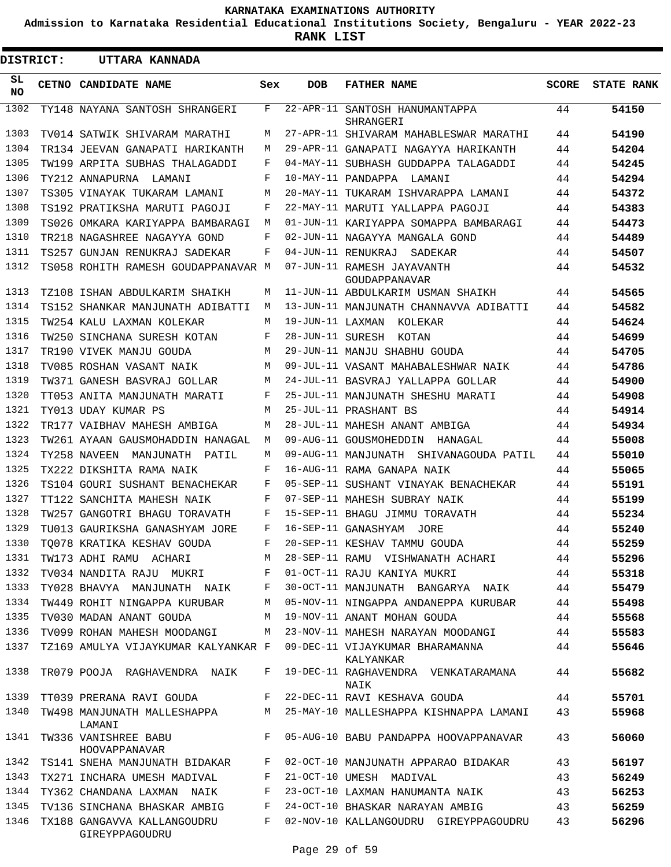**Admission to Karnataka Residential Educational Institutions Society, Bengaluru - YEAR 2022-23**

**RANK LIST**

| <b>DISTRICT:</b> | UTTARA KANNADA                                |              |            |                                                                      |              |                   |
|------------------|-----------------------------------------------|--------------|------------|----------------------------------------------------------------------|--------------|-------------------|
| SL<br><b>NO</b>  | <b>CETNO CANDIDATE NAME</b>                   | Sex          | <b>DOB</b> | <b>FATHER NAME</b>                                                   | <b>SCORE</b> | <b>STATE RANK</b> |
| 1302             | TY148 NAYANA SANTOSH SHRANGERI                | F            |            | 22-APR-11 SANTOSH HANUMANTAPPA<br>SHRANGERI                          | 44           | 54150             |
| 1303             | TV014 SATWIK SHIVARAM MARATHI                 | М            |            | 27-APR-11 SHIVARAM MAHABLESWAR MARATHI                               | 44           | 54190             |
| 1304             | TR134 JEEVAN GANAPATI HARIKANTH               | М            |            | 29-APR-11 GANAPATI NAGAYYA HARIKANTH                                 | 44           | 54204             |
| 1305             | TW199 ARPITA SUBHAS THALAGADDI                | F            |            | 04-MAY-11 SUBHASH GUDDAPPA TALAGADDI                                 | 44           | 54245             |
| 1306             | TY212 ANNAPURNA LAMANI                        | F            |            | 10-MAY-11 PANDAPPA LAMANI                                            | 44           | 54294             |
| 1307             | TS305 VINAYAK TUKARAM LAMANI                  | М            |            | 20-MAY-11 TUKARAM ISHVARAPPA LAMANI                                  | 44           | 54372             |
| 1308             | TS192 PRATIKSHA MARUTI PAGOJI                 | F            |            | 22-MAY-11 MARUTI YALLAPPA PAGOJI                                     | 44           | 54383             |
| 1309             | TS026 OMKARA KARIYAPPA BAMBARAGI              | М            |            | 01-JUN-11 KARIYAPPA SOMAPPA BAMBARAGI                                | 44           | 54473             |
| 1310             | TR218 NAGASHREE NAGAYYA GOND                  | F            |            | 02-JUN-11 NAGAYYA MANGALA GOND                                       | 44           | 54489             |
| 1311             | TS257 GUNJAN RENUKRAJ SADEKAR                 | F            |            | 04-JUN-11 RENUKRAJ SADEKAR                                           | 44           | 54507             |
| 1312             | TS058 ROHITH RAMESH GOUDAPPANAVAR M           |              |            | 07-JUN-11 RAMESH JAYAVANTH<br>GOUDAPPANAVAR                          | 44           | 54532             |
| 1313             | TZ108 ISHAN ABDULKARIM SHAIKH                 | М            |            | 11-JUN-11 ABDULKARIM USMAN SHAIKH                                    | 44           | 54565             |
| 1314             | TS152 SHANKAR MANJUNATH ADIBATTI              | М            |            | 13-JUN-11 MANJUNATH CHANNAVVA ADIBATTI                               | 44           | 54582             |
| 1315             | TW254 KALU LAXMAN KOLEKAR                     | М            |            | 19-JUN-11 LAXMAN KOLEKAR                                             | 44           | 54624             |
| 1316             | TW250 SINCHANA SURESH KOTAN                   | F            |            | 28-JUN-11 SURESH KOTAN                                               | 44           | 54699             |
| 1317             | TR190 VIVEK MANJU GOUDA                       | М            |            | 29-JUN-11 MANJU SHABHU GOUDA                                         | 44           | 54705             |
| 1318             | TV085 ROSHAN VASANT NAIK                      | М            |            | 09-JUL-11 VASANT MAHABALESHWAR NAIK                                  | 44           | 54786             |
| 1319             | TW371 GANESH BASVRAJ GOLLAR                   | М            |            | 24-JUL-11 BASVRAJ YALLAPPA GOLLAR                                    | 44           | 54900             |
| 1320             | TT053 ANITA MANJUNATH MARATI                  | F            |            | 25-JUL-11 MANJUNATH SHESHU MARATI                                    | 44           | 54908             |
| 1321             | TY013 UDAY KUMAR PS                           | М            |            | 25-JUL-11 PRASHANT BS                                                | 44           | 54914             |
| 1322             | TR177 VAIBHAV MAHESH AMBIGA                   | М            |            | 28-JUL-11 MAHESH ANANT AMBIGA                                        | 44           | 54934             |
| 1323             | TW261 AYAAN GAUSMOHADDIN HANAGAL              | М            |            | 09-AUG-11 GOUSMOHEDDIN<br>HANAGAL                                    | 44           | 55008             |
| 1324             | TY258 NAVEEN<br>MANJUNATH PATIL               | М            |            | 09-AUG-11 MANJUNATH SHIVANAGOUDA PATIL                               | 44           | 55010             |
| 1325             | TX222 DIKSHITA RAMA NAIK                      | F            |            | 16-AUG-11 RAMA GANAPA NAIK                                           | 44           | 55065             |
| 1326             | TS104 GOURI SUSHANT BENACHEKAR                | F            |            | 05-SEP-11 SUSHANT VINAYAK BENACHEKAR                                 | 44           | 55191             |
| 1327             | TT122 SANCHITA MAHESH NAIK                    | F            |            | 07-SEP-11 MAHESH SUBRAY NAIK                                         | 44           | 55199             |
| 1328             | TW257 GANGOTRI BHAGU TORAVATH                 | F            |            | 15-SEP-11 BHAGU JIMMU TORAVATH                                       | 44           | 55234             |
| 1329             | TU013 GAURIKSHA GANASHYAM JORE                | F            |            | 16-SEP-11 GANASHYAM<br>JORE                                          | 44           | 55240             |
| 1330             | TQ078 KRATIKA KESHAV GOUDA                    | F            |            | 20-SEP-11 KESHAV TAMMU GOUDA                                         | 44           | 55259             |
| 1331             | TW173 ADHI RAMU ACHARI                        | M            |            | 28-SEP-11 RAMU VISHWANATH ACHARI                                     | 44           | 55296             |
| 1332             | TV034 NANDITA RAJU MUKRI F                    |              |            | 01-OCT-11 RAJU KANIYA MUKRI                                          | 44           | 55318             |
| 1333             | TY028 BHAVYA MANJUNATH NAIK F                 |              |            | 30-OCT-11 MANJUNATH BANGARYA NAIK                                    | 44           | 55479             |
| 1334             | TW449 ROHIT NINGAPPA KURUBAR                  | M            |            | 05-NOV-11 NINGAPPA ANDANEPPA KURUBAR                                 | 44           | 55498             |
| 1335             | TV030 MADAN ANANT GOUDA                       | M            |            | 19-NOV-11 ANANT MOHAN GOUDA                                          | 44           | 55568             |
| 1336             | TV099 ROHAN MAHESH MOODANGI                   | M            |            | 23-NOV-11 MAHESH NARAYAN MOODANGI                                    | 44           | 55583             |
| 1337             | TZ169 AMULYA VIJAYKUMAR KALYANKAR F           |              |            | 09-DEC-11 VIJAYKUMAR BHARAMANNA<br>KALYANKAR                         | 44           | 55646             |
| 1338             | TR079 POOJA RAGHAVENDRA NAIK                  | F            |            | 19-DEC-11 RAGHAVENDRA VENKATARAMANA<br>NAIK                          | 44           | 55682             |
| 1339             | TT039 PRERANA RAVI GOUDA                      | $\mathbf{F}$ |            | 22-DEC-11 RAVI KESHAVA GOUDA                                         | 44           | 55701             |
| 1340             | LAMANI                                        |              |            | TW498 MANJUNATH MALLESHAPPA M 25-MAY-10 MALLESHAPPA KISHNAPPA LAMANI | 43           | 55968             |
| 1341             | TW336 VANISHREE BABU<br>HOOVAPPANAVAR         | F            |            | 05-AUG-10 BABU PANDAPPA HOOVAPPANAVAR                                | 43           | 56060             |
| 1342             | TS141 SNEHA MANJUNATH BIDAKAR F               |              |            | 02-OCT-10 MANJUNATH APPARAO BIDAKAR                                  | 43           | 56197             |
| 1343             | TX271 INCHARA UMESH MADIVAL                   | F            |            | 21-OCT-10 UMESH MADIVAL                                              | 43           | 56249             |
| 1344             | TY362 CHANDANA LAXMAN NAIK                    | F            |            | 23-OCT-10 LAXMAN HANUMANTA NAIK                                      | 43           | 56253             |
| 1345             | TV136 SINCHANA BHASKAR AMBIG F                |              |            | 24-OCT-10 BHASKAR NARAYAN AMBIG                                      | 43           | 56259             |
| 1346             | TX188 GANGAVVA KALLANGOUDRU<br>GIREYPPAGOUDRU | F            |            | 02-NOV-10 KALLANGOUDRU GIREYPPAGOUDRU                                | 43           | 56296             |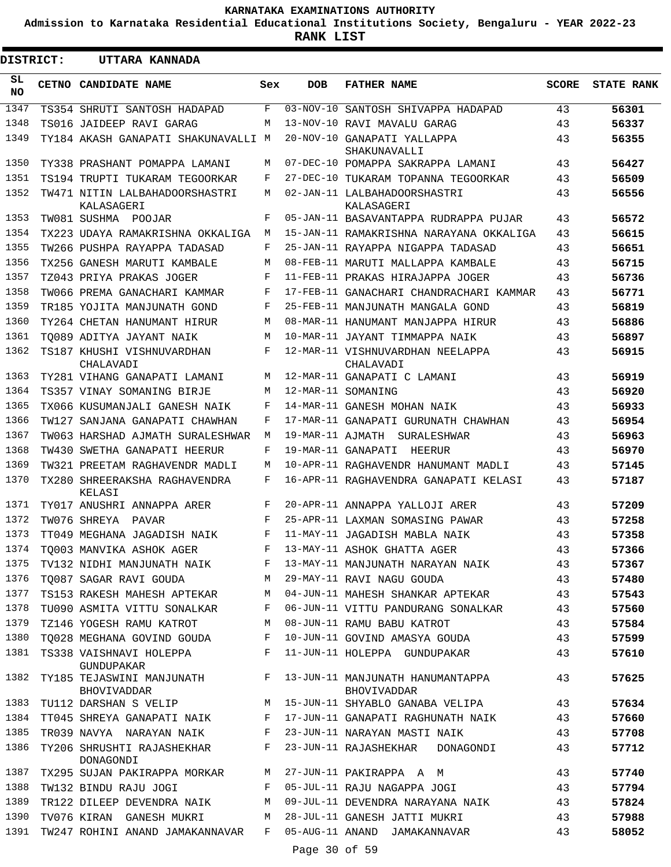**Admission to Karnataka Residential Educational Institutions Society, Bengaluru - YEAR 2022-23**

**RANK LIST**

| <b>DISTRICT:</b> |  | UTTARA KANNADA                                    |     |                  |                                                 |              |                   |
|------------------|--|---------------------------------------------------|-----|------------------|-------------------------------------------------|--------------|-------------------|
| SL<br><b>NO</b>  |  | CETNO CANDIDATE NAME                              | Sex | <b>DOB</b>       | <b>FATHER NAME</b>                              | <b>SCORE</b> | <b>STATE RANK</b> |
| 1347             |  | TS354 SHRUTI SANTOSH HADAPAD                      | F   | 03-NOV-10        | SANTOSH SHIVAPPA HADAPAD                        | 43           | 56301             |
| 1348             |  | TS016 JAIDEEP RAVI GARAG                          | М   |                  | 13-NOV-10 RAVI MAVALU GARAG                     | 43           | 56337             |
| 1349             |  | TY184 AKASH GANAPATI SHAKUNAVALLI M               |     |                  | 20-NOV-10 GANAPATI YALLAPPA<br>SHAKUNAVALLI     | 43           | 56355             |
| 1350             |  | TY338 PRASHANT POMAPPA LAMANI                     | М   |                  | 07-DEC-10 POMAPPA SAKRAPPA LAMANI               | 43           | 56427             |
| 1351             |  | TS194 TRUPTI TUKARAM TEGOORKAR                    | F   |                  | 27-DEC-10 TUKARAM TOPANNA TEGOORKAR             | 43           | 56509             |
| 1352             |  | TW471 NITIN LALBAHADOORSHASTRI<br>KALASAGERI      | М   |                  | 02-JAN-11 LALBAHADOORSHASTRI<br>KALASAGERI      | 43           | 56556             |
| 1353             |  | TW081 SUSHMA POOJAR                               | F   |                  | 05-JAN-11 BASAVANTAPPA RUDRAPPA PUJAR           | 43           | 56572             |
| 1354             |  | TX223 UDAYA RAMAKRISHNA OKKALIGA                  | M   |                  | 15-JAN-11 RAMAKRISHNA NARAYANA OKKALIGA         | 43           | 56615             |
| 1355             |  | TW266 PUSHPA RAYAPPA TADASAD                      | F   |                  | 25-JAN-11 RAYAPPA NIGAPPA TADASAD               | 43           | 56651             |
| 1356             |  | TX256 GANESH MARUTI KAMBALE                       | M   |                  | 08-FEB-11 MARUTI MALLAPPA KAMBALE               | 43           | 56715             |
| 1357             |  | TZ043 PRIYA PRAKAS JOGER                          | F   |                  | 11-FEB-11 PRAKAS HIRAJAPPA JOGER                | 43           | 56736             |
| 1358             |  | TW066 PREMA GANACHARI KAMMAR                      | F   |                  | 17-FEB-11 GANACHARI CHANDRACHARI KAMMAR         | 43           | 56771             |
| 1359             |  | TR185 YOJITA MANJUNATH GOND                       | F   |                  | 25-FEB-11 MANJUNATH MANGALA GOND                | 43           | 56819             |
| 1360             |  | TY264 CHETAN HANUMANT HIRUR                       | M   |                  | 08-MAR-11 HANUMANT MANJAPPA HIRUR               | 43           | 56886             |
| 1361             |  | TO089 ADITYA JAYANT NAIK                          | M   |                  | 10-MAR-11 JAYANT TIMMAPPA NAIK                  | 43           | 56897             |
| 1362             |  | TS187 KHUSHI VISHNUVARDHAN<br>CHALAVADI           | F   |                  | 12-MAR-11 VISHNUVARDHAN NEELAPPA<br>CHALAVADI   | 43           | 56915             |
| 1363             |  | TY281 VIHANG GANAPATI LAMANI                      | М   |                  | 12-MAR-11 GANAPATI C LAMANI                     | 43           | 56919             |
| 1364             |  | TS357 VINAY SOMANING BIRJE                        | М   |                  | 12-MAR-11 SOMANING                              | 43           | 56920             |
| 1365             |  | TX066 KUSUMANJALI GANESH NAIK                     | F   |                  | 14-MAR-11 GANESH MOHAN NAIK                     | 43           | 56933             |
| 1366             |  | TW127 SANJANA GANAPATI CHAWHAN                    | F   |                  | 17-MAR-11 GANAPATI GURUNATH CHAWHAN             | 43           | 56954             |
| 1367             |  | TW063 HARSHAD AJMATH SURALESHWAR                  | М   | 19-MAR-11 AJMATH | SURALESHWAR                                     | 43           | 56963             |
| 1368             |  | TW430 SWETHA GANAPATI HEERUR                      | F   |                  | 19-MAR-11 GANAPATI<br>HEERUR                    | 43           | 56970             |
| 1369             |  | TW321 PREETAM RAGHAVENDR MADLI                    | М   |                  | 10-APR-11 RAGHAVENDR HANUMANT MADLI             | 43           | 57145             |
| 1370             |  | TX280 SHREERAKSHA RAGHAVENDRA<br>KELASI           | F   |                  | 16-APR-11 RAGHAVENDRA GANAPATI KELASI           | 43           | 57187             |
| 1371             |  | TY017 ANUSHRI ANNAPPA ARER                        | F   |                  | 20-APR-11 ANNAPPA YALLOJI ARER                  | 43           | 57209             |
| 1372             |  | TW076 SHREYA<br>PAVAR                             | F   |                  | 25-APR-11 LAXMAN SOMASING PAWAR                 | 43           | 57258             |
| 1373             |  | TT049 MEGHANA JAGADISH NAIK                       | F   |                  | 11-MAY-11 JAGADISH MABLA NAIK                   | 43           | 57358             |
| 1374             |  | TO003 MANVIKA ASHOK AGER                          | F   |                  | 13-MAY-11 ASHOK GHATTA AGER                     | 43           | 57366             |
| 1375             |  | TV132 NIDHI MANJUNATH NAIK F                      |     |                  | 13-MAY-11 MANJUNATH NARAYAN NAIK                | 43           | 57367             |
| 1376             |  | TO087 SAGAR RAVI GOUDA                            | M   |                  | 29-MAY-11 RAVI NAGU GOUDA                       | 43           | 57480             |
| 1377             |  | TS153 RAKESH MAHESH APTEKAR                       | M   |                  | 04-JUN-11 MAHESH SHANKAR APTEKAR                | 43           | 57543             |
| 1378             |  | TU090 ASMITA VITTU SONALKAR                       | F   |                  | 06-JUN-11 VITTU PANDURANG SONALKAR              | 43           | 57560             |
| 1379             |  | TZ146 YOGESH RAMU KATROT                          | М   |                  | 08-JUN-11 RAMU BABU KATROT                      | 43           | 57584             |
| 1380             |  | TO028 MEGHANA GOVIND GOUDA                        | F   |                  | 10-JUN-11 GOVIND AMASYA GOUDA                   | 43           | 57599             |
| 1381             |  | TS338 VAISHNAVI HOLEPPA<br><b>GUNDUPAKAR</b>      | F   |                  | 11-JUN-11 HOLEPPA GUNDUPAKAR                    | 43           | 57610             |
| 1382             |  | TY185 TEJASWINI MANJUNATH F<br><b>BHOVIVADDAR</b> |     |                  | 13-JUN-11 MANJUNATH HANUMANTAPPA<br>BHOVIVADDAR | 43           | 57625             |
| 1383             |  | TU112 DARSHAN S VELIP M                           |     |                  | 15-JUN-11 SHYABLO GANABA VELIPA                 | 43           | 57634             |
| 1384             |  | TT045 SHREYA GANAPATI NAIK                        | F   |                  | 17-JUN-11 GANAPATI RAGHUNATH NAIK               | 43           | 57660             |
| 1385             |  | TR039 NAVYA   NARAYAN  NAIK                       | F   |                  | 23-JUN-11 NARAYAN MASTI NAIK                    | 43           | 57708             |
| 1386             |  | TY206 SHRUSHTI RAJASHEKHAR<br>DONAGONDI           | F   |                  | 23-JUN-11 RAJASHEKHAR<br>DONAGONDI              | 43           | 57712             |
| 1387             |  | TX295 SUJAN PAKIRAPPA MORKAR                      | M   |                  | 27-JUN-11 PAKIRAPPA A M                         | 43           | 57740             |
| 1388             |  | TW132 BINDU RAJU JOGI                             | F   |                  | 05-JUL-11 RAJU NAGAPPA JOGI                     | 43           | 57794             |
| 1389             |  | TR122 DILEEP DEVENDRA NAIK                        | M   |                  | 09-JUL-11 DEVENDRA NARAYANA NAIK                | 43           | 57824             |
| 1390             |  | TV076 KIRAN GANESH MUKRI                          | M   |                  | 28-JUL-11 GANESH JATTI MUKRI                    | 43           | 57988             |
| 1391             |  | TW247 ROHINI ANAND JAMAKANNAVAR                   | F   |                  | 05-AUG-11 ANAND JAMAKANNAVAR                    | 43           | 58052             |
|                  |  |                                                   |     | Page 30 of 59    |                                                 |              |                   |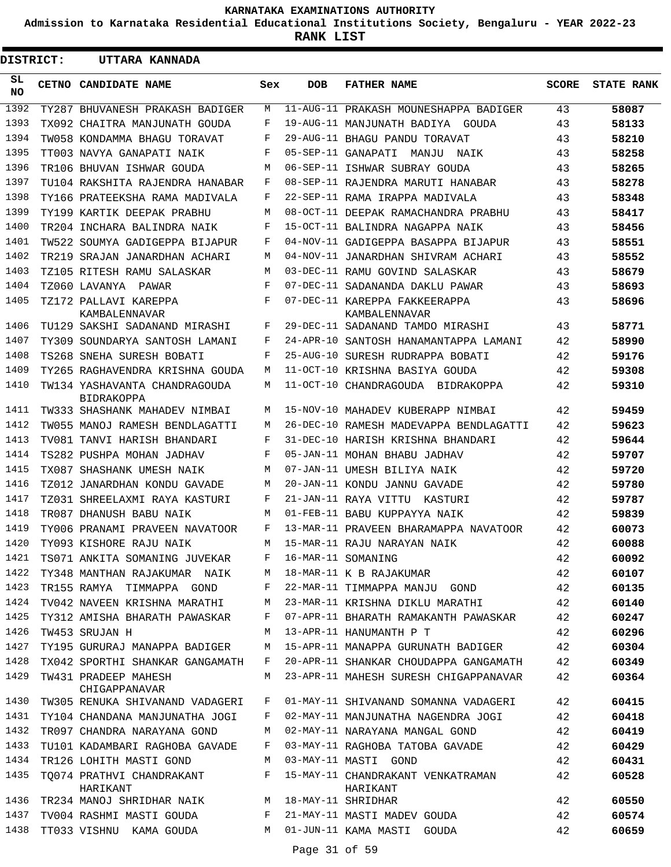**Admission to Karnataka Residential Educational Institutions Society, Bengaluru - YEAR 2022-23**

**RANK LIST**

| DISTRICT: |  | UTTARA KANNADA                                     |     |            |                                                |              |                   |
|-----------|--|----------------------------------------------------|-----|------------|------------------------------------------------|--------------|-------------------|
| SL<br>NO. |  | CETNO CANDIDATE NAME                               | Sex | <b>DOB</b> | <b>FATHER NAME</b>                             | <b>SCORE</b> | <b>STATE RANK</b> |
| 1392      |  | TY287 BHUVANESH PRAKASH BADIGER                    | М   |            | 11-AUG-11 PRAKASH MOUNESHAPPA BADIGER          | 43           | 58087             |
| 1393      |  | TX092 CHAITRA MANJUNATH GOUDA                      | F   |            | 19-AUG-11 MANJUNATH BADIYA GOUDA               | 43           | 58133             |
| 1394      |  | TW058 KONDAMMA BHAGU TORAVAT                       | F   |            | 29-AUG-11 BHAGU PANDU TORAVAT                  | 43           | 58210             |
| 1395      |  | TT003 NAVYA GANAPATI NAIK                          | F   |            | 05-SEP-11 GANAPATI MANJU<br>NAIK               | 43           | 58258             |
| 1396      |  | TR106 BHUVAN ISHWAR GOUDA                          | М   |            | 06-SEP-11 ISHWAR SUBRAY GOUDA                  | 43           | 58265             |
| 1397      |  | TU104 RAKSHITA RAJENDRA HANABAR                    | F   |            | 08-SEP-11 RAJENDRA MARUTI HANABAR              | 43           | 58278             |
| 1398      |  | TY166 PRATEEKSHA RAMA MADIVALA                     | F   |            | 22-SEP-11 RAMA IRAPPA MADIVALA                 | 43           | 58348             |
| 1399      |  | TY199 KARTIK DEEPAK PRABHU                         | М   |            | 08-OCT-11 DEEPAK RAMACHANDRA PRABHU            | 43           | 58417             |
| 1400      |  | TR204 INCHARA BALINDRA NAIK                        | F   |            | 15-OCT-11 BALINDRA NAGAPPA NAIK                | 43           | 58456             |
| 1401      |  | TW522 SOUMYA GADIGEPPA BIJAPUR                     | F   |            | 04-NOV-11 GADIGEPPA BASAPPA BIJAPUR            | 43           | 58551             |
| 1402      |  | TR219 SRAJAN JANARDHAN ACHARI                      | М   |            | 04-NOV-11 JANARDHAN SHIVRAM ACHARI             | 43           | 58552             |
| 1403      |  | TZ105 RITESH RAMU SALASKAR                         | М   |            | 03-DEC-11 RAMU GOVIND SALASKAR                 | 43           | 58679             |
| 1404      |  | TZ060 LAVANYA<br>PAWAR                             | F   |            | 07-DEC-11 SADANANDA DAKLU PAWAR                | 43           | 58693             |
| 1405      |  | TZ172 PALLAVI KAREPPA<br>KAMBALENNAVAR             | F   |            | 07-DEC-11 KAREPPA FAKKEERAPPA<br>KAMBALENNAVAR | 43           | 58696             |
| 1406      |  | TU129 SAKSHI SADANAND MIRASHI                      | F   |            | 29-DEC-11 SADANAND TAMDO MIRASHI               | 43           | 58771             |
| 1407      |  | TY309 SOUNDARYA SANTOSH LAMANI                     | F   |            | 24-APR-10 SANTOSH HANAMANTAPPA LAMANI          | 42           | 58990             |
| 1408      |  | TS268 SNEHA SURESH BOBATI                          | F   |            | 25-AUG-10 SURESH RUDRAPPA BOBATI               | 42           | 59176             |
| 1409      |  | TY265 RAGHAVENDRA KRISHNA GOUDA                    | М   |            | 11-OCT-10 KRISHNA BASIYA GOUDA                 | 42           | 59308             |
| 1410      |  | TW134 YASHAVANTA CHANDRAGOUDA<br><b>BIDRAKOPPA</b> | М   |            | 11-OCT-10 CHANDRAGOUDA BIDRAKOPPA              | 42           | 59310             |
| 1411      |  | TW333 SHASHANK MAHADEV NIMBAI                      | М   |            | 15-NOV-10 MAHADEV KUBERAPP NIMBAI              | 42           | 59459             |
| 1412      |  | TW055 MANOJ RAMESH BENDLAGATTI                     | М   |            | 26-DEC-10 RAMESH MADEVAPPA BENDLAGATTI         | 42           | 59623             |
| 1413      |  | TV081 TANVI HARISH BHANDARI                        | F   |            | 31-DEC-10 HARISH KRISHNA BHANDARI              | 42           | 59644             |
| 1414      |  | TS282 PUSHPA MOHAN JADHAV                          | F   |            | 05-JAN-11 MOHAN BHABU JADHAV                   | 42           | 59707             |
| 1415      |  | TX087 SHASHANK UMESH NAIK                          | М   |            | 07-JAN-11 UMESH BILIYA NAIK                    | 42           | 59720             |
| 1416      |  | TZ012 JANARDHAN KONDU GAVADE                       | М   |            | 20-JAN-11 KONDU JANNU GAVADE                   | 42           | 59780             |
| 1417      |  | TZ031 SHREELAXMI RAYA KASTURI                      | F   |            | 21-JAN-11 RAYA VITTU<br>KASTURI                | 42           | 59787             |
| 1418      |  | TR087 DHANUSH BABU NAIK                            | М   |            | 01-FEB-11 BABU KUPPAYYA NAIK                   | 42           | 59839             |
| 1419      |  | TY006 PRANAMI PRAVEEN NAVATOOR                     | F   |            | 13-MAR-11 PRAVEEN BHARAMAPPA NAVATOOR          | 42           | 60073             |
| 1420      |  | TY093 KISHORE RAJU NAIK                            |     |            | M 15-MAR-11 RAJU NARAYAN NAIK                  | 42           | 60088             |
|           |  | 1421 TS071 ANKITA SOMANING JUVEKAR F               |     |            | 16-MAR-11 SOMANING                             | 42           | 60092             |
| 1422      |  | TY348 MANTHAN RAJAKUMAR NAIK M                     |     |            | 18-MAR-11 K B RAJAKUMAR                        | 42           | 60107             |
| 1423      |  | TR155 RAMYA TIMMAPPA GOND                          | F   |            | 22-MAR-11 TIMMAPPA MANJU GOND                  | 42           | 60135             |
| 1424      |  | TV042 NAVEEN KRISHNA MARATHI                       | М   |            | 23-MAR-11 KRISHNA DIKLU MARATHI                | 42           | 60140             |
| 1425      |  | TY312 AMISHA BHARATH PAWASKAR                      | F   |            | 07-APR-11 BHARATH RAMAKANTH PAWASKAR           | 42           | 60247             |
| 1426      |  | TW453 SRUJAN H                                     | М   |            | 13-APR-11 HANUMANTH P T                        | 42           | 60296             |
| 1427      |  | TY195 GURURAJ MANAPPA BADIGER                      | M   |            | 15-APR-11 MANAPPA GURUNATH BADIGER             | 42           | 60304             |
| 1428      |  | TX042 SPORTHI SHANKAR GANGAMATH                    | F   |            | 20-APR-11 SHANKAR CHOUDAPPA GANGAMATH          | 42           | 60349             |
| 1429      |  | TW431 PRADEEP MAHESH<br>CHIGAPPANAVAR              | M   |            | 23-APR-11 MAHESH SURESH CHIGAPPANAVAR          | 42           | 60364             |
| 1430      |  | TW305 RENUKA SHIVANAND VADAGERI                    | F   |            | 01-MAY-11 SHIVANAND SOMANNA VADAGERI           | 42           | 60415             |
| 1431      |  | TY104 CHANDANA MANJUNATHA JOGI                     | F   |            | 02-MAY-11 MANJUNATHA NAGENDRA JOGI             | 42           | 60418             |
| 1432      |  | TR097 CHANDRA NARAYANA GOND                        | М   |            | 02-MAY-11 NARAYANA MANGAL GOND                 | 42           | 60419             |
| 1433      |  | TU101 KADAMBARI RAGHOBA GAVADE                     | F   |            | 03-MAY-11 RAGHOBA TATOBA GAVADE                | 42           | 60429             |
| 1434      |  | TR126 LOHITH MASTI GOND                            | М   |            | 03-MAY-11 MASTI GOND                           | 42           | 60431             |
| 1435      |  | TQ074 PRATHVI CHANDRAKANT<br>HARIKANT              | F   |            | 15-MAY-11 CHANDRAKANT VENKATRAMAN<br>HARIKANT  | 42           | 60528             |
| 1436      |  | TR234 MANOJ SHRIDHAR NAIK M 18-MAY-11 SHRIDHAR     |     |            |                                                | 42           | 60550             |
| 1437      |  | TV004 RASHMI MASTI GOUDA                           | F   |            | 21-MAY-11 MASTI MADEV GOUDA                    | 42           | 60574             |
| 1438      |  | TT033 VISHNU KAMA GOUDA                            | М   |            | 01-JUN-11 KAMA MASTI GOUDA                     | 42           | 60659             |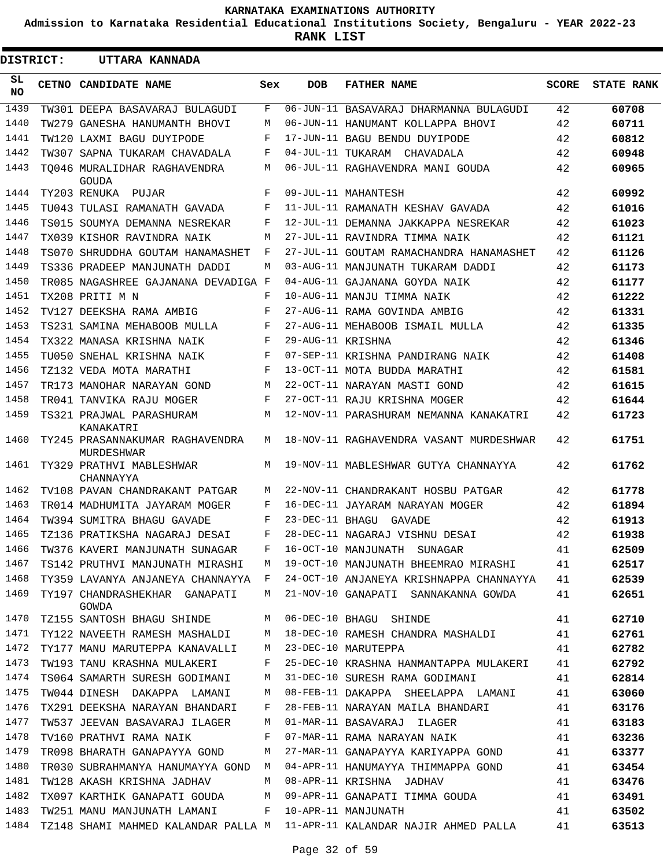**Admission to Karnataka Residential Educational Institutions Society, Bengaluru - YEAR 2022-23**

**RANK LIST**

ı

| DISTRICT:       |  | UTTARA KANNADA                                |            |                   |                                                                           |              |                   |
|-----------------|--|-----------------------------------------------|------------|-------------------|---------------------------------------------------------------------------|--------------|-------------------|
| SL<br><b>NO</b> |  | CETNO CANDIDATE NAME                          | Sex        | <b>DOB</b>        | <b>FATHER NAME</b>                                                        | <b>SCORE</b> | <b>STATE RANK</b> |
| 1439            |  | TW301 DEEPA BASAVARAJ BULAGUDI                | F          |                   | 06-JUN-11 BASAVARAJ DHARMANNA BULAGUDI                                    | 42           | 60708             |
| 1440            |  | TW279 GANESHA HANUMANTH BHOVI                 | М          |                   | 06-JUN-11 HANUMANT KOLLAPPA BHOVI                                         | 42           | 60711             |
| 1441            |  | TW120 LAXMI BAGU DUYIPODE                     | F          |                   | 17-JUN-11 BAGU BENDU DUYIPODE                                             | 42           | 60812             |
| 1442            |  | TW307 SAPNA TUKARAM CHAVADALA                 | F          |                   | 04-JUL-11 TUKARAM CHAVADALA                                               | 42           | 60948             |
| 1443            |  | TO046 MURALIDHAR RAGHAVENDRA<br>GOUDA         | M          |                   | 06-JUL-11 RAGHAVENDRA MANI GOUDA                                          | 42           | 60965             |
| 1444            |  | TY203 RENUKA PUJAR                            | F          |                   | 09-JUL-11 MAHANTESH                                                       | 42           | 60992             |
| 1445            |  | TU043 TULASI RAMANATH GAVADA                  | F          |                   | 11-JUL-11 RAMANATH KESHAV GAVADA                                          | 42           | 61016             |
| 1446            |  | TS015 SOUMYA DEMANNA NESREKAR                 | F          |                   | 12-JUL-11 DEMANNA JAKKAPPA NESREKAR                                       | 42           | 61023             |
| 1447            |  | TX039 KISHOR RAVINDRA NAIK                    | М          |                   | 27-JUL-11 RAVINDRA TIMMA NAIK                                             | 42           | 61121             |
| 1448            |  | TS070 SHRUDDHA GOUTAM HANAMASHET              | F          |                   | 27-JUL-11 GOUTAM RAMACHANDRA HANAMASHET                                   | 42           | 61126             |
| 1449            |  | TS336 PRADEEP MANJUNATH DADDI                 | M          |                   | 03-AUG-11 MANJUNATH TUKARAM DADDI                                         | 42           | 61173             |
| 1450            |  | TR085 NAGASHREE GAJANANA DEVADIGA F           |            |                   | 04-AUG-11 GAJANANA GOYDA NAIK                                             | 42           | 61177             |
| 1451            |  | TX208 PRITI M N                               | F          |                   | 10-AUG-11 MANJU TIMMA NAIK                                                | 42           | 61222             |
| 1452            |  | TV127 DEEKSHA RAMA AMBIG                      | F          |                   | 27-AUG-11 RAMA GOVINDA AMBIG                                              | 42           | 61331             |
| 1453            |  | TS231 SAMINA MEHABOOB MULLA                   | F          |                   | 27-AUG-11 MEHABOOB ISMAIL MULLA                                           | 42           | 61335             |
| 1454            |  | TX322 MANASA KRISHNA NAIK                     | F          | 29-AUG-11 KRISHNA |                                                                           | 42           | 61346             |
| 1455            |  | TU050 SNEHAL KRISHNA NAIK                     | F          |                   | 07-SEP-11 KRISHNA PANDIRANG NAIK                                          | 42           | 61408             |
| 1456            |  | TZ132 VEDA MOTA MARATHI                       | F          |                   | 13-OCT-11 MOTA BUDDA MARATHI                                              | 42           | 61581             |
| 1457            |  | TR173 MANOHAR NARAYAN GOND                    | M          |                   | 22-OCT-11 NARAYAN MASTI GOND                                              | 42           | 61615             |
| 1458            |  | TR041 TANVIKA RAJU MOGER                      | F          |                   | 27-OCT-11 RAJU KRISHNA MOGER                                              | 42           | 61644             |
| 1459            |  | TS321 PRAJWAL PARASHURAM<br>KANAKATRI         | M          |                   | 12-NOV-11 PARASHURAM NEMANNA KANAKATRI                                    | 42           | 61723             |
| 1460            |  | TY245 PRASANNAKUMAR RAGHAVENDRA<br>MURDESHWAR | М          |                   | 18-NOV-11 RAGHAVENDRA VASANT MURDESHWAR                                   | 42           | 61751             |
| 1461            |  | TY329 PRATHVI MABLESHWAR<br>CHANNAYYA         | M          |                   | 19-NOV-11 MABLESHWAR GUTYA CHANNAYYA                                      | 42           | 61762             |
| 1462            |  | TV108 PAVAN CHANDRAKANT PATGAR                | М          |                   | 22-NOV-11 CHANDRAKANT HOSBU PATGAR                                        | 42           | 61778             |
| 1463            |  | TR014 MADHUMITA JAYARAM MOGER                 | F          |                   | 16-DEC-11 JAYARAM NARAYAN MOGER                                           | 42           | 61894             |
| 1464            |  | TW394 SUMITRA BHAGU GAVADE                    | F          | 23-DEC-11 BHAGU   | GAVADE                                                                    | 42           | 61913             |
| 1465            |  | TZ136 PRATIKSHA NAGARAJ DESAI                 | $_{\rm F}$ |                   | 28-DEC-11 NAGARAJ VISHNU DESAI                                            | 42           | 61938             |
| 1466            |  | TW376 KAVERI MANJUNATH SUNAGAR                | F          |                   | 16-OCT-10 MANJUNATH SUNAGAR                                               | 41           | 62509             |
| 1467            |  | TS142 PRUTHVI MANJUNATH MIRASHI               | M          |                   | 19-OCT-10 MANJUNATH BHEEMRAO MIRASHI                                      | 41           | 62517             |
| 1468            |  | TY359 LAVANYA ANJANEYA CHANNAYYA F            |            |                   | 24-OCT-10 ANJANEYA KRISHNAPPA CHANNAYYA                                   | 41           | 62539             |
| 1469            |  | TY197 CHANDRASHEKHAR GANAPATI<br>GOWDA        | M          |                   | 21-NOV-10 GANAPATI SANNAKANNA GOWDA                                       | 41           | 62651             |
| 1470            |  | TZ155 SANTOSH BHAGU SHINDE                    | M          |                   | 06-DEC-10 BHAGU SHINDE                                                    | 41           | 62710             |
| 1471            |  | TY122 NAVEETH RAMESH MASHALDI                 | M          |                   | 18-DEC-10 RAMESH CHANDRA MASHALDI                                         | 41           | 62761             |
| 1472            |  | TY177 MANU MARUTEPPA KANAVALLI                | М          |                   | 23-DEC-10 MARUTEPPA                                                       | 41           | 62782             |
| 1473            |  | TW193 TANU KRASHNA MULAKERI                   | F          |                   | 25-DEC-10 KRASHNA HANMANTAPPA MULAKERI                                    | 41           | 62792             |
| 1474            |  | TS064 SAMARTH SURESH GODIMANI                 | М          |                   | 31-DEC-10 SURESH RAMA GODIMANI                                            | 41           | 62814             |
| 1475            |  | TW044 DINESH DAKAPPA LAMANI                   | М          |                   | 08-FEB-11 DAKAPPA SHEELAPPA LAMANI                                        | 41           | 63060             |
| 1476            |  | TX291 DEEKSHA NARAYAN BHANDARI                | F          |                   | 28-FEB-11 NARAYAN MAILA BHANDARI                                          | 41           | 63176             |
| 1477            |  | TW537 JEEVAN BASAVARAJ ILAGER                 | М          |                   | 01-MAR-11 BASAVARAJ ILAGER                                                | 41           | 63183             |
| 1478            |  | TV160 PRATHVI RAMA NAIK                       | F          |                   | 07-MAR-11 RAMA NARAYAN NAIK                                               | 41           | 63236             |
| 1479            |  | TR098 BHARATH GANAPAYYA GOND                  | М          |                   | 27-MAR-11 GANAPAYYA KARIYAPPA GOND                                        | 41           | 63377             |
| 1480            |  | TR030 SUBRAHMANYA HANUMAYYA GOND M            |            |                   | 04-APR-11 HANUMAYYA THIMMAPPA GOND                                        | 41           | 63454             |
| 1481            |  | TW128 AKASH KRISHNA JADHAV                    | М          |                   | 08-APR-11 KRISHNA JADHAV                                                  | 41           | 63476             |
| 1482            |  | TX097 KARTHIK GANAPATI GOUDA                  | M          |                   | 09-APR-11 GANAPATI TIMMA GOUDA                                            | 41           | 63491             |
| 1483            |  | TW251 MANU MANJUNATH LAMANI                   | F          |                   | 10-APR-11 MANJUNATH                                                       | 41           | 63502             |
| 1484            |  |                                               |            |                   | TZ148 SHAMI MAHMED KALANDAR PALLA M  11-APR-11 KALANDAR NAJIR AHMED PALLA | 41           | 63513             |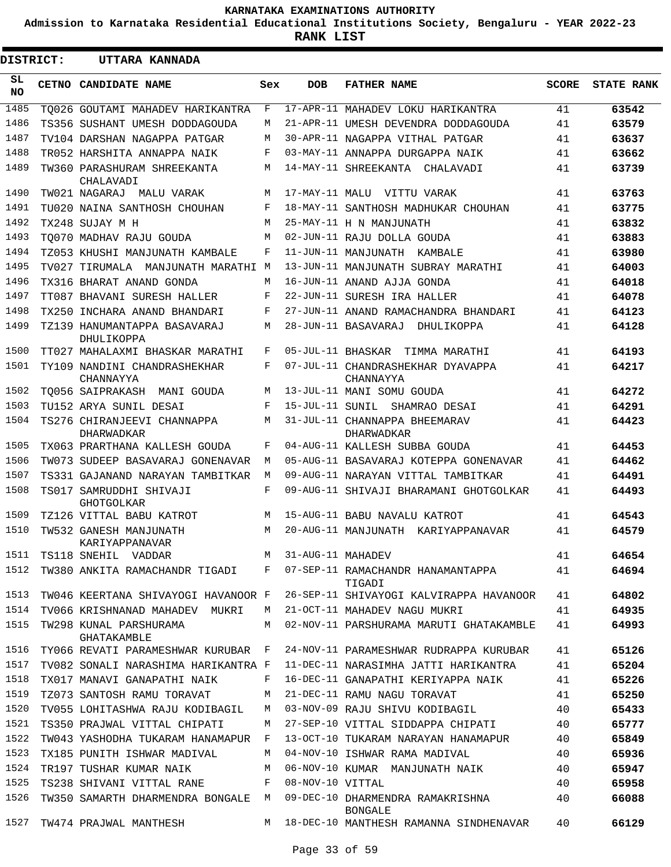**Admission to Karnataka Residential Educational Institutions Society, Bengaluru - YEAR 2022-23**

**RANK LIST**

| <b>DISTRICT:</b> | UTTARA KANNADA                                  |     |                   |                                                |              |                   |
|------------------|-------------------------------------------------|-----|-------------------|------------------------------------------------|--------------|-------------------|
| SL<br><b>NO</b>  | CETNO CANDIDATE NAME                            | Sex | <b>DOB</b>        | <b>FATHER NAME</b>                             | <b>SCORE</b> | <b>STATE RANK</b> |
| 1485             | TO026 GOUTAMI MAHADEV HARIKANTRA                | F   |                   | 17-APR-11 MAHADEV LOKU HARIKANTRA              | 41           | 63542             |
| 1486             | TS356 SUSHANT UMESH DODDAGOUDA                  | М   |                   | 21-APR-11 UMESH DEVENDRA DODDAGOUDA            | 41           | 63579             |
| 1487             | TV104 DARSHAN NAGAPPA PATGAR                    | М   |                   | 30-APR-11 NAGAPPA VITHAL PATGAR                | 41           | 63637             |
| 1488             | TR052 HARSHITA ANNAPPA NAIK                     | F   |                   | 03-MAY-11 ANNAPPA DURGAPPA NAIK                | 41           | 63662             |
| 1489             | TW360 PARASHURAM SHREEKANTA<br>CHALAVADI        | М   |                   | 14-MAY-11 SHREEKANTA CHALAVADI                 | 41           | 63739             |
| 1490             | TW021 NAGARAJ - MALU VARAK                      | М   |                   | 17-MAY-11 MALU VITTU VARAK                     | 41           | 63763             |
| 1491             | TU020 NAINA SANTHOSH CHOUHAN                    | F   |                   | 18-MAY-11 SANTHOSH MADHUKAR CHOUHAN            | 41           | 63775             |
| 1492             | TX248 SUJAY M H                                 | М   |                   | 25-MAY-11 H N MANJUNATH                        | 41           | 63832             |
| 1493             | TO070 MADHAV RAJU GOUDA                         | М   |                   | 02-JUN-11 RAJU DOLLA GOUDA                     | 41           | 63883             |
| 1494             | TZ053 KHUSHI MANJUNATH KAMBALE                  | F   |                   | 11-JUN-11 MANJUNATH KAMBALE                    | 41           | 63980             |
| 1495             | TV027 TIRUMALA MANJUNATH MARATHI M              |     |                   | 13-JUN-11 MANJUNATH SUBRAY MARATHI             | 41           | 64003             |
| 1496             | TX316 BHARAT ANAND GONDA                        | М   |                   | 16-JUN-11 ANAND AJJA GONDA                     | 41           | 64018             |
| 1497             | TT087 BHAVANI SURESH HALLER                     | F   |                   | 22-JUN-11 SURESH IRA HALLER                    | 41           | 64078             |
| 1498             | TX250 INCHARA ANAND BHANDARI                    | F   |                   | 27-JUN-11 ANAND RAMACHANDRA BHANDARI           | 41           | 64123             |
| 1499             | TZ139 HANUMANTAPPA BASAVARAJ<br>DHULIKOPPA      | М   |                   | 28-JUN-11 BASAVARAJ<br>DHULIKOPPA              | 41           | 64128             |
| 1500             | TT027 MAHALAXMI BHASKAR MARATHI                 | F   |                   | 05-JUL-11 BHASKAR TIMMA MARATHI                | 41           | 64193             |
| 1501             | TY109 NANDINI CHANDRASHEKHAR<br>CHANNAYYA       | F   |                   | 07-JUL-11 CHANDRASHEKHAR DYAVAPPA<br>CHANNAYYA | 41           | 64217             |
| 1502             | TO056 SAIPRAKASH  MANI GOUDA                    | М   |                   | 13-JUL-11 MANI SOMU GOUDA                      | 41           | 64272             |
| 1503             | TU152 ARYA SUNIL DESAI                          | F   | 15-JUL-11 SUNIL   | SHAMRAO DESAI                                  | 41           | 64291             |
| 1504             | TS276 CHIRANJEEVI CHANNAPPA<br>DHARWADKAR       | M   |                   | 31-JUL-11 CHANNAPPA BHEEMARAV<br>DHARWADKAR    | 41           | 64423             |
| 1505             | TX063 PRARTHANA KALLESH GOUDA                   | F   |                   | 04-AUG-11 KALLESH SUBBA GOUDA                  | 41           | 64453             |
| 1506             | TW073 SUDEEP BASAVARAJ GONENAVAR                | М   |                   | 05-AUG-11 BASAVARAJ KOTEPPA GONENAVAR          | 41           | 64462             |
| 1507             | TS331 GAJANAND NARAYAN TAMBITKAR                | М   |                   | 09-AUG-11 NARAYAN VITTAL TAMBITKAR             | 41           | 64491             |
| 1508             | TS017 SAMRUDDHI SHIVAJI<br><b>GHOTGOLKAR</b>    | F   |                   | 09-AUG-11 SHIVAJI BHARAMANI GHOTGOLKAR         | 41           | 64493             |
| 1509             | TZ126 VITTAL BABU KATROT                        | М   |                   | 15-AUG-11 BABU NAVALU KATROT                   | 41           | 64543             |
| 1510             | TW532 GANESH MANJUNATH<br><b>KARIYAPPANAVAR</b> | М   |                   | 20-AUG-11 MANJUNATH KARIYAPPANAVAR             | 41           | 64579             |
| 1511             | TS118 SNEHIL VADDAR                             | M   | 31-AUG-11 MAHADEV |                                                | 41           | 64654             |
| 1512             | TW380 ANKITA RAMACHANDR TIGADI F                |     |                   | 07-SEP-11 RAMACHANDR HANAMANTAPPA<br>TIGADI    | 41           | 64694             |
| 1513             | TW046 KEERTANA SHIVAYOGI HAVANOOR F             |     |                   | 26-SEP-11 SHIVAYOGI KALVIRAPPA HAVANOOR        | 41           | 64802             |
| 1514             | TV066 KRISHNANAD MAHADEV MUKRI                  | M   |                   | 21-OCT-11 MAHADEV NAGU MUKRI                   | 41           | 64935             |
| 1515             | TW298 KUNAL PARSHURAMA<br>GHATAKAMBLE           | M   |                   | 02-NOV-11 PARSHURAMA MARUTI GHATAKAMBLE        | 41           | 64993             |
| 1516             | TY066 REVATI PARAMESHWAR KURUBAR F              |     |                   | 24-NOV-11 PARAMESHWAR RUDRAPPA KURUBAR         | 41           | 65126             |
| 1517             | TV082 SONALI NARASHIMA HARIKANTRA F             |     |                   | 11-DEC-11 NARASIMHA JATTI HARIKANTRA           | 41           | 65204             |
| 1518             | TX017 MANAVI GANAPATHI NAIK                     | F   |                   | 16-DEC-11 GANAPATHI KERIYAPPA NAIK             | 41           | 65226             |
| 1519             | TZ073 SANTOSH RAMU TORAVAT                      | M   |                   | 21-DEC-11 RAMU NAGU TORAVAT                    | 41           | 65250             |
| 1520             | TV055 LOHITASHWA RAJU KODIBAGIL                 | M   |                   | 03-NOV-09 RAJU SHIVU KODIBAGIL                 | 40           | 65433             |
| 1521             | TS350 PRAJWAL VITTAL CHIPATI                    | M   |                   | 27-SEP-10 VITTAL SIDDAPPA CHIPATI              | 40           | 65777             |
| 1522             | TW043 YASHODHA TUKARAM HANAMAPUR F              |     |                   | 13-OCT-10 TUKARAM NARAYAN HANAMAPUR            | 40           | 65849             |
| 1523             | TX185 PUNITH ISHWAR MADIVAL                     | M   |                   | 04-NOV-10 ISHWAR RAMA MADIVAL                  | 40           | 65936             |
| 1524             | TR197 TUSHAR KUMAR NAIK                         | M   |                   | 06-NOV-10 KUMAR MANJUNATH NAIK                 | 40           | 65947             |
| 1525             | TS238 SHIVANI VITTAL RANE                       | F   | 08-NOV-10 VITTAL  |                                                | 40           | 65958             |
| 1526             | TW350 SAMARTH DHARMENDRA BONGALE M              |     |                   | 09-DEC-10 DHARMENDRA RAMAKRISHNA<br>BONGALE    | 40           | 66088             |
| 1527             | TW474 PRAJWAL MANTHESH                          |     |                   | M 18-DEC-10 MANTHESH RAMANNA SINDHENAVAR       | 40           | 66129             |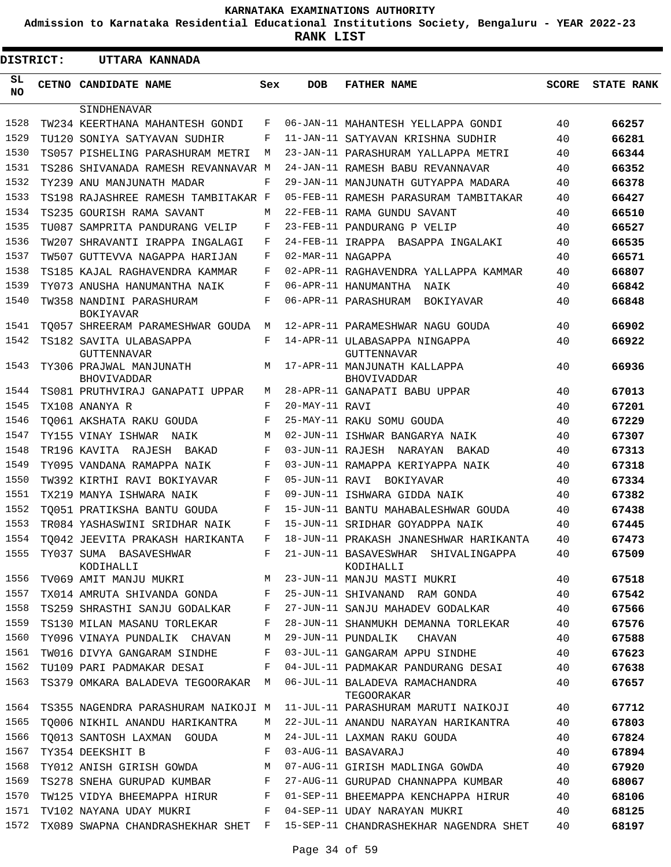**Admission to Karnataka Residential Educational Institutions Society, Bengaluru - YEAR 2022-23**

**RANK LIST**

| <b>DISTRICT:</b> |                                               | UTTARA KANNADA                      |     |                   |                                                     |              |                   |
|------------------|-----------------------------------------------|-------------------------------------|-----|-------------------|-----------------------------------------------------|--------------|-------------------|
| SL.<br>NO.       | CETNO CANDIDATE NAME                          |                                     | Sex | <b>DOB</b>        | <b>FATHER NAME</b>                                  | <b>SCORE</b> | <b>STATE RANK</b> |
|                  | SINDHENAVAR                                   |                                     |     |                   |                                                     |              |                   |
| 1528             |                                               | TW234 KEERTHANA MAHANTESH GONDI     | F   |                   | 06-JAN-11 MAHANTESH YELLAPPA GONDI                  | 40           | 66257             |
| 1529             |                                               | TU120 SONIYA SATYAVAN SUDHIR        | F   |                   | 11-JAN-11 SATYAVAN KRISHNA SUDHIR                   | 40           | 66281             |
| 1530             |                                               | TS057 PISHELING PARASHURAM METRI    | М   |                   | 23-JAN-11 PARASHURAM YALLAPPA METRI                 | 40           | 66344             |
| 1531             |                                               | TS286 SHIVANADA RAMESH REVANNAVAR M |     |                   | 24-JAN-11 RAMESH BABU REVANNAVAR                    | 40           | 66352             |
| 1532             | TY239 ANU MANJUNATH MADAR                     |                                     | F   |                   | 29-JAN-11 MANJUNATH GUTYAPPA MADARA                 | 40           | 66378             |
| 1533             |                                               | TS198 RAJASHREE RAMESH TAMBITAKAR F |     |                   | 05-FEB-11 RAMESH PARASURAM TAMBITAKAR               | 40           | 66427             |
| 1534             | TS235 GOURISH RAMA SAVANT                     |                                     | М   |                   | 22-FEB-11 RAMA GUNDU SAVANT                         | 40           | 66510             |
| 1535             |                                               | TU087 SAMPRITA PANDURANG VELIP      | F   |                   | 23-FEB-11 PANDURANG P VELIP                         | 40           | 66527             |
| 1536             |                                               | TW207 SHRAVANTI IRAPPA INGALAGI     | F   |                   | 24-FEB-11 IRAPPA BASAPPA INGALAKI                   | 40           | 66535             |
| 1537             |                                               | TW507 GUTTEVVA NAGAPPA HARIJAN      | F   | 02-MAR-11 NAGAPPA |                                                     | 40           | 66571             |
| 1538             |                                               | TS185 KAJAL RAGHAVENDRA KAMMAR      | F   |                   | 02-APR-11 RAGHAVENDRA YALLAPPA KAMMAR               | 40           | 66807             |
| 1539             |                                               | TY073 ANUSHA HANUMANTHA NAIK        | F   |                   | 06-APR-11 HANUMANTHA NAIK                           | 40           | 66842             |
| 1540             | TW358 NANDINI PARASHURAM<br><b>BOKIYAVAR</b>  |                                     | F   |                   | 06-APR-11 PARASHURAM BOKIYAVAR                      | 40           | 66848             |
| 1541             |                                               | TO057 SHREERAM PARAMESHWAR GOUDA    | М   |                   | 12-APR-11 PARAMESHWAR NAGU GOUDA                    | 40           | 66902             |
| 1542             | TS182 SAVITA ULABASAPPA<br><b>GUTTENNAVAR</b> |                                     | F   |                   | 14-APR-11 ULABASAPPA NINGAPPA<br><b>GUTTENNAVAR</b> | 40           | 66922             |
| 1543             | TY306 PRAJWAL MANJUNATH<br><b>BHOVIVADDAR</b> |                                     | M   |                   | 17-APR-11 MANJUNATH KALLAPPA<br><b>BHOVIVADDAR</b>  | 40           | 66936             |
| 1544             |                                               | TS081 PRUTHVIRAJ GANAPATI UPPAR     | М   |                   | 28-APR-11 GANAPATI BABU UPPAR                       | 40           | 67013             |
| 1545             | TX108 ANANYA R                                |                                     | F   | 20-MAY-11 RAVI    |                                                     | 40           | 67201             |
| 1546             | TO061 AKSHATA RAKU GOUDA                      |                                     | F   |                   | 25-MAY-11 RAKU SOMU GOUDA                           | 40           | 67229             |
| 1547             | TY155 VINAY ISHWAR                            | NAIK                                | M   |                   | 02-JUN-11 ISHWAR BANGARYA NAIK                      | 40           | 67307             |
| 1548             |                                               | TR196 KAVITA RAJESH BAKAD           | F   |                   | 03-JUN-11 RAJESH NARAYAN<br>BAKAD                   | 40           | 67313             |
| 1549             |                                               | TY095 VANDANA RAMAPPA NAIK          | F   |                   | 03-JUN-11 RAMAPPA KERIYAPPA NAIK                    | 40           | 67318             |
| 1550             |                                               | TW392 KIRTHI RAVI BOKIYAVAR         | F   |                   | 05-JUN-11 RAVI BOKIYAVAR                            | 40           | 67334             |
| 1551             | TX219 MANYA ISHWARA NAIK                      |                                     | F   |                   | 09-JUN-11 ISHWARA GIDDA NAIK                        | 40           | 67382             |
| 1552             |                                               | TO051 PRATIKSHA BANTU GOUDA         | F   |                   | 15-JUN-11 BANTU MAHABALESHWAR GOUDA                 | 40           | 67438             |
| 1553             |                                               | TR084 YASHASWINI SRIDHAR NAIK       | F   |                   | 15-JUN-11 SRIDHAR GOYADPPA NAIK                     | 40           | 67445             |
| 1554             |                                               | TO042 JEEVITA PRAKASH HARIKANTA     | F   |                   | 18-JUN-11 PRAKASH JNANESHWAR HARIKANTA              | 40           | 67473             |
| 1555             | KODIHALLI                                     | TY037 SUMA BASAVESHWAR              | F   |                   | 21-JUN-11 BASAVESWHAR SHIVALINGAPPA<br>KODIHALLI    | 40           | 67509             |
| 1556             |                                               | TV069 AMIT MANJU MUKRI              | M   |                   | 23-JUN-11 MANJU MASTI MUKRI                         | 40           | 67518             |
| 1557             |                                               | TX014 AMRUTA SHIVANDA GONDA         | F   |                   | 25-JUN-11 SHIVANAND RAM GONDA                       | 40           | 67542             |
| 1558             |                                               | TS259 SHRASTHI SANJU GODALKAR       | F   |                   | 27-JUN-11 SANJU MAHADEV GODALKAR                    | 40           | 67566             |
| 1559             |                                               | TS130 MILAN MASANU TORLEKAR         | F   |                   | 28-JUN-11 SHANMUKH DEMANNA TORLEKAR                 | 40           | 67576             |
| 1560             |                                               | TY096 VINAYA PUNDALIK CHAVAN        | М   |                   | 29-JUN-11 PUNDALIK<br>CHAVAN                        | 40           | 67588             |
| 1561             |                                               | TW016 DIVYA GANGARAM SINDHE         | F   |                   | 03-JUL-11 GANGARAM APPU SINDHE                      | 40           | 67623             |
| 1562             | TU109 PARI PADMAKAR DESAI                     |                                     | F   |                   | 04-JUL-11 PADMAKAR PANDURANG DESAI                  | 40           | 67638             |
| 1563             |                                               | TS379 OMKARA BALADEVA TEGOORAKAR    | M   |                   | 06-JUL-11 BALADEVA RAMACHANDRA<br>TEGOORAKAR        | 40           | 67657             |
| 1564             |                                               | TS355 NAGENDRA PARASHURAM NAIKOJI M |     |                   | 11-JUL-11 PARASHURAM MARUTI NAIKOJI                 | 40           | 67712             |
| 1565             |                                               | TO006 NIKHIL ANANDU HARIKANTRA      | М   |                   | 22-JUL-11 ANANDU NARAYAN HARIKANTRA                 | 40           | 67803             |
| 1566             |                                               | TO013 SANTOSH LAXMAN GOUDA          | M   |                   | 24-JUL-11 LAXMAN RAKU GOUDA                         | 40           | 67824             |
| 1567             | TY354 DEEKSHIT B                              |                                     | F   |                   | 03-AUG-11 BASAVARAJ                                 | 40           | 67894             |
| 1568             |                                               | TY012 ANISH GIRISH GOWDA            | М   |                   | 07-AUG-11 GIRISH MADLINGA GOWDA                     | 40           | 67920             |
| 1569             |                                               | TS278 SNEHA GURUPAD KUMBAR          | F   |                   | 27-AUG-11 GURUPAD CHANNAPPA KUMBAR                  | 40           | 68067             |
| 1570             |                                               | TW125 VIDYA BHEEMAPPA HIRUR         | F   |                   | 01-SEP-11 BHEEMAPPA KENCHAPPA HIRUR                 | 40           | 68106             |
| 1571             | TV102 NAYANA UDAY MUKRI                       |                                     | F   |                   | 04-SEP-11 UDAY NARAYAN MUKRI                        | 40           | 68125             |
| 1572             |                                               | TX089 SWAPNA CHANDRASHEKHAR SHET F  |     |                   | 15-SEP-11 CHANDRASHEKHAR NAGENDRA SHET              | 40           | 68197             |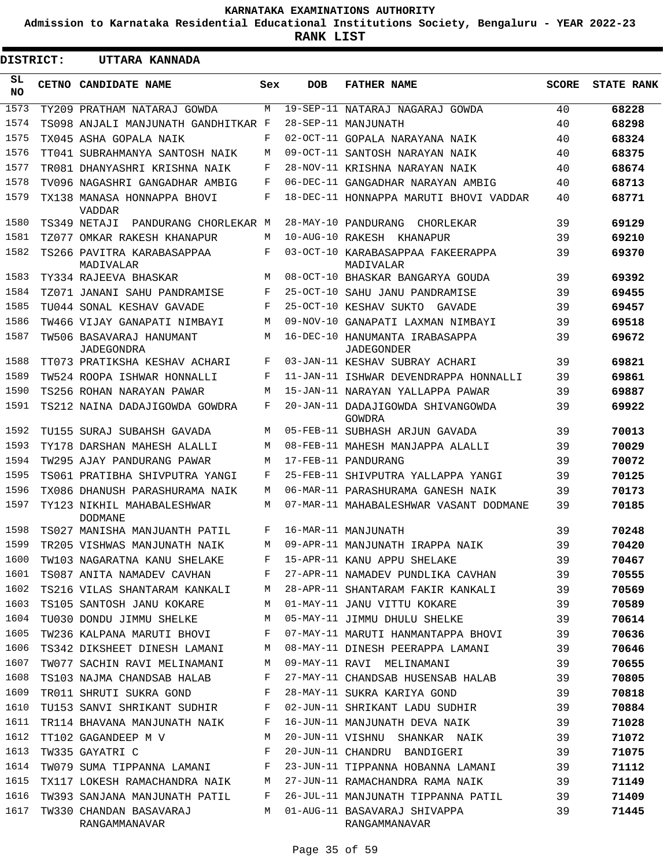**Admission to Karnataka Residential Educational Institutions Society, Bengaluru - YEAR 2022-23**

**RANK LIST**

| DISTRICT:       |       | UTTARA KANNADA                                |     |            |                                                     |              |                   |
|-----------------|-------|-----------------------------------------------|-----|------------|-----------------------------------------------------|--------------|-------------------|
| SL<br><b>NO</b> | CETNO | CANDIDATE NAME                                | Sex | <b>DOB</b> | <b>FATHER NAME</b>                                  | <b>SCORE</b> | <b>STATE RANK</b> |
| 1573            |       | TY209 PRATHAM NATARAJ GOWDA                   | M   |            | 19-SEP-11 NATARAJ NAGARAJ GOWDA                     | 40           | 68228             |
| 1574            |       | TS098 ANJALI MANJUNATH GANDHITKAR F           |     |            | 28-SEP-11 MANJUNATH                                 | 40           | 68298             |
| 1575            |       | TX045 ASHA GOPALA NAIK                        | F   |            | 02-OCT-11 GOPALA NARAYANA NAIK                      | 40           | 68324             |
| 1576            |       | TT041 SUBRAHMANYA SANTOSH NAIK                | M   |            | 09-OCT-11 SANTOSH NARAYAN NAIK                      | 40           | 68375             |
| 1577            |       | TR081 DHANYASHRI KRISHNA NAIK                 | F   |            | 28-NOV-11 KRISHNA NARAYAN NAIK                      | 40           | 68674             |
| 1578            |       | TV096 NAGASHRI GANGADHAR AMBIG                | F   |            | 06-DEC-11 GANGADHAR NARAYAN AMBIG                   | 40           | 68713             |
| 1579            |       | TX138 MANASA HONNAPPA BHOVI<br><b>VADDAR</b>  | F   |            | 18-DEC-11 HONNAPPA MARUTI BHOVI VADDAR              | 40           | 68771             |
| 1580            |       | TS349 NETAJI PANDURANG CHORLEKAR M            |     |            | 28-MAY-10 PANDURANG<br>CHORLEKAR                    | 39           | 69129             |
| 1581            |       | TZ077 OMKAR RAKESH KHANAPUR                   | M   |            | 10-AUG-10 RAKESH KHANAPUR                           | 39           | 69210             |
| 1582            |       | TS266 PAVITRA KARABASAPPAA<br>MADIVALAR       | F   |            | 03-OCT-10 KARABASAPPAA FAKEERAPPA<br>MADIVALAR      | 39           | 69370             |
| 1583            |       | TY334 RAJEEVA BHASKAR                         | M   |            | 08-OCT-10 BHASKAR BANGARYA GOUDA                    | 39           | 69392             |
| 1584            |       | TZ071 JANANI SAHU PANDRAMISE                  | F   |            | 25-OCT-10 SAHU JANU PANDRAMISE                      | 39           | 69455             |
| 1585            |       | TU044 SONAL KESHAV GAVADE                     | F   |            | 25-OCT-10 KESHAV SUKTO<br>GAVADE                    | 39           | 69457             |
| 1586            |       | TW466 VIJAY GANAPATI NIMBAYI                  | M   |            | 09-NOV-10 GANAPATI LAXMAN NIMBAYI                   | 39           | 69518             |
| 1587            |       | TW506 BASAVARAJ HANUMANT<br><b>JADEGONDRA</b> | M   |            | 16-DEC-10 HANUMANTA IRABASAPPA<br><b>JADEGONDER</b> | 39           | 69672             |
| 1588            |       | TT073 PRATIKSHA KESHAV ACHARI                 | F   |            | 03-JAN-11 KESHAV SUBRAY ACHARI                      | 39           | 69821             |
| 1589            |       | TW524 ROOPA ISHWAR HONNALLI                   | F   |            | 11-JAN-11 ISHWAR DEVENDRAPPA HONNALLI               | 39           | 69861             |
| 1590            |       | TS256 ROHAN NARAYAN PAWAR                     | М   |            | 15-JAN-11 NARAYAN YALLAPPA PAWAR                    | 39           | 69887             |
| 1591            |       | TS212 NAINA DADAJIGOWDA GOWDRA                | F   |            | 20-JAN-11 DADAJIGOWDA SHIVANGOWDA<br>GOWDRA         | 39           | 69922             |
| 1592            |       | TU155 SURAJ SUBAHSH GAVADA                    | М   |            | 05-FEB-11 SUBHASH ARJUN GAVADA                      | 39           | 70013             |
| 1593            |       | TY178 DARSHAN MAHESH ALALLI                   | М   |            | 08-FEB-11 MAHESH MANJAPPA ALALLI                    | 39           | 70029             |
| 1594            |       | TW295 AJAY PANDURANG PAWAR                    | М   |            | 17-FEB-11 PANDURANG                                 | 39           | 70072             |
| 1595            |       | TS061 PRATIBHA SHIVPUTRA YANGI                | F   |            | 25-FEB-11 SHIVPUTRA YALLAPPA YANGI                  | 39           | 70125             |
| 1596            |       | TX086 DHANUSH PARASHURAMA NAIK                | М   |            | 06-MAR-11 PARASHURAMA GANESH NAIK                   | 39           | 70173             |
| 1597            |       | TY123 NIKHIL MAHABALESHWAR<br><b>DODMANE</b>  | М   |            | 07-MAR-11 MAHABALESHWAR VASANT DODMANE              | 39           | 70185             |
| 1598            |       | TS027 MANISHA MANJUANTH PATIL                 | F   |            | 16-MAR-11 MANJUNATH                                 | 39           | 70248             |
|                 |       | 1599 TR205 VISHWAS MANJUNATH NAIK             |     |            | M 09-APR-11 MANJUNATH IRAPPA NAIK                   | 39           | 70420             |
| 1600            |       | TW103 NAGARATNA KANU SHELAKE                  | F   |            | 15-APR-11 KANU APPU SHELAKE                         | 39           | 70467             |
| 1601            |       | TS087 ANITA NAMADEV CAVHAN                    | F   |            | 27-APR-11 NAMADEV PUNDLIKA CAVHAN                   | 39           | 70555             |
| 1602            |       | TS216 VILAS SHANTARAM KANKALI                 | М   |            | 28-APR-11 SHANTARAM FAKIR KANKALI                   | 39           | 70569             |
| 1603            |       | TS105 SANTOSH JANU KOKARE                     | М   |            | 01-MAY-11 JANU VITTU KOKARE                         | 39           | 70589             |
| 1604            |       | TU030 DONDU JIMMU SHELKE                      | М   |            | 05-MAY-11 JIMMU DHULU SHELKE                        | 39           | 70614             |
| 1605            |       | TW236 KALPANA MARUTI BHOVI                    | F   |            | 07-MAY-11 MARUTI HANMANTAPPA BHOVI                  | 39           | 70636             |
| 1606            |       | TS342 DIKSHEET DINESH LAMANI                  | М   |            | 08-MAY-11 DINESH PEERAPPA LAMANI                    | 39           | 70646             |
| 1607            |       | TW077 SACHIN RAVI MELINAMANI                  | М   |            | 09-MAY-11 RAVI MELINAMANI                           | 39           | 70655             |
| 1608            |       | TS103 NAJMA CHANDSAB HALAB                    | F   |            | 27-MAY-11 CHANDSAB HUSENSAB HALAB                   | 39           | 70805             |
| 1609            |       | TR011 SHRUTI SUKRA GOND                       | F   |            | 28-MAY-11 SUKRA KARIYA GOND                         | 39           | 70818             |
| 1610            |       | TU153 SANVI SHRIKANT SUDHIR                   | F   |            | 02-JUN-11 SHRIKANT LADU SUDHIR                      | 39           | 70884             |
| 1611            |       | TR114 BHAVANA MANJUNATH NAIK                  | F   |            | 16-JUN-11 MANJUNATH DEVA NAIK                       | 39           | 71028             |
| 1612            |       | TT102 GAGANDEEP M V                           | М   |            | 20-JUN-11 VISHNU SHANKAR NAIK                       | 39           | 71072             |
| 1613            |       | TW335 GAYATRI C                               | F   |            | 20-JUN-11 CHANDRU<br>BANDIGERI                      | 39           | 71075             |
| 1614            |       | TW079 SUMA TIPPANNA LAMANI                    | F   |            | 23-JUN-11 TIPPANNA HOBANNA LAMANI                   | 39           | 71112             |
| 1615            |       | TX117 LOKESH RAMACHANDRA NAIK                 | М   |            | 27-JUN-11 RAMACHANDRA RAMA NAIK                     | 39           | 71149             |
| 1616            |       | TW393 SANJANA MANJUNATH PATIL                 | F   |            | 26-JUL-11 MANJUNATH TIPPANNA PATIL                  | 39           | 71409             |
| 1617            |       | TW330 CHANDAN BASAVARAJ<br>RANGAMMANAVAR      | М   |            | 01-AUG-11 BASAVARAJ SHIVAPPA<br>RANGAMMANAVAR       | 39           | 71445             |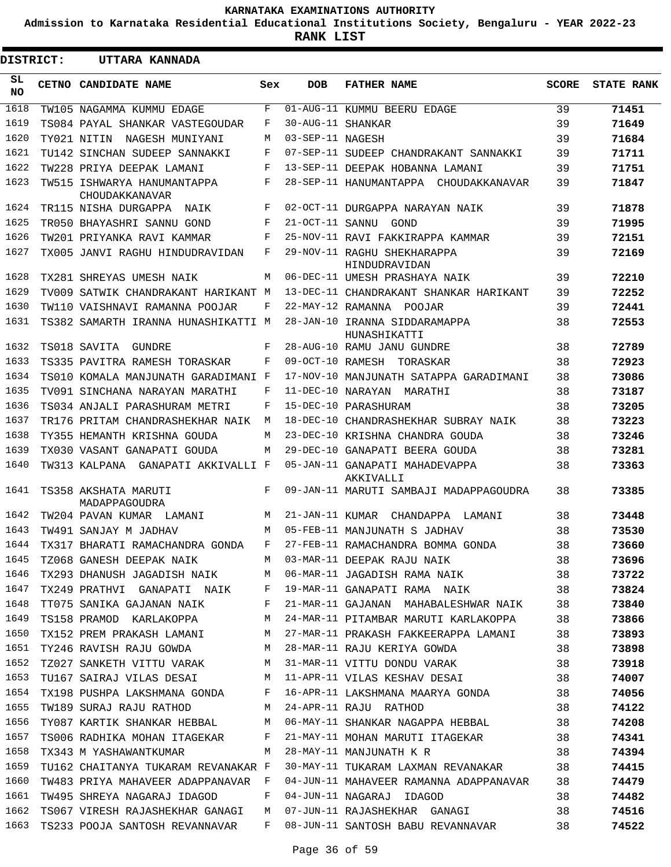**Admission to Karnataka Residential Educational Institutions Society, Bengaluru - YEAR 2022-23**

**RANK LIST**

ı

|           | <b>DISTRICT:</b><br>UTTARA KANNADA |                                               |     |                   |                                                                                                                                                                                                                                 |              |                   |
|-----------|------------------------------------|-----------------------------------------------|-----|-------------------|---------------------------------------------------------------------------------------------------------------------------------------------------------------------------------------------------------------------------------|--------------|-------------------|
| SL<br>NO. |                                    | CETNO CANDIDATE NAME                          | Sex | <b>DOB</b>        | <b>FATHER NAME</b>                                                                                                                                                                                                              | <b>SCORE</b> | <b>STATE RANK</b> |
| 1618      |                                    | TW105 NAGAMMA KUMMU EDAGE                     | F   |                   | 01-AUG-11 KUMMU BEERU EDAGE                                                                                                                                                                                                     | 39           | 71451             |
| 1619      |                                    | TS084 PAYAL SHANKAR VASTEGOUDAR               | F   | 30-AUG-11 SHANKAR |                                                                                                                                                                                                                                 | 39           | 71649             |
| 1620      |                                    | TY021 NITIN WAGESH MUNIYANI                   | М   | 03-SEP-11 NAGESH  |                                                                                                                                                                                                                                 | 39           | 71684             |
| 1621      |                                    | TU142 SINCHAN SUDEEP SANNAKKI                 | F   |                   | 07-SEP-11 SUDEEP CHANDRAKANT SANNAKKI                                                                                                                                                                                           | 39           | 71711             |
| 1622      |                                    | TW228 PRIYA DEEPAK LAMANI                     | F   |                   | 13-SEP-11 DEEPAK HOBANNA LAMANI                                                                                                                                                                                                 | 39           | 71751             |
| 1623      |                                    | TW515 ISHWARYA HANUMANTAPPA<br>CHOUDAKKANAVAR | F   |                   | 28-SEP-11 HANUMANTAPPA CHOUDAKKANAVAR                                                                                                                                                                                           | 39           | 71847             |
| 1624      |                                    | TR115 NISHA DURGAPPA NAIK                     | F   |                   | 02-OCT-11 DURGAPPA NARAYAN NAIK                                                                                                                                                                                                 | 39           | 71878             |
| 1625      |                                    | TR050 BHAYASHRI SANNU GOND                    | F   |                   | 21-OCT-11 SANNU GOND                                                                                                                                                                                                            | 39           | 71995             |
| 1626      |                                    | TW201 PRIYANKA RAVI KAMMAR                    | F   |                   | 25-NOV-11 RAVI FAKKIRAPPA KAMMAR                                                                                                                                                                                                | 39           | 72151             |
| 1627      |                                    | TX005 JANVI RAGHU HINDUDRAVIDAN               | F   |                   | 29-NOV-11 RAGHU SHEKHARAPPA<br>HINDUDRAVIDAN                                                                                                                                                                                    | 39           | 72169             |
| 1628      |                                    | TX281 SHREYAS UMESH NAIK                      | М   |                   | 06-DEC-11 UMESH PRASHAYA NAIK                                                                                                                                                                                                   | 39           | 72210             |
| 1629      |                                    | TV009 SATWIK CHANDRAKANT HARIKANT M           |     |                   | 13-DEC-11 CHANDRAKANT SHANKAR HARIKANT                                                                                                                                                                                          | 39           | 72252             |
| 1630      |                                    | TW110 VAISHNAVI RAMANNA POOJAR                | F   |                   | 22-MAY-12 RAMANNA POOJAR                                                                                                                                                                                                        | 39           | 72441             |
| 1631      |                                    | TS382 SAMARTH IRANNA HUNASHIKATTI M           |     |                   | 28-JAN-10 IRANNA SIDDARAMAPPA<br>HUNASHIKATTI                                                                                                                                                                                   | 38           | 72553             |
| 1632      |                                    | TS018 SAVITA<br>GUNDRE                        | F   |                   | 28-AUG-10 RAMU JANU GUNDRE                                                                                                                                                                                                      | 38           | 72789             |
| 1633      |                                    | TS335 PAVITRA RAMESH TORASKAR                 | F   |                   | 09-OCT-10 RAMESH TORASKAR                                                                                                                                                                                                       | 38           | 72923             |
| 1634      |                                    | TS010 KOMALA MANJUNATH GARADIMANI F           |     |                   | 17-NOV-10 MANJUNATH SATAPPA GARADIMANI                                                                                                                                                                                          | 38           | 73086             |
| 1635      |                                    | TV091 SINCHANA NARAYAN MARATHI                | F   |                   | 11-DEC-10 NARAYAN MARATHI                                                                                                                                                                                                       | 38           | 73187             |
| 1636      |                                    | TS034 ANJALI PARASHURAM METRI                 | F   |                   | 15-DEC-10 PARASHURAM                                                                                                                                                                                                            | 38           | 73205             |
| 1637      |                                    | TR176 PRITAM CHANDRASHEKHAR NAIK              | M   |                   | 18-DEC-10 CHANDRASHEKHAR SUBRAY NAIK                                                                                                                                                                                            | 38           | 73223             |
| 1638      |                                    | TY355 HEMANTH KRISHNA GOUDA                   | М   |                   | 23-DEC-10 KRISHNA CHANDRA GOUDA                                                                                                                                                                                                 | 38           | 73246             |
| 1639      |                                    | TX030 VASANT GANAPATI GOUDA                   | M   |                   | 29-DEC-10 GANAPATI BEERA GOUDA                                                                                                                                                                                                  | 38           | 73281             |
| 1640      |                                    | TW313 KALPANA  GANAPATI AKKIVALLI F           |     |                   | 05-JAN-11 GANAPATI MAHADEVAPPA<br>AKKIVALLI                                                                                                                                                                                     | 38           | 73363             |
| 1641      |                                    | TS358 AKSHATA MARUTI<br>MADAPPAGOUDRA         | F   |                   | 09-JAN-11 MARUTI SAMBAJI MADAPPAGOUDRA                                                                                                                                                                                          | 38           | 73385             |
| 1642      |                                    | TW204 PAVAN KUMAR LAMANI                      | M   | 21-JAN-11 KUMAR   | CHANDAPPA LAMANI                                                                                                                                                                                                                | 38           | 73448             |
| 1643      |                                    | TW491 SANJAY M JADHAV                         | М   |                   | 05-FEB-11 MANJUNATH S JADHAV                                                                                                                                                                                                    | 38           | 73530             |
| 1644      |                                    | TX317 BHARATI RAMACHANDRA GONDA               | F   |                   | 27-FEB-11 RAMACHANDRA BOMMA GONDA                                                                                                                                                                                               | 38           | 73660             |
|           |                                    |                                               |     |                   | 1645 TZ068 GANESH DEEPAK NAIK           M   03-MAR-11 DEEPAK RAJU NAIK                                     38<br>1646 TX293 DHANUSH JAGADISH NAIK         M   06-MAR-11 JAGADISH RAMA NAIK                                   38 |              | 73696             |
|           |                                    |                                               |     |                   |                                                                                                                                                                                                                                 |              | 73722             |
|           |                                    |                                               |     |                   | 1647 TX249 PRATHVI GANAPATI NAIK F 19-MAR-11 GANAPATI RAMA NAIK 38                                                                                                                                                              |              | 73824             |
|           |                                    |                                               |     |                   | 1648 TT075 SANIKA GAJANAN NAIK F 21-MAR-11 GAJANAN MAHABALESHWAR NAIK 38                                                                                                                                                        |              | 73840             |
|           |                                    |                                               |     |                   | 1649 TS158 PRAMOD KARLAKOPPA M 24-MAR-11 PITAMBAR MARUTI KARLAKOPPA 38                                                                                                                                                          |              | 73866             |
|           |                                    |                                               |     |                   | 1650 TX152 PREM PRAKASH LAMANI M 27-MAR-11 PRAKASH FAKKEERAPPA LAMANI 38                                                                                                                                                        |              | 73893             |
|           |                                    |                                               |     |                   | 1651 TY246 RAVISH RAJU GOWDA M 28-MAR-11 RAJU KERIYA GOWDA 38                                                                                                                                                                   |              | 73898             |
|           |                                    |                                               |     |                   | 1652 TZ027 SANKETH VITTU VARAK M 31-MAR-11 VITTU DONDU VARAK 38                                                                                                                                                                 |              | 73918             |
|           |                                    |                                               |     |                   | 1653 TU167 SAIRAJ VILAS DESAI           M   11-APR-11 VILAS KESHAV DESAI                         38<br>1654 TX198 PUSHPA LAKSHMANA GONDA       F   16-APR-11 LAKSHMANA MAARYA GONDA               38                            |              | 74007             |
|           |                                    |                                               |     |                   |                                                                                                                                                                                                                                 |              | 74056             |
|           |                                    |                                               |     |                   | 1655 TW189 SURAJ RAJU RATHOD M 24-APR-11 RAJU RATHOD 38                                                                                                                                                                         |              | 74122             |
|           |                                    |                                               |     |                   | 1656 TY087 KARTIK SHANKAR HEBBAL M 06-MAY-11 SHANKAR NAGAPPA HEBBAL 38                                                                                                                                                          |              | 74208             |
|           |                                    |                                               |     |                   |                                                                                                                                                                                                                                 |              | 74341             |
|           |                                    |                                               |     |                   |                                                                                                                                                                                                                                 |              | 74394             |
|           |                                    |                                               |     |                   | 1659 TU162 CHAITANYA TUKARAM REVANAKAR F 30-MAY-11 TUKARAM LAXMAN REVANAKAR 38                                                                                                                                                  |              | 74415             |
|           |                                    |                                               |     |                   | 1660 TW483 PRIYA MAHAVEER ADAPPANAVAR F 04-JUN-11 MAHAVEER RAMANNA ADAPPANAVAR 38 74479                                                                                                                                         |              |                   |
|           |                                    |                                               |     |                   | 1661 TW495 SHREYA NAGARAJ IDAGOD F 04-JUN-11 NAGARAJ IDAGOD 38                                                                                                                                                                  |              | 74482             |
|           |                                    |                                               |     |                   | 1662 TS067 VIRESH RAJASHEKHAR GANAGI M 07-JUN-11 RAJASHEKHAR GANAGI 38                                                                                                                                                          |              | 74516             |
|           |                                    |                                               |     |                   | 1663 TS233 POOJA SANTOSH REVANNAVAR F 08-JUN-11 SANTOSH BABU REVANNAVAR 38                                                                                                                                                      |              | 74522             |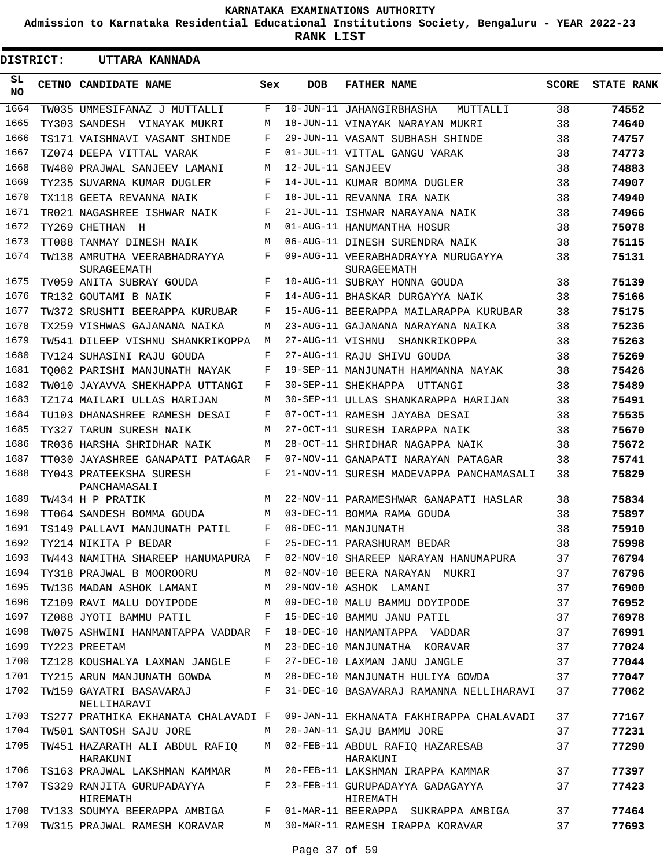**Admission to Karnataka Residential Educational Institutions Society, Bengaluru - YEAR 2022-23**

**RANK LIST**

Е

| DISTRICT:  | UTTARA KANNADA                                     |     |                   |                                                   |              |                   |
|------------|----------------------------------------------------|-----|-------------------|---------------------------------------------------|--------------|-------------------|
| SL.<br>NO. | CETNO CANDIDATE NAME                               | Sex | <b>DOB</b>        | <b>FATHER NAME</b>                                | <b>SCORE</b> | <b>STATE RANK</b> |
| 1664       | TW035 UMMESIFANAZ J MUTTALLI                       | F   |                   | 10-JUN-11 JAHANGIRBHASHA<br>MUTTALLI              | 38           | 74552             |
| 1665       | TY303 SANDESH VINAYAK MUKRI                        | M   |                   | 18-JUN-11 VINAYAK NARAYAN MUKRI                   | 38           | 74640             |
| 1666       | TS171 VAISHNAVI VASANT SHINDE                      | F   |                   | 29-JUN-11 VASANT SUBHASH SHINDE                   | 38           | 74757             |
| 1667       | TZ074 DEEPA VITTAL VARAK                           | F   |                   | 01-JUL-11 VITTAL GANGU VARAK                      | 38           | 74773             |
| 1668       | TW480 PRAJWAL SANJEEV LAMANI                       | M   | 12-JUL-11 SANJEEV |                                                   | 38           | 74883             |
| 1669       | TY235 SUVARNA KUMAR DUGLER                         | F   |                   | 14-JUL-11 KUMAR BOMMA DUGLER                      | 38           | 74907             |
| 1670       | TX118 GEETA REVANNA NAIK                           | F   |                   | 18-JUL-11 REVANNA IRA NAIK                        | 38           | 74940             |
| 1671       | TR021 NAGASHREE ISHWAR NAIK                        | F   |                   | 21-JUL-11 ISHWAR NARAYANA NAIK                    | 38           | 74966             |
| 1672       | TY269 CHETHAN<br>$_{\rm H}$                        | M   |                   | 01-AUG-11 HANUMANTHA HOSUR                        | 38           | 75078             |
| 1673       | TT088 TANMAY DINESH NAIK                           | М   |                   | 06-AUG-11 DINESH SURENDRA NAIK                    | 38           | 75115             |
| 1674       | TW138 AMRUTHA VEERABHADRAYYA<br><b>SURAGEEMATH</b> | F   |                   | 09-AUG-11 VEERABHADRAYYA MURUGAYYA<br>SURAGEEMATH | 38           | 75131             |
| 1675       | TV059 ANITA SUBRAY GOUDA                           | F   |                   | 10-AUG-11 SUBRAY HONNA GOUDA                      | 38           | 75139             |
| 1676       | TR132 GOUTAMI B NAIK                               | F   |                   | 14-AUG-11 BHASKAR DURGAYYA NAIK                   | 38           | 75166             |
| 1677       | TW372 SRUSHTI BEERAPPA KURUBAR                     | F   |                   | 15-AUG-11 BEERAPPA MAILARAPPA KURUBAR             | 38           | 75175             |
| 1678       | TX259 VISHWAS GAJANANA NAIKA                       | M   |                   | 23-AUG-11 GAJANANA NARAYANA NAIKA                 | 38           | 75236             |
| 1679       | TW541 DILEEP VISHNU SHANKRIKOPPA                   | М   |                   | 27-AUG-11 VISHNU SHANKRIKOPPA                     | 38           | 75263             |
| 1680       | TV124 SUHASINI RAJU GOUDA                          | F   |                   | 27-AUG-11 RAJU SHIVU GOUDA                        | 38           | 75269             |
| 1681       | TO082 PARISHI MANJUNATH NAYAK                      | F   |                   | 19-SEP-11 MANJUNATH HAMMANNA NAYAK                | 38           | 75426             |
| 1682       | TW010 JAYAVVA SHEKHAPPA UTTANGI                    | F   |                   | 30-SEP-11 SHEKHAPPA UTTANGI                       | 38           | 75489             |
| 1683       | TZ174 MAILARI ULLAS HARIJAN                        | M   |                   | 30-SEP-11 ULLAS SHANKARAPPA HARIJAN               | 38           | 75491             |
| 1684       | TU103 DHANASHREE RAMESH DESAI                      | F   |                   | 07-OCT-11 RAMESH JAYABA DESAI                     | 38           | 75535             |
| 1685       | TY327 TARUN SURESH NAIK                            | M   |                   | 27-OCT-11 SURESH IARAPPA NAIK                     | 38           | 75670             |
| 1686       | TR036 HARSHA SHRIDHAR NAIK                         | M   |                   | 28-OCT-11 SHRIDHAR NAGAPPA NAIK                   | 38           | 75672             |
| 1687       | TT030 JAYASHREE GANAPATI PATAGAR                   | F   |                   | 07-NOV-11 GANAPATI NARAYAN PATAGAR                | 38           | 75741             |
| 1688       | TY043 PRATEEKSHA SURESH<br>PANCHAMASALI            | F   |                   | 21-NOV-11 SURESH MADEVAPPA PANCHAMASALI           | 38           | 75829             |
| 1689       | TW434 H P PRATIK                                   | M   |                   | 22-NOV-11 PARAMESHWAR GANAPATI HASLAR             | 38           | 75834             |
| 1690       | TT064 SANDESH BOMMA GOUDA                          | М   |                   | 03-DEC-11 BOMMA RAMA GOUDA                        | 38           | 75897             |
| 1691       | TS149 PALLAVI MANJUNATH PATIL                      | F   |                   | 06-DEC-11 MANJUNATH                               | 38           | 75910             |
| 1692       | TY214 NIKITA P BEDAR                               | F   |                   | 25-DEC-11 PARASHURAM BEDAR                        | 38           | 75998             |
| 1693       | TW443 NAMITHA SHAREEP HANUMAPURA F                 |     |                   | 02-NOV-10 SHAREEP NARAYAN HANUMAPURA              | 37           | 76794             |
| 1694       | TY318 PRAJWAL B MOOROORU                           | M   |                   | 02-NOV-10 BEERA NARAYAN MUKRI                     | 37           | 76796             |
| 1695       | TW136 MADAN ASHOK LAMANI                           | M   |                   | 29-NOV-10 ASHOK LAMANI                            | 37           | 76900             |
| 1696       | TZ109 RAVI MALU DOYIPODE                           | M   |                   | 09-DEC-10 MALU BAMMU DOYIPODE                     | 37           | 76952             |
| 1697       | TZ088 JYOTI BAMMU PATIL                            | F   |                   | 15-DEC-10 BAMMU JANU PATIL                        | 37           | 76978             |
| 1698       | TW075 ASHWINI HANMANTAPPA VADDAR F                 |     |                   | 18-DEC-10 HANMANTAPPA VADDAR                      | 37           | 76991             |
| 1699       | TY223 PREETAM                                      | M   |                   | 23-DEC-10 MANJUNATHA KORAVAR                      | 37           | 77024             |
| 1700       | TZ128 KOUSHALYA LAXMAN JANGLE                      | F   |                   | 27-DEC-10 LAXMAN JANU JANGLE                      | 37           | 77044             |
| 1701       | TY215 ARUN MANJUNATH GOWDA                         | М   |                   | 28-DEC-10 MANJUNATH HULIYA GOWDA                  | 37           | 77047             |
| 1702       | TW159 GAYATRI BASAVARAJ<br>NELLIHARAVI             | F   |                   | 31-DEC-10 BASAVARAJ RAMANNA NELLIHARAVI           | 37           | 77062             |
| 1703       | TS277 PRATHIKA EKHANATA CHALAVADI F                |     |                   | 09-JAN-11 EKHANATA FAKHIRAPPA CHALAVADI           | 37           | 77167             |
| 1704       | TW501 SANTOSH SAJU JORE                            | M   |                   | 20-JAN-11 SAJU BAMMU JORE                         | 37           | 77231             |
| 1705       | TW451 HAZARATH ALI ABDUL RAFIQ<br>HARAKUNI         | M   |                   | 02-FEB-11 ABDUL RAFIQ HAZARESAB<br>HARAKUNI       | 37           | 77290             |
| 1706       | TS163 PRAJWAL LAKSHMAN KAMMAR                      | М   |                   | 20-FEB-11 LAKSHMAN IRAPPA KAMMAR                  | 37           | 77397             |
| 1707       | TS329 RANJITA GURUPADAYYA<br>HIREMATH              | F   |                   | 23-FEB-11 GURUPADAYYA GADAGAYYA<br>HIREMATH       | 37           | 77423             |
| 1708       | TV133 SOUMYA BEERAPPA AMBIGA                       | F   |                   | 01-MAR-11 BEERAPPA SUKRAPPA AMBIGA                | 37           | 77464             |
| 1709       | TW315 PRAJWAL RAMESH KORAVAR                       | M   |                   | 30-MAR-11 RAMESH IRAPPA KORAVAR                   | 37           | 77693             |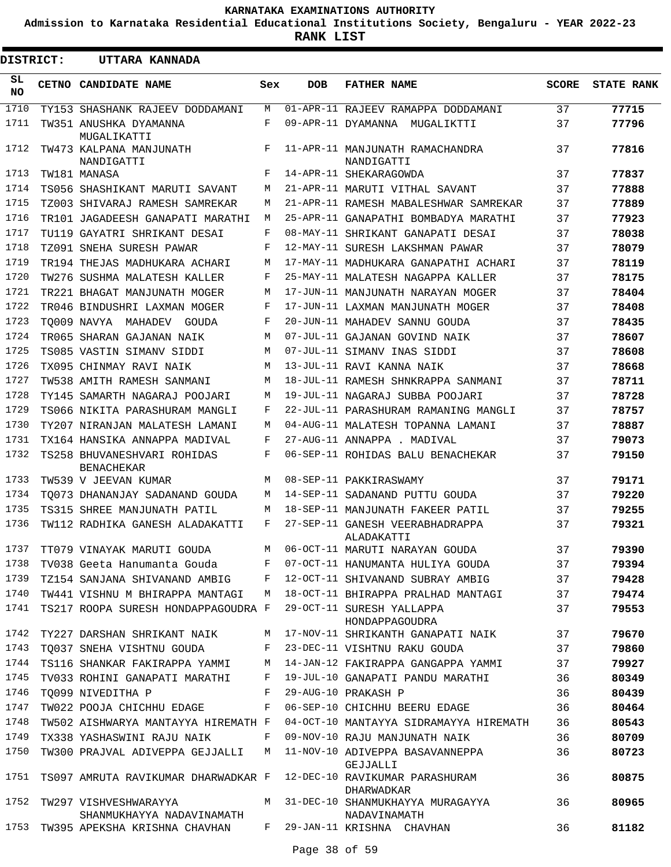**Admission to Karnataka Residential Educational Institutions Society, Bengaluru - YEAR 2022-23**

**RANK LIST**

| <b>DISTRICT:</b> | UTTARA KANNADA                                     |     |            |                                                  |              |                   |
|------------------|----------------------------------------------------|-----|------------|--------------------------------------------------|--------------|-------------------|
| SL.<br>NO.       | CETNO CANDIDATE NAME                               | Sex | <b>DOB</b> | <b>FATHER NAME</b>                               | <b>SCORE</b> | <b>STATE RANK</b> |
| 1710             | TY153 SHASHANK RAJEEV DODDAMANI                    | М   |            | 01-APR-11 RAJEEV RAMAPPA DODDAMANI               | 37           | 77715             |
| 1711             | TW351 ANUSHKA DYAMANNA                             | F   |            | 09-APR-11 DYAMANNA MUGALIKTTI                    | 37           | 77796             |
| 1712             | MUGALIKATTI<br>TW473 KALPANA MANJUNATH             | F   |            | 11-APR-11 MANJUNATH RAMACHANDRA                  | 37           | 77816             |
| 1713             | NANDIGATTI<br>TW181 MANASA                         | F   |            | NANDIGATTI<br>14-APR-11 SHEKARAGOWDA             | 37           | 77837             |
| 1714             | TS056 SHASHIKANT MARUTI SAVANT                     | M   |            | 21-APR-11 MARUTI VITHAL SAVANT                   | 37           | 77888             |
| 1715             | TZ003 SHIVARAJ RAMESH SAMREKAR                     | М   |            | 21-APR-11 RAMESH MABALESHWAR SAMREKAR            | 37           | 77889             |
| 1716             | TR101 JAGADEESH GANAPATI MARATHI                   | М   |            | 25-APR-11 GANAPATHI BOMBADYA MARATHI             | 37           | 77923             |
| 1717             | TU119 GAYATRI SHRIKANT DESAI                       | F   |            | 08-MAY-11 SHRIKANT GANAPATI DESAI                | 37           | 78038             |
| 1718             | TZ091 SNEHA SURESH PAWAR                           | F   |            | 12-MAY-11 SURESH LAKSHMAN PAWAR                  | 37           | 78079             |
| 1719             | TR194 THEJAS MADHUKARA ACHARI                      | M   |            | 17-MAY-11 MADHUKARA GANAPATHI ACHARI             | 37           | 78119             |
| 1720             | TW276 SUSHMA MALATESH KALLER                       | F   |            | 25-MAY-11 MALATESH NAGAPPA KALLER                | 37           | 78175             |
| 1721             | TR221 BHAGAT MANJUNATH MOGER                       | M   |            | 17-JUN-11 MANJUNATH NARAYAN MOGER                | 37           | 78404             |
| 1722             | TR046 BINDUSHRI LAXMAN MOGER                       | F   |            | 17-JUN-11 LAXMAN MANJUNATH MOGER                 | 37           | 78408             |
| 1723             | TO009 NAVYA                                        | F   |            | 20-JUN-11 MAHADEV SANNU GOUDA                    |              |                   |
| 1724             | MAHADEV<br>GOUDA                                   |     |            |                                                  | 37           | 78435             |
| 1725             | TR065 SHARAN GAJANAN NAIK                          | M   |            | 07-JUL-11 GAJANAN GOVIND NAIK                    | 37           | 78607             |
|                  | TS085 VASTIN SIMANV SIDDI                          | M   |            | 07-JUL-11 SIMANV INAS SIDDI                      | 37           | 78608             |
| 1726             | TX095 CHINMAY RAVI NAIK                            | M   |            | 13-JUL-11 RAVI KANNA NAIK                        | 37           | 78668             |
| 1727             | TW538 AMITH RAMESH SANMANI                         | M   |            | 18-JUL-11 RAMESH SHNKRAPPA SANMANI               | 37           | 78711             |
| 1728             | TY145 SAMARTH NAGARAJ POOJARI                      | M   |            | 19-JUL-11 NAGARAJ SUBBA POOJARI                  | 37           | 78728             |
| 1729             | TS066 NIKITA PARASHURAM MANGLI                     | F   |            | 22-JUL-11 PARASHURAM RAMANING MANGLI             | 37           | 78757             |
| 1730             | TY207 NIRANJAN MALATESH LAMANI                     | М   |            | 04-AUG-11 MALATESH TOPANNA LAMANI                | 37           | 78887             |
| 1731             | TX164 HANSIKA ANNAPPA MADIVAL                      | F   |            | 27-AUG-11 ANNAPPA . MADIVAL                      | 37           | 79073             |
| 1732             | TS258 BHUVANESHVARI ROHIDAS<br><b>BENACHEKAR</b>   | F   |            | 06-SEP-11 ROHIDAS BALU BENACHEKAR                | 37           | 79150             |
| 1733             | TW539 V JEEVAN KUMAR                               | M   |            | 08-SEP-11 PAKKIRASWAMY                           | 37           | 79171             |
| 1734             | TO073 DHANANJAY SADANAND GOUDA                     | M   |            | 14-SEP-11 SADANAND PUTTU GOUDA                   | 37           | 79220             |
| 1735             | TS315 SHREE MANJUNATH PATIL                        | M   |            | 18-SEP-11 MANJUNATH FAKEER PATIL                 | 37           | 79255             |
| 1736             | TW112 RADHIKA GANESH ALADAKATTI                    | F   |            | 27-SEP-11 GANESH VEERABHADRAPPA<br>ALADAKATTI    | 37           | 79321             |
| 1737             | TT079 VINAYAK MARUTI GOUDA                         | М   |            | 06-OCT-11 MARUTI NARAYAN GOUDA                   | 37           | 79390             |
| 1738             | TV038 Geeta Hanumanta Gouda                        | F   |            | 07-OCT-11 HANUMANTA HULIYA GOUDA                 | 37           | 79394             |
| 1739             | TZ154 SANJANA SHIVANAND AMBIG                      | F   |            | 12-OCT-11 SHIVANAND SUBRAY AMBIG                 | 37           | 79428             |
| 1740             | TW441 VISHNU M BHIRAPPA MANTAGI                    | M   |            | 18-OCT-11 BHIRAPPA PRALHAD MANTAGI               | 37           | 79474             |
| 1741             | TS217 ROOPA SURESH HONDAPPAGOUDRA F                |     |            | 29-OCT-11 SURESH YALLAPPA<br>HONDAPPAGOUDRA      | 37           | 79553             |
| 1742             | TY227 DARSHAN SHRIKANT NAIK                        | M   |            | 17-NOV-11 SHRIKANTH GANAPATI NAIK                | 37           | 79670             |
| 1743             | TO037 SNEHA VISHTNU GOUDA                          | F   |            | 23-DEC-11 VISHTNU RAKU GOUDA                     | 37           | 79860             |
| 1744             | TS116 SHANKAR FAKIRAPPA YAMMI                      | M   |            | 14-JAN-12 FAKIRAPPA GANGAPPA YAMMI               | 37           | 79927             |
| 1745             | TV033 ROHINI GANAPATI MARATHI                      | F   |            | 19-JUL-10 GANAPATI PANDU MARATHI                 | 36           | 80349             |
| 1746             | TO099 NIVEDITHA P                                  | F   |            | 29-AUG-10 PRAKASH P                              | 36           | 80439             |
| 1747             | TW022 POOJA CHICHHU EDAGE                          | F   |            | 06-SEP-10 CHICHHU BEERU EDAGE                    | 36           | 80464             |
| 1748             | TW502 AISHWARYA MANTAYYA HIREMATH F                |     |            | 04-OCT-10 MANTAYYA SIDRAMAYYA HIREMATH           | 36           | 80543             |
| 1749             | TX338 YASHASWINI RAJU NAIK                         | F   |            | 09-NOV-10 RAJU MANJUNATH NAIK                    | 36           | 80709             |
| 1750             | TW300 PRAJVAL ADIVEPPA GEJJALLI                    | M   |            | 11-NOV-10 ADIVEPPA BASAVANNEPPA<br>GEJJALLI      | 36           | 80723             |
| 1751             | TS097 AMRUTA RAVIKUMAR DHARWADKAR F                |     |            | 12-DEC-10 RAVIKUMAR PARASHURAM<br>DHARWADKAR     | 36           | 80875             |
| 1752             | TW297 VISHVESHWARAYYA<br>SHANMUKHAYYA NADAVINAMATH | M   |            | 31-DEC-10 SHANMUKHAYYA MURAGAYYA<br>NADAVINAMATH | 36           | 80965             |
| 1753             | TW395 APEKSHA KRISHNA CHAVHAN                      |     |            | F 29-JAN-11 KRISHNA CHAVHAN                      | 36           | 81182             |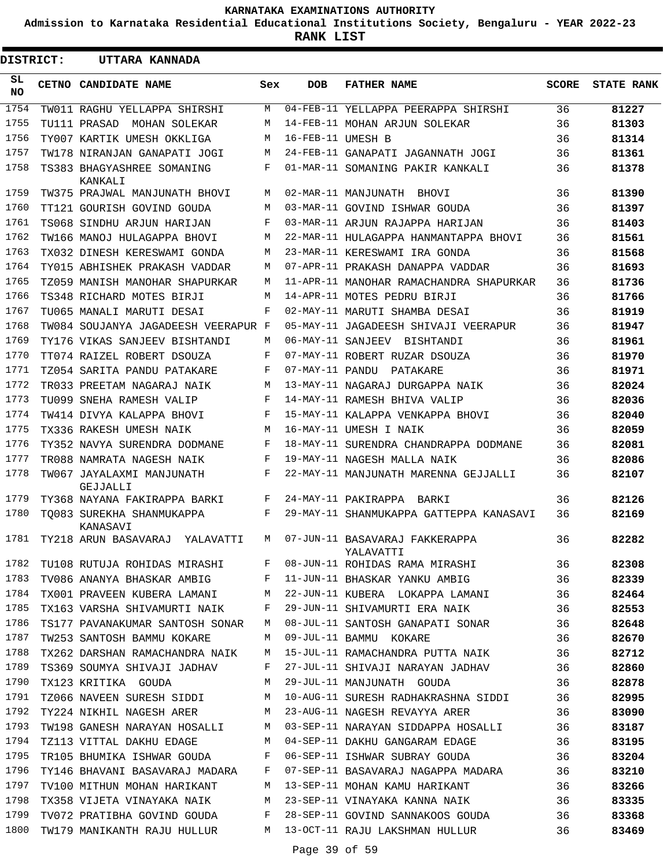**Admission to Karnataka Residential Educational Institutions Society, Bengaluru - YEAR 2022-23**

**RANK LIST**

| <b>DISTRICT:</b> | UTTARA KANNADA                        |     |                   |                                             |              |                   |
|------------------|---------------------------------------|-----|-------------------|---------------------------------------------|--------------|-------------------|
| SL.<br>NO.       | CETNO CANDIDATE NAME                  | Sex | DOB               | <b>FATHER NAME</b>                          | <b>SCORE</b> | <b>STATE RANK</b> |
| 1754             | TW011 RAGHU YELLAPPA SHIRSHI          | М   |                   | 04-FEB-11 YELLAPPA PEERAPPA SHIRSHI         | 36           | 81227             |
| 1755             | TU111 PRASAD<br>MOHAN SOLEKAR         | М   |                   | 14-FEB-11 MOHAN ARJUN SOLEKAR               | 36           | 81303             |
| 1756             | TY007 KARTIK UMESH OKKLIGA            | М   | 16-FEB-11 UMESH B |                                             | 36           | 81314             |
| 1757             | TW178 NIRANJAN GANAPATI JOGI          | М   |                   | 24-FEB-11 GANAPATI JAGANNATH JOGI           | 36           | 81361             |
| 1758             | TS383 BHAGYASHREE SOMANING<br>KANKALI | F   |                   | 01-MAR-11 SOMANING PAKIR KANKALI            | 36           | 81378             |
| 1759             | TW375 PRAJWAL MANJUNATH BHOVI         | М   |                   | 02-MAR-11 MANJUNATH BHOVI                   | 36           | 81390             |
| 1760             | TT121 GOURISH GOVIND GOUDA            | М   |                   | 03-MAR-11 GOVIND ISHWAR GOUDA               | 36           | 81397             |
| 1761             | TS068 SINDHU ARJUN HARIJAN            | F   |                   | 03-MAR-11 ARJUN RAJAPPA HARIJAN             | 36           | 81403             |
| 1762             | TW166 MANOJ HULAGAPPA BHOVI           | М   |                   | 22-MAR-11 HULAGAPPA HANMANTAPPA BHOVI       | 36           | 81561             |
| 1763             | TX032 DINESH KERESWAMI GONDA          | М   |                   | 23-MAR-11 KERESWAMI IRA GONDA               | 36           | 81568             |
| 1764             | TY015 ABHISHEK PRAKASH VADDAR         | М   |                   | 07-APR-11 PRAKASH DANAPPA VADDAR            | 36           | 81693             |
| 1765             | TZ059 MANISH MANOHAR SHAPURKAR        | М   |                   | 11-APR-11 MANOHAR RAMACHANDRA SHAPURKAR     | 36           | 81736             |
| 1766             | TS348 RICHARD MOTES BIRJI             | М   |                   | 14-APR-11 MOTES PEDRU BIRJI                 | 36           | 81766             |
| 1767             | TU065 MANALI MARUTI DESAI             | F   |                   | 02-MAY-11 MARUTI SHAMBA DESAI               | 36           | 81919             |
| 1768             | TW084 SOUJANYA JAGADEESH VEERAPUR F   |     |                   | 05-MAY-11 JAGADEESH SHIVAJI VEERAPUR        | 36           | 81947             |
| 1769             | TY176 VIKAS SANJEEV BISHTANDI         | М   |                   | 06-MAY-11 SANJEEV BISHTANDI                 | 36           | 81961             |
| 1770             | TT074 RAIZEL ROBERT DSOUZA            | F   |                   | 07-MAY-11 ROBERT RUZAR DSOUZA               | 36           | 81970             |
| 1771             | TZ054 SARITA PANDU PATAKARE           | F   |                   | 07-MAY-11 PANDU PATAKARE                    | 36           | 81971             |
| 1772             | TR033 PREETAM NAGARAJ NAIK            | М   |                   | 13-MAY-11 NAGARAJ DURGAPPA NAIK             | 36           | 82024             |
| 1773             | TU099 SNEHA RAMESH VALIP              | F   |                   | 14-MAY-11 RAMESH BHIVA VALIP                | 36           | 82036             |
| 1774             | TW414 DIVYA KALAPPA BHOVI             | F   |                   | 15-MAY-11 KALAPPA VENKAPPA BHOVI            | 36           | 82040             |
| 1775             | TX336 RAKESH UMESH NAIK               | M   |                   | 16-MAY-11 UMESH I NAIK                      | 36           | 82059             |
| 1776             | TY352 NAVYA SURENDRA DODMANE          | F   |                   | 18-MAY-11 SURENDRA CHANDRAPPA DODMANE       | 36           | 82081             |
| 1777             | TR088 NAMRATA NAGESH NAIK             | F   |                   | 19-MAY-11 NAGESH MALLA NAIK                 | 36           | 82086             |
| 1778             | TW067 JAYALAXMI MANJUNATH<br>GEJJALLI | F   |                   | 22-MAY-11 MANJUNATH MARENNA GEJJALLI        | 36           | 82107             |
| 1779             | TY368 NAYANA FAKIRAPPA BARKI          | F   |                   | 24-MAY-11 PAKIRAPPA<br>BARKI                | 36           | 82126             |
| 1780             | TO083 SUREKHA SHANMUKAPPA<br>KANASAVI | F   |                   | 29-MAY-11 SHANMUKAPPA GATTEPPA KANASAVI     | 36           | 82169             |
| 1781             | TY218 ARUN BASAVARAJ YALAVATTI        | M   |                   | 07-JUN-11 BASAVARAJ FAKKERAPPA<br>YALAVATTI | 36           | 82282             |
| 1782             | TU108 RUTUJA ROHIDAS MIRASHI          | F   |                   | 08-JUN-11 ROHIDAS RAMA MIRASHI              | 36           | 82308             |
| 1783             | TV086 ANANYA BHASKAR AMBIG            | F   |                   | 11-JUN-11 BHASKAR YANKU AMBIG               | 36           | 82339             |
| 1784             | TX001 PRAVEEN KUBERA LAMANI           | М   |                   | 22-JUN-11 KUBERA LOKAPPA LAMANI             | 36           | 82464             |
| 1785             | TX163 VARSHA SHIVAMURTI NAIK          | F   |                   | 29-JUN-11 SHIVAMURTI ERA NAIK               | 36           | 82553             |
| 1786             | TS177 PAVANAKUMAR SANTOSH SONAR       | M   |                   | 08-JUL-11 SANTOSH GANAPATI SONAR            | 36           | 82648             |
| 1787             | TW253 SANTOSH BAMMU KOKARE            | М   |                   | 09-JUL-11 BAMMU KOKARE                      | 36           | 82670             |
| 1788             | TX262 DARSHAN RAMACHANDRA NAIK        | М   |                   | 15-JUL-11 RAMACHANDRA PUTTA NAIK            | 36           | 82712             |
| 1789             | TS369 SOUMYA SHIVAJI JADHAV           | F   |                   | 27-JUL-11 SHIVAJI NARAYAN JADHAV            | 36           | 82860             |
| 1790             | TX123 KRITIKA GOUDA                   | М   |                   | 29-JUL-11 MANJUNATH GOUDA                   | 36           | 82878             |
| 1791             | TZ066 NAVEEN SURESH SIDDI             | М   |                   | 10-AUG-11 SURESH RADHAKRASHNA SIDDI         | 36           | 82995             |
| 1792             | TY224 NIKHIL NAGESH ARER              | М   |                   | 23-AUG-11 NAGESH REVAYYA ARER               | 36           | 83090             |
| 1793             | TW198 GANESH NARAYAN HOSALLI          | М   |                   | 03-SEP-11 NARAYAN SIDDAPPA HOSALLI          | 36           | 83187             |
| 1794             | TZ113 VITTAL DAKHU EDAGE              | М   |                   | 04-SEP-11 DAKHU GANGARAM EDAGE              | 36           | 83195             |
| 1795             | TR105 BHUMIKA ISHWAR GOUDA            | F   |                   | 06-SEP-11 ISHWAR SUBRAY GOUDA               | 36           | 83204             |
| 1796             | TY146 BHAVANI BASAVARAJ MADARA        | F   |                   | 07-SEP-11 BASAVARAJ NAGAPPA MADARA          | 36           | 83210             |
| 1797             | TV100 MITHUN MOHAN HARIKANT           | М   |                   | 13-SEP-11 MOHAN KAMU HARIKANT               | 36           | 83266             |
| 1798             | TX358 VIJETA VINAYAKA NAIK            | М   |                   | 23-SEP-11 VINAYAKA KANNA NAIK               | 36           | 83335             |
| 1799             | TV072 PRATIBHA GOVIND GOUDA           | F   |                   | 28-SEP-11 GOVIND SANNAKOOS GOUDA            | 36           | 83368             |
| 1800             | TW179 MANIKANTH RAJU HULLUR           | М   |                   | 13-OCT-11 RAJU LAKSHMAN HULLUR              | 36           | 83469             |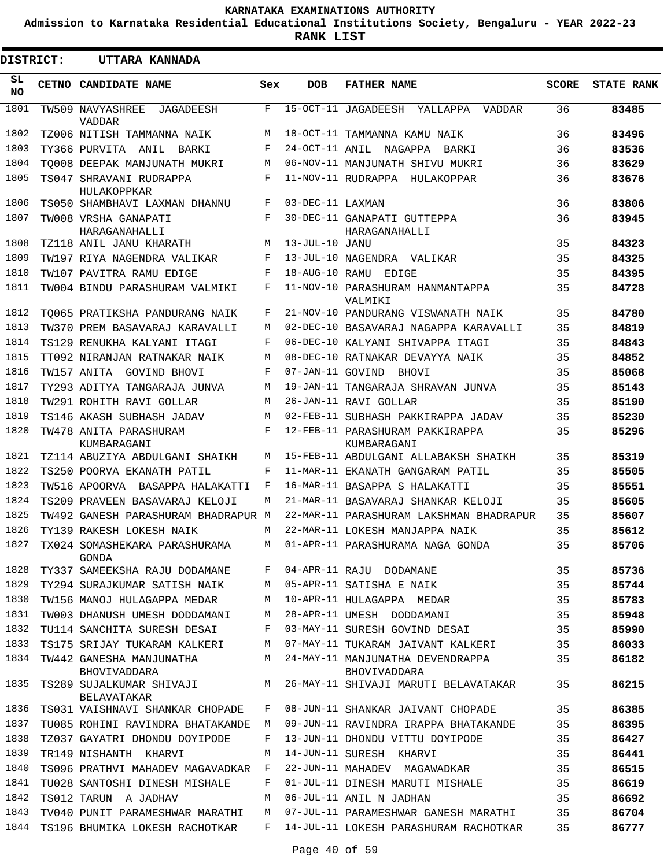**Admission to Karnataka Residential Educational Institutions Society, Bengaluru - YEAR 2022-23**

**RANK LIST**

| <b>DISTRICT:</b> | UTTARA KANNADA                                 |            |                  |                                                  |              |                   |
|------------------|------------------------------------------------|------------|------------------|--------------------------------------------------|--------------|-------------------|
| SL<br><b>NO</b>  | CETNO CANDIDATE NAME                           | Sex        | <b>DOB</b>       | <b>FATHER NAME</b>                               | <b>SCORE</b> | <b>STATE RANK</b> |
| 1801             | TW509 NAVYASHREE<br>JAGADEESH<br>VADDAR        | F          |                  | 15-OCT-11 JAGADEESH YALLAPPA<br>VADDAR           | 36           | 83485             |
| 1802             | TZ006 NITISH TAMMANNA NAIK                     | M          |                  | 18-OCT-11 TAMMANNA KAMU NAIK                     | 36           | 83496             |
| 1803             | TY366 PURVITA ANIL BARKI                       | $_{\rm F}$ |                  | 24-OCT-11 ANIL NAGAPPA BARKI                     | 36           | 83536             |
| 1804             | TO008 DEEPAK MANJUNATH MUKRI                   | М          |                  | 06-NOV-11 MANJUNATH SHIVU MUKRI                  | 36           | 83629             |
| 1805             | TS047 SHRAVANI RUDRAPPA                        | $_{\rm F}$ |                  | 11-NOV-11 RUDRAPPA HULAKOPPAR                    | 36           | 83676             |
|                  | HULAKOPPKAR                                    |            |                  |                                                  |              |                   |
| 1806             | TS050 SHAMBHAVI LAXMAN DHANNU                  | $_{\rm F}$ | 03-DEC-11 LAXMAN |                                                  | 36           | 83806             |
| 1807             | TW008 VRSHA GANAPATI<br>HARAGANAHALLI          | F          |                  | 30-DEC-11 GANAPATI GUTTEPPA<br>HARAGANAHALLI     | 36           | 83945             |
| 1808             | TZ118 ANIL JANU KHARATH                        | М          | 13-JUL-10 JANU   |                                                  | 35           | 84323             |
| 1809             | TW197 RIYA NAGENDRA VALIKAR                    | F          |                  | 13-JUL-10 NAGENDRA VALIKAR                       | 35           | 84325             |
| 1810             | TW107 PAVITRA RAMU EDIGE                       | $_{\rm F}$ | 18-AUG-10 RAMU   | EDIGE                                            | 35           | 84395             |
| 1811             | TW004 BINDU PARASHURAM VALMIKI                 | F          |                  | 11-NOV-10 PARASHURAM HANMANTAPPA<br>VALMIKI      | 35           | 84728             |
| 1812             | TO065 PRATIKSHA PANDURANG NAIK                 | F          |                  | 21-NOV-10 PANDURANG VISWANATH NAIK               | 35           | 84780             |
| 1813             | TW370 PREM BASAVARAJ KARAVALLI                 | М          |                  | 02-DEC-10 BASAVARAJ NAGAPPA KARAVALLI            | 35           | 84819             |
| 1814             | TS129 RENUKHA KALYANI ITAGI                    | $_{\rm F}$ |                  | 06-DEC-10 KALYANI SHIVAPPA ITAGI                 | 35           | 84843             |
| 1815             | TT092 NIRANJAN RATNAKAR NAIK                   | М          |                  | 08-DEC-10 RATNAKAR DEVAYYA NAIK                  | 35           | 84852             |
| 1816             | TW157 ANITA GOVIND BHOVI                       | F          |                  | 07-JAN-11 GOVIND BHOVI                           | 35           | 85068             |
| 1817             | TY293 ADITYA TANGARAJA JUNVA                   | М          |                  | 19-JAN-11 TANGARAJA SHRAVAN JUNVA                | 35           | 85143             |
| 1818             | TW291 ROHITH RAVI GOLLAR                       | М          |                  | 26-JAN-11 RAVI GOLLAR                            | 35           | 85190             |
| 1819             | TS146 AKASH SUBHASH JADAV                      | M          |                  | 02-FEB-11 SUBHASH PAKKIRAPPA JADAV               | 35           | 85230             |
| 1820             | TW478 ANITA PARASHURAM<br>KUMBARAGANI          | $_{\rm F}$ |                  | 12-FEB-11 PARASHURAM PAKKIRAPPA<br>KUMBARAGANI   | 35           | 85296             |
| 1821             | TZ114 ABUZIYA ABDULGANI SHAIKH                 | М          |                  | 15-FEB-11 ABDULGANI ALLABAKSH SHAIKH             | 35           | 85319             |
| 1822             | TS250 POORVA EKANATH PATIL                     | F          |                  | 11-MAR-11 EKANATH GANGARAM PATIL                 | 35           | 85505             |
| 1823             | TW516 APOORVA BASAPPA HALAKATTI                | F          |                  | 16-MAR-11 BASAPPA S HALAKATTI                    | 35           | 85551             |
| 1824             | TS209 PRAVEEN BASAVARAJ KELOJI                 | М          |                  | 21-MAR-11 BASAVARAJ SHANKAR KELOJI               | 35           | 85605             |
| 1825             | TW492 GANESH PARASHURAM BHADRAPUR M            |            |                  | 22-MAR-11 PARASHURAM LAKSHMAN BHADRAPUR          | 35           | 85607             |
| 1826             | TY139 RAKESH LOKESH NAIK                       | М          |                  | 22-MAR-11 LOKESH MANJAPPA NAIK                   | 35           | 85612             |
| 1827             | TX024 SOMASHEKARA PARASHURAMA<br>GONDA         | M          |                  | 01-APR-11 PARASHURAMA NAGA GONDA                 | 35           | 85706             |
| 1828             | TY337 SAMEEKSHA RAJU DODAMANE                  | F          |                  | 04-APR-11 RAJU DODAMANE                          | 35           | 85736             |
| 1829             | TY294 SURAJKUMAR SATISH NAIK                   | М          |                  | 05-APR-11 SATISHA E NAIK                         | 35           | 85744             |
| 1830             | TW156 MANOJ HULAGAPPA MEDAR                    | М          |                  | 10-APR-11 HULAGAPPA MEDAR                        | 35           | 85783             |
| 1831             | TW003 DHANUSH UMESH DODDAMANI                  | М          |                  | 28-APR-11 UMESH DODDAMANI                        | 35           | 85948             |
| 1832             | TU114 SANCHITA SURESH DESAI                    | F          |                  | 03-MAY-11 SURESH GOVIND DESAI                    | 35           | 85990             |
| 1833             | TS175 SRIJAY TUKARAM KALKERI                   | М          |                  | 07-MAY-11 TUKARAM JAIVANT KALKERI                | 35           | 86033             |
| 1834             | TW442 GANESHA MANJUNATHA<br>BHOVIVADDARA       | M          |                  | 24-MAY-11 MANJUNATHA DEVENDRAPPA<br>BHOVIVADDARA | 35           | 86182             |
| 1835             | TS289 SUJALKUMAR SHIVAJI<br><b>BELAVATAKAR</b> | М          |                  | 26-MAY-11 SHIVAJI MARUTI BELAVATAKAR             | 35           | 86215             |
| 1836             | TS031 VAISHNAVI SHANKAR CHOPADE                | F          |                  | 08-JUN-11 SHANKAR JAIVANT CHOPADE                | 35           | 86385             |
| 1837             | TU085 ROHINI RAVINDRA BHATAKANDE               | М          |                  | 09-JUN-11 RAVINDRA IRAPPA BHATAKANDE             | 35           | 86395             |
| 1838             | TZ037 GAYATRI DHONDU DOYIPODE                  | F          |                  | 13-JUN-11 DHONDU VITTU DOYIPODE                  | 35           | 86427             |
| 1839             | TR149 NISHANTH KHARVI                          | М          |                  | 14-JUN-11 SURESH KHARVI                          | 35           | 86441             |
| 1840             | TS096 PRATHVI MAHADEV MAGAVADKAR               | F          |                  | 22-JUN-11 MAHADEV MAGAWADKAR                     | 35           | 86515             |
| 1841             | TU028 SANTOSHI DINESH MISHALE                  | F          |                  | 01-JUL-11 DINESH MARUTI MISHALE                  | 35           | 86619             |
| 1842             | TS012 TARUN A JADHAV                           | М          |                  | 06-JUL-11 ANIL N JADHAN                          | 35           | 86692             |
| 1843             | TV040 PUNIT PARAMESHWAR MARATHI                | М          |                  | 07-JUL-11 PARAMESHWAR GANESH MARATHI             | 35           | 86704             |
| 1844             | TS196 BHUMIKA LOKESH RACHOTKAR                 | F          |                  | 14-JUL-11 LOKESH PARASHURAM RACHOTKAR            | 35           | 86777             |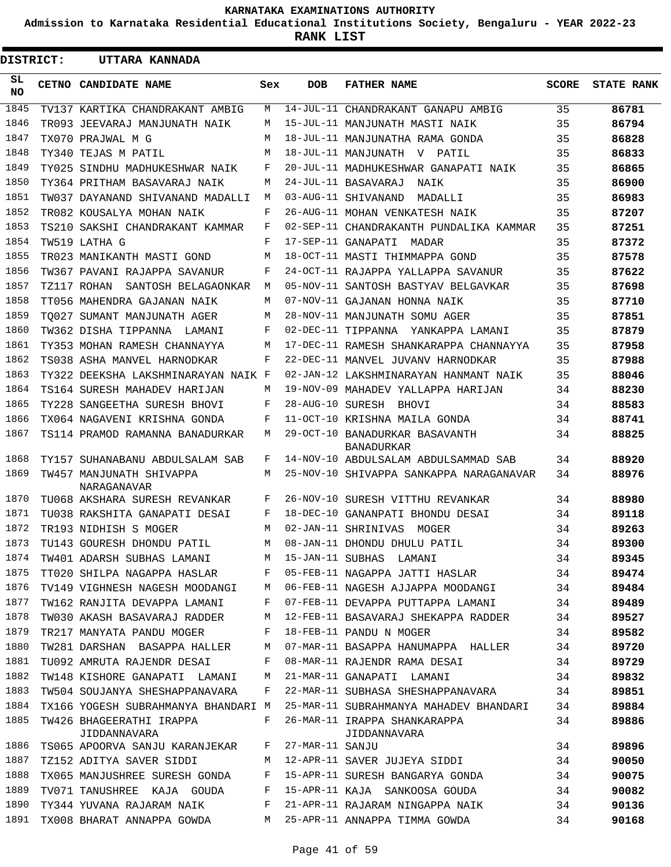**Admission to Karnataka Residential Educational Institutions Society, Bengaluru - YEAR 2022-23**

**RANK LIST**

| DISTRICT: | UTTARA KANNADA                                            |     |                 |                                                     |              |                   |
|-----------|-----------------------------------------------------------|-----|-----------------|-----------------------------------------------------|--------------|-------------------|
| SL<br>NO. | CETNO CANDIDATE NAME                                      | Sex | <b>DOB</b>      | <b>FATHER NAME</b>                                  | <b>SCORE</b> | <b>STATE RANK</b> |
| 1845      | TV137 KARTIKA CHANDRAKANT AMBIG                           | М   |                 | 14-JUL-11 CHANDRAKANT GANAPU AMBIG                  | 35           | 86781             |
| 1846      | TR093 JEEVARAJ MANJUNATH NAIK                             | М   |                 | 15-JUL-11 MANJUNATH MASTI NAIK                      | 35           | 86794             |
| 1847      | TX070 PRAJWAL M G                                         | М   |                 | 18-JUL-11 MANJUNATHA RAMA GONDA                     | 35           | 86828             |
| 1848      | TY340 TEJAS M PATIL                                       | М   |                 | 18-JUL-11 MANJUNATH V PATIL                         | 35           | 86833             |
| 1849      | TY025 SINDHU MADHUKESHWAR NAIK                            | F   |                 | 20-JUL-11 MADHUKESHWAR GANAPATI NAIK                | 35           | 86865             |
| 1850      | TY364 PRITHAM BASAVARAJ NAIK                              | М   |                 | 24-JUL-11 BASAVARAJ NAIK                            | 35           | 86900             |
| 1851      | TW037 DAYANAND SHIVANAND MADALLI                          | M   |                 | 03-AUG-11 SHIVANAND<br>MADALLI                      | 35           | 86983             |
| 1852      | TR082 KOUSALYA MOHAN NAIK                                 | F   |                 | 26-AUG-11 MOHAN VENKATESH NAIK                      | 35           | 87207             |
| 1853      | TS210 SAKSHI CHANDRAKANT KAMMAR                           | F   |                 | 02-SEP-11 CHANDRAKANTH PUNDALIKA KAMMAR             | 35           | 87251             |
| 1854      | TW519 LATHA G                                             | F   |                 | 17-SEP-11 GANAPATI<br>MADAR                         | 35           | 87372             |
| 1855      | TR023 MANIKANTH MASTI GOND                                | М   |                 | 18-OCT-11 MASTI THIMMAPPA GOND                      | 35           | 87578             |
| 1856      | TW367 PAVANI RAJAPPA SAVANUR                              | F   |                 | 24-OCT-11 RAJAPPA YALLAPPA SAVANUR                  | 35           | 87622             |
| 1857      | TZ117 ROHAN<br>SANTOSH BELAGAONKAR                        | M   |                 | 05-NOV-11 SANTOSH BASTYAV BELGAVKAR                 | 35           | 87698             |
| 1858      | TT056 MAHENDRA GAJANAN NAIK                               | М   |                 | 07-NOV-11 GAJANAN HONNA NAIK                        | 35           | 87710             |
| 1859      | TO027 SUMANT MANJUNATH AGER                               | М   |                 | 28-NOV-11 MANJUNATH SOMU AGER                       | 35           | 87851             |
| 1860      | TW362 DISHA TIPPANNA LAMANI                               | F   |                 | 02-DEC-11 TIPPANNA<br>YANKAPPA LAMANI               | 35           | 87879             |
| 1861      | TY353 MOHAN RAMESH CHANNAYYA                              | М   |                 | 17-DEC-11 RAMESH SHANKARAPPA CHANNAYYA              | 35           | 87958             |
| 1862      | TS038 ASHA MANVEL HARNODKAR                               | F   |                 | 22-DEC-11 MANVEL JUVANV HARNODKAR                   | 35           | 87988             |
| 1863      | TY322 DEEKSHA LAKSHMINARAYAN NAIK F                       |     |                 | 02-JAN-12 LAKSHMINARAYAN HANMANT NAIK               | 35           | 88046             |
| 1864      | TS164 SURESH MAHADEV HARIJAN                              | М   |                 | 19-NOV-09 MAHADEV YALLAPPA HARIJAN                  | 34           | 88230             |
| 1865      | TY228 SANGEETHA SURESH BHOVI                              | F   |                 | 28-AUG-10 SURESH BHOVI                              | 34           | 88583             |
| 1866      | TX064 NAGAVENI KRISHNA GONDA                              | F   |                 | 11-OCT-10 KRISHNA MAILA GONDA                       | 34           | 88741             |
| 1867      | TS114 PRAMOD RAMANNA BANADURKAR                           | М   |                 | 29-OCT-10 BANADURKAR BASAVANTH<br><b>BANADURKAR</b> | 34           | 88825             |
| 1868      | TY157 SUHANABANU ABDULSALAM SAB                           | F   |                 | 14-NOV-10 ABDULSALAM ABDULSAMMAD SAB                | 34           | 88920             |
| 1869      | TW457 MANJUNATH SHIVAPPA<br>NARAGANAVAR                   | М   |                 | 25-NOV-10 SHIVAPPA SANKAPPA NARAGANAVAR             | 34           | 88976             |
| 1870      | TU068 AKSHARA SURESH REVANKAR                             | F   |                 | 26-NOV-10 SURESH VITTHU REVANKAR                    | 34           | 88980             |
| 1871      | TU038 RAKSHITA GANAPATI DESAI                             | F   |                 | 18-DEC-10 GANANPATI BHONDU DESAI                    | 34           | 89118             |
| 1872      | TR193 NIDHISH S MOGER                                     | М   |                 | 02-JAN-11 SHRINIVAS<br>MOGER                        | 34           | 89263             |
| 1873      | TU143 GOURESH DHONDU PATIL                                | M   |                 | 08-JAN-11 DHONDU DHULU PATIL                        | 34           | 89300             |
|           | 1874 TW401 ADARSH SUBHAS LAMANI M 15-JAN-11 SUBHAS LAMANI |     |                 |                                                     | 34           | 89345             |
| 1875      | TT020 SHILPA NAGAPPA HASLAR F                             |     |                 | 05-FEB-11 NAGAPPA JATTI HASLAR                      | 34           | 89474             |
| 1876      | TV149 VIGHNESH NAGESH MOODANGI                            | M   |                 | 06-FEB-11 NAGESH AJJAPPA MOODANGI                   | 34           | 89484             |
| 1877      | TW162 RANJITA DEVAPPA LAMANI                              | F   |                 | 07-FEB-11 DEVAPPA PUTTAPPA LAMANI                   | 34           | 89489             |
| 1878      | TW030 AKASH BASAVARAJ RADDER                              | М   |                 | 12-FEB-11 BASAVARAJ SHEKAPPA RADDER                 | 34           | 89527             |
| 1879      | TR217 MANYATA PANDU MOGER                                 | F   |                 | 18-FEB-11 PANDU N MOGER                             | 34           | 89582             |
| 1880      | TW281 DARSHAN BASAPPA HALLER                              | М   |                 | 07-MAR-11 BASAPPA HANUMAPPA HALLER                  | 34           | 89720             |
| 1881      | TU092 AMRUTA RAJENDR DESAI                                | F   |                 | 08-MAR-11 RAJENDR RAMA DESAI                        | 34           | 89729             |
| 1882      | TW148 KISHORE GANAPATI LAMANI                             | M   |                 | 21-MAR-11 GANAPATI LAMANI                           | 34           | 89832             |
| 1883      | TW504 SOUJANYA SHESHAPPANAVARA                            | F   |                 | 22-MAR-11 SUBHASA SHESHAPPANAVARA                   | 34           | 89851             |
| 1884      | TX166 YOGESH SUBRAHMANYA BHANDARI M                       |     |                 | 25-MAR-11 SUBRAHMANYA MAHADEV BHANDARI              | 34           | 89884             |
| 1885      | TW426 BHAGEERATHI IRAPPA<br>JIDDANNAVARA                  | F   |                 | 26-MAR-11 IRAPPA SHANKARAPPA<br>JIDDANNAVARA        | 34           | 89886             |
| 1886      | TS065 APOORVA SANJU KARANJEKAR                            | F   | 27-MAR-11 SANJU |                                                     | 34           | 89896             |
| 1887      | TZ152 ADITYA SAVER SIDDI                                  | М   |                 | 12-APR-11 SAVER JUJEYA SIDDI                        | 34           | 90050             |
| 1888      | TX065 MANJUSHREE SURESH GONDA                             | F   |                 | 15-APR-11 SURESH BANGARYA GONDA                     | 34           | 90075             |
| 1889      | TV071 TANUSHREE KAJA GOUDA                                | F   |                 | 15-APR-11 KAJA SANKOOSA GOUDA                       | 34           | 90082             |
| 1890      | TY344 YUVANA RAJARAM NAIK                                 | F   |                 | 21-APR-11 RAJARAM NINGAPPA NAIK                     | 34           | 90136             |
| 1891      | TX008 BHARAT ANNAPPA GOWDA                                | M   |                 | 25-APR-11 ANNAPPA TIMMA GOWDA                       | 34           | 90168             |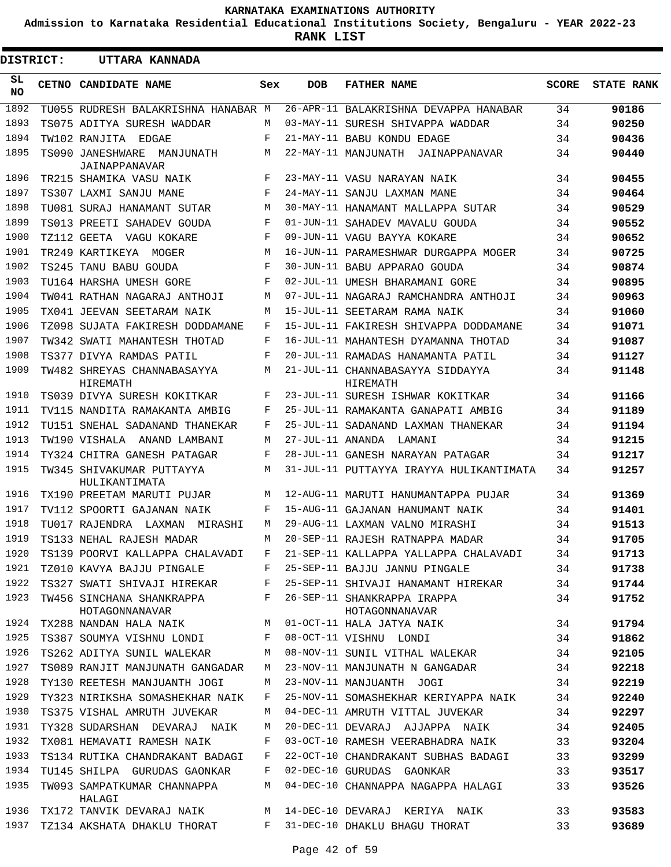**Admission to Karnataka Residential Educational Institutions Society, Bengaluru - YEAR 2022-23**

**RANK LIST**

 $\blacksquare$ 

| <b>DISTRICT:</b> | UTTARA KANNADA                                                 |            |                  |                                                                                 |       |                   |
|------------------|----------------------------------------------------------------|------------|------------------|---------------------------------------------------------------------------------|-------|-------------------|
| SL.<br>NO.       | CETNO CANDIDATE NAME                                           | Sex        | DOB              | <b>FATHER NAME</b>                                                              | SCORE | <b>STATE RANK</b> |
| 1892             | TU055 RUDRESH BALAKRISHNA HANABAR M                            |            |                  | 26-APR-11 BALAKRISHNA DEVAPPA HANABAR                                           | 34    | 90186             |
| 1893             | TS075 ADITYA SURESH WADDAR                                     | М          |                  | 03-MAY-11 SURESH SHIVAPPA WADDAR                                                | 34    | 90250             |
| 1894             | TW102 RANJITA EDGAE                                            | F          |                  | 21-MAY-11 BABU KONDU EDAGE                                                      | 34    | 90436             |
| 1895             | TS090 JANESHWARE<br>MANJUNATH<br>JAINAPPANAVAR                 | M          |                  | 22-MAY-11 MANJUNATH JAINAPPANAVAR                                               | 34    | 90440             |
| 1896             | TR215 SHAMIKA VASU NAIK                                        | F          |                  | 23-MAY-11 VASU NARAYAN NAIK                                                     | 34    | 90455             |
| 1897             | TS307 LAXMI SANJU MANE                                         | F          |                  | 24-MAY-11 SANJU LAXMAN MANE                                                     | 34    | 90464             |
| 1898             | TU081 SURAJ HANAMANT SUTAR                                     | M          |                  | 30-MAY-11 HANAMANT MALLAPPA SUTAR                                               | 34    | 90529             |
| 1899             | TS013 PREETI SAHADEV GOUDA                                     | F          |                  | 01-JUN-11 SAHADEV MAVALU GOUDA                                                  | 34    | 90552             |
| 1900             | TZ112 GEETA VAGU KOKARE                                        | F          |                  | 09-JUN-11 VAGU BAYYA KOKARE                                                     | 34    | 90652             |
| 1901             | TR249 KARTIKEYA MOGER                                          | M          |                  | 16-JUN-11 PARAMESHWAR DURGAPPA MOGER                                            | 34    | 90725             |
| 1902             | TS245 TANU BABU GOUDA                                          | $_{\rm F}$ |                  | 30-JUN-11 BABU APPARAO GOUDA                                                    | 34    | 90874             |
| 1903             | TU164 HARSHA UMESH GORE                                        | F          |                  | 02-JUL-11 UMESH BHARAMANI GORE                                                  | 34    | 90895             |
| 1904             | TW041 RATHAN NAGARAJ ANTHOJI                                   | M          |                  | 07-JUL-11 NAGARAJ RAMCHANDRA ANTHOJI                                            | 34    | 90963             |
| 1905             | TX041 JEEVAN SEETARAM NAIK                                     | M          |                  | 15-JUL-11 SEETARAM RAMA NAIK                                                    | 34    | 91060             |
| 1906             | TZ098 SUJATA FAKIRESH DODDAMANE                                | F          |                  | 15-JUL-11 FAKIRESH SHIVAPPA DODDAMANE                                           | 34    | 91071             |
| 1907             | TW342 SWATI MAHANTESH THOTAD                                   | F          |                  | 16-JUL-11 MAHANTESH DYAMANNA THOTAD                                             | 34    | 91087             |
| 1908             | TS377 DIVYA RAMDAS PATIL                                       | F          |                  | 20-JUL-11 RAMADAS HANAMANTA PATIL                                               | 34    | 91127             |
| 1909             | TW482 SHREYAS CHANNABASAYYA<br>HIREMATH                        | M          |                  | 21-JUL-11 CHANNABASAYYA SIDDAYYA<br>HIREMATH                                    | 34    | 91148             |
| 1910             | TS039 DIVYA SURESH KOKITKAR                                    | F          |                  | 23-JUL-11 SURESH ISHWAR KOKITKAR                                                | 34    | 91166             |
| 1911             | TV115 NANDITA RAMAKANTA AMBIG                                  | F          |                  | 25-JUL-11 RAMAKANTA GANAPATI AMBIG                                              | 34    | 91189             |
| 1912             | TU151 SNEHAL SADANAND THANEKAR                                 | F          |                  | 25-JUL-11 SADANAND LAXMAN THANEKAR                                              | 34    | 91194             |
| 1913             | TW190 VISHALA ANAND LAMBANI                                    | М          | 27-JUL-11 ANANDA | LAMANI                                                                          | 34    | 91215             |
| 1914             | TY324 CHITRA GANESH PATAGAR                                    | F          |                  | 28-JUL-11 GANESH NARAYAN PATAGAR                                                | 34    | 91217             |
| 1915             | TW345 SHIVAKUMAR PUTTAYYA<br>HULIKANTIMATA                     | М          |                  | 31-JUL-11 PUTTAYYA IRAYYA HULIKANTIMATA                                         | 34    | 91257             |
| 1916             | TX190 PREETAM MARUTI PUJAR                                     | М          |                  | 12-AUG-11 MARUTI HANUMANTAPPA PUJAR                                             | 34    | 91369             |
| 1917             | TV112 SPOORTI GAJANAN NAIK                                     | F          |                  | 15-AUG-11 GAJANAN HANUMANT NAIK                                                 | 34    | 91401             |
| 1918             | TU017 RAJENDRA LAXMAN MIRASHI                                  | M          |                  | 29-AUG-11 LAXMAN VALNO MIRASHI                                                  | 34    | 91513             |
| 1919             | TS133 NEHAL RAJESH MADAR                                       | М          |                  | 20-SEP-11 RAJESH RATNAPPA MADAR                                                 | 34    | 91705             |
|                  |                                                                |            |                  | 1920 TS139 POORVI KALLAPPA CHALAVADI F 21-SEP-11 KALLAPPA YALLAPPA CHALAVADI 34 |       | 91713             |
|                  | 1921 TZ010 KAVYA BAJJU PINGALE F 25-SEP-11 BAJJU JANNU PINGALE |            |                  |                                                                                 | 34    | 91738             |
|                  |                                                                |            |                  | 1922 TS327 SWATI SHIVAJI HIREKAR F 25-SEP-11 SHIVAJI HANAMANT HIREKAR 34        |       | 91744             |
| 1923             | TW456 SINCHANA SHANKRAPPA F<br>HOTAGONNANAVAR                  |            |                  | 26-SEP-11 SHANKRAPPA IRAPPA<br>HOTAGONNANAVAR                                   | 34    | 91752             |
| 1924             |                                                                |            |                  | TX288 NANDAN HALA NAIK M 01-OCT-11 HALA JATYA NAIK 34                           |       | 91794             |
| 1925             | TS387 SOUMYA VISHNU LONDI F                                    |            |                  | 08-OCT-11 VISHNU LONDI 34                                                       |       | 91862             |
| 1926             | TS262 ADITYA SUNIL WALEKAR M                                   |            |                  | 08-NOV-11 SUNIL VITHAL WALEKAR                                                  | 34    | 92105             |
| 1927             | TS089 RANJIT MANJUNATH GANGADAR                                | M          |                  | 23-NOV-11 MANJUNATH N GANGADAR                                                  | 34    | 92218             |
| 1928             | TY130 REETESH MANJUANTH JOGI                                   | M          |                  | 23-NOV-11 MANJUANTH JOGI                                                        | 34    | 92219             |
| 1929             | TY323 NIRIKSHA SOMASHEKHAR NAIK                                | F          |                  | 25-NOV-11 SOMASHEKHAR KERIYAPPA NAIK 34                                         |       | 92240             |
| 1930             | TS375 VISHAL AMRUTH JUVEKAR                                    | M          |                  | 04-DEC-11 AMRUTH VITTAL JUVEKAR 34                                              |       | 92297             |
| 1931             | TY328 SUDARSHAN DEVARAJ NAIK                                   | M          |                  | 20-DEC-11 DEVARAJ AJJAPPA NAIK 34                                               |       | 92405             |
| 1932             | TX081 HEMAVATI RAMESH NAIK                                     | F          |                  | 03-OCT-10 RAMESH VEERABHADRA NAIK 33                                            |       | 93204             |
| 1933             | TS134 RUTIKA CHANDRAKANT BADAGI                                | F          |                  | 22-OCT-10 CHANDRAKANT SUBHAS BADAGI                                             | 33    | 93299             |
| 1934             | TU145 SHILPA GURUDAS GAONKAR                                   | F          |                  | 02-DEC-10 GURUDAS GAONKAR                                                       | 33    | 93517             |
| 1935             | TW093 SAMPATKUMAR CHANNAPPA<br>HALAGI                          |            |                  | M 04-DEC-10 CHANNAPPA NAGAPPA HALAGI                                            | 33    | 93526             |
|                  |                                                                |            |                  | 1936 TX172 TANVIK DEVARAJ NAIK MART MART ALA-DEC-10 DEVARAJ KERIYA NAIK         | 33    | 93583             |
|                  |                                                                |            |                  | 1937 TZ134 AKSHATA DHAKLU THORAT F 31-DEC-10 DHAKLU BHAGU THORAT                | 33    | 93689             |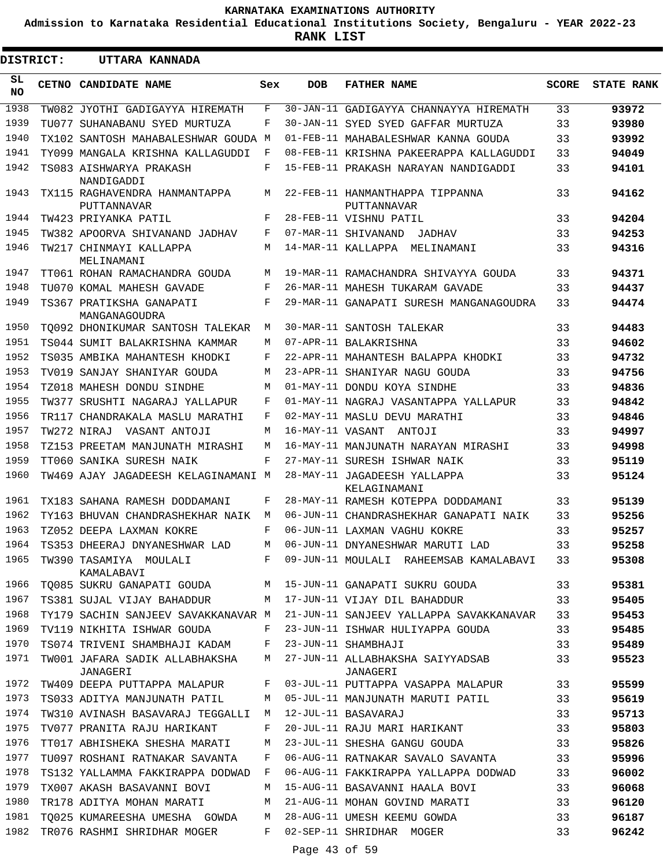**Admission to Karnataka Residential Educational Institutions Society, Bengaluru - YEAR 2022-23**

**RANK LIST**

| <b>DISTRICT:</b> | UTTARA KANNADA                               |                    |                  |                                                |              |                   |
|------------------|----------------------------------------------|--------------------|------------------|------------------------------------------------|--------------|-------------------|
| SL.<br><b>NO</b> | <b>CETNO CANDIDATE NAME</b>                  | Sex                | <b>DOB</b>       | <b>FATHER NAME</b>                             | <b>SCORE</b> | <b>STATE RANK</b> |
| 1938             | TW082 JYOTHI GADIGAYYA HIREMATH              | F                  |                  | 30-JAN-11 GADIGAYYA CHANNAYYA HIREMATH         | 33           | 93972             |
| 1939             | TU077 SUHANABANU SYED MURTUZA                | F                  |                  | 30-JAN-11 SYED SYED GAFFAR MURTUZA             | 33           | 93980             |
| 1940             | TX102 SANTOSH MAHABALESHWAR GOUDA M          |                    |                  | 01-FEB-11 MAHABALESHWAR KANNA GOUDA            | 33           | 93992             |
| 1941             | TY099 MANGALA KRISHNA KALLAGUDDI             | F                  |                  | 08-FEB-11 KRISHNA PAKEERAPPA KALLAGUDDI        | 33           | 94049             |
| 1942             | TS083 AISHWARYA PRAKASH<br>NANDIGADDI        | F                  |                  | 15-FEB-11 PRAKASH NARAYAN NANDIGADDI           | 33           | 94101             |
| 1943             | TX115 RAGHAVENDRA HANMANTAPPA<br>PUTTANNAVAR | M                  |                  | 22-FEB-11 HANMANTHAPPA TIPPANNA<br>PUTTANNAVAR | 33           | 94162             |
| 1944             | TW423 PRIYANKA PATIL                         | F                  |                  | 28-FEB-11 VISHNU PATIL                         | 33           | 94204             |
| 1945             | TW382 APOORVA SHIVANAND JADHAV               | F                  |                  | 07-MAR-11 SHIVANAND<br>JADHAV                  | 33           | 94253             |
| 1946             | TW217 CHINMAYI KALLAPPA<br>MELINAMANI        | M                  |                  | 14-MAR-11 KALLAPPA<br>MELINAMANI               | 33           | 94316             |
| 1947             | TT061 ROHAN RAMACHANDRA GOUDA                | М                  |                  | 19-MAR-11 RAMACHANDRA SHIVAYYA GOUDA           | 33           | 94371             |
| 1948             | TU070 KOMAL MAHESH GAVADE                    | F                  |                  | 26-MAR-11 MAHESH TUKARAM GAVADE                | 33           | 94437             |
| 1949             | TS367 PRATIKSHA GANAPATI<br>MANGANAGOUDRA    | F                  |                  | 29-MAR-11 GANAPATI SURESH MANGANAGOUDRA        | 33           | 94474             |
| 1950             | TO092 DHONIKUMAR SANTOSH TALEKAR             | М                  |                  | 30-MAR-11 SANTOSH TALEKAR                      | 33           | 94483             |
| 1951             | TS044 SUMIT BALAKRISHNA KAMMAR               | М                  |                  | 07-APR-11 BALAKRISHNA                          | 33           | 94602             |
| 1952             | TS035 AMBIKA MAHANTESH KHODKI                | F                  |                  | 22-APR-11 MAHANTESH BALAPPA KHODKI             | 33           | 94732             |
| 1953             | TV019 SANJAY SHANIYAR GOUDA                  | М                  |                  | 23-APR-11 SHANIYAR NAGU GOUDA                  | 33           | 94756             |
| 1954             | TZ018 MAHESH DONDU SINDHE                    | М                  |                  | 01-MAY-11 DONDU KOYA SINDHE                    | 33           | 94836             |
| 1955             | TW377 SRUSHTI NAGARAJ YALLAPUR               | F                  |                  | 01-MAY-11 NAGRAJ VASANTAPPA YALLAPUR           | 33           | 94842             |
| 1956             | TR117 CHANDRAKALA MASLU MARATHI              | F                  |                  | 02-MAY-11 MASLU DEVU MARATHI                   | 33           | 94846             |
| 1957             | TW272 NIRAJ VASANT ANTOJI                    | М                  | 16-MAY-11 VASANT | ANTOJI                                         | 33           | 94997             |
| 1958             | TZ153 PREETAM MANJUNATH MIRASHI              | М                  |                  | 16-MAY-11 MANJUNATH NARAYAN MIRASHI            | 33           | 94998             |
| 1959             | TT060 SANIKA SURESH NAIK                     | F                  |                  | 27-MAY-11 SURESH ISHWAR NAIK                   | 33           | 95119             |
| 1960             | TW469 AJAY JAGADEESH KELAGINAMANI M          |                    |                  | 28-MAY-11 JAGADEESH YALLAPPA<br>KELAGINAMANI   | 33           | 95124             |
| 1961             | TX183 SAHANA RAMESH DODDAMANI                | F                  |                  | 28-MAY-11 RAMESH KOTEPPA DODDAMANI             | 33           | 95139             |
| 1962             | TY163 BHUVAN CHANDRASHEKHAR NAIK             | M                  |                  | 06-JUN-11 CHANDRASHEKHAR GANAPATI NAIK         | 33           | 95256             |
| 1963             | TZ052 DEEPA LAXMAN KOKRE                     | $\mathbf{F}% _{0}$ |                  | 06-JUN-11 LAXMAN VAGHU KOKRE                   | 33           | 95257             |
| 1964             | TS353 DHEERAJ DNYANESHWAR LAD                | М                  |                  | 06-JUN-11 DNYANESHWAR MARUTI LAD               | 33           | 95258             |
| 1965             | TW390 TASAMIYA MOULALI<br>KAMALABAVI         | F                  |                  | 09-JUN-11 MOULALI RAHEEMSAB KAMALABAVI         | 33           | 95308             |
| 1966             | TO085 SUKRU GANAPATI GOUDA                   | М                  |                  | 15-JUN-11 GANAPATI SUKRU GOUDA                 | 33           | 95381             |
| 1967             | TS381 SUJAL VIJAY BAHADDUR                   | М                  |                  | 17-JUN-11 VIJAY DIL BAHADDUR                   | 33           | 95405             |
| 1968             | TY179 SACHIN SANJEEV SAVAKKANAVAR M          |                    |                  | 21-JUN-11 SANJEEV YALLAPPA SAVAKKANAVAR        | 33           | 95453             |
| 1969             | TV119 NIKHITA ISHWAR GOUDA                   | F                  |                  | 23-JUN-11 ISHWAR HULIYAPPA GOUDA               | 33           | 95485             |
| 1970             | TS074 TRIVENI SHAMBHAJI KADAM                | F                  |                  | 23-JUN-11 SHAMBHAJI                            | 33           | 95489             |
| 1971             | TW001 JAFARA SADIK ALLABHAKSHA<br>JANAGERI   | М                  |                  | 27-JUN-11 ALLABHAKSHA SAIYYADSAB<br>JANAGERI   | 33           | 95523             |
| 1972             | TW409 DEEPA PUTTAPPA MALAPUR                 | F                  |                  | 03-JUL-11 PUTTAPPA VASAPPA MALAPUR             | 33           | 95599             |
| 1973             | TS033 ADITYA MANJUNATH PATIL                 | М                  |                  | 05-JUL-11 MANJUNATH MARUTI PATIL               | 33           | 95619             |
| 1974             | TW310 AVINASH BASAVARAJ TEGGALLI             | М                  |                  | 12-JUL-11 BASAVARAJ                            | 33           | 95713             |
| 1975             | TV077 PRANITA RAJU HARIKANT                  | F                  |                  | 20-JUL-11 RAJU MARI HARIKANT                   | 33           | 95803             |
| 1976             | TT017 ABHISHEKA SHESHA MARATI                | М                  |                  | 23-JUL-11 SHESHA GANGU GOUDA                   | 33           | 95826             |
| 1977             | TU097 ROSHANI RATNAKAR SAVANTA               | F                  |                  | 06-AUG-11 RATNAKAR SAVALO SAVANTA              | 33           | 95996             |
| 1978             | TS132 YALLAMMA FAKKIRAPPA DODWAD             | F                  |                  | 06-AUG-11 FAKKIRAPPA YALLAPPA DODWAD           | 33           | 96002             |
| 1979             | TX007 AKASH BASAVANNI BOVI                   | М                  |                  | 15-AUG-11 BASAVANNI HAALA BOVI                 | 33           | 96068             |
| 1980             | TR178 ADITYA MOHAN MARATI                    | М                  |                  | 21-AUG-11 MOHAN GOVIND MARATI                  | 33           | 96120             |
| 1981             | TO025 KUMAREESHA UMESHA GOWDA                | М                  |                  | 28-AUG-11 UMESH KEEMU GOWDA                    | 33           | 96187             |
| 1982             | TR076 RASHMI SHRIDHAR MOGER                  | F                  |                  | 02-SEP-11 SHRIDHAR MOGER                       | 33           | 96242             |
|                  |                                              |                    | Page 43 of 59    |                                                |              |                   |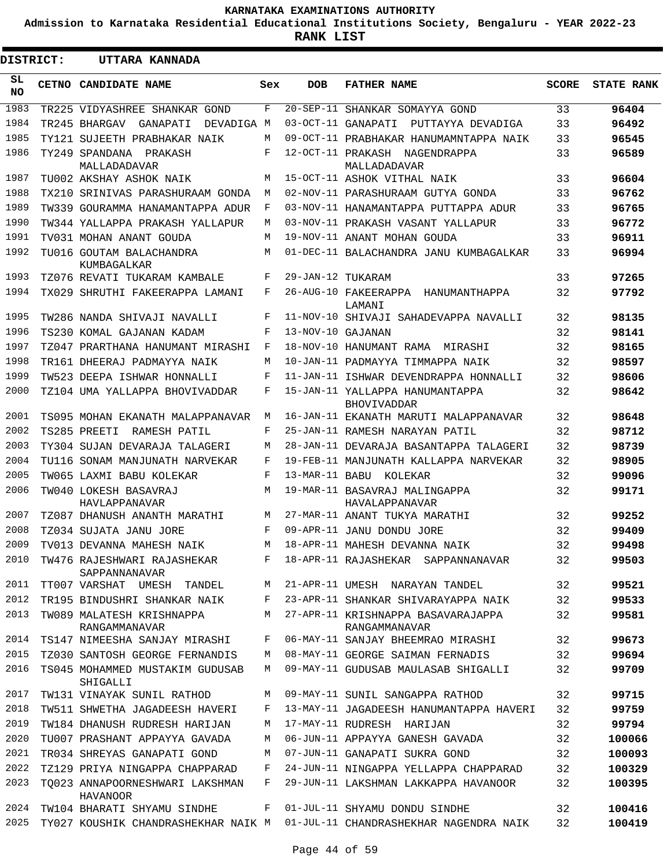**Admission to Karnataka Residential Educational Institutions Society, Bengaluru - YEAR 2022-23**

**RANK LIST**

| DISTRICT: | UTTARA KANNADA                               |     |                   |                                                       |              |                   |
|-----------|----------------------------------------------|-----|-------------------|-------------------------------------------------------|--------------|-------------------|
| SL<br>NO. | CETNO CANDIDATE NAME                         | Sex | <b>DOB</b>        | <b>FATHER NAME</b>                                    | <b>SCORE</b> | <b>STATE RANK</b> |
| 1983      | TR225 VIDYASHREE SHANKAR GOND                | F   |                   | 20-SEP-11 SHANKAR SOMAYYA GOND                        | 33           | 96404             |
| 1984      | TR245 BHARGAV GANAPATI<br>DEVADIGA M         |     |                   | 03-OCT-11 GANAPATI PUTTAYYA DEVADIGA                  | 33           | 96492             |
| 1985      | TY121 SUJEETH PRABHAKAR NAIK                 | М   |                   | 09-OCT-11 PRABHAKAR HANUMAMNTAPPA NAIK                | 33           | 96545             |
| 1986      | TY249 SPANDANA PRAKASH<br>MALLADADAVAR       | F   |                   | 12-OCT-11 PRAKASH NAGENDRAPPA<br>MALLADADAVAR         | 33           | 96589             |
| 1987      | TU002 AKSHAY ASHOK NAIK                      | M   |                   | 15-OCT-11 ASHOK VITHAL NAIK                           | 33           | 96604             |
| 1988      | TX210 SRINIVAS PARASHURAAM GONDA             | М   |                   | 02-NOV-11 PARASHURAAM GUTYA GONDA                     | 33           | 96762             |
| 1989      | TW339 GOURAMMA HANAMANTAPPA ADUR             | F   |                   | 03-NOV-11 HANAMANTAPPA PUTTAPPA ADUR                  | 33           | 96765             |
| 1990      | TW344 YALLAPPA PRAKASH YALLAPUR              | М   |                   | 03-NOV-11 PRAKASH VASANT YALLAPUR                     | 33           | 96772             |
| 1991      | TV031 MOHAN ANANT GOUDA                      | М   |                   | 19-NOV-11 ANANT MOHAN GOUDA                           | 33           | 96911             |
| 1992      | TU016 GOUTAM BALACHANDRA<br>KUMBAGALKAR      | М   |                   | 01-DEC-11 BALACHANDRA JANU KUMBAGALKAR                | 33           | 96994             |
| 1993      | TZ076 REVATI TUKARAM KAMBALE                 | F   | 29-JAN-12 TUKARAM |                                                       | 33           | 97265             |
| 1994      | TX029 SHRUTHI FAKEERAPPA LAMANI              | F   |                   | 26-AUG-10 FAKEERAPPA HANUMANTHAPPA<br>LAMANI          | 32           | 97792             |
| 1995      | TW286 NANDA SHIVAJI NAVALLI                  | F   |                   | 11-NOV-10 SHIVAJI SAHADEVAPPA NAVALLI                 | 32           | 98135             |
| 1996      | TS230 KOMAL GAJANAN KADAM                    | F   | 13-NOV-10 GAJANAN |                                                       | 32           | 98141             |
| 1997      | TZ047 PRARTHANA HANUMANT MIRASHI             | F   |                   | 18-NOV-10 HANUMANT RAMA MIRASHI                       | 32           | 98165             |
| 1998      | TR161 DHEERAJ PADMAYYA NAIK                  | М   |                   | 10-JAN-11 PADMAYYA TIMMAPPA NAIK                      | 32           | 98597             |
| 1999      | TW523 DEEPA ISHWAR HONNALLI                  | F   |                   | 11-JAN-11 ISHWAR DEVENDRAPPA HONNALLI                 | 32           | 98606             |
| 2000      | TZ104 UMA YALLAPPA BHOVIVADDAR               | F   |                   | 15-JAN-11 YALLAPPA HANUMANTAPPA<br><b>BHOVIVADDAR</b> | 32           | 98642             |
| 2001      | TS095 MOHAN EKANATH MALAPPANAVAR             | M   |                   | 16-JAN-11 EKANATH MARUTI MALAPPANAVAR                 | 32           | 98648             |
| 2002      | TS285 PREETI<br>RAMESH PATIL                 | F   |                   | 25-JAN-11 RAMESH NARAYAN PATIL                        | 32           | 98712             |
| 2003      | TY304 SUJAN DEVARAJA TALAGERI                | М   |                   | 28-JAN-11 DEVARAJA BASANTAPPA TALAGERI                | 32           | 98739             |
| 2004      | TU116 SONAM MANJUNATH NARVEKAR               | F   |                   | 19-FEB-11 MANJUNATH KALLAPPA NARVEKAR                 | 32           | 98905             |
| 2005      | TW065 LAXMI BABU KOLEKAR                     | F   |                   | 13-MAR-11 BABU KOLEKAR                                | 32           | 99096             |
| 2006      | TW040 LOKESH BASAVRAJ<br>HAVLAPPANAVAR       | M   |                   | 19-MAR-11 BASAVRAJ MALINGAPPA<br>HAVALAPPANAVAR       | 32           | 99171             |
| 2007      | TZ087 DHANUSH ANANTH MARATHI                 | М   |                   | 27-MAR-11 ANANT TUKYA MARATHI                         | 32           | 99252             |
| 2008      | TZ034 SUJATA JANU JORE                       | F   |                   | 09-APR-11 JANU DONDU JORE                             | 32           | 99409             |
|           | 2009 TV013 DEVANNA MAHESH NAIK               |     |                   | M 18-APR-11 MAHESH DEVANNA NAIK                       | 32           | 99498             |
| 2010      | TW476 RAJESHWARI RAJASHEKAR<br>SAPPANNANAVAR | F   |                   | 18-APR-11 RAJASHEKAR SAPPANNANAVAR                    | 32           | 99503             |
| 2011      | TT007 VARSHAT UMESH TANDEL                   | М   |                   | 21-APR-11 UMESH NARAYAN TANDEL                        | 32           | 99521             |
| 2012      | TR195 BINDUSHRI SHANKAR NAIK                 | F   |                   | 23-APR-11 SHANKAR SHIVARAYAPPA NAIK                   | 32           | 99533             |
| 2013      | TW089 MALATESH KRISHNAPPA<br>RANGAMMANAVAR   | М   |                   | 27-APR-11 KRISHNAPPA BASAVARAJAPPA<br>RANGAMMANAVAR   | 32           | 99581             |
| 2014      | TS147 NIMEESHA SANJAY MIRASHI                | F   |                   | 06-MAY-11 SANJAY BHEEMRAO MIRASHI                     | 32           | 99673             |
| 2015      | TZ030 SANTOSH GEORGE FERNANDIS               | М   |                   | 08-MAY-11 GEORGE SAIMAN FERNADIS                      | 32           | 99694             |
| 2016      | TS045 MOHAMMED MUSTAKIM GUDUSAB<br>SHIGALLI  | М   |                   | 09-MAY-11 GUDUSAB MAULASAB SHIGALLI                   | 32           | 99709             |
| 2017      | TW131 VINAYAK SUNIL RATHOD                   | М   |                   | 09-MAY-11 SUNIL SANGAPPA RATHOD                       | 32           | 99715             |
| 2018      | TW511 SHWETHA JAGADEESH HAVERI               | F   |                   | 13-MAY-11 JAGADEESH HANUMANTAPPA HAVERI               | 32           | 99759             |
| 2019      | TW184 DHANUSH RUDRESH HARIJAN                | М   |                   | 17-MAY-11 RUDRESH HARIJAN                             | 32           | 99794             |
| 2020      | TU007 PRASHANT APPAYYA GAVADA                | М   |                   | 06-JUN-11 APPAYYA GANESH GAVADA                       | 32           | 100066            |
| 2021      | TR034 SHREYAS GANAPATI GOND                  | М   |                   | 07-JUN-11 GANAPATI SUKRA GOND                         | 32           | 100093            |
| 2022      | TZ129 PRIYA NINGAPPA CHAPPARAD               | F   |                   | 24-JUN-11 NINGAPPA YELLAPPA CHAPPARAD                 | 32           | 100329            |
| 2023      | TO023 ANNAPOORNESHWARI LAKSHMAN<br>HAVANOOR  | F   |                   | 29-JUN-11 LAKSHMAN LAKKAPPA HAVANOOR                  | 32           | 100395            |
| 2024      | TW104 BHARATI SHYAMU SINDHE                  | F   |                   | 01-JUL-11 SHYAMU DONDU SINDHE                         | 32           | 100416            |
| 2025      | TY027 KOUSHIK CHANDRASHEKHAR NAIK M          |     |                   | 01-JUL-11 CHANDRASHEKHAR NAGENDRA NAIK                | 32           | 100419            |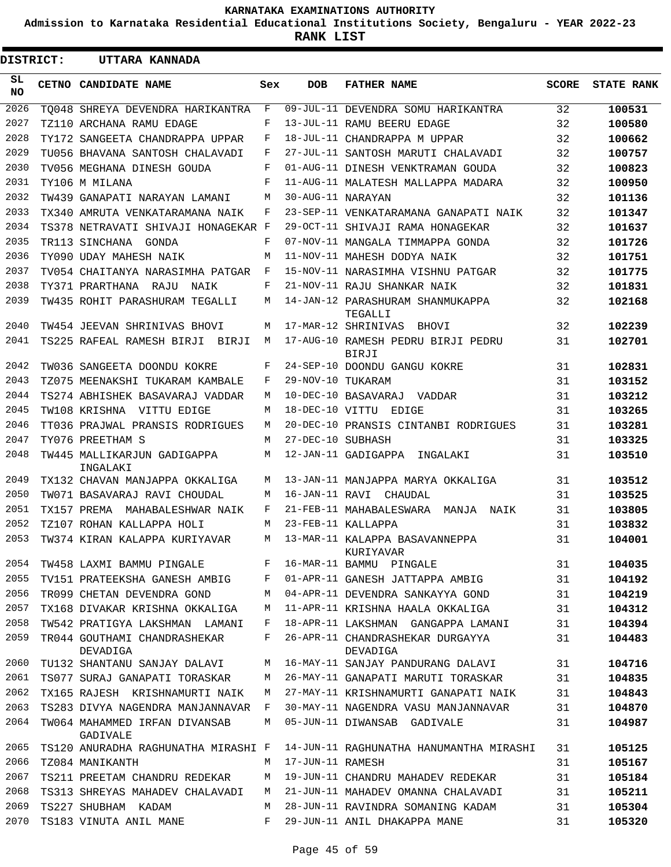**Admission to Karnataka Residential Educational Institutions Society, Bengaluru - YEAR 2022-23**

**RANK LIST**

| <b>DISTRICT:</b> | UTTARA KANNADA                            |     |                   |                                              |              |                   |
|------------------|-------------------------------------------|-----|-------------------|----------------------------------------------|--------------|-------------------|
| SL<br>NO.        | CETNO CANDIDATE NAME                      | Sex | <b>DOB</b>        | <b>FATHER NAME</b>                           | <b>SCORE</b> | <b>STATE RANK</b> |
| 2026             | TO048 SHREYA DEVENDRA HARIKANTRA          | F   |                   | 09-JUL-11 DEVENDRA SOMU HARIKANTRA           | 32           | 100531            |
| 2027             | TZ110 ARCHANA RAMU EDAGE                  | F   |                   | 13-JUL-11 RAMU BEERU EDAGE                   | 32           | 100580            |
| 2028             | TY172 SANGEETA CHANDRAPPA UPPAR           | F   |                   | 18-JUL-11 CHANDRAPPA M UPPAR                 | 32           | 100662            |
| 2029             | TU056 BHAVANA SANTOSH CHALAVADI           | F   |                   | 27-JUL-11 SANTOSH MARUTI CHALAVADI           | 32           | 100757            |
| 2030             | TV056 MEGHANA DINESH GOUDA                | F   |                   | 01-AUG-11 DINESH VENKTRAMAN GOUDA            | 32           | 100823            |
| 2031             | TY106 M MILANA                            | F   |                   | 11-AUG-11 MALATESH MALLAPPA MADARA           | 32           | 100950            |
| 2032             | TW439 GANAPATI NARAYAN LAMANI             | M   | 30-AUG-11 NARAYAN |                                              | 32           | 101136            |
| 2033             | TX340 AMRUTA VENKATARAMANA NAIK           | F   |                   | 23-SEP-11 VENKATARAMANA GANAPATI NAIK        | 32           | 101347            |
| 2034             | TS378 NETRAVATI SHIVAJI HONAGEKAR F       |     |                   | 29-OCT-11 SHIVAJI RAMA HONAGEKAR             | 32           | 101637            |
| 2035             | TR113 SINCHANA GONDA                      | F   |                   | 07-NOV-11 MANGALA TIMMAPPA GONDA             | 32           | 101726            |
| 2036             | TY090 UDAY MAHESH NAIK                    | M   |                   | 11-NOV-11 MAHESH DODYA NAIK                  | 32           | 101751            |
| 2037             | TV054 CHAITANYA NARASIMHA PATGAR          | F   |                   | 15-NOV-11 NARASIMHA VISHNU PATGAR            | 32           | 101775            |
| 2038             | TY371 PRARTHANA RAJU NAIK                 | F   |                   | 21-NOV-11 RAJU SHANKAR NAIK                  | 32           | 101831            |
| 2039             | TW435 ROHIT PARASHURAM TEGALLI            | М   |                   | 14-JAN-12 PARASHURAM SHANMUKAPPA<br>TEGALLI  | 32           | 102168            |
| 2040             | TW454 JEEVAN SHRINIVAS BHOVI              | М   |                   | 17-MAR-12 SHRINIVAS BHOVI                    | 32           | 102239            |
| 2041             | TS225 RAFEAL RAMESH BIRJI BIRJI           | М   |                   | 17-AUG-10 RAMESH PEDRU BIRJI PEDRU<br>BIRJI  | 31           | 102701            |
| 2042             | TW036 SANGEETA DOONDU KOKRE               | F   |                   | 24-SEP-10 DOONDU GANGU KOKRE                 | 31           | 102831            |
| 2043             | TZ075 MEENAKSHI TUKARAM KAMBALE           | F   | 29-NOV-10 TUKARAM |                                              | 31           | 103152            |
| 2044             | TS274 ABHISHEK BASAVARAJ VADDAR           | М   |                   | 10-DEC-10 BASAVARAJ<br>VADDAR                | 31           | 103212            |
| 2045             | TW108 KRISHNA VITTU EDIGE                 | М   |                   | 18-DEC-10 VITTU EDIGE                        | 31           | 103265            |
| 2046             | TT036 PRAJWAL PRANSIS RODRIGUES           | М   |                   | 20-DEC-10 PRANSIS CINTANBI RODRIGUES         | 31           | 103281            |
| 2047             | TY076 PREETHAM S                          | М   | 27-DEC-10 SUBHASH |                                              | 31           | 103325            |
| 2048             | TW445 MALLIKARJUN GADIGAPPA<br>INGALAKI   | М   |                   | 12-JAN-11 GADIGAPPA<br>INGALAKI              | 31           | 103510            |
| 2049             | TX132 CHAVAN MANJAPPA OKKALIGA            | М   |                   | 13-JAN-11 MANJAPPA MARYA OKKALIGA            | 31           | 103512            |
| 2050             | TW071 BASAVARAJ RAVI CHOUDAL              | М   |                   | 16-JAN-11 RAVI CHAUDAL                       | 31           | 103525            |
| 2051             | TX157 PREMA<br>MAHABALESHWAR NAIK         | F   |                   | 21-FEB-11 MAHABALESWARA<br>MANJA NAIK        | 31           | 103805            |
| 2052             | TZ107 ROHAN KALLAPPA HOLI                 | М   |                   | 23-FEB-11 KALLAPPA                           | 31           | 103832            |
| 2053             | TW374 KIRAN KALAPPA KURIYAVAR             | М   |                   | 13-MAR-11 KALAPPA BASAVANNEPPA<br>KURIYAVAR  | 31           | 104001            |
| 2054             | TW458 LAXMI BAMMU PINGALE                 | F   |                   | 16-MAR-11 BAMMU PINGALE                      | 31           | 104035            |
| 2055             | TV151 PRATEEKSHA GANESH AMBIG             | F   |                   | 01-APR-11 GANESH JATTAPPA AMBIG              | 31           | 104192            |
| 2056             | TR099 CHETAN DEVENDRA GOND                | М   |                   | 04-APR-11 DEVENDRA SANKAYYA GOND             | 31           | 104219            |
| 2057             | TX168 DIVAKAR KRISHNA OKKALIGA            | М   |                   | 11-APR-11 KRISHNA HAALA OKKALIGA             | 31           | 104312            |
| 2058             | TW542 PRATIGYA LAKSHMAN LAMANI            | F   |                   | 18-APR-11 LAKSHMAN GANGAPPA LAMANI           | 31           | 104394            |
| 2059             | TR044 GOUTHAMI CHANDRASHEKAR<br>DEVADIGA  | F   |                   | 26-APR-11 CHANDRASHEKAR DURGAYYA<br>DEVADIGA | 31           | 104483            |
| 2060             | TU132 SHANTANU SANJAY DALAVI              | М   |                   | 16-MAY-11 SANJAY PANDURANG DALAVI            | 31           | 104716            |
| 2061             | TS077 SURAJ GANAPATI TORASKAR             | М   |                   | 26-MAY-11 GANAPATI MARUTI TORASKAR           | 31           | 104835            |
| 2062             | TX165 RAJESH KRISHNAMURTI NAIK            | М   |                   | 27-MAY-11 KRISHNAMURTI GANAPATI NAIK         | 31           | 104843            |
| 2063             | TS283 DIVYA NAGENDRA MANJANNAVAR          | F   |                   | 30-MAY-11 NAGENDRA VASU MANJANNAVAR          | 31           | 104870            |
| 2064             | TW064 MAHAMMED IRFAN DIVANSAB<br>GADIVALE | М   |                   | 05-JUN-11 DIWANSAB GADIVALE                  | 31           | 104987            |
| 2065             | TS120 ANURADHA RAGHUNATHA MIRASHI F       |     |                   | 14-JUN-11 RAGHUNATHA HANUMANTHA MIRASHI      | 31           | 105125            |
| 2066             | TZ084 MANIKANTH                           | М   | 17-JUN-11 RAMESH  |                                              | 31           | 105167            |
| 2067             | TS211 PREETAM CHANDRU REDEKAR             | М   |                   | 19-JUN-11 CHANDRU MAHADEV REDEKAR            | 31           | 105184            |
| 2068             | TS313 SHREYAS MAHADEV CHALAVADI           | М   |                   | 21-JUN-11 MAHADEV OMANNA CHALAVADI           | 31           | 105211            |
| 2069             | TS227 SHUBHAM KADAM                       | М   |                   | 28-JUN-11 RAVINDRA SOMANING KADAM            | 31           | 105304            |
| 2070             | TS183 VINUTA ANIL MANE                    | F   |                   | 29-JUN-11 ANIL DHAKAPPA MANE                 | 31           | 105320            |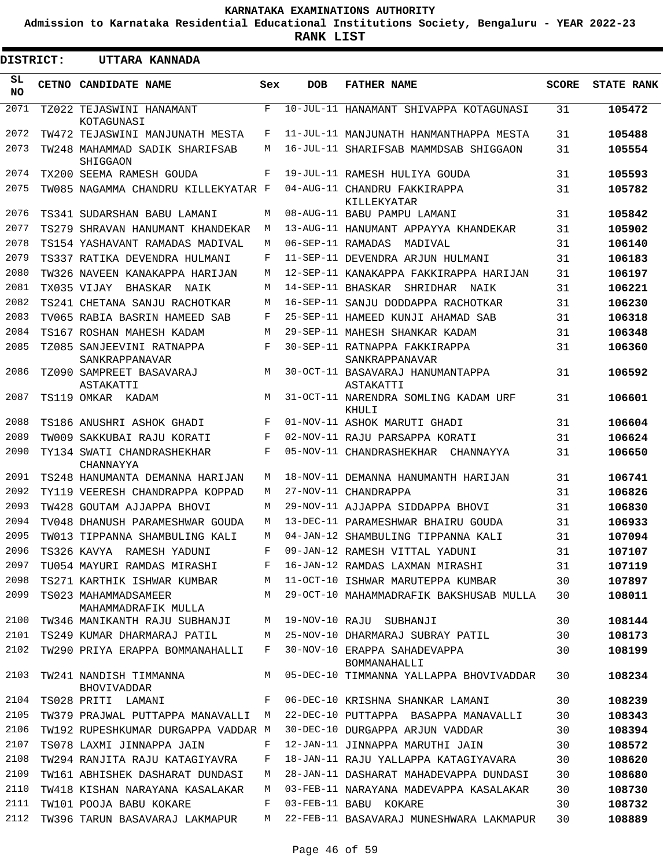**Admission to Karnataka Residential Educational Institutions Society, Bengaluru - YEAR 2022-23**

**RANK LIST**

Е

.

| DISTRICT:        | UTTARA KANNADA                              |     |                   |                                                 |              |                   |
|------------------|---------------------------------------------|-----|-------------------|-------------------------------------------------|--------------|-------------------|
| SL.<br><b>NO</b> | <b>CETNO CANDIDATE NAME</b>                 | Sex | <b>DOB</b>        | <b>FATHER NAME</b>                              | <b>SCORE</b> | <b>STATE RANK</b> |
| 2071             | TZ022 TEJASWINI HANAMANT<br>KOTAGUNASI      | F   |                   | 10-JUL-11 HANAMANT SHIVAPPA KOTAGUNASI          | 31           | 105472            |
| 2072             | TW472 TEJASWINI MANJUNATH MESTA             | F   |                   | 11-JUL-11 MANJUNATH HANMANTHAPPA MESTA          | 31           | 105488            |
| 2073             | TW248 MAHAMMAD SADIK SHARIFSAB<br>SHIGGAON  | M   |                   | 16-JUL-11 SHARIFSAB MAMMDSAB SHIGGAON           | 31           | 105554            |
| 2074             | TX200 SEEMA RAMESH GOUDA                    | F   |                   | 19-JUL-11 RAMESH HULIYA GOUDA                   | 31           | 105593            |
| 2075             | TW085 NAGAMMA CHANDRU KILLEKYATAR F         |     |                   | 04-AUG-11 CHANDRU FAKKIRAPPA<br>KILLEKYATAR     | 31           | 105782            |
| 2076             | TS341 SUDARSHAN BABU LAMANI                 | M   |                   | 08-AUG-11 BABU PAMPU LAMANI                     | 31           | 105842            |
| 2077             | TS279 SHRAVAN HANUMANT KHANDEKAR            | M   |                   | 13-AUG-11 HANUMANT APPAYYA KHANDEKAR            | 31           | 105902            |
| 2078             | TS154 YASHAVANT RAMADAS MADIVAL             | M   | 06-SEP-11 RAMADAS | MADIVAL                                         | 31           | 106140            |
| 2079             | TS337 RATIKA DEVENDRA HULMANI               | F   |                   | 11-SEP-11 DEVENDRA ARJUN HULMANI                | 31           | 106183            |
| 2080             | TW326 NAVEEN KANAKAPPA HARIJAN              | M   |                   | 12-SEP-11 KANAKAPPA FAKKIRAPPA HARIJAN          | 31           | 106197            |
| 2081             | TX035 VIJAY BHASKAR NAIK                    | M   |                   | 14-SEP-11 BHASKAR SHRIDHAR NAIK                 | 31           | 106221            |
| 2082             | TS241 CHETANA SANJU RACHOTKAR               | M   |                   | 16-SEP-11 SANJU DODDAPPA RACHOTKAR              | 31           | 106230            |
| 2083             | TV065 RABIA BASRIN HAMEED SAB               | F   |                   | 25-SEP-11 HAMEED KUNJI AHAMAD SAB               | 31           | 106318            |
| 2084             | TS167 ROSHAN MAHESH KADAM                   | M   |                   | 29-SEP-11 MAHESH SHANKAR KADAM                  | 31           | 106348            |
| 2085             | TZ085 SANJEEVINI RATNAPPA<br>SANKRAPPANAVAR | F   |                   | 30-SEP-11 RATNAPPA FAKKIRAPPA<br>SANKRAPPANAVAR | 31           | 106360            |
| 2086             | TZ090 SAMPREET BASAVARAJ<br>ASTAKATTI       | M   |                   | 30-OCT-11 BASAVARAJ HANUMANTAPPA<br>ASTAKATTI   | 31           | 106592            |
| 2087             | TS119 OMKAR KADAM                           | M   |                   | 31-OCT-11 NARENDRA SOMLING KADAM URF<br>KHULI   | 31           | 106601            |
| 2088             | TS186 ANUSHRI ASHOK GHADI                   | F   |                   | 01-NOV-11 ASHOK MARUTI GHADI                    | 31           | 106604            |
| 2089             | TW009 SAKKUBAI RAJU KORATI                  | F   |                   | 02-NOV-11 RAJU PARSAPPA KORATI                  | 31           | 106624            |
| 2090             | TY134 SWATI CHANDRASHEKHAR<br>CHANNAYYA     | F   |                   | 05-NOV-11 CHANDRASHEKHAR<br>CHANNAYYA           | 31           | 106650            |
| 2091             | TS248 HANUMANTA DEMANNA HARIJAN             | M   |                   | 18-NOV-11 DEMANNA HANUMANTH HARIJAN             | 31           | 106741            |
| 2092             | TY119 VEERESH CHANDRAPPA KOPPAD             | M   |                   | 27-NOV-11 CHANDRAPPA                            | 31           | 106826            |
| 2093             | TW428 GOUTAM AJJAPPA BHOVI                  | M   |                   | 29-NOV-11 AJJAPPA SIDDAPPA BHOVI                | 31           | 106830            |
| 2094             | TV048 DHANUSH PARAMESHWAR GOUDA             | M   |                   | 13-DEC-11 PARAMESHWAR BHAIRU GOUDA              | 31           | 106933            |
| 2095             | TW013 TIPPANNA SHAMBULING KALI              | М   |                   | 04-JAN-12 SHAMBULING TIPPANNA KALI              | 31           | 107094            |
| 2096             | TS326 KAVYA RAMESH YADUNI                   | F   |                   | 09-JAN-12 RAMESH VITTAL YADUNI                  | 31           | 107107            |
| 2097             | TU054 MAYURI RAMDAS MIRASHI                 | F   |                   | 16-JAN-12 RAMDAS LAXMAN MIRASHI                 | 31           | 107119            |
| 2098             | TS271 KARTHIK ISHWAR KUMBAR                 | М   |                   | 11-OCT-10 ISHWAR MARUTEPPA KUMBAR               | 30           | 107897            |
| 2099             | TS023 MAHAMMADSAMEER<br>MAHAMMADRAFIK MULLA | М   |                   | 29-OCT-10 MAHAMMADRAFIK BAKSHUSAB MULLA         | 30           | 108011            |
| 2100             | TW346 MANIKANTH RAJU SUBHANJI               | М   |                   | 19-NOV-10 RAJU SUBHANJI                         | 30           | 108144            |
| 2101             | TS249 KUMAR DHARMARAJ PATIL                 | M   |                   | 25-NOV-10 DHARMARAJ SUBRAY PATIL                | 30           | 108173            |
| 2102             | TW290 PRIYA ERAPPA BOMMANAHALLI             | F   |                   | 30-NOV-10 ERAPPA SAHADEVAPPA<br>BOMMANAHALLI    | 30           | 108199            |
| 2103             | TW241 NANDISH TIMMANNA<br>BHOVIVADDAR       | M   |                   | 05-DEC-10 TIMMANNA YALLAPPA BHOVIVADDAR         | 30           | 108234            |
| 2104             | TS028 PRITI LAMANI                          | F   |                   | 06-DEC-10 KRISHNA SHANKAR LAMANI                | 30           | 108239            |
| 2105             | TW379 PRAJWAL PUTTAPPA MANAVALLI            | M   |                   | 22-DEC-10 PUTTAPPA BASAPPA MANAVALLI            | 30           | 108343            |
| 2106             | TW192 RUPESHKUMAR DURGAPPA VADDAR M         |     |                   | 30-DEC-10 DURGAPPA ARJUN VADDAR                 | 30           | 108394            |
| 2107             | TS078 LAXMI JINNAPPA JAIN                   | F   |                   | 12-JAN-11 JINNAPPA MARUTHI JAIN                 | 30           | 108572            |
| 2108             | TW294 RANJITA RAJU KATAGIYAVRA              | F   |                   | 18-JAN-11 RAJU YALLAPPA KATAGIYAVARA            | 30           | 108620            |
| 2109             | TW161 ABHISHEK DASHARAT DUNDASI             | М   |                   | 28-JAN-11 DASHARAT MAHADEVAPPA DUNDASI          | 30           | 108680            |
| 2110             | TW418 KISHAN NARAYANA KASALAKAR             | М   |                   | 03-FEB-11 NARAYANA MADEVAPPA KASALAKAR          | 30           | 108730            |
| 2111             | TW101 POOJA BABU KOKARE                     | F   |                   | 03-FEB-11 BABU KOKARE                           | 30           | 108732            |
| 2112             | TW396 TARUN BASAVARAJ LAKMAPUR              | М   |                   | 22-FEB-11 BASAVARAJ MUNESHWARA LAKMAPUR         | 30           | 108889            |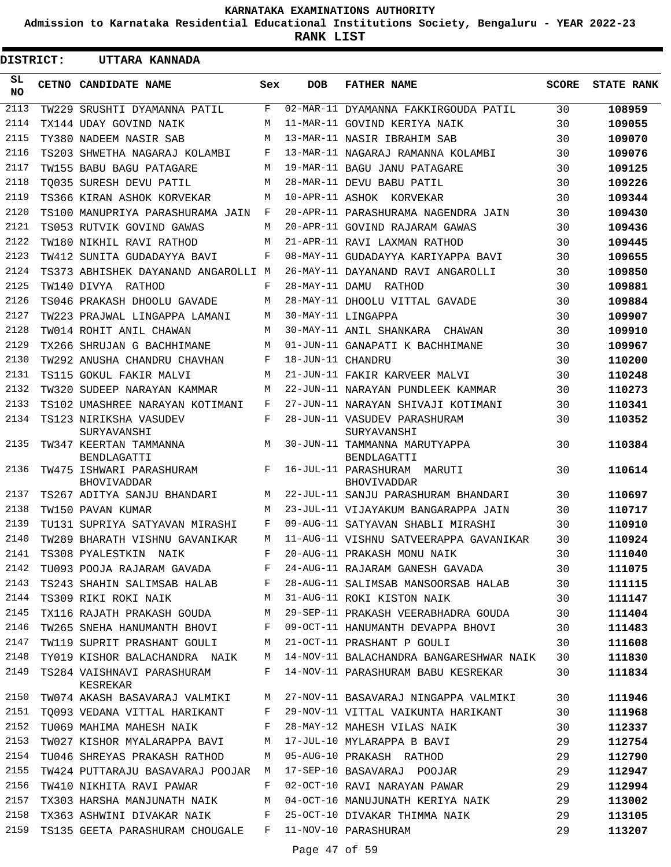**Admission to Karnataka Residential Educational Institutions Society, Bengaluru - YEAR 2022-23**

**RANK LIST**

 $\blacksquare$ 

| <b>DISTRICT:</b> |  | UTTARA KANNADA                                           |     |                   |                                                                              |              |                   |
|------------------|--|----------------------------------------------------------|-----|-------------------|------------------------------------------------------------------------------|--------------|-------------------|
| SL.<br><b>NO</b> |  | <b>CETNO CANDIDATE NAME</b>                              | Sex | DOB               | <b>FATHER NAME</b>                                                           | <b>SCORE</b> | <b>STATE RANK</b> |
| 2113             |  | TW229 SRUSHTI DYAMANNA PATIL                             | F   |                   | 02-MAR-11 DYAMANNA FAKKIRGOUDA PATIL                                         | 30           | 108959            |
| 2114             |  | TX144 UDAY GOVIND NAIK                                   | M   |                   | 11-MAR-11 GOVIND KERIYA NAIK                                                 | 30           | 109055            |
| 2115             |  | TY380 NADEEM NASIR SAB                                   | M   |                   | 13-MAR-11 NASIR IBRAHIM SAB                                                  | 30           | 109070            |
| 2116             |  | TS203 SHWETHA NAGARAJ KOLAMBI                            | F   |                   | 13-MAR-11 NAGARAJ RAMANNA KOLAMBI                                            | 30           | 109076            |
| 2117             |  | TW155 BABU BAGU PATAGARE                                 | M   |                   | 19-MAR-11 BAGU JANU PATAGARE                                                 | 30           | 109125            |
| 2118             |  | TO035 SURESH DEVU PATIL                                  | M   |                   | 28-MAR-11 DEVU BABU PATIL                                                    | 30           | 109226            |
| 2119             |  | TS366 KIRAN ASHOK KORVEKAR                               | M   |                   | 10-APR-11 ASHOK KORVEKAR                                                     | 30           | 109344            |
| 2120             |  | TS100 MANUPRIYA PARASHURAMA JAIN                         | F   |                   | 20-APR-11 PARASHURAMA NAGENDRA JAIN                                          | 30           | 109430            |
| 2121             |  | TS053 RUTVIK GOVIND GAWAS                                | M   |                   | 20-APR-11 GOVIND RAJARAM GAWAS                                               | 30           | 109436            |
| 2122             |  | TW180 NIKHIL RAVI RATHOD                                 | M   |                   | 21-APR-11 RAVI LAXMAN RATHOD                                                 | 30           | 109445            |
| 2123             |  | TW412 SUNITA GUDADAYYA BAVI                              | F   |                   | 08-MAY-11 GUDADAYYA KARIYAPPA BAVI                                           | 30           | 109655            |
| 2124             |  | TS373 ABHISHEK DAYANAND ANGAROLLI M                      |     |                   | 26-MAY-11 DAYANAND RAVI ANGAROLLI                                            | 30           | 109850            |
| 2125             |  | TW140 DIVYA RATHOD                                       | F   |                   | 28-MAY-11 DAMU RATHOD                                                        | 30           | 109881            |
| 2126             |  | TS046 PRAKASH DHOOLU GAVADE                              | М   |                   | 28-MAY-11 DHOOLU VITTAL GAVADE                                               | 30           | 109884            |
| 2127             |  | TW223 PRAJWAL LINGAPPA LAMANI                            | M   |                   | 30-MAY-11 LINGAPPA                                                           | 30           | 109907            |
| 2128             |  | TW014 ROHIT ANIL CHAWAN                                  | M   |                   | 30-MAY-11 ANIL SHANKARA CHAWAN                                               | 30           | 109910            |
| 2129             |  | TX266 SHRUJAN G BACHHIMANE                               | M   |                   | 01-JUN-11 GANAPATI K BACHHIMANE                                              | 30           | 109967            |
| 2130             |  | TW292 ANUSHA CHANDRU CHAVHAN                             | F   | 18-JUN-11 CHANDRU |                                                                              | 30           | 110200            |
| 2131             |  | TS115 GOKUL FAKIR MALVI                                  | M   |                   | 21-JUN-11 FAKIR KARVEER MALVI                                                | 30           | 110248            |
| 2132             |  | TW320 SUDEEP NARAYAN KAMMAR                              | M   |                   | 22-JUN-11 NARAYAN PUNDLEEK KAMMAR                                            | 30           | 110273            |
| 2133             |  | TS102 UMASHREE NARAYAN KOTIMANI                          | F   |                   | 27-JUN-11 NARAYAN SHIVAJI KOTIMANI                                           | 30           | 110341            |
| 2134             |  | TS123 NIRIKSHA VASUDEV                                   | F   |                   | 28-JUN-11 VASUDEV PARASHURAM                                                 | 30           | 110352            |
| 2135             |  | SURYAVANSHI<br>TW347 KEERTAN TAMMANNA<br>BENDLAGATTI     | M   |                   | SURYAVANSHI<br>30-JUN-11 TAMMANNA MARUTYAPPA<br>BENDLAGATTI                  | 30           | 110384            |
| 2136             |  | TW475 ISHWARI PARASHURAM<br><b>BHOVIVADDAR</b>           | F   |                   | 16-JUL-11 PARASHURAM MARUTI<br>BHOVIVADDAR                                   | 30           | 110614            |
| 2137             |  | TS267 ADITYA SANJU BHANDARI                              | M   |                   | 22-JUL-11 SANJU PARASHURAM BHANDARI                                          | 30           | 110697            |
| 2138             |  | TW150 PAVAN KUMAR                                        | M   |                   | 23-JUL-11 VIJAYAKUM BANGARAPPA JAIN                                          | 30           | 110717            |
| 2139             |  | TU131 SUPRIYA SATYAVAN MIRASHI                           | F   |                   | 09-AUG-11 SATYAVAN SHABLI MIRASHI                                            | 30           | 110910            |
| 2140             |  | TW289 BHARATH VISHNU GAVANIKAR                           | M   |                   | 11-AUG-11 VISHNU SATVEERAPPA GAVANIKAR                                       | 30           | 110924            |
|                  |  |                                                          |     |                   | 2141 TS308 PYALESTKIN NAIK F 20-AUG-11 PRAKASH MONU NAIK                     | 30           | 111040            |
|                  |  |                                                          |     |                   | 2142 TU093 POOJA RAJARAM GAVADA F 24-AUG-11 RAJARAM GANESH GAVADA 30         |              | 111075            |
| 2143             |  |                                                          |     |                   | TS243 SHAHIN SALIMSAB HALAB F 28-AUG-11 SALIMSAB MANSOORSAB HALAB 30         |              | 111115            |
| 2144             |  |                                                          |     |                   | TS309 RIKI ROKI NAIK M 31-AUG-11 ROKI KISTON NAIK 30                         |              | 111147            |
| 2145             |  |                                                          |     |                   | TX116 RAJATH PRAKASH GOUDA M 29-SEP-11 PRAKASH VEERABHADRA GOUDA 30          |              | 111404            |
| 2146             |  |                                                          |     |                   | TW265 SNEHA HANUMANTH BHOVI F 09-OCT-11 HANUMANTH DEVAPPA BHOVI 30           |              | 111483            |
| 2147             |  | TW119 SUPRIT PRASHANT GOULI M 21-OCT-11 PRASHANT P GOULI |     |                   | 30                                                                           |              | 111608            |
| 2148             |  |                                                          |     |                   | TY019 KISHOR BALACHANDRA NAIK M 14-NOV-11 BALACHANDRA BANGARESHWAR NAIK 30   |              | 111830            |
|                  |  | KESREKAR                                                 |     |                   | 2149 TS284 VAISHNAVI PARASHURAM F 14-NOV-11 PARASHURAM BABU KESREKAR 30      |              | 111834            |
|                  |  |                                                          |     |                   | 2150 TWO74 AKASH BASAVARAJ VALMIKI M 27-NOV-11 BASAVARAJ NINGAPPA VALMIKI 30 |              | 111946            |
|                  |  |                                                          |     |                   | 2151 TQ093 VEDANA VITTAL HARIKANT F 29-NOV-11 VITTAL VAIKUNTA HARIKANT 30    |              | 111968            |
|                  |  |                                                          |     |                   | 2152 TU069 MAHIMA MAHESH NAIK F 28-MAY-12 MAHESH VILAS NAIK 30               |              | 112337            |
| 2153             |  |                                                          |     |                   | TW027 KISHOR MYALARAPPA BAVI M 17-JUL-10 MYLARAPPA B BAVI 29                 |              | 112754            |
| 2154             |  | TU046 SHREYAS PRAKASH RATHOD M                           |     |                   | 05-AUG-10 PRAKASH RATHOD 29                                                  |              | 112790            |
| 2155             |  | TW424 PUTTARAJU BASAVARAJ POOJAR M                       |     |                   | 17-SEP-10 BASAVARAJ POOJAR 29                                                |              | 112947            |
| 2156             |  | TW410 NIKHITA RAVI PAWAR F                               |     |                   | 02-OCT-10 RAVI NARAYAN PAWAR 29                                              |              | 112994            |
| 2157             |  |                                                          |     |                   | TX303 HARSHA MANJUNATH NAIK M 04-OCT-10 MANUJUNATH KERIYA NAIK 29            |              | 113002            |
|                  |  | 2158 TX363 ASHWINI DIVAKAR NAIK F                        |     |                   | 25-OCT-10 DIVAKAR THIMMA NAIK 29                                             |              | 113105            |
| 2159             |  | TS135 GEETA PARASHURAM CHOUGALE F 11-NOV-10 PARASHURAM   |     |                   |                                                                              | 29           | 113207            |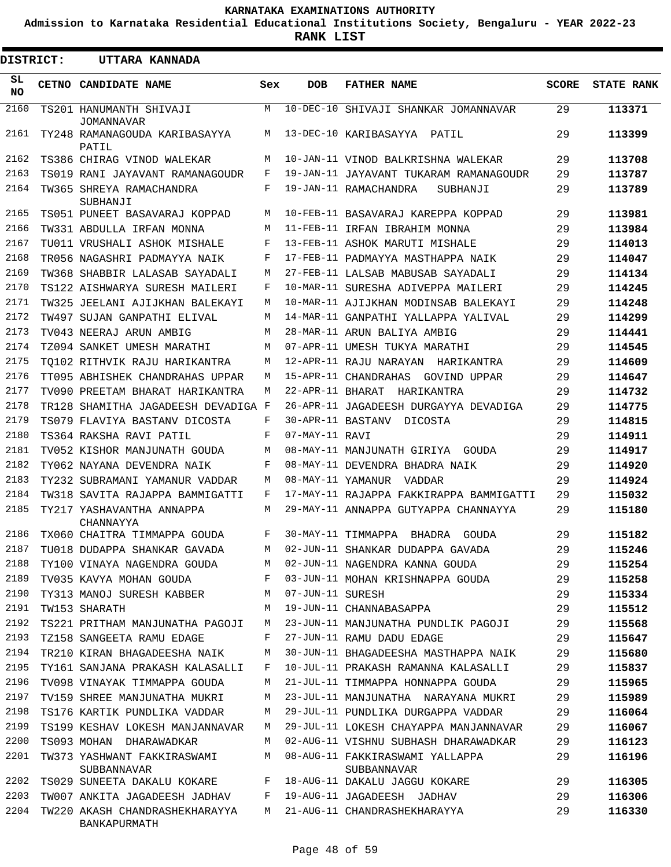**Admission to Karnataka Residential Educational Institutions Society, Bengaluru - YEAR 2022-23**

**RANK LIST**

Е

| <b>DISTRICT:</b> | UTTARA KANNADA                                 |     |                  |                                                |              |                   |
|------------------|------------------------------------------------|-----|------------------|------------------------------------------------|--------------|-------------------|
| SL<br><b>NO</b>  | CETNO CANDIDATE NAME                           | Sex | <b>DOB</b>       | <b>FATHER NAME</b>                             | <b>SCORE</b> | <b>STATE RANK</b> |
| 2160             | TS201 HANUMANTH SHIVAJI<br><b>JOMANNAVAR</b>   | М   |                  | 10-DEC-10 SHIVAJI SHANKAR JOMANNAVAR           | 29           | 113371            |
| 2161             | TY248 RAMANAGOUDA KARIBASAYYA<br>PATIL         | М   |                  | 13-DEC-10 KARIBASAYYA PATIL                    | 29           | 113399            |
| 2162             | TS386 CHIRAG VINOD WALEKAR                     | М   |                  | 10-JAN-11 VINOD BALKRISHNA WALEKAR             | 29           | 113708            |
| 2163             | TS019 RANI JAYAVANT RAMANAGOUDR                | F   |                  | 19-JAN-11 JAYAVANT TUKARAM RAMANAGOUDR         | 29           | 113787            |
| 2164             | TW365 SHREYA RAMACHANDRA<br>SUBHANJI           | F   |                  | 19-JAN-11 RAMACHANDRA<br>SUBHANJI              | 29           | 113789            |
| 2165             | TS051 PUNEET BASAVARAJ KOPPAD                  | M   |                  | 10-FEB-11 BASAVARAJ KAREPPA KOPPAD             | 29           | 113981            |
| 2166             | TW331 ABDULLA IRFAN MONNA                      | M   |                  | 11-FEB-11 IRFAN IBRAHIM MONNA                  | 29           | 113984            |
| 2167             | TU011 VRUSHALI ASHOK MISHALE                   | F   |                  | 13-FEB-11 ASHOK MARUTI MISHALE                 | 29           | 114013            |
| 2168             | TR056 NAGASHRI PADMAYYA NAIK                   | F   |                  | 17-FEB-11 PADMAYYA MASTHAPPA NAIK              | 29           | 114047            |
| 2169             | TW368 SHABBIR LALASAB SAYADALI                 | М   |                  | 27-FEB-11 LALSAB MABUSAB SAYADALI              | 29           | 114134            |
| 2170             | TS122 AISHWARYA SURESH MAILERI                 | F   |                  | 10-MAR-11 SURESHA ADIVEPPA MAILERI             | 29           | 114245            |
| 2171             | TW325 JEELANI AJIJKHAN BALEKAYI                | М   |                  | 10-MAR-11 AJIJKHAN MODINSAB BALEKAYI           | 29           | 114248            |
| 2172             | TW497 SUJAN GANPATHI ELIVAL                    | М   |                  | 14-MAR-11 GANPATHI YALLAPPA YALIVAL            | 29           | 114299            |
| 2173             | TV043 NEERAJ ARUN AMBIG                        | М   |                  | 28-MAR-11 ARUN BALIYA AMBIG                    | 29           | 114441            |
| 2174             | TZ094 SANKET UMESH MARATHI                     | М   |                  | 07-APR-11 UMESH TUKYA MARATHI                  | 29           | 114545            |
| 2175             | TO102 RITHVIK RAJU HARIKANTRA                  | М   |                  | 12-APR-11 RAJU NARAYAN HARIKANTRA              | 29           | 114609            |
| 2176             | TT095 ABHISHEK CHANDRAHAS UPPAR                | M   |                  | 15-APR-11 CHANDRAHAS<br>GOVIND UPPAR           | 29           | 114647            |
| 2177             | TV090 PREETAM BHARAT HARIKANTRA                | М   |                  | 22-APR-11 BHARAT HARIKANTRA                    | 29           | 114732            |
| 2178             | TR128 SHAMITHA JAGADEESH DEVADIGA F            |     |                  | 26-APR-11 JAGADEESH DURGAYYA DEVADIGA          | 29           | 114775            |
| 2179             | TS079 FLAVIYA BASTANV DICOSTA                  | F   |                  | 30-APR-11 BASTANV<br>DICOSTA                   | 29           | 114815            |
| 2180             | TS364 RAKSHA RAVI PATIL                        | F   | 07-MAY-11 RAVI   |                                                | 29           | 114911            |
| 2181             | TV052 KISHOR MANJUNATH GOUDA                   | М   |                  | 08-MAY-11 MANJUNATH GIRIYA GOUDA               | 29           | 114917            |
| 2182             | TY062 NAYANA DEVENDRA NAIK                     | F   |                  | 08-MAY-11 DEVENDRA BHADRA NAIK                 | 29           | 114920            |
| 2183             | TY232 SUBRAMANI YAMANUR VADDAR                 | М   |                  | 08-MAY-11 YAMANUR VADDAR                       | 29           | 114924            |
| 2184             | TW318 SAVITA RAJAPPA BAMMIGATTI                | F   |                  | 17-MAY-11 RAJAPPA FAKKIRAPPA BAMMIGATTI        | 29           | 115032            |
| 2185             | TY217 YASHAVANTHA ANNAPPA<br>CHANNAYYA         | М   |                  | 29-MAY-11 ANNAPPA GUTYAPPA CHANNAYYA           | 29           | 115180            |
| 2186             | TX060 CHAITRA TIMMAPPA GOUDA                   | F   |                  | 30-MAY-11 TIMMAPPA<br>BHADRA<br>GOUDA          | 29           | 115182            |
| 2187             | TU018 DUDAPPA SHANKAR GAVADA                   | М   |                  | 02-JUN-11 SHANKAR DUDAPPA GAVADA               | 29           | 115246            |
| 2188             | TY100 VINAYA NAGENDRA GOUDA                    | M   |                  | 02-JUN-11 NAGENDRA KANNA GOUDA                 | 29           | 115254            |
| 2189             | TV035 KAVYA MOHAN GOUDA                        | F   |                  | 03-JUN-11 MOHAN KRISHNAPPA GOUDA               | 29           | 115258            |
| 2190             | TY313 MANOJ SURESH KABBER                      | М   | 07-JUN-11 SURESH |                                                | 29           | 115334            |
| 2191             | TW153 SHARATH                                  | М   |                  | 19-JUN-11 CHANNABASAPPA                        | 29           | 115512            |
| 2192             | TS221 PRITHAM MANJUNATHA PAGOJI                | M   |                  | 23-JUN-11 MANJUNATHA PUNDLIK PAGOJI            | 29           | 115568            |
| 2193             | TZ158 SANGEETA RAMU EDAGE                      | F   |                  | 27-JUN-11 RAMU DADU EDAGE                      | 29           | 115647            |
| 2194             | TR210 KIRAN BHAGADEESHA NAIK                   | М   |                  | 30-JUN-11 BHAGADEESHA MASTHAPPA NAIK           | 29           | 115680            |
| 2195             | TY161 SANJANA PRAKASH KALASALLI                | F   |                  | 10-JUL-11 PRAKASH RAMANNA KALASALLI            | 29           | 115837            |
| 2196             | TV098 VINAYAK TIMMAPPA GOUDA                   | M   |                  | 21-JUL-11 TIMMAPPA HONNAPPA GOUDA              | 29           | 115965            |
| 2197             | TV159 SHREE MANJUNATHA MUKRI                   | M   |                  | 23-JUL-11 MANJUNATHA NARAYANA MUKRI            | 29           | 115989            |
| 2198             | TS176 KARTIK PUNDLIKA VADDAR                   | М   |                  | 29-JUL-11 PUNDLIKA DURGAPPA VADDAR             | 29           | 116064            |
| 2199             | TS199 KESHAV LOKESH MANJANNAVAR                | M   |                  | 29-JUL-11 LOKESH CHAYAPPA MANJANNAVAR          | 29           | 116067            |
| 2200             | TS093 MOHAN DHARAWADKAR                        | М   |                  | 02-AUG-11 VISHNU SUBHASH DHARAWADKAR           | 29           | 116123            |
| 2201             | TW373 YASHWANT FAKKIRASWAMI<br>SUBBANNAVAR     | M   |                  | 08-AUG-11 FAKKIRASWAMI YALLAPPA<br>SUBBANNAVAR | 29           | 116196            |
| 2202             | TS029 SUNEETA DAKALU KOKARE                    | F   |                  | 18-AUG-11 DAKALU JAGGU KOKARE                  | 29           | 116305            |
| 2203             | TW007 ANKITA JAGADEESH JADHAV                  | F   |                  | 19-AUG-11 JAGADEESH JADHAV                     | 29           | 116306            |
| 2204             | TW220 AKASH CHANDRASHEKHARAYYA<br>BANKAPURMATH | M   |                  | 21-AUG-11 CHANDRASHEKHARAYYA                   | 29           | 116330            |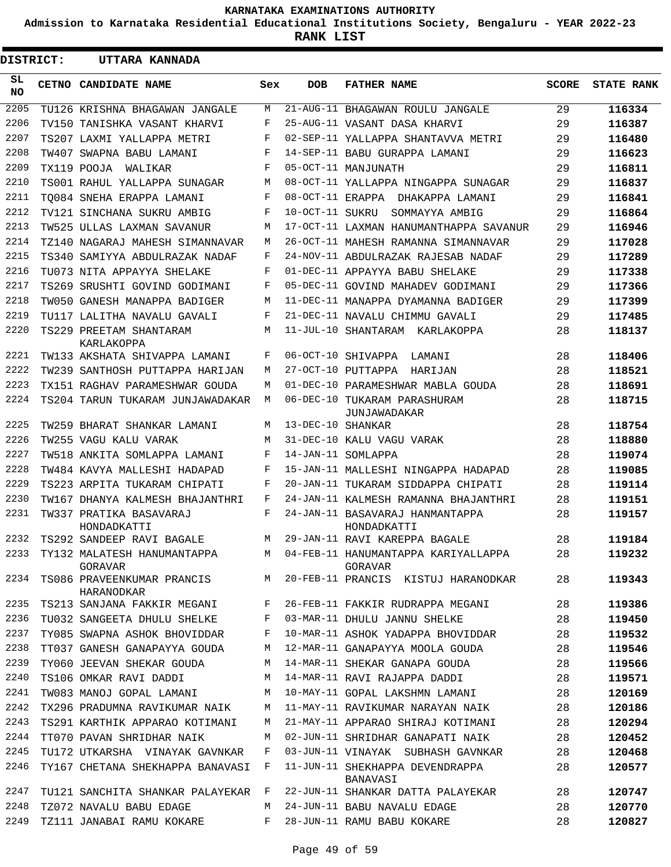**Admission to Karnataka Residential Educational Institutions Society, Bengaluru - YEAR 2022-23**

**RANK LIST**

 $\blacksquare$ 

| <b>DISTRICT:</b> |  | UTTARA KANNADA                             |     |                   |                                                |              |                   |
|------------------|--|--------------------------------------------|-----|-------------------|------------------------------------------------|--------------|-------------------|
| SL<br>NO.        |  | CETNO CANDIDATE NAME                       | Sex | <b>DOB</b>        | <b>FATHER NAME</b>                             | <b>SCORE</b> | <b>STATE RANK</b> |
| 2205             |  | TU126 KRISHNA BHAGAWAN JANGALE             | М   |                   | 21-AUG-11 BHAGAWAN ROULU JANGALE               | 29           | 116334            |
| 2206             |  | TV150 TANISHKA VASANT KHARVI               | F   |                   | 25-AUG-11 VASANT DASA KHARVI                   | 29           | 116387            |
| 2207             |  | TS207 LAXMI YALLAPPA METRI                 | F   |                   | 02-SEP-11 YALLAPPA SHANTAVVA METRI             | 29           | 116480            |
| 2208             |  | TW407 SWAPNA BABU LAMANI                   | F   |                   | 14-SEP-11 BABU GURAPPA LAMANI                  | 29           | 116623            |
| 2209             |  | TX119 POOJA<br>WALIKAR                     | F   |                   | 05-OCT-11 MANJUNATH                            | 29           | 116811            |
| 2210             |  | TS001 RAHUL YALLAPPA SUNAGAR               | M   |                   | 08-OCT-11 YALLAPPA NINGAPPA SUNAGAR            | 29           | 116837            |
| 2211             |  | TO084 SNEHA ERAPPA LAMANI                  | F   |                   | 08-OCT-11 ERAPPA DHAKAPPA LAMANI               | 29           | 116841            |
| 2212             |  | TV121 SINCHANA SUKRU AMBIG                 | F   | 10-OCT-11 SUKRU   | SOMMAYYA AMBIG                                 | 29           | 116864            |
| 2213             |  | TW525 ULLAS LAXMAN SAVANUR                 | М   |                   | 17-OCT-11 LAXMAN HANUMANTHAPPA SAVANUR         | 29           | 116946            |
| 2214             |  | TZ140 NAGARAJ MAHESH SIMANNAVAR            | М   |                   | 26-OCT-11 MAHESH RAMANNA SIMANNAVAR            | 29           | 117028            |
| 2215             |  | TS340 SAMIYYA ABDULRAZAK NADAF             | F   |                   | 24-NOV-11 ABDULRAZAK RAJESAB NADAF             | 29           | 117289            |
| 2216             |  | TU073 NITA APPAYYA SHELAKE                 | F   |                   | 01-DEC-11 APPAYYA BABU SHELAKE                 | 29           | 117338            |
| 2217             |  | TS269 SRUSHTI GOVIND GODIMANI              | F   |                   | 05-DEC-11 GOVIND MAHADEV GODIMANI              | 29           | 117366            |
| 2218             |  | TW050 GANESH MANAPPA BADIGER               | M   |                   | 11-DEC-11 MANAPPA DYAMANNA BADIGER             | 29           | 117399            |
| 2219             |  | TU117 LALITHA NAVALU GAVALI                | F   |                   | 21-DEC-11 NAVALU CHIMMU GAVALI                 | 29           | 117485            |
| 2220             |  | TS229 PREETAM SHANTARAM<br>KARLAKOPPA      | М   |                   | 11-JUL-10 SHANTARAM KARLAKOPPA                 | 28           | 118137            |
| 2221             |  | TW133 AKSHATA SHIVAPPA LAMANI              | F   |                   | 06-OCT-10 SHIVAPPA<br>LAMANI                   | 28           | 118406            |
| 2222             |  | TW239 SANTHOSH PUTTAPPA HARIJAN            | М   |                   | 27-OCT-10 PUTTAPPA<br>HARIJAN                  | 28           | 118521            |
| 2223             |  | TX151 RAGHAV PARAMESHWAR GOUDA             | М   |                   | 01-DEC-10 PARAMESHWAR MABLA GOUDA              | 28           | 118691            |
| 2224             |  | TS204 TARUN TUKARAM JUNJAWADAKAR           | М   |                   | 06-DEC-10 TUKARAM PARASHURAM<br>JUNJAWADAKAR   | 28           | 118715            |
| 2225             |  | TW259 BHARAT SHANKAR LAMANI                | М   | 13-DEC-10 SHANKAR |                                                | 28           | 118754            |
| 2226             |  | TW255 VAGU KALU VARAK                      | M   |                   | 31-DEC-10 KALU VAGU VARAK                      | 28           | 118880            |
| 2227             |  | TW518 ANKITA SOMLAPPA LAMANI               | F   |                   | 14-JAN-11 SOMLAPPA                             | 28           | 119074            |
| 2228             |  | TW484 KAVYA MALLESHI HADAPAD               | F   |                   | 15-JAN-11 MALLESHI NINGAPPA HADAPAD            | 28           | 119085            |
| 2229             |  | TS223 ARPITA TUKARAM CHIPATI               | F   |                   | 20-JAN-11 TUKARAM SIDDAPPA CHIPATI             | 28           | 119114            |
| 2230             |  | TW167 DHANYA KALMESH BHAJANTHRI            | F   |                   | 24-JAN-11 KALMESH RAMANNA BHAJANTHRI           | 28           | 119151            |
| 2231             |  | TW337 PRATIKA BASAVARAJ<br>HONDADKATTI     | F   |                   | 24-JAN-11 BASAVARAJ HANMANTAPPA<br>HONDADKATTI | 28           | 119157            |
| 2232             |  | TS292 SANDEEP RAVI BAGALE                  | M   |                   | 29-JAN-11 RAVI KAREPPA BAGALE                  | 28           | 119184            |
| 2233             |  | TY132 MALATESH HANUMANTAPPA<br>GORAVAR     | M   |                   | 04-FEB-11 HANUMANTAPPA KARIYALLAPPA<br>GORAVAR | 28           | 119232            |
| 2234             |  | TS086 PRAVEENKUMAR PRANCIS M<br>HARANODKAR |     |                   | 20-FEB-11 PRANCIS KISTUJ HARANODKAR            | 28           | 119343            |
| 2235             |  | TS213 SANJANA FAKKIR MEGANI                | F   |                   | 26-FEB-11 FAKKIR RUDRAPPA MEGANI               | 28           | 119386            |
| 2236             |  | TU032 SANGEETA DHULU SHELKE                | F   |                   | 03-MAR-11 DHULU JANNU SHELKE                   | 28           | 119450            |
| 2237             |  | TY085 SWAPNA ASHOK BHOVIDDAR               | F   |                   | 10-MAR-11 ASHOK YADAPPA BHOVIDDAR              | 28           | 119532            |
| 2238             |  | TT037 GANESH GANAPAYYA GOUDA               | M   |                   | 12-MAR-11 GANAPAYYA MOOLA GOUDA                | 28           | 119546            |
| 2239             |  | TY060 JEEVAN SHEKAR GOUDA                  | M   |                   | 14-MAR-11 SHEKAR GANAPA GOUDA                  | 28           | 119566            |
| 2240             |  | TS106 OMKAR RAVI DADDI                     | М   |                   | 14-MAR-11 RAVI RAJAPPA DADDI                   | 28           | 119571            |
| 2241             |  | TW083 MANOJ GOPAL LAMANI                   | M   |                   | 10-MAY-11 GOPAL LAKSHMN LAMANI                 | 28           | 120169            |
| 2242             |  | TX296 PRADUMNA RAVIKUMAR NAIK              | M   |                   | 11-MAY-11 RAVIKUMAR NARAYAN NAIK               | 28           | 120186            |
| 2243             |  | TS291 KARTHIK APPARAO KOTIMANI             | M   |                   | 21-MAY-11 APPARAO SHIRAJ KOTIMANI              | 28           | 120294            |
| 2244             |  | TT070 PAVAN SHRIDHAR NAIK                  | М   |                   | 02-JUN-11 SHRIDHAR GANAPATI NAIK               | 28           | 120452            |
| 2245             |  | TU172 UTKARSHA VINAYAK GAVNKAR             | F   |                   | 03-JUN-11 VINAYAK SUBHASH GAVNKAR              | 28           | 120468            |
| 2246             |  | TY167 CHETANA SHEKHAPPA BANAVASI           | F   |                   | 11-JUN-11 SHEKHAPPA DEVENDRAPPA<br>BANAVASI    | 28           | 120577            |
| 2247             |  | TU121 SANCHITA SHANKAR PALAYEKAR           | F   |                   | 22-JUN-11 SHANKAR DATTA PALAYEKAR              | 28           | 120747            |
| 2248             |  | TZ072 NAVALU BABU EDAGE                    | М   |                   | 24-JUN-11 BABU NAVALU EDAGE                    | 28           | 120770            |
| 2249             |  | TZ111 JANABAI RAMU KOKARE                  | F   |                   | 28-JUN-11 RAMU BABU KOKARE                     | 28           | 120827            |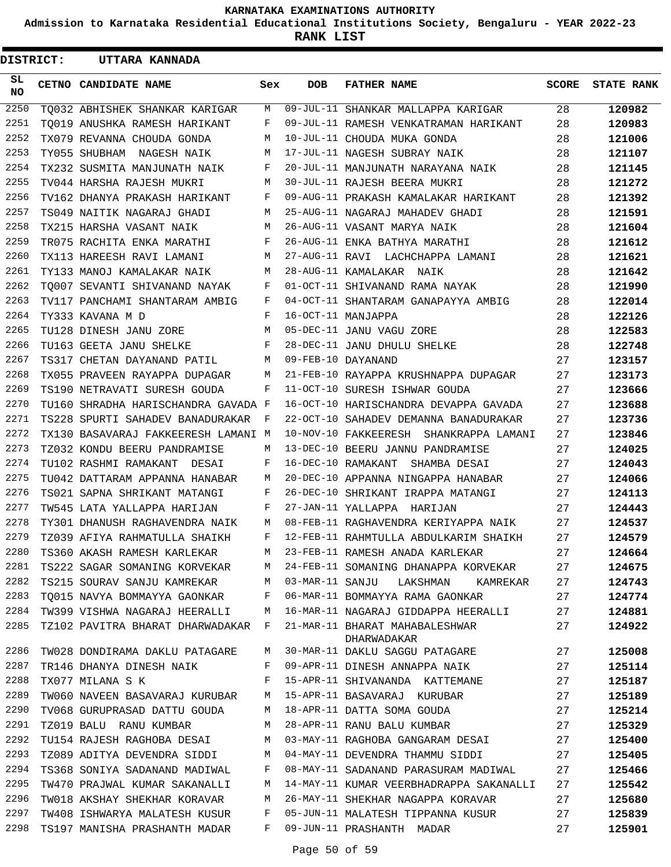**Admission to Karnataka Residential Educational Institutions Society, Bengaluru - YEAR 2022-23**

**RANK LIST**

| <b>DISTRICT:</b> | <b>UTTARA KANNADA</b>                                 |              |     |                                                                      |              |                   |
|------------------|-------------------------------------------------------|--------------|-----|----------------------------------------------------------------------|--------------|-------------------|
| SL.<br>NO        | CETNO CANDIDATE NAME                                  | Sex          | DOB | <b>FATHER NAME</b>                                                   | <b>SCORE</b> | <b>STATE RANK</b> |
| 2250             | TO032 ABHISHEK SHANKAR KARIGAR                        | M            |     | 09-JUL-11 SHANKAR MALLAPPA KARIGAR                                   | 28           | 120982            |
| 2251             | TO019 ANUSHKA RAMESH HARIKANT                         | $F$ and      |     | 09-JUL-11 RAMESH VENKATRAMAN HARIKANT                                | 28           | 120983            |
| 2252             | TX079 REVANNA CHOUDA GONDA                            | M            |     | 10-JUL-11 CHOUDA MUKA GONDA                                          | 28           | 121006            |
| 2253             | TY055 SHUBHAM NAGESH NAIK                             | M            |     | 17-JUL-11 NAGESH SUBRAY NAIK                                         | 28           | 121107            |
| 2254             | TX232 SUSMITA MANJUNATH NAIK                          | F            |     | 20-JUL-11 MANJUNATH NARAYANA NAIK                                    | 28           | 121145            |
| 2255             | TV044 HARSHA RAJESH MUKRI                             | M            |     | 30-JUL-11 RAJESH BEERA MUKRI                                         | 28           | 121272            |
| 2256             | TV162 DHANYA PRAKASH HARIKANT                         | F            |     | 09-AUG-11 PRAKASH KAMALAKAR HARIKANT                                 | 28           | 121392            |
| 2257             | TS049 NAITIK NAGARAJ GHADI                            |              |     | M 25-AUG-11 NAGARAJ MAHADEV GHADI                                    | 28           | 121591            |
| 2258             | TX215 HARSHA VASANT NAIK                              | M            |     | 26-AUG-11 VASANT MARYA NAIK                                          | 28           | 121604            |
| 2259             | TR075 RACHITA ENKA MARATHI                            | $F$ and      |     | 26-AUG-11 ENKA BATHYA MARATHI                                        | 28           | 121612            |
| 2260             | TX113 HAREESH RAVI LAMANI                             |              |     | M 27-AUG-11 RAVI LACHCHAPPA LAMANI                                   | 28           | 121621            |
| 2261             | TY133 MANOJ KAMALAKAR NAIK M 28-AUG-11 KAMALAKAR NAIK |              |     |                                                                      | 28           | 121642            |
| 2262             |                                                       |              |     | TQ007 SEVANTI SHIVANAND NAYAK F 01-OCT-11 SHIVANAND RAMA NAYAK       | 28           | 121990            |
| 2263             |                                                       |              |     | TV117 PANCHAMI SHANTARAM AMBIG F 04-OCT-11 SHANTARAM GANAPAYYA AMBIG | 28           | 122014            |
| 2264             | TY333 KAVANA M D                                      | F            |     | 16-OCT-11 MANJAPPA                                                   | 28           | 122126            |
| 2265             | TU128 DINESH JANU ZORE M                              |              |     | 05-DEC-11 JANU VAGU ZORE                                             | 28           | 122583            |
| 2266             | TU163 GEETA JANU SHELKE                               | $\mathbf{F}$ |     | 28-DEC-11 JANU DHULU SHELKE                                          | 28           | 122748            |
| 2267             | TS317 CHETAN DAYANAND PATIL M 09-FEB-10 DAYANAND      |              |     |                                                                      | 27           | 123157            |
| 2268             | TX055 PRAVEEN RAYAPPA DUPAGAR                         |              |     | M 21-FEB-10 RAYAPPA KRUSHNAPPA DUPAGAR                               | 27           | 123173            |
| 2269             | TS190 NETRAVATI SURESH GOUDA                          | F            |     | 11-OCT-10 SURESH ISHWAR GOUDA                                        | 27           | 123666            |
| 2270             | TU160 SHRADHA HARISCHANDRA GAVADA F                   |              |     | 16-OCT-10 HARISCHANDRA DEVAPPA GAVADA                                | 27           | 123688            |
| 2271             | TS228 SPURTI SAHADEV BANADURAKAR F                    |              |     | 22-OCT-10 SAHADEV DEMANNA BANADURAKAR                                | 27           | 123736            |
| 2272             | TX130 BASAVARAJ FAKKEERESH LAMANI M                   |              |     | 10-NOV-10 FAKKEERESH SHANKRAPPA LAMANI                               | 27           | 123846            |
| 2273             | TZ032 KONDU BEERU PANDRAMISE                          | M            |     | 13-DEC-10 BEERU JANNU PANDRAMISE                                     | 27           | 124025            |
| 2274             | TU102 RASHMI RAMAKANT DESAI                           | F            |     | 16-DEC-10 RAMAKANT SHAMBA DESAI                                      | 27           | 124043            |
| 2275             | TU042 DATTARAM APPANNA HANABAR                        | M            |     | 20-DEC-10 APPANNA NINGAPPA HANABAR                                   | 27           | 124066            |
| 2276             | TS021 SAPNA SHRIKANT MATANGI                          | $F$ and      |     | 26-DEC-10 SHRIKANT IRAPPA MATANGI                                    | 27 —         | 124113            |
| 2277             | TW545 LATA YALLAPPA HARIJAN                           | F            |     | 27-JAN-11 YALLAPPA HARIJAN                                           | 27           | 124443            |
| 2278             | TY301 DHANUSH RAGHAVENDRA NAIK                        | M            |     | 08-FEB-11 RAGHAVENDRA KERIYAPPA NAIK                                 | 27           | 124537            |
| 2279             | TZ039 AFIYA RAHMATULLA SHAIKH                         | F            |     | 12-FEB-11 RAHMTULLA ABDULKARIM SHAIKH                                | 27           | 124579            |
| 2280             | TS360 AKASH RAMESH KARLEKAR                           | М            |     | 23-FEB-11 RAMESH ANADA KARLEKAR                                      | 27           | 124664            |
| 2281             | TS222 SAGAR SOMANING KORVEKAR                         | M            |     | 24-FEB-11 SOMANING DHANAPPA KORVEKAR                                 | 27           | 124675            |
| 2282             | TS215 SOURAV SANJU KAMREKAR                           | М            |     | 03-MAR-11 SANJU LAKSHMAN<br>KAMREKAR                                 | 27           | 124743            |
| 2283             | TO015 NAVYA BOMMAYYA GAONKAR                          | F            |     | 06-MAR-11 BOMMAYYA RAMA GAONKAR                                      | 27           | 124774            |
| 2284             | TW399 VISHWA NAGARAJ HEERALLI                         | М            |     | 16-MAR-11 NAGARAJ GIDDAPPA HEERALLI                                  | 27           | 124881            |
| 2285             | TZ102 PAVITRA BHARAT DHARWADAKAR                      | F            |     | 21-MAR-11 BHARAT MAHABALESHWAR<br>DHARWADAKAR                        | 27           | 124922            |
| 2286             | TW028 DONDIRAMA DAKLU PATAGARE                        | М            |     | 30-MAR-11 DAKLU SAGGU PATAGARE                                       | 27           | 125008            |
| 2287             | TR146 DHANYA DINESH NAIK                              | F            |     | 09-APR-11 DINESH ANNAPPA NAIK                                        | 27           | 125114            |
| 2288             | TX077 MILANA S K                                      | F            |     | 15-APR-11 SHIVANANDA KATTEMANE                                       | 27           | 125187            |
| 2289             | TW060 NAVEEN BASAVARAJ KURUBAR                        | M            |     | 15-APR-11 BASAVARAJ KURUBAR                                          | 27           | 125189            |
| 2290             | TV068 GURUPRASAD DATTU GOUDA                          | М            |     | 18-APR-11 DATTA SOMA GOUDA                                           | 27           | 125214            |
| 2291             | TZ019 BALU RANU KUMBAR                                | М            |     | 28-APR-11 RANU BALU KUMBAR                                           | 27           | 125329            |
| 2292             | TU154 RAJESH RAGHOBA DESAI                            | М            |     | 03-MAY-11 RAGHOBA GANGARAM DESAI                                     | 27           | 125400            |
| 2293             | TZ089 ADITYA DEVENDRA SIDDI                           | M            |     | 04-MAY-11 DEVENDRA THAMMU SIDDI                                      | 27           | 125405            |
| 2294             | TS368 SONIYA SADANAND MADIWAL                         | F            |     | 08-MAY-11 SADANAND PARASURAM MADIWAL                                 | 27           | 125466            |
| 2295             | TW470 PRAJWAL KUMAR SAKANALLI                         | M            |     | 14-MAY-11 KUMAR VEERBHADRAPPA SAKANALLI                              | 27           | 125542            |
| 2296             | TW018 AKSHAY SHEKHAR KORAVAR                          | М            |     | 26-MAY-11 SHEKHAR NAGAPPA KORAVAR                                    | 27           | 125680            |
| 2297             | TW408 ISHWARYA MALATESH KUSUR                         | F            |     | 05-JUN-11 MALATESH TIPPANNA KUSUR                                    | 27           | 125839            |
| 2298             | TS197 MANISHA PRASHANTH MADAR                         | F            |     | 09-JUN-11 PRASHANTH MADAR                                            | 27           | 125901            |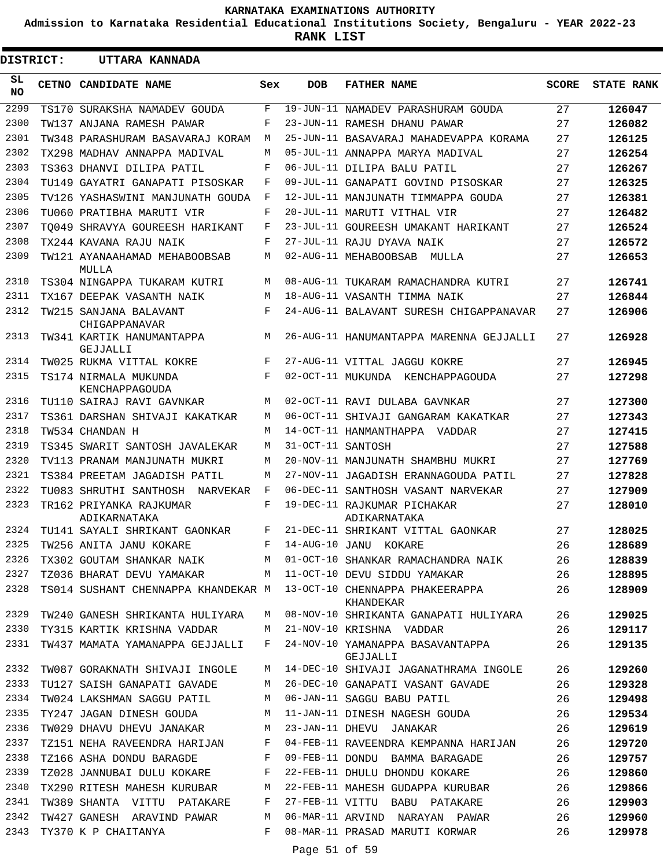**Admission to Karnataka Residential Educational Institutions Society, Bengaluru - YEAR 2022-23**

**RANK LIST**

.

| DISTRICT: |  | UTTARA KANNADA                          |              |                   |                                              |              |                   |
|-----------|--|-----------------------------------------|--------------|-------------------|----------------------------------------------|--------------|-------------------|
| SL<br>NO. |  | CETNO CANDIDATE NAME                    | Sex          | <b>DOB</b>        | <b>FATHER NAME</b>                           | <b>SCORE</b> | <b>STATE RANK</b> |
| 2299      |  | TS170 SURAKSHA NAMADEV GOUDA            | F            |                   | 19-JUN-11 NAMADEV PARASHURAM GOUDA           | 27           | 126047            |
| 2300      |  | TW137 ANJANA RAMESH PAWAR               | F            |                   | 23-JUN-11 RAMESH DHANU PAWAR                 | 27           | 126082            |
| 2301      |  | TW348 PARASHURAM BASAVARAJ KORAM        | М            |                   | 25-JUN-11 BASAVARAJ MAHADEVAPPA KORAMA       | 27           | 126125            |
| 2302      |  | TX298 MADHAV ANNAPPA MADIVAL            | M            |                   | 05-JUL-11 ANNAPPA MARYA MADIVAL              | 27           | 126254            |
| 2303      |  | TS363 DHANVI DILIPA PATIL               | F            |                   | 06-JUL-11 DILIPA BALU PATIL                  | 27           | 126267            |
| 2304      |  | TU149 GAYATRI GANAPATI PISOSKAR         | F            |                   | 09-JUL-11 GANAPATI GOVIND PISOSKAR           | 27           | 126325            |
| 2305      |  | TV126 YASHASWINI MANJUNATH GOUDA        | F            |                   | 12-JUL-11 MANJUNATH TIMMAPPA GOUDA           | 27           | 126381            |
| 2306      |  | TU060 PRATIBHA MARUTI VIR               | F            |                   | 20-JUL-11 MARUTI VITHAL VIR                  | 27           | 126482            |
| 2307      |  | TO049 SHRAVYA GOUREESH HARIKANT         | F            |                   | 23-JUL-11 GOUREESH UMAKANT HARIKANT          | 27           | 126524            |
| 2308      |  | TX244 KAVANA RAJU NAIK                  | F            |                   | 27-JUL-11 RAJU DYAVA NAIK                    | 27           | 126572            |
| 2309      |  | TW121 AYANAAHAMAD MEHABOOBSAB<br>MULLA  | M            |                   | 02-AUG-11 MEHABOOBSAB<br>MULLA               | 27           | 126653            |
| 2310      |  | TS304 NINGAPPA TUKARAM KUTRI            | M            |                   | 08-AUG-11 TUKARAM RAMACHANDRA KUTRI          | 27           | 126741            |
| 2311      |  | TX167 DEEPAK VASANTH NAIK               | M            |                   | 18-AUG-11 VASANTH TIMMA NAIK                 | 27           | 126844            |
| 2312      |  | TW215 SANJANA BALAVANT<br>CHIGAPPANAVAR | F            |                   | 24-AUG-11 BALAVANT SURESH CHIGAPPANAVAR      | 27           | 126906            |
| 2313      |  | TW341 KARTIK HANUMANTAPPA<br>GEJJALLI   | М            |                   | 26-AUG-11 HANUMANTAPPA MARENNA GEJJALLI      | 27           | 126928            |
| 2314      |  | TW025 RUKMA VITTAL KOKRE                | F            |                   | 27-AUG-11 VITTAL JAGGU KOKRE                 | 27           | 126945            |
| 2315      |  | TS174 NIRMALA MUKUNDA<br>KENCHAPPAGOUDA | F            |                   | 02-OCT-11 MUKUNDA KENCHAPPAGOUDA             | 27           | 127298            |
| 2316      |  | TU110 SAIRAJ RAVI GAVNKAR               | M            |                   | 02-OCT-11 RAVI DULABA GAVNKAR                | 27           | 127300            |
| 2317      |  | TS361 DARSHAN SHIVAJI KAKATKAR          | M            |                   | 06-OCT-11 SHIVAJI GANGARAM KAKATKAR          | 27           | 127343            |
| 2318      |  | TW534 CHANDAN H                         | M            |                   | 14-OCT-11 HANMANTHAPPA VADDAR                | 27           | 127415            |
| 2319      |  | TS345 SWARIT SANTOSH JAVALEKAR          | M            | 31-OCT-11 SANTOSH |                                              | 27           | 127588            |
| 2320      |  | TV113 PRANAM MANJUNATH MUKRI            | M            |                   | 20-NOV-11 MANJUNATH SHAMBHU MUKRI            | 27           | 127769            |
| 2321      |  | TS384 PREETAM JAGADISH PATIL            | M            |                   | 27-NOV-11 JAGADISH ERANNAGOUDA PATIL         | 27           | 127828            |
| 2322      |  | TU083 SHRUTHI SANTHOSH NARVEKAR         | $\mathbf{F}$ |                   | 06-DEC-11 SANTHOSH VASANT NARVEKAR           | 27           | 127909            |
| 2323      |  | TR162 PRIYANKA RAJKUMAR<br>ADIKARNATAKA | F            |                   | 19-DEC-11 RAJKUMAR PICHAKAR<br>ADIKARNATAKA  | 27           | 128010            |
|           |  | 2324 TU141 SAYALI SHRIKANT GAONKAR      | F            |                   | 21-DEC-11 SHRIKANT VITTAL GAONKAR            | 27           | 128025            |
|           |  | 2325 TW256 ANITA JANU KOKARE            |              |                   | F 14-AUG-10 JANU KOKARE                      | 26           | 128689            |
| 2326      |  | TX302 GOUTAM SHANKAR NAIK               | M            |                   | 01-OCT-10 SHANKAR RAMACHANDRA NAIK           | 26           | 128839            |
| 2327      |  | TZ036 BHARAT DEVU YAMAKAR               | M            |                   | 11-OCT-10 DEVU SIDDU YAMAKAR                 | 26           | 128895            |
| 2328      |  | TS014 SUSHANT CHENNAPPA KHANDEKAR M     |              |                   | 13-OCT-10 CHENNAPPA PHAKEERAPPA<br>KHANDEKAR | 26           | 128909            |
| 2329      |  | TW240 GANESH SHRIKANTA HULIYARA         | M            |                   | 08-NOV-10 SHRIKANTA GANAPATI HULIYARA        | 26           | 129025            |
| 2330      |  | TY315 KARTIK KRISHNA VADDAR             | M            |                   | 21-NOV-10 KRISHNA VADDAR                     | 26           | 129117            |
| 2331      |  | TW437 MAMATA YAMANAPPA GEJJALLI         | F            |                   | 24-NOV-10 YAMANAPPA BASAVANTAPPA<br>GEJJALLI | 26           | 129135            |
| 2332      |  | TW087 GORAKNATH SHIVAJI INGOLE          | М            |                   | 14-DEC-10 SHIVAJI JAGANATHRAMA INGOLE        | 26           | 129260            |
| 2333      |  | TU127 SAISH GANAPATI GAVADE             | М            |                   | 26-DEC-10 GANAPATI VASANT GAVADE             | 26           | 129328            |
| 2334      |  | TW024 LAKSHMAN SAGGU PATIL              | М            |                   | 06-JAN-11 SAGGU BABU PATIL                   | 26           | 129498            |
| 2335      |  | TY247 JAGAN DINESH GOUDA                | M            |                   | 11-JAN-11 DINESH NAGESH GOUDA                | 26           | 129534            |
| 2336      |  | TW029 DHAVU DHEVU JANAKAR               | M            |                   | 23-JAN-11 DHEVU JANAKAR                      | 26           | 129619            |
| 2337      |  | TZ151 NEHA RAVEENDRA HARIJAN            | F            |                   | 04-FEB-11 RAVEENDRA KEMPANNA HARIJAN         | 26           | 129720            |
| 2338      |  | TZ166 ASHA DONDU BARAGDE                | F            |                   | 09-FEB-11 DONDU BAMMA BARAGADE               | 26           | 129757            |
| 2339      |  | TZ028 JANNUBAI DULU KOKARE              | F            |                   | 22-FEB-11 DHULU DHONDU KOKARE                | 26           | 129860            |
| 2340      |  | TX290 RITESH MAHESH KURUBAR             | М            |                   | 22-FEB-11 MAHESH GUDAPPA KURUBAR             | 26           | 129866            |
| 2341      |  | TW389 SHANTA VITTU PATAKARE             | F            |                   | 27-FEB-11 VITTU BABU PATAKARE                | 26           | 129903            |
| 2342      |  | TW427 GANESH ARAVIND PAWAR              | M            |                   | 06-MAR-11 ARVIND NARAYAN PAWAR               | 26           | 129960            |
| 2343      |  | TY370 K P CHAITANYA                     | F            | Page 51 of 59     | 08-MAR-11 PRASAD MARUTI KORWAR               | 26           | 129978            |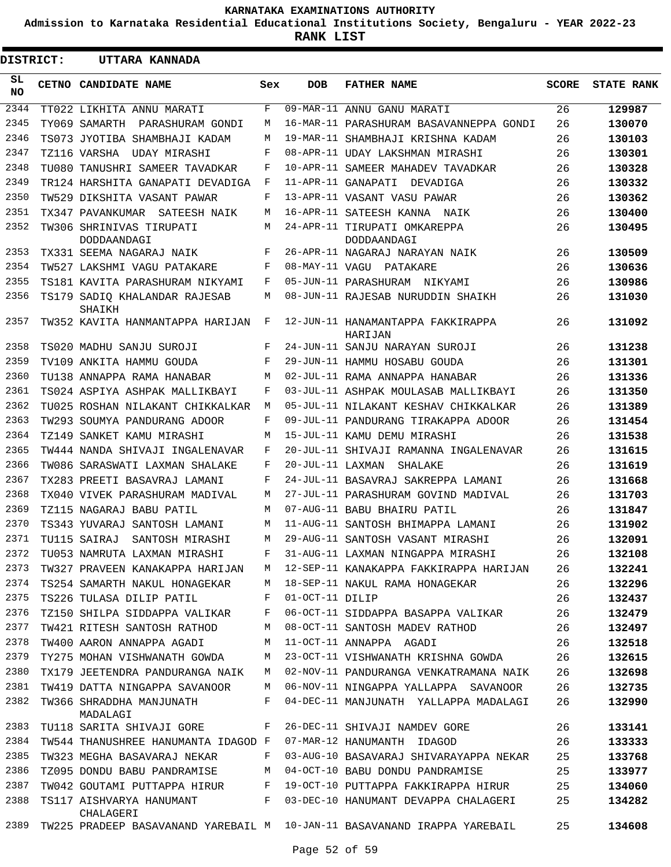**Admission to Karnataka Residential Educational Institutions Society, Bengaluru - YEAR 2022-23**

**RANK LIST**

| DISTRICT:  |  | UTTARA KANNADA                                                           |     |                  |                                              |              |                   |
|------------|--|--------------------------------------------------------------------------|-----|------------------|----------------------------------------------|--------------|-------------------|
| SL.<br>NO. |  | CETNO CANDIDATE NAME                                                     | Sex | <b>DOB</b>       | <b>FATHER NAME</b>                           | <b>SCORE</b> | <b>STATE RANK</b> |
| 2344       |  | TT022 LIKHITA ANNU MARATI                                                | F   |                  | 09-MAR-11 ANNU GANU MARATI                   | 26           | 129987            |
| 2345       |  | TY069 SAMARTH<br>PARASHURAM GONDI                                        | M   |                  | 16-MAR-11 PARASHURAM BASAVANNEPPA GONDI      | 26           | 130070            |
| 2346       |  | TS073 JYOTIBA SHAMBHAJI KADAM                                            | M   |                  | 19-MAR-11 SHAMBHAJI KRISHNA KADAM            | 26           | 130103            |
| 2347       |  | TZ116 VARSHA<br>UDAY MIRASHI                                             | F   |                  | 08-APR-11 UDAY LAKSHMAN MIRASHI              | 26           | 130301            |
| 2348       |  | TU080 TANUSHRI SAMEER TAVADKAR                                           | F   |                  | 10-APR-11 SAMEER MAHADEV TAVADKAR            | 26           | 130328            |
| 2349       |  | TR124 HARSHITA GANAPATI DEVADIGA                                         | F   |                  | 11-APR-11 GANAPATI<br>DEVADIGA               | 26           | 130332            |
| 2350       |  | TW529 DIKSHITA VASANT PAWAR                                              | F   |                  | 13-APR-11 VASANT VASU PAWAR                  | 26           | 130362            |
| 2351       |  | TX347 PAVANKUMAR SATEESH NAIK                                            | M   |                  | 16-APR-11 SATEESH KANNA NAIK                 | 26           | 130400            |
| 2352       |  | TW306 SHRINIVAS TIRUPATI<br>DODDAANDAGI                                  | M   |                  | 24-APR-11 TIRUPATI OMKAREPPA<br>DODDAANDAGI  | 26           | 130495            |
| 2353       |  | TX331 SEEMA NAGARAJ NAIK                                                 | F   |                  | 26-APR-11 NAGARAJ NARAYAN NAIK               | 26           | 130509            |
| 2354       |  | TW527 LAKSHMI VAGU PATAKARE                                              | F   |                  | 08-MAY-11 VAGU PATAKARE                      | 26           | 130636            |
| 2355       |  | TS181 KAVITA PARASHURAM NIKYAMI                                          | F   |                  | 05-JUN-11 PARASHURAM NIKYAMI                 | 26           | 130986            |
| 2356       |  | TS179 SADIQ KHALANDAR RAJESAB<br>SHAIKH                                  | M   |                  | 08-JUN-11 RAJESAB NURUDDIN SHAIKH            | 26           | 131030            |
| 2357       |  | TW352 KAVITA HANMANTAPPA HARIJAN                                         | F   |                  | 12-JUN-11 HANAMANTAPPA FAKKIRAPPA<br>HARIJAN | 26           | 131092            |
| 2358       |  | TS020 MADHU SANJU SUROJI                                                 | F   |                  | 24-JUN-11 SANJU NARAYAN SUROJI               | 26           | 131238            |
| 2359       |  | TV109 ANKITA HAMMU GOUDA                                                 | F   |                  | 29-JUN-11 HAMMU HOSABU GOUDA                 | 26           | 131301            |
| 2360       |  | TU138 ANNAPPA RAMA HANABAR                                               | M   |                  | 02-JUL-11 RAMA ANNAPPA HANABAR               | 26           | 131336            |
| 2361       |  | TS024 ASPIYA ASHPAK MALLIKBAYI                                           | F   |                  | 03-JUL-11 ASHPAK MOULASAB MALLIKBAYI         | 26           | 131350            |
| 2362       |  | TU025 ROSHAN NILAKANT CHIKKALKAR                                         | М   |                  | 05-JUL-11 NILAKANT KESHAV CHIKKALKAR         | 26           | 131389            |
| 2363       |  | TW293 SOUMYA PANDURANG ADOOR                                             | F   |                  | 09-JUL-11 PANDURANG TIRAKAPPA ADOOR          | 26           | 131454            |
| 2364       |  | TZ149 SANKET KAMU MIRASHI                                                | M   |                  | 15-JUL-11 KAMU DEMU MIRASHI                  | 26           | 131538            |
| 2365       |  | TW444 NANDA SHIVAJI INGALENAVAR                                          | F   |                  | 20-JUL-11 SHIVAJI RAMANNA INGALENAVAR        | 26           | 131615            |
| 2366       |  | TW086 SARASWATI LAXMAN SHALAKE                                           | F   | 20-JUL-11 LAXMAN | SHALAKE                                      | 26           | 131619            |
| 2367       |  | TX283 PREETI BASAVRAJ LAMANI                                             | F   |                  | 24-JUL-11 BASAVRAJ SAKREPPA LAMANI           | 26           | 131668            |
| 2368       |  | TX040 VIVEK PARASHURAM MADIVAL                                           | M   |                  | 27-JUL-11 PARASHURAM GOVIND MADIVAL          | 26           | 131703            |
| 2369       |  | TZ115 NAGARAJ BABU PATIL                                                 | M   |                  | 07-AUG-11 BABU BHAIRU PATIL                  | 26           | 131847            |
| 2370       |  | TS343 YUVARAJ SANTOSH LAMANI                                             | M   |                  | 11-AUG-11 SANTOSH BHIMAPPA LAMANI            | 26           | 131902            |
| 2371       |  | TU115 SAIRAJ<br>SANTOSH MIRASHI                                          | M   |                  | 29-AUG-11 SANTOSH VASANT MIRASHI             | 26           | 132091            |
| 2372       |  | TU053 NAMRUTA LAXMAN MIRASHI                                             | F   |                  | 31-AUG-11 LAXMAN NINGAPPA MIRASHI            | 26           | 132108            |
| 2373       |  | TW327 PRAVEEN KANAKAPPA HARIJAN                                          | M   |                  | 12-SEP-11 KANAKAPPA FAKKIRAPPA HARIJAN       | 26           | 132241            |
| 2374       |  | TS254 SAMARTH NAKUL HONAGEKAR                                            | М   |                  | 18-SEP-11 NAKUL RAMA HONAGEKAR               | 26           | 132296            |
| 2375       |  | TS226 TULASA DILIP PATIL                                                 | F   | 01-OCT-11 DILIP  |                                              | 26           | 132437            |
| 2376       |  | TZ150 SHILPA SIDDAPPA VALIKAR                                            | F   |                  | 06-OCT-11 SIDDAPPA BASAPPA VALIKAR           | 26           | 132479            |
| 2377       |  | TW421 RITESH SANTOSH RATHOD                                              | M   |                  | 08-OCT-11 SANTOSH MADEV RATHOD               | 26           | 132497            |
| 2378       |  | TW400 AARON ANNAPPA AGADI                                                | М   |                  | 11-OCT-11 ANNAPPA AGADI                      | 26           | 132518            |
| 2379       |  | TY275 MOHAN VISHWANATH GOWDA                                             | M   |                  | 23-OCT-11 VISHWANATH KRISHNA GOWDA           | 26           | 132615            |
| 2380       |  | TX179 JEETENDRA PANDURANGA NAIK                                          | М   |                  | 02-NOV-11 PANDURANGA VENKATRAMANA NAIK       | 26           | 132698            |
| 2381       |  | TW419 DATTA NINGAPPA SAVANOOR                                            | М   |                  | 06-NOV-11 NINGAPPA YALLAPPA SAVANOOR         | 26           | 132735            |
| 2382       |  | TW366 SHRADDHA MANJUNATH<br>MADALAGI                                     | F   |                  | 04-DEC-11 MANJUNATH YALLAPPA MADALAGI        | 26           | 132990            |
| 2383       |  | TU118 SARITA SHIVAJI GORE                                                | F   |                  | 26-DEC-11 SHIVAJI NAMDEV GORE                | 26           | 133141            |
| 2384       |  | TW544 THANUSHREE HANUMANTA IDAGOD F                                      |     |                  | 07-MAR-12 HANUMANTH IDAGOD                   | 26           | 133333            |
| 2385       |  | TW323 MEGHA BASAVARAJ NEKAR                                              | F   |                  | 03-AUG-10 BASAVARAJ SHIVARAYAPPA NEKAR       | 25           | 133768            |
| 2386       |  | TZ095 DONDU BABU PANDRAMISE                                              | М   |                  | 04-OCT-10 BABU DONDU PANDRAMISE              | 25           | 133977            |
| 2387       |  | TW042 GOUTAMI PUTTAPPA HIRUR                                             | F   |                  | 19-OCT-10 PUTTAPPA FAKKIRAPPA HIRUR          | 25           | 134060            |
| 2388       |  | TS117 AISHVARYA HANUMANT<br>CHALAGERI                                    | F   |                  | 03-DEC-10 HANUMANT DEVAPPA CHALAGERI         | 25           | 134282            |
| 2389       |  | TW225 PRADEEP BASAVANAND YAREBAIL M 10-JAN-11 BASAVANAND IRAPPA YAREBAIL |     |                  |                                              | 25           | 134608            |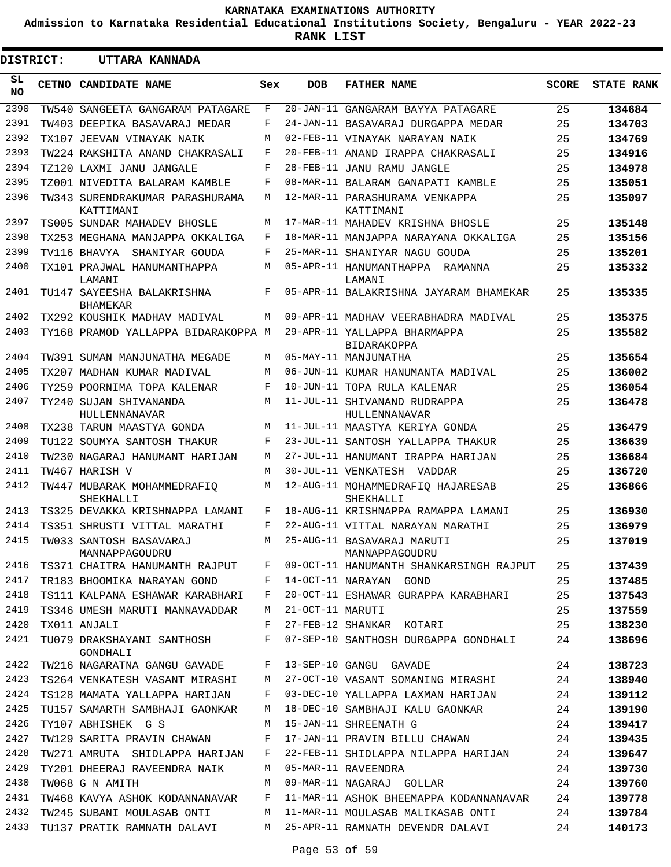**Admission to Karnataka Residential Educational Institutions Society, Bengaluru - YEAR 2022-23**

**RANK LIST**

 $\blacksquare$ 

| DISTRICT: | UTTARA KANNADA                                |     |                  |                                                    |              |                   |
|-----------|-----------------------------------------------|-----|------------------|----------------------------------------------------|--------------|-------------------|
| SL<br>NO. | CETNO CANDIDATE NAME                          | Sex | <b>DOB</b>       | <b>FATHER NAME</b>                                 | <b>SCORE</b> | <b>STATE RANK</b> |
| 2390      | TW540 SANGEETA GANGARAM PATAGARE              | F   |                  | 20-JAN-11 GANGARAM BAYYA PATAGARE                  | 25           | 134684            |
| 2391      | TW403 DEEPIKA BASAVARAJ MEDAR                 | F   |                  | 24-JAN-11 BASAVARAJ DURGAPPA MEDAR                 | 25           | 134703            |
| 2392      | TX107 JEEVAN VINAYAK NAIK                     | М   |                  | 02-FEB-11 VINAYAK NARAYAN NAIK                     | 25           | 134769            |
| 2393      | TW224 RAKSHITA ANAND CHAKRASALI               | F   |                  | 20-FEB-11 ANAND IRAPPA CHAKRASALI                  | 25           | 134916            |
| 2394      | TZ120 LAXMI JANU JANGALE                      | F   |                  | 28-FEB-11 JANU RAMU JANGLE                         | 25           | 134978            |
| 2395      | TZ001 NIVEDITA BALARAM KAMBLE                 | F   |                  | 08-MAR-11 BALARAM GANAPATI KAMBLE                  | 25           | 135051            |
| 2396      | TW343 SURENDRAKUMAR PARASHURAMA<br>KATTIMANI  | M   |                  | 12-MAR-11 PARASHURAMA VENKAPPA<br>KATTIMANI        | 25           | 135097            |
| 2397      | TS005 SUNDAR MAHADEV BHOSLE                   | М   |                  | 17-MAR-11 MAHADEV KRISHNA BHOSLE                   | 25           | 135148            |
| 2398      | TX253 MEGHANA MANJAPPA OKKALIGA               | F   |                  | 18-MAR-11 MANJAPPA NARAYANA OKKALIGA               | 25           | 135156            |
| 2399      | TV116 BHAVYA<br>SHANIYAR GOUDA                | F   |                  | 25-MAR-11 SHANIYAR NAGU GOUDA                      | 25           | 135201            |
| 2400      | TX101 PRAJWAL HANUMANTHAPPA<br>LAMANI         | М   |                  | 05-APR-11 HANUMANTHAPPA RAMANNA<br>LAMANI          | 25           | 135332            |
| 2401      | TU147 SAYEESHA BALAKRISHNA<br><b>BHAMEKAR</b> | F   |                  | 05-APR-11 BALAKRISHNA JAYARAM BHAMEKAR             | 25           | 135335            |
| 2402      | TX292 KOUSHIK MADHAV MADIVAL                  | М   |                  | 09-APR-11 MADHAV VEERABHADRA MADIVAL               | 25           | 135375            |
| 2403      | TY168 PRAMOD YALLAPPA BIDARAKOPPA M           |     |                  | 29-APR-11 YALLAPPA BHARMAPPA<br><b>BIDARAKOPPA</b> | 25           | 135582            |
| 2404      | TW391 SUMAN MANJUNATHA MEGADE                 | М   |                  | 05-MAY-11 MANJUNATHA                               | 25           | 135654            |
| 2405      | TX207 MADHAN KUMAR MADIVAL                    | М   |                  | 06-JUN-11 KUMAR HANUMANTA MADIVAL                  | 25           | 136002            |
| 2406      | TY259 POORNIMA TOPA KALENAR                   | F   |                  | 10-JUN-11 TOPA RULA KALENAR                        | 25           | 136054            |
| 2407      | TY240 SUJAN SHIVANANDA<br>HULLENNANAVAR       | M   |                  | 11-JUL-11 SHIVANAND RUDRAPPA<br>HULLENNANAVAR      | 25           | 136478            |
| 2408      | TX238 TARUN MAASTYA GONDA                     | M   |                  | 11-JUL-11 MAASTYA KERIYA GONDA                     | 25           | 136479            |
| 2409      | TU122 SOUMYA SANTOSH THAKUR                   | F   |                  | 23-JUL-11 SANTOSH YALLAPPA THAKUR                  | 25           | 136639            |
| 2410      | TW230 NAGARAJ HANUMANT HARIJAN                | М   |                  | 27-JUL-11 HANUMANT IRAPPA HARIJAN                  | 25           | 136684            |
| 2411      | TW467 HARISH V                                | M   |                  | 30-JUL-11 VENKATESH VADDAR                         | 25           | 136720            |
| 2412      | TW447 MUBARAK MOHAMMEDRAFIO<br>SHEKHALLI      | М   |                  | 12-AUG-11 MOHAMMEDRAFIQ HAJARESAB<br>SHEKHALLI     | 25           | 136866            |
| 2413      | TS325 DEVAKKA KRISHNAPPA LAMANI               | F   |                  | 18-AUG-11 KRISHNAPPA RAMAPPA LAMANI                | 25           | 136930            |
| 2414      | TS351 SHRUSTI VITTAL MARATHI                  | F   |                  | 22-AUG-11 VITTAL NARAYAN MARATHI                   | 25           | 136979            |
| 2415      | TW033 SANTOSH BASAVARAJ<br>MANNAPPAGOUDRU     | M   |                  | 25-AUG-11 BASAVARAJ MARUTI<br>MANNAPPAGOUDRU       | 25           | 137019            |
| 2416      | TS371 CHAITRA HANUMANTH RAJPUT                | F   |                  | 09-OCT-11 HANUMANTH SHANKARSINGH RAJPUT            | 25           | 137439            |
| 2417      | TR183 BHOOMIKA NARAYAN GOND                   | F   |                  | 14-OCT-11 NARAYAN GOND                             | 25           | 137485            |
| 2418      | TS111 KALPANA ESHAWAR KARABHARI               | F   |                  | 20-OCT-11 ESHAWAR GURAPPA KARABHARI                | 25           | 137543            |
| 2419      | TS346 UMESH MARUTI MANNAVADDAR                | М   | 21-OCT-11 MARUTI |                                                    | 25           | 137559            |
| 2420      | TX011 ANJALI                                  | F   |                  | 27-FEB-12 SHANKAR KOTARI                           | 25           | 138230            |
| 2421      | TU079 DRAKSHAYANI SANTHOSH<br>GONDHALI        | F   |                  | 07-SEP-10 SANTHOSH DURGAPPA GONDHALI               | 24           | 138696            |
| 2422      | TW216 NAGARATNA GANGU GAVADE                  | F   |                  | 13-SEP-10 GANGU GAVADE                             | 24           | 138723            |
| 2423      | TS264 VENKATESH VASANT MIRASHI                | М   |                  | 27-OCT-10 VASANT SOMANING MIRASHI                  | 24           | 138940            |
| 2424      | TS128 MAMATA YALLAPPA HARIJAN                 | F   |                  | 03-DEC-10 YALLAPPA LAXMAN HARIJAN                  | 24           | 139112            |
| 2425      | TU157 SAMARTH SAMBHAJI GAONKAR                | М   |                  | 18-DEC-10 SAMBHAJI KALU GAONKAR                    | 24           | 139190            |
| 2426      | TY107 ABHISHEK G S                            | М   |                  | 15-JAN-11 SHREENATH G                              | 24           | 139417            |
| 2427      | TW129 SARITA PRAVIN CHAWAN                    | F   |                  | 17-JAN-11 PRAVIN BILLU CHAWAN                      | 24           | 139435            |
| 2428      | TW271 AMRUTA SHIDLAPPA HARIJAN                | F   |                  | 22-FEB-11 SHIDLAPPA NILAPPA HARIJAN                | 24           | 139647            |
| 2429      | TY201 DHEERAJ RAVEENDRA NAIK                  | M   |                  | 05-MAR-11 RAVEENDRA                                | 24           | 139730            |
| 2430      | TW068 G N AMITH                               | M   |                  | 09-MAR-11 NAGARAJ GOLLAR                           | 24           | 139760            |
| 2431      | TW468 KAVYA ASHOK KODANNANAVAR                | F   |                  | 11-MAR-11 ASHOK BHEEMAPPA KODANNANAVAR             | 24           | 139778            |
| 2432      | TW245 SUBANI MOULASAB ONTI                    | M   |                  | 11-MAR-11 MOULASAB MALIKASAB ONTI                  | 24           | 139784            |
| 2433      | TU137 PRATIK RAMNATH DALAVI                   | M   |                  | 25-APR-11 RAMNATH DEVENDR DALAVI                   | 24           | 140173            |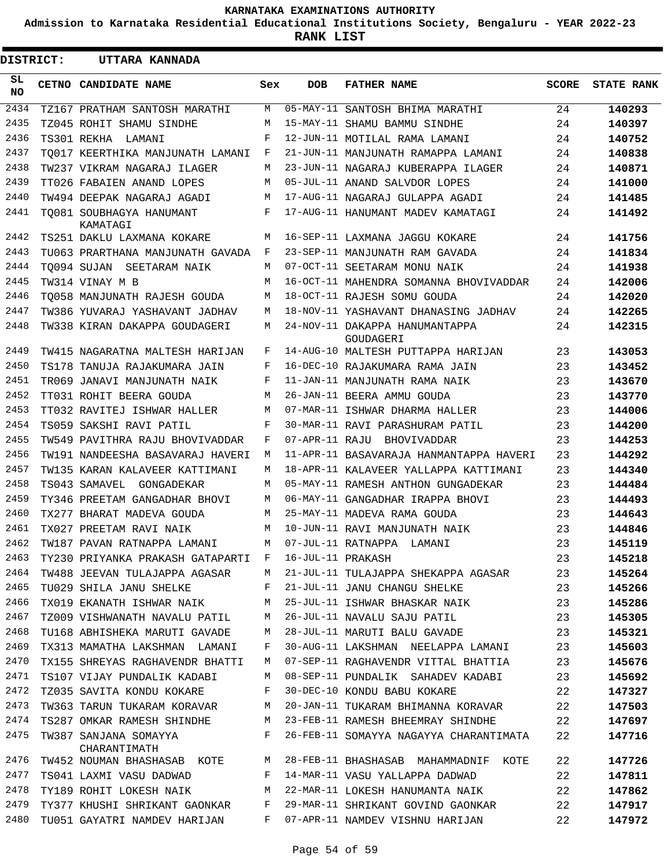**Admission to Karnataka Residential Educational Institutions Society, Bengaluru - YEAR 2022-23**

**RANK LIST**

| <b>DISTRICT:</b> | UTTARA KANNADA                        |     |                   |                                             |              |                   |
|------------------|---------------------------------------|-----|-------------------|---------------------------------------------|--------------|-------------------|
| SL<br><b>NO</b>  | CETNO CANDIDATE NAME                  | Sex | <b>DOB</b>        | <b>FATHER NAME</b>                          | <b>SCORE</b> | <b>STATE RANK</b> |
| 2434             | TZ167 PRATHAM SANTOSH MARATHI         | М   |                   | 05-MAY-11 SANTOSH BHIMA MARATHI             | 24           | 140293            |
| 2435             | TZ045 ROHIT SHAMU SINDHE              | М   |                   | 15-MAY-11 SHAMU BAMMU SINDHE                | 24           | 140397            |
| 2436             | TS301 REKHA<br>LAMANI                 | F   |                   | 12-JUN-11 MOTILAL RAMA LAMANI               | 24           | 140752            |
| 2437             | TO017 KEERTHIKA MANJUNATH LAMANI      | F   |                   | 21-JUN-11 MANJUNATH RAMAPPA LAMANI          | 24           | 140838            |
| 2438             | TW237 VIKRAM NAGARAJ ILAGER           | М   |                   | 23-JUN-11 NAGARAJ KUBERAPPA ILAGER          | 24           | 140871            |
| 2439             | TT026 FABAIEN ANAND LOPES             | М   |                   | 05-JUL-11 ANAND SALVDOR LOPES               | 24           | 141000            |
| 2440             | TW494 DEEPAK NAGARAJ AGADI            | М   |                   | 17-AUG-11 NAGARAJ GULAPPA AGADI             | 24           | 141485            |
| 2441             | TO081 SOUBHAGYA HANUMANT<br>KAMATAGI  | F   |                   | 17-AUG-11 HANUMANT MADEV KAMATAGI           | 24           | 141492            |
| 2442             | TS251 DAKLU LAXMANA KOKARE            | М   |                   | 16-SEP-11 LAXMANA JAGGU KOKARE              | 24           | 141756            |
| 2443             | TU063 PRARTHANA MANJUNATH GAVADA      | F   |                   | 23-SEP-11 MANJUNATH RAM GAVADA              | 24           | 141834            |
| 2444             | TO094 SUJAN SEETARAM NAIK             | М   |                   | 07-OCT-11 SEETARAM MONU NAIK                | 24           | 141938            |
| 2445             | TW314 VINAY M B                       | М   |                   | 16-OCT-11 MAHENDRA SOMANNA BHOVIVADDAR      | 24           | 142006            |
| 2446             | TO058 MANJUNATH RAJESH GOUDA          | М   |                   | 18-OCT-11 RAJESH SOMU GOUDA                 | 24           | 142020            |
| 2447             | TW386 YUVARAJ YASHAVANT JADHAV        | М   |                   | 18-NOV-11 YASHAVANT DHANASING JADHAV        | 24           | 142265            |
| 2448             | TW338 KIRAN DAKAPPA GOUDAGERI         | М   |                   | 24-NOV-11 DAKAPPA HANUMANTAPPA<br>GOUDAGERI | 24           | 142315            |
| 2449             | TW415 NAGARATNA MALTESH HARIJAN       | F   |                   | 14-AUG-10 MALTESH PUTTAPPA HARIJAN          | 23           | 143053            |
| 2450             | TS178 TANUJA RAJAKUMARA JAIN          | F   |                   | 16-DEC-10 RAJAKUMARA RAMA JAIN              | 23           | 143452            |
| 2451             | TR069 JANAVI MANJUNATH NAIK           | F   |                   | 11-JAN-11 MANJUNATH RAMA NAIK               | 23           | 143670            |
| 2452             | TT031 ROHIT BEERA GOUDA               | М   |                   | 26-JAN-11 BEERA AMMU GOUDA                  | 23           | 143770            |
| 2453             | TT032 RAVITEJ ISHWAR HALLER           | M   |                   | 07-MAR-11 ISHWAR DHARMA HALLER              | 23           | 144006            |
| 2454             | TS059 SAKSHI RAVI PATIL               | F   |                   | 30-MAR-11 RAVI PARASHURAM PATIL             | 23           | 144200            |
| 2455             | TW549 PAVITHRA RAJU BHOVIVADDAR       | F   |                   | 07-APR-11 RAJU BHOVIVADDAR                  | 23           | 144253            |
| 2456             | TW191 NANDEESHA BASAVARAJ HAVERI      | M   |                   | 11-APR-11 BASAVARAJA HANMANTAPPA HAVERI     | 23           | 144292            |
| 2457             | TW135 KARAN KALAVEER KATTIMANI        | М   |                   | 18-APR-11 KALAVEER YALLAPPA KATTIMANI       | 23           | 144340            |
| 2458             | TS043 SAMAVEL<br>GONGADEKAR           | М   |                   | 05-MAY-11 RAMESH ANTHON GUNGADEKAR          | 23           | 144484            |
| 2459             | TY346 PREETAM GANGADHAR BHOVI         | М   |                   | 06-MAY-11 GANGADHAR IRAPPA BHOVI            | 23           | 144493            |
| 2460             | TX277 BHARAT MADEVA GOUDA             | М   |                   | 25-MAY-11 MADEVA RAMA GOUDA                 | 23           | 144643            |
| 2461             | TX027 PREETAM RAVI NAIK               | М   |                   | 10-JUN-11 RAVI MANJUNATH NAIK               | 23           | 144846            |
|                  | 2462 TW187 PAVAN RATNAPPA LAMANI      |     |                   | M 07-JUL-11 RATNAPPA LAMANI                 | 23           | 145119            |
| 2463             | TY230 PRIYANKA PRAKASH GATAPARTI F    |     | 16-JUL-11 PRAKASH |                                             | 23           | 145218            |
| 2464             | TW488 JEEVAN TULAJAPPA AGASAR         | М   |                   | 21-JUL-11 TULAJAPPA SHEKAPPA AGASAR         | 23           | 145264            |
| 2465             | TU029 SHILA JANU SHELKE               | F   |                   | 21-JUL-11 JANU CHANGU SHELKE                | 23           | 145266            |
| 2466             | TX019 EKANATH ISHWAR NAIK             | М   |                   | 25-JUL-11 ISHWAR BHASKAR NAIK               | 23           | 145286            |
| 2467             | TZ009 VISHWANATH NAVALU PATIL         | М   |                   | 26-JUL-11 NAVALU SAJU PATIL                 | 23           | 145305            |
| 2468             | TU168 ABHISHEKA MARUTI GAVADE         | М   |                   | 28-JUL-11 MARUTI BALU GAVADE                | 23           | 145321            |
| 2469             | TX313 MAMATHA LAKSHMAN LAMANI         | F   |                   | 30-AUG-11 LAKSHMAN NEELAPPA LAMANI          | 23           | 145603            |
| 2470             | TX155 SHREYAS RAGHAVENDR BHATTI       | М   |                   | 07-SEP-11 RAGHAVENDR VITTAL BHATTIA         | 23           | 145676            |
| 2471             | TS107 VIJAY PUNDALIK KADABI           | М   |                   | 08-SEP-11 PUNDALIK SAHADEV KADABI           | 23           | 145692            |
| 2472             | TZ035 SAVITA KONDU KOKARE             | F   |                   | 30-DEC-10 KONDU BABU KOKARE                 | 22           | 147327            |
| 2473             | TW363 TARUN TUKARAM KORAVAR           | М   |                   | 20-JAN-11 TUKARAM BHIMANNA KORAVAR          | 22           | 147503            |
| 2474             | TS287 OMKAR RAMESH SHINDHE            | М   |                   | 23-FEB-11 RAMESH BHEEMRAY SHINDHE           | 22           | 147697            |
| 2475             | TW387 SANJANA SOMAYYA<br>CHARANTIMATH | F   |                   | 26-FEB-11 SOMAYYA NAGAYYA CHARANTIMATA      | 22           | 147716            |
| 2476             | TW452 NOUMAN BHASHASAB KOTE           | M   |                   | 28-FEB-11 BHASHASAB MAHAMMADNIF KOTE        | 22           | 147726            |
| 2477             | TS041 LAXMI VASU DADWAD               | F   |                   | 14-MAR-11 VASU YALLAPPA DADWAD              | 22           | 147811            |
| 2478             | TY189 ROHIT LOKESH NAIK               | M   |                   | 22-MAR-11 LOKESH HANUMANTA NAIK             | 22           | 147862            |
| 2479             | TY377 KHUSHI SHRIKANT GAONKAR         | F   |                   | 29-MAR-11 SHRIKANT GOVIND GAONKAR           | 22           | 147917            |
| 2480             | TU051 GAYATRI NAMDEV HARIJAN          | F   |                   | 07-APR-11 NAMDEV VISHNU HARIJAN             | 22           | 147972            |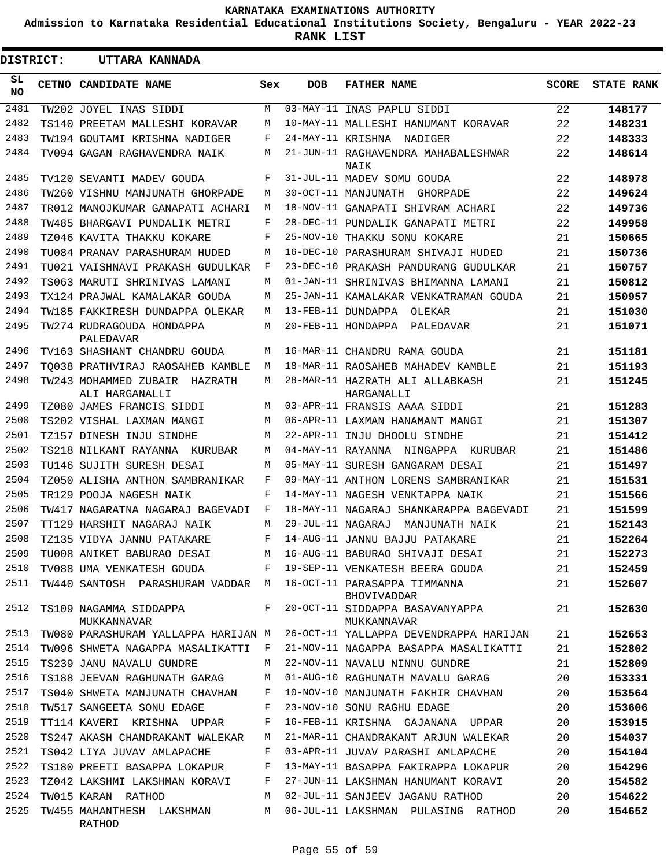**Admission to Karnataka Residential Educational Institutions Society, Bengaluru - YEAR 2022-23**

**RANK LIST**

| <b>DISTRICT:</b> | UTTARA KANNADA                                     |              |                   |                                                    |              |                   |
|------------------|----------------------------------------------------|--------------|-------------------|----------------------------------------------------|--------------|-------------------|
| SL.<br>NO.       | CETNO CANDIDATE NAME                               | Sex          | <b>DOB</b>        | <b>FATHER NAME</b>                                 | <b>SCORE</b> | <b>STATE RANK</b> |
| 2481             | TW202 JOYEL INAS SIDDI                             | M            |                   | 03-MAY-11 INAS PAPLU SIDDI                         | 22           | 148177            |
| 2482             | TS140 PREETAM MALLESHI KORAVAR                     | М            |                   | 10-MAY-11 MALLESHI HANUMANT KORAVAR                | 22           | 148231            |
| 2483             | TW194 GOUTAMI KRISHNA NADIGER                      | F            | 24-MAY-11 KRISHNA | NADIGER                                            | 22           | 148333            |
| 2484             | TV094 GAGAN RAGHAVENDRA NAIK                       | М            |                   | 21-JUN-11 RAGHAVENDRA MAHABALESHWAR<br>NAIK        | 22           | 148614            |
| 2485             | TV120 SEVANTI MADEV GOUDA                          | F            |                   | 31-JUL-11 MADEV SOMU GOUDA                         | 22           | 148978            |
| 2486             | TW260 VISHNU MANJUNATH GHORPADE                    | М            |                   | 30-OCT-11 MANJUNATH GHORPADE                       | 22           | 149624            |
| 2487             | TR012 MANOJKUMAR GANAPATI ACHARI                   | М            |                   | 18-NOV-11 GANAPATI SHIVRAM ACHARI                  | 22           | 149736            |
| 2488             | TW485 BHARGAVI PUNDALIK METRI                      | F            |                   | 28-DEC-11 PUNDALIK GANAPATI METRI                  | 22           | 149958            |
| 2489             | TZ046 KAVITA THAKKU KOKARE                         | F            |                   | 25-NOV-10 THAKKU SONU KOKARE                       | 21           | 150665            |
| 2490             | TU084 PRANAV PARASHURAM HUDED                      | М            |                   | 16-DEC-10 PARASHURAM SHIVAJI HUDED                 | 21           | 150736            |
| 2491             | TU021 VAISHNAVI PRAKASH GUDULKAR                   | F            |                   | 23-DEC-10 PRAKASH PANDURANG GUDULKAR               | 21           | 150757            |
| 2492             | TS063 MARUTI SHRINIVAS LAMANI                      | М            |                   | 01-JAN-11 SHRINIVAS BHIMANNA LAMANI                | 21           | 150812            |
| 2493             | TX124 PRAJWAL KAMALAKAR GOUDA                      | М            |                   | 25-JAN-11 KAMALAKAR VENKATRAMAN GOUDA              | 21           | 150957            |
| 2494             | TW185 FAKKIRESH DUNDAPPA OLEKAR                    | М            |                   | 13-FEB-11 DUNDAPPA OLEKAR                          | 21           | 151030            |
| 2495             | TW274 RUDRAGOUDA HONDAPPA<br>PALEDAVAR             | М            |                   | 20-FEB-11 HONDAPPA PALEDAVAR                       | 21           | 151071            |
| 2496             | TV163 SHASHANT CHANDRU GOUDA                       | М            |                   | 16-MAR-11 CHANDRU RAMA GOUDA                       | 21           | 151181            |
| 2497             | TO038 PRATHVIRAJ RAOSAHEB KAMBLE                   | М            |                   | 18-MAR-11 RAOSAHEB MAHADEV KAMBLE                  | 21           | 151193            |
| 2498             | TW243 MOHAMMED ZUBAIR<br>HAZRATH<br>ALI HARGANALLI | М            |                   | 28-MAR-11 HAZRATH ALI ALLABKASH<br>HARGANALLI      | 21           | 151245            |
| 2499             | TZ080 JAMES FRANCIS SIDDI                          | М            |                   | 03-APR-11 FRANSIS AAAA SIDDI                       | 21           | 151283            |
| 2500             | TS202 VISHAL LAXMAN MANGI                          | М            |                   | 06-APR-11 LAXMAN HANAMANT MANGI                    | 21           | 151307            |
| 2501             | TZ157 DINESH INJU SINDHE                           | М            |                   | 22-APR-11 INJU DHOOLU SINDHE                       | 21           | 151412            |
| 2502             | TS218 NILKANT RAYANNA KURUBAR                      | М            |                   | 04-MAY-11 RAYANNA NINGAPPA KURUBAR                 | 21           | 151486            |
| 2503             | TU146 SUJITH SURESH DESAI                          | М            |                   | 05-MAY-11 SURESH GANGARAM DESAI                    | 21           | 151497            |
| 2504             | TZ050 ALISHA ANTHON SAMBRANIKAR                    | F            |                   | 09-MAY-11 ANTHON LORENS SAMBRANIKAR                | 21           | 151531            |
| 2505             | TR129 POOJA NAGESH NAIK                            | F            |                   | 14-MAY-11 NAGESH VENKTAPPA NAIK                    | 21           | 151566            |
| 2506             | TW417 NAGARATNA NAGARAJ BAGEVADI                   | F            |                   | 18-MAY-11 NAGARAJ SHANKARAPPA BAGEVADI             | 21           | 151599            |
| 2507             | TT129 HARSHIT NAGARAJ NAIK                         | М            | 29-JUL-11 NAGARAJ | MANJUNATH NAIK                                     | 21           | 152143            |
| 2508             | TZ135 VIDYA JANNU PATAKARE                         | F            |                   | 14-AUG-11 JANNU BAJJU PATAKARE                     | 21           | 152264            |
| 2509             | TU008 ANIKET BABURAO DESAI                         | M            |                   | 16-AUG-11 BABURAO SHIVAJI DESAI                    | 21           | 152273            |
| 2510             | TV088 UMA VENKATESH GOUDA                          | F            |                   | 19-SEP-11 VENKATESH BEERA GOUDA                    | 21           | 152459            |
| 2511             | TW440 SANTOSH PARASHURAM VADDAR M                  |              |                   | 16-OCT-11 PARASAPPA TIMMANNA<br><b>BHOVIVADDAR</b> | 21           | 152607            |
| 2512             | TS109 NAGAMMA SIDDAPPA<br>MUKKANNAVAR              | F            |                   | 20-OCT-11 SIDDAPPA BASAVANYAPPA<br>MUKKANNAVAR     | 21           | 152630            |
| 2513             | TW080 PARASHURAM YALLAPPA HARIJAN M                |              |                   | 26-OCT-11 YALLAPPA DEVENDRAPPA HARIJAN             | 21           | 152653            |
| 2514             | TW096 SHWETA NAGAPPA MASALIKATTI                   | $\mathbf{F}$ |                   | 21-NOV-11 NAGAPPA BASAPPA MASALIKATTI              | 21           | 152802            |
| 2515             | TS239 JANU NAVALU GUNDRE                           | М            |                   | 22-NOV-11 NAVALU NINNU GUNDRE                      | 21           | 152809            |
| 2516             | TS188 JEEVAN RAGHUNATH GARAG                       | M            |                   | 01-AUG-10 RAGHUNATH MAVALU GARAG                   | 20           | 153331            |
| 2517             | TS040 SHWETA MANJUNATH CHAVHAN                     | F            |                   | 10-NOV-10 MANJUNATH FAKHIR CHAVHAN                 | 20           | 153564            |
| 2518             | TW517 SANGEETA SONU EDAGE                          | F            |                   | 23-NOV-10 SONU RAGHU EDAGE                         | 20           | 153606            |
| 2519             | TT114 KAVERI KRISHNA UPPAR                         | F            |                   | 16-FEB-11 KRISHNA GAJANANA UPPAR                   | 20           | 153915            |
| 2520             | TS247 AKASH CHANDRAKANT WALEKAR                    | М            |                   | 21-MAR-11 CHANDRAKANT ARJUN WALEKAR                | 20           | 154037            |
| 2521             | TS042 LIYA JUVAV AMLAPACHE                         | F            |                   | 03-APR-11 JUVAV PARASHI AMLAPACHE                  | 20           | 154104            |
| 2522             | TS180 PREETI BASAPPA LOKAPUR                       | F            |                   | 13-MAY-11 BASAPPA FAKIRAPPA LOKAPUR                | 20           | 154296            |
| 2523             | TZ042 LAKSHMI LAKSHMAN KORAVI                      | F            |                   | 27-JUN-11 LAKSHMAN HANUMANT KORAVI                 | 20           | 154582            |
| 2524             | TW015 KARAN RATHOD                                 | М            |                   | 02-JUL-11 SANJEEV JAGANU RATHOD                    | 20           | 154622            |
| 2525             | TW455 MAHANTHESH LAKSHMAN<br>RATHOD                | M            |                   | 06-JUL-11 LAKSHMAN PULASING RATHOD                 | 20           | 154652            |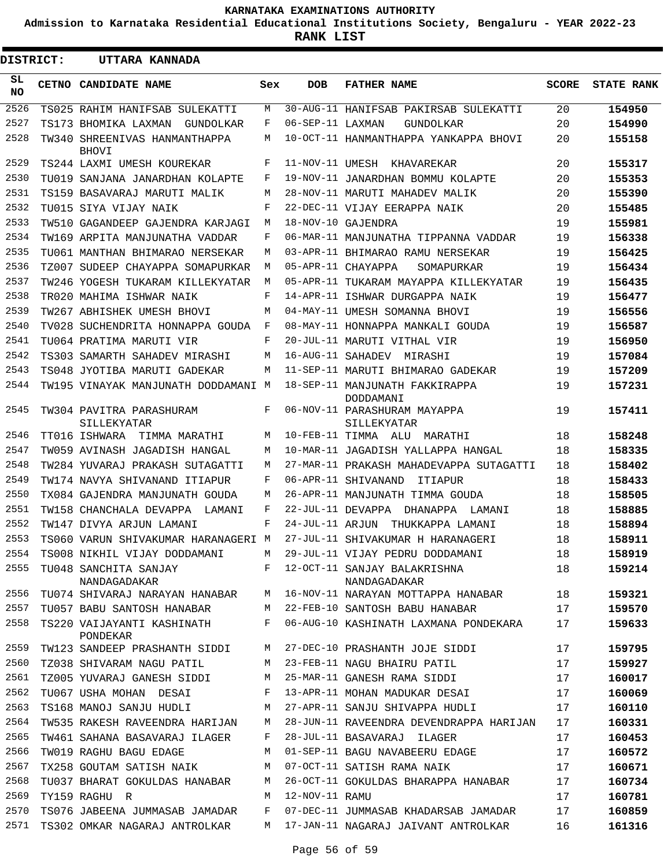**Admission to Karnataka Residential Educational Institutions Society, Bengaluru - YEAR 2022-23**

**RANK LIST**

ı

| <b>DISTRICT:</b> |  | UTTARA KANNADA                                |     |                  |                                                |              |                   |
|------------------|--|-----------------------------------------------|-----|------------------|------------------------------------------------|--------------|-------------------|
| SL<br><b>NO</b>  |  | CETNO CANDIDATE NAME                          | Sex | <b>DOB</b>       | <b>FATHER NAME</b>                             | <b>SCORE</b> | <b>STATE RANK</b> |
| 2526             |  | TS025 RAHIM HANIFSAB SULEKATTI                | М   |                  | 30-AUG-11 HANIFSAB PAKIRSAB SULEKATTI          | 20           | 154950            |
| 2527             |  | TS173 BHOMIKA LAXMAN<br>GUNDOLKAR             | F   | 06-SEP-11 LAXMAN | GUNDOLKAR                                      | 20           | 154990            |
| 2528             |  | TW340 SHREENIVAS HANMANTHAPPA<br><b>BHOVI</b> | М   |                  | 10-OCT-11 HANMANTHAPPA YANKAPPA BHOVI          | 20           | 155158            |
| 2529             |  | TS244 LAXMI UMESH KOUREKAR                    | F   |                  | 11-NOV-11 UMESH KHAVAREKAR                     | 20           | 155317            |
| 2530             |  | TU019 SANJANA JANARDHAN KOLAPTE               | F   |                  | 19-NOV-11 JANARDHAN BOMMU KOLAPTE              | 20           | 155353            |
| 2531             |  | TS159 BASAVARAJ MARUTI MALIK                  | М   |                  | 28-NOV-11 MARUTI MAHADEV MALIK                 | 20           | 155390            |
| 2532             |  | TU015 SIYA VIJAY NAIK                         | F   |                  | 22-DEC-11 VIJAY EERAPPA NAIK                   | 20           | 155485            |
| 2533             |  | TW510 GAGANDEEP GAJENDRA KARJAGI              | М   |                  | 18-NOV-10 GAJENDRA                             | 19           | 155981            |
| 2534             |  | TW169 ARPITA MANJUNATHA VADDAR                | F   |                  | 06-MAR-11 MANJUNATHA TIPPANNA VADDAR           | 19           | 156338            |
| 2535             |  | TU061 MANTHAN BHIMARAO NERSEKAR               | М   |                  | 03-APR-11 BHIMARAO RAMU NERSEKAR               | 19           | 156425            |
| 2536             |  | TZ007 SUDEEP CHAYAPPA SOMAPURKAR              | М   |                  | 05-APR-11 CHAYAPPA<br>SOMAPURKAR               | 19           | 156434            |
| 2537             |  | TW246 YOGESH TUKARAM KILLEKYATAR              | М   |                  | 05-APR-11 TUKARAM MAYAPPA KILLEKYATAR          | 19           | 156435            |
| 2538             |  | TR020 MAHIMA ISHWAR NAIK                      | F   |                  | 14-APR-11 ISHWAR DURGAPPA NAIK                 | 19           | 156477            |
| 2539             |  | TW267 ABHISHEK UMESH BHOVI                    | M   |                  | 04-MAY-11 UMESH SOMANNA BHOVI                  | 19           | 156556            |
| 2540             |  | TV028 SUCHENDRITA HONNAPPA GOUDA              | F   |                  | 08-MAY-11 HONNAPPA MANKALI GOUDA               | 19           | 156587            |
| 2541             |  | TU064 PRATIMA MARUTI VIR                      | F   |                  | 20-JUL-11 MARUTI VITHAL VIR                    | 19           | 156950            |
| 2542             |  | TS303 SAMARTH SAHADEV MIRASHI                 | M   |                  | 16-AUG-11 SAHADEV MIRASHI                      | 19           | 157084            |
| 2543             |  | TS048 JYOTIBA MARUTI GADEKAR                  | M   |                  | 11-SEP-11 MARUTI BHIMARAO GADEKAR              | 19           | 157209            |
| 2544             |  | TW195 VINAYAK MANJUNATH DODDAMANI M           |     |                  | 18-SEP-11 MANJUNATH FAKKIRAPPA<br>DODDAMANI    | 19           | 157231            |
| 2545             |  | TW304 PAVITRA PARASHURAM<br>SILLEKYATAR       | F   |                  | 06-NOV-11 PARASHURAM MAYAPPA<br>SILLEKYATAR    | 19           | 157411            |
| 2546             |  | TT016 ISHWARA<br>TIMMA MARATHI                | М   |                  | 10-FEB-11 TIMMA ALU MARATHI                    | 18           | 158248            |
| 2547             |  | TW059 AVINASH JAGADISH HANGAL                 | М   |                  | 10-MAR-11 JAGADISH YALLAPPA HANGAL             | 18           | 158335            |
| 2548             |  | TW284 YUVARAJ PRAKASH SUTAGATTI               | М   |                  | 27-MAR-11 PRAKASH MAHADEVAPPA SUTAGATTI        | 18           | 158402            |
| 2549             |  | TW174 NAVYA SHIVANAND ITIAPUR                 | F   |                  | 06-APR-11 SHIVANAND<br>ITIAPUR                 | 18           | 158433            |
| 2550             |  | TX084 GAJENDRA MANJUNATH GOUDA                | М   |                  | 26-APR-11 MANJUNATH TIMMA GOUDA                | 18           | 158505            |
| 2551             |  | TW158 CHANCHALA DEVAPPA<br>LAMANI             | F   |                  | 22-JUL-11 DEVAPPA DHANAPPA<br>LAMANI           | 18           | 158885            |
| 2552             |  | TW147 DIVYA ARJUN LAMANI                      | F   | 24-JUL-11 ARJUN  | THUKKAPPA LAMANI                               | 18           | 158894            |
| 2553             |  | TS060 VARUN SHIVAKUMAR HARANAGERI M           |     |                  | 27-JUL-11 SHIVAKUMAR H HARANAGERI              | 18           | 158911            |
| 2554             |  | TS008 NIKHIL VIJAY DODDAMANI                  | М   |                  | 29-JUL-11 VIJAY PEDRU DODDAMANI                | 18           | 158919            |
| 2555             |  | TU048 SANCHITA SANJAY<br>NANDAGADAKAR         |     |                  | F 12-OCT-11 SANJAY BALAKRISHNA<br>NANDAGADAKAR | 18           | 159214            |
| 2556             |  | TU074 SHIVARAJ NARAYAN HANABAR                | M   |                  | 16-NOV-11 NARAYAN MOTTAPPA HANABAR             | 18           | 159321            |
| 2557             |  | TU057 BABU SANTOSH HANABAR                    | M   |                  | 22-FEB-10 SANTOSH BABU HANABAR                 | 17           | 159570            |
| 2558             |  | TS220 VAIJAYANTI KASHINATH<br>PONDEKAR        | F   |                  | 06-AUG-10 KASHINATH LAXMANA PONDEKARA          | 17           | 159633            |
| 2559             |  | TW123 SANDEEP PRASHANTH SIDDI                 | M   |                  | 27-DEC-10 PRASHANTH JOJE SIDDI                 | 17           | 159795            |
| 2560             |  | TZ038 SHIVARAM NAGU PATIL                     | M   |                  | 23-FEB-11 NAGU BHAIRU PATIL                    | 17           | 159927            |
| 2561             |  | TZ005 YUVARAJ GANESH SIDDI                    | M   |                  | 25-MAR-11 GANESH RAMA SIDDI                    | 17           | 160017            |
| 2562             |  | TU067 USHA MOHAN DESAI                        | F   |                  | 13-APR-11 MOHAN MADUKAR DESAI                  | 17           | 160069            |
| 2563             |  | TS168 MANOJ SANJU HUDLI                       | M   |                  | 27-APR-11 SANJU SHIVAPPA HUDLI                 | 17           | 160110            |
| 2564             |  | TW535 RAKESH RAVEENDRA HARIJAN                | M   |                  | 28-JUN-11 RAVEENDRA DEVENDRAPPA HARIJAN        | 17           | 160331            |
| 2565             |  | TW461 SAHANA BASAVARAJ ILAGER                 | F   |                  | 28-JUL-11 BASAVARAJ ILAGER                     | 17           | 160453            |
| 2566             |  | TW019 RAGHU BAGU EDAGE                        | М   |                  | 01-SEP-11 BAGU NAVABEERU EDAGE                 | 17           | 160572            |
| 2567             |  | TX258 GOUTAM SATISH NAIK                      | М   |                  | 07-OCT-11 SATISH RAMA NAIK                     | 17           | 160671            |
| 2568             |  | TU037 BHARAT GOKULDAS HANABAR                 | М   |                  | 26-OCT-11 GOKULDAS BHARAPPA HANABAR            | 17           | 160734            |
| 2569             |  | TY159 RAGHU R                                 | M   | 12-NOV-11 RAMU   |                                                | 17           | 160781            |
| 2570             |  | TS076 JABEENA JUMMASAB JAMADAR                | F   |                  | 07-DEC-11 JUMMASAB KHADARSAB JAMADAR           | 17           | 160859            |
| 2571             |  | TS302 OMKAR NAGARAJ ANTROLKAR                 | M   |                  | 17-JAN-11 NAGARAJ JAIVANT ANTROLKAR            | 16           | 161316            |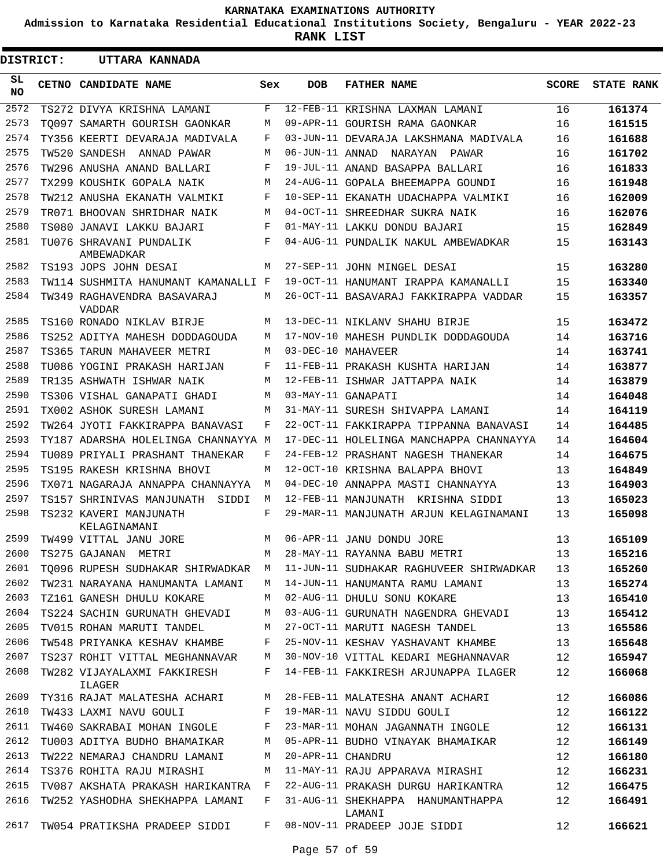**Admission to Karnataka Residential Educational Institutions Society, Bengaluru - YEAR 2022-23**

**RANK LIST**

| <b>DISTRICT:</b> | UTTARA KANNADA                         |     |                 |                                                                               |              |                   |
|------------------|----------------------------------------|-----|-----------------|-------------------------------------------------------------------------------|--------------|-------------------|
| SL.<br><b>NO</b> | CETNO CANDIDATE NAME                   | Sex | <b>DOB</b>      | <b>FATHER NAME</b>                                                            | <b>SCORE</b> | <b>STATE RANK</b> |
| 2572             | TS272 DIVYA KRISHNA LAMANI             | F   |                 | 12-FEB-11 KRISHNA LAXMAN LAMANI                                               | 16           | 161374            |
| 2573             | TO097 SAMARTH GOURISH GAONKAR          | М   |                 | 09-APR-11 GOURISH RAMA GAONKAR                                                | 16           | 161515            |
| 2574             | TY356 KEERTI DEVARAJA MADIVALA         | F   |                 | 03-JUN-11 DEVARAJA LAKSHMANA MADIVALA                                         | 16           | 161688            |
| 2575             | TW520 SANDESH ANNAD PAWAR              | М   | 06-JUN-11 ANNAD | NARAYAN PAWAR                                                                 | 16           | 161702            |
| 2576             | TW296 ANUSHA ANAND BALLARI             | F   |                 | 19-JUL-11 ANAND BASAPPA BALLARI                                               | 16           | 161833            |
| 2577             | TX299 KOUSHIK GOPALA NAIK              | М   |                 | 24-AUG-11 GOPALA BHEEMAPPA GOUNDI                                             | 16           | 161948            |
| 2578             | TW212 ANUSHA EKANATH VALMIKI           | F   |                 | 10-SEP-11 EKANATH UDACHAPPA VALMIKI                                           | 16           | 162009            |
| 2579             | TR071 BHOOVAN SHRIDHAR NAIK            | М   |                 | 04-OCT-11 SHREEDHAR SUKRA NAIK                                                | 16           | 162076            |
| 2580             | TS080 JANAVI LAKKU BAJARI              | F   |                 | 01-MAY-11 LAKKU DONDU BAJARI                                                  | 15           | 162849            |
| 2581             | TU076 SHRAVANI PUNDALIK<br>AMBEWADKAR  | F   |                 | 04-AUG-11 PUNDALIK NAKUL AMBEWADKAR                                           | 15           | 163143            |
| 2582             | TS193 JOPS JOHN DESAI                  | M   |                 | 27-SEP-11 JOHN MINGEL DESAI                                                   | 15           | 163280            |
| 2583             | TW114 SUSHMITA HANUMANT KAMANALLI F    |     |                 | 19-OCT-11 HANUMANT IRAPPA KAMANALLI                                           | 15           | 163340            |
| 2584             | TW349 RAGHAVENDRA BASAVARAJ<br>VADDAR  | М   |                 | 26-OCT-11 BASAVARAJ FAKKIRAPPA VADDAR                                         | 15           | 163357            |
| 2585             | TS160 RONADO NIKLAV BIRJE              | М   |                 | 13-DEC-11 NIKLANV SHAHU BIRJE                                                 | 15           | 163472            |
| 2586             | TS252 ADITYA MAHESH DODDAGOUDA         | M   |                 | 17-NOV-10 MAHESH PUNDLIK DODDAGOUDA                                           | 14           | 163716            |
| 2587             | TS365 TARUN MAHAVEER METRI             | M   |                 | 03-DEC-10 MAHAVEER                                                            | 14           | 163741            |
| 2588             | TU086 YOGINI PRAKASH HARIJAN           | F   |                 | 11-FEB-11 PRAKASH KUSHTA HARIJAN                                              | 14           | 163877            |
| 2589             | TR135 ASHWATH ISHWAR NAIK              | М   |                 | 12-FEB-11 ISHWAR JATTAPPA NAIK                                                | 14           | 163879            |
| 2590             | TS306 VISHAL GANAPATI GHADI            | М   |                 | 03-MAY-11 GANAPATI                                                            | 14           | 164048            |
| 2591             | TX002 ASHOK SURESH LAMANI              | M   |                 | 31-MAY-11 SURESH SHIVAPPA LAMANI                                              | 14           | 164119            |
| 2592             | TW264 JYOTI FAKKIRAPPA BANAVASI        | F   |                 | 22-OCT-11 FAKKIRAPPA TIPPANNA BANAVASI                                        | 14           | 164485            |
| 2593             | TY187 ADARSHA HOLELINGA CHANNAYYA M    |     |                 | 17-DEC-11 HOLELINGA MANCHAPPA CHANNAYYA                                       | 14           | 164604            |
| 2594             | TU089 PRIYALI PRASHANT THANEKAR        | F   |                 | 24-FEB-12 PRASHANT NAGESH THANEKAR                                            | 14           | 164675            |
| 2595             | TS195 RAKESH KRISHNA BHOVI             | M   |                 | 12-OCT-10 KRISHNA BALAPPA BHOVI                                               | 13           | 164849            |
| 2596             | TX071 NAGARAJA ANNAPPA CHANNAYYA       | М   |                 | 04-DEC-10 ANNAPPA MASTI CHANNAYYA                                             | 13           | 164903            |
| 2597             | TS157 SHRINIVAS MANJUNATH<br>SIDDI     | М   |                 | 12-FEB-11 MANJUNATH KRISHNA SIDDI                                             | 13           | 165023            |
| 2598             | TS232 KAVERI MANJUNATH<br>KELAGINAMANI | F   |                 | 29-MAR-11 MANJUNATH ARJUN KELAGINAMANI                                        | 13           | 165098            |
| 2599             | TW499 VITTAL JANU JORE                 | М   |                 | 06-APR-11 JANU DONDU JORE                                                     | 13           | 165109            |
| 2600             | TS275 GAJANAN METRI                    |     |                 | M 28-MAY-11 RAYANNA BABU METRI                                                | 13           | 165216            |
| 2601             |                                        |     |                 | TQ096 RUPESH SUDHAKAR SHIRWADKAR M 11-JUN-11 SUDHAKAR RAGHUVEER SHIRWADKAR 13 |              | 165260            |
| 2602             | TW231 NARAYANA HANUMANTA LAMANI        |     |                 | M 14-JUN-11 HANUMANTA RAMU LAMANI 13                                          |              | 165274            |
| 2603             | TZ161 GANESH DHULU KOKARE              |     |                 | M 02-AUG-11 DHULU SONU KOKARE                                                 | 13           | 165410            |
| 2604             |                                        |     |                 | TS224 SACHIN GURUNATH GHEVADI M 03-AUG-11 GURUNATH NAGENDRA GHEVADI 13        |              | 165412            |
| 2605             |                                        |     |                 | TV015 ROHAN MARUTI TANDEL M 27-OCT-11 MARUTI NAGESH TANDEL 13                 |              | 165586            |
| 2606             |                                        |     |                 | TW548 PRIYANKA KESHAV KHAMBE F 25-NOV-11 KESHAV YASHAVANT KHAMBE 13           |              | 165648            |
| 2607             |                                        |     |                 | TS237 ROHIT VITTAL MEGHANNAVAR M 30-NOV-10 VITTAL KEDARI MEGHANNAVAR 12       |              | 165947            |
| 2608             | ILAGER                                 |     |                 | TW282 VIJAYALAXMI FAKKIRESH F 14-FEB-11 FAKKIRESH ARJUNAPPA ILAGER 12         |              | 166068            |
| 2609             |                                        |     |                 | TY316 RAJAT MALATESHA ACHARI M 28-FEB-11 MALATESHA ANANT ACHARI 12            |              | 166086            |
| 2610             |                                        |     |                 | TW433 LAXMI NAVU GOULI F 19-MAR-11 NAVU SIDDU GOULI                           | 12           | 166122            |
| 2611             |                                        |     |                 | TW460 SAKRABAI MOHAN INGOLE F 23-MAR-11 MOHAN JAGANNATH INGOLE                | 12           | 166131            |
| 2612             |                                        |     |                 | TU003 ADITYA BUDHO BHAMAIKAR M 05-APR-11 BUDHO VINAYAK BHAMAIKAR 12           |              | 166149            |
| 2613             | TW222 NEMARAJ CHANDRU LAMANI           | M   |                 | 20-APR-11 CHANDRU                                                             | 12           | 166180            |
| 2614             | TS376 ROHITA RAJU MIRASHI              |     |                 | M 11-MAY-11 RAJU APPARAVA MIRASHI                                             | 12           | 166231            |
| 2615             |                                        |     |                 | TV087 AKSHATA PRAKASH HARIKANTRA F 22-AUG-11 PRAKASH DURGU HARIKANTRA         | 12           | 166475            |
| 2616             | TW252 YASHODHA SHEKHAPPA LAMANI        |     |                 | F 31-AUG-11 SHEKHAPPA HANUMANTHAPPA<br>LAMANI                                 | 12           | 166491            |
| 2617             |                                        |     |                 | TW054 PRATIKSHA PRADEEP SIDDI F 08-NOV-11 PRADEEP JOJE SIDDI                  | 12           | 166621            |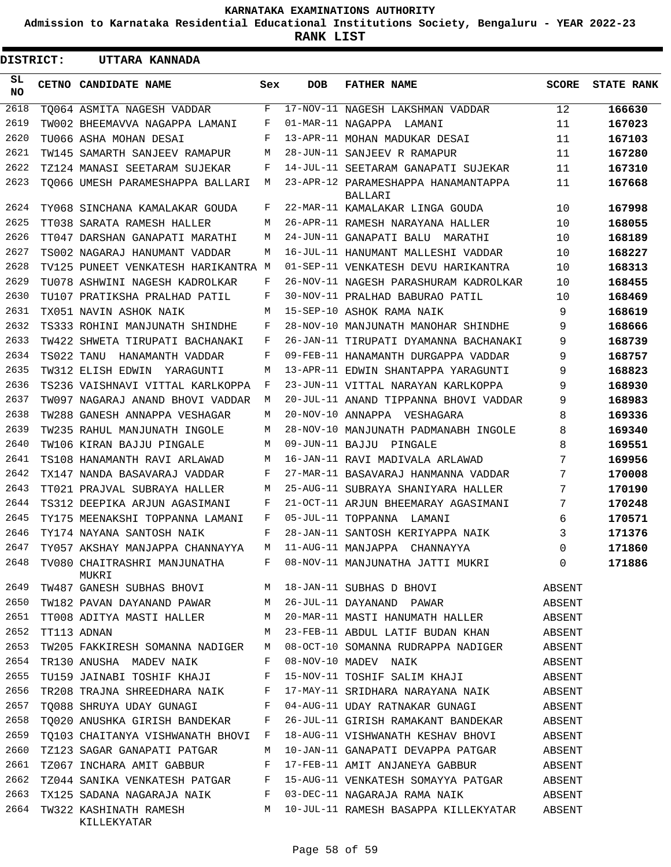**Admission to Karnataka Residential Educational Institutions Society, Bengaluru - YEAR 2022-23**

**RANK LIST**

Е

| <b>DISTRICT:</b> |             | UTTARA KANNADA                        |     |            |                                                |              |                   |
|------------------|-------------|---------------------------------------|-----|------------|------------------------------------------------|--------------|-------------------|
| SL.<br>NO.       |             | CETNO CANDIDATE NAME                  | Sex | <b>DOB</b> | <b>FATHER NAME</b>                             | <b>SCORE</b> | <b>STATE RANK</b> |
| 2618             |             | TO064 ASMITA NAGESH VADDAR            | F   |            | 17-NOV-11 NAGESH LAKSHMAN VADDAR               | 12           | 166630            |
| 2619             |             | TW002 BHEEMAVVA NAGAPPA LAMANI        | F   |            | 01-MAR-11 NAGAPPA LAMANI                       | 11           | 167023            |
| 2620             |             | TU066 ASHA MOHAN DESAI                | F   |            | 13-APR-11 MOHAN MADUKAR DESAI                  | 11           | 167103            |
| 2621             |             | TW145 SAMARTH SANJEEV RAMAPUR         | M   |            | 28-JUN-11 SANJEEV R RAMAPUR                    | 11           | 167280            |
| 2622             |             | TZ124 MANASI SEETARAM SUJEKAR         | F   |            | 14-JUL-11 SEETARAM GANAPATI SUJEKAR            | 11           | 167310            |
| 2623             |             | TO066 UMESH PARAMESHAPPA BALLARI      | М   |            | 23-APR-12 PARAMESHAPPA HANAMANTAPPA<br>BALLARI | 11           | 167668            |
| 2624             |             | TY068 SINCHANA KAMALAKAR GOUDA        | F   |            | 22-MAR-11 KAMALAKAR LINGA GOUDA                | 10           | 167998            |
| 2625             |             | TT038 SARATA RAMESH HALLER            | M   |            | 26-APR-11 RAMESH NARAYANA HALLER               | 10           | 168055            |
| 2626             |             | TT047 DARSHAN GANAPATI MARATHI        | M   |            | 24-JUN-11 GANAPATI BALU<br>MARATHI             | 10           | 168189            |
| 2627             |             | TS002 NAGARAJ HANUMANT VADDAR         | M   |            | 16-JUL-11 HANUMANT MALLESHI VADDAR             | 10           | 168227            |
| 2628             |             | TV125 PUNEET VENKATESH HARIKANTRA M   |     |            | 01-SEP-11 VENKATESH DEVU HARIKANTRA            | 10           | 168313            |
| 2629             |             | TU078 ASHWINI NAGESH KADROLKAR        | F   |            | 26-NOV-11 NAGESH PARASHURAM KADROLKAR          | 10           | 168455            |
| 2630             |             | TU107 PRATIKSHA PRALHAD PATIL         | F   |            | 30-NOV-11 PRALHAD BABURAO PATIL                | 10           | 168469            |
| 2631             |             | TX051 NAVIN ASHOK NAIK                | M   |            | 15-SEP-10 ASHOK RAMA NAIK                      | 9            | 168619            |
| 2632             |             | TS333 ROHINI MANJUNATH SHINDHE        | F   |            | 28-NOV-10 MANJUNATH MANOHAR SHINDHE            | 9            | 168666            |
| 2633             |             | TW422 SHWETA TIRUPATI BACHANAKI       | F   |            | 26-JAN-11 TIRUPATI DYAMANNA BACHANAKI          | 9            | 168739            |
| 2634             | TS022 TANU  | HANAMANTH VADDAR                      | F   |            | 09-FEB-11 HANAMANTH DURGAPPA VADDAR            | 9            | 168757            |
| 2635             |             | TW312 ELISH EDWIN YARAGUNTI           | М   |            | 13-APR-11 EDWIN SHANTAPPA YARAGUNTI            | 9            | 168823            |
| 2636             |             | TS236 VAISHNAVI VITTAL KARLKOPPA      | F   |            | 23-JUN-11 VITTAL NARAYAN KARLKOPPA             | 9            | 168930            |
| 2637             |             | TW097 NAGARAJ ANAND BHOVI VADDAR      | М   |            | 20-JUL-11 ANAND TIPPANNA BHOVI VADDAR          | 9            | 168983            |
| 2638             |             | TW288 GANESH ANNAPPA VESHAGAR         | М   |            | 20-NOV-10 ANNAPPA VESHAGARA                    | 8            | 169336            |
| 2639             |             | TW235 RAHUL MANJUNATH INGOLE          | M   |            | 28-NOV-10 MANJUNATH PADMANABH INGOLE           | 8            | 169340            |
| 2640             |             | TW106 KIRAN BAJJU PINGALE             | M   |            | 09-JUN-11 BAJJU PINGALE                        | 8            | 169551            |
| 2641             |             | TS108 HANAMANTH RAVI ARLAWAD          | M   |            | 16-JAN-11 RAVI MADIVALA ARLAWAD                | 7            | 169956            |
| 2642             |             | TX147 NANDA BASAVARAJ VADDAR          | F   |            | 27-MAR-11 BASAVARAJ HANMANNA VADDAR            | 7            | 170008            |
| 2643             |             | TT021 PRAJVAL SUBRAYA HALLER          | М   |            | 25-AUG-11 SUBRAYA SHANIYARA HALLER             | 7            | 170190            |
| 2644             |             | TS312 DEEPIKA ARJUN AGASIMANI         | F   |            | 21-OCT-11 ARJUN BHEEMARAY AGASIMANI            | 7            | 170248            |
| 2645             |             | TY175 MEENAKSHI TOPPANNA LAMANI       | F   |            | 05-JUL-11 TOPPANNA LAMANI                      | 6            | 170571            |
| 2646             |             | TY174 NAYANA SANTOSH NAIK             | F   |            | 28-JAN-11 SANTOSH KERIYAPPA NAIK               | 3            | 171376            |
| 2647             |             | TY057 AKSHAY MANJAPPA CHANNAYYA M     |     |            | 11-AUG-11 MANJAPPA CHANNAYYA                   | $\mathsf{O}$ | 171860            |
| 2648             |             | TV080 CHAITRASHRI MANJUNATHA<br>MUKRI |     |            | F 08-NOV-11 MANJUNATHA JATTI MUKRI 0           |              | 171886            |
| 2649             |             | TW487 GANESH SUBHAS BHOVI M           |     |            | 18-JAN-11 SUBHAS D BHOVI                       | ABSENT       |                   |
| 2650             |             | TW182 PAVAN DAYANAND PAWAR            | M   |            | 26-JUL-11 DAYANAND PAWAR                       | ABSENT       |                   |
| 2651             |             | TT008 ADITYA MASTI HALLER             | M   |            | 20-MAR-11 MASTI HANUMATH HALLER                | ABSENT       |                   |
| 2652             | TT113 ADNAN |                                       | M   |            | 23-FEB-11 ABDUL LATIF BUDAN KHAN               | ABSENT       |                   |
| 2653             |             | TW205 FAKKIRESH SOMANNA NADIGER M     |     |            | 08-OCT-10 SOMANNA RUDRAPPA NADIGER             | ABSENT       |                   |
| 2654             |             | TR130 ANUSHA MADEV NAIK               | F   |            | 08-NOV-10 MADEV NAIK                           | ABSENT       |                   |
| 2655             |             | TU159 JAINABI TOSHIF KHAJI            | F   |            | 15-NOV-11 TOSHIF SALIM KHAJI                   | ABSENT       |                   |
| 2656             |             | TR208 TRAJNA SHREEDHARA NAIK F        |     |            | 17-MAY-11 SRIDHARA NARAYANA NAIK               | ABSENT       |                   |
| 2657             |             | TO088 SHRUYA UDAY GUNAGI              | F   |            | 04-AUG-11 UDAY RATNAKAR GUNAGI                 | ABSENT       |                   |
| 2658             |             | TO020 ANUSHKA GIRISH BANDEKAR         | F   |            | 26-JUL-11 GIRISH RAMAKANT BANDEKAR             | ABSENT       |                   |
| 2659             |             | TO103 CHAITANYA VISHWANATH BHOVI F    |     |            | 18-AUG-11 VISHWANATH KESHAV BHOVI              | ABSENT       |                   |
| 2660             |             | TZ123 SAGAR GANAPATI PATGAR           | M   |            | 10-JAN-11 GANAPATI DEVAPPA PATGAR              | ABSENT       |                   |
| 2661             |             | TZ067 INCHARA AMIT GABBUR             | F   |            | 17-FEB-11 AMIT ANJANEYA GABBUR                 | ABSENT       |                   |
| 2662             |             | TZ044 SANIKA VENKATESH PATGAR F       |     |            | 15-AUG-11 VENKATESH SOMAYYA PATGAR             | ABSENT       |                   |
| 2663             |             | TX125 SADANA NAGARAJA NAIK F          |     |            | 03-DEC-11 NAGARAJA RAMA NAIK                   | ABSENT       |                   |
| 2664             |             | TW322 KASHINATH RAMESH<br>KILLEKYATAR | M   |            | 10-JUL-11 RAMESH BASAPPA KILLEKYATAR           | ABSENT       |                   |